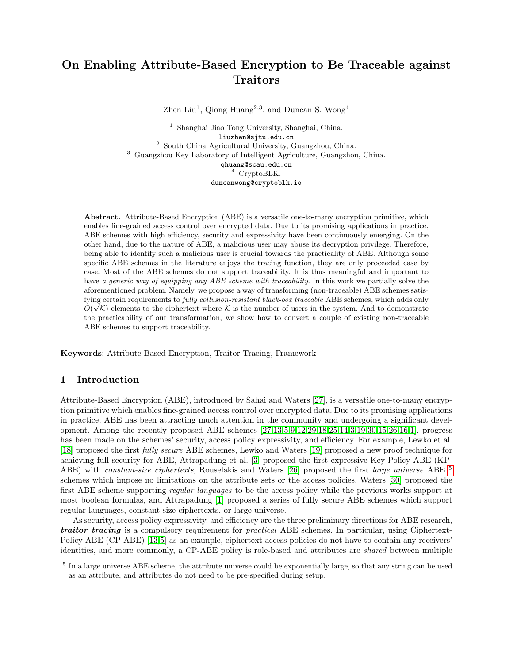# On Enabling Attribute-Based Encryption to Be Traceable against **Traitors**

Zhen Liu<sup>1</sup>, Qiong Huang<sup>2,3</sup>, and Duncan S. Wong<sup>4</sup>

<sup>1</sup> Shanghai Jiao Tong University, Shanghai, China. liuzhen@sjtu.edu.cn <sup>2</sup> South China Agricultural University, Guangzhou, China. <sup>3</sup> Guangzhou Key Laboratory of Intelligent Agriculture, Guangzhou, China. qhuang@scau.edu.cn <sup>4</sup> CryptoBLK. duncanwong@cryptoblk.io

Abstract. Attribute-Based Encryption (ABE) is a versatile one-to-many encryption primitive, which enables fine-grained access control over encrypted data. Due to its promising applications in practice, ABE schemes with high efficiency, security and expressivity have been continuously emerging. On the other hand, due to the nature of ABE, a malicious user may abuse its decryption privilege. Therefore, being able to identify such a malicious user is crucial towards the practicality of ABE. Although some specific ABE schemes in the literature enjoys the tracing function, they are only proceeded case by case. Most of the ABE schemes do not support traceability. It is thus meaningful and important to have a generic way of equipping any ABE scheme with traceability. In this work we partially solve the aforementioned problem. Namely, we propose a way of transforming (non-traceable) ABE schemes satisfying certain requirements to *fully collusion-resistant black-box traceable* ABE schemes, which adds only  $O(\sqrt{k})$  elements to the ciphertext where K is the number of users in the system. And to demonstrate the practicability of our transformation, we show how to convert a couple of existing non-traceable ABE schemes to support traceability.

Keywords: Attribute-Based Encryption, Traitor Tracing, Framework

# 1 Introduction

Attribute-Based Encryption (ABE), introduced by Sahai and Waters [\[27\]](#page-25-0), is a versatile one-to-many encryption primitive which enables fine-grained access control over encrypted data. Due to its promising applications in practice, ABE has been attracting much attention in the community and undergoing a significant development. Among the recently proposed ABE schemes [\[27,](#page-25-0)[13](#page-25-1)[,5,](#page-25-2)[9,](#page-25-3)[12,](#page-25-4)[29](#page-25-5)[,18,](#page-25-6)[25,](#page-25-7)[14,](#page-25-8)[3,](#page-24-0)[19,](#page-25-9)[30,](#page-25-10)[15](#page-25-11)[,26,](#page-25-12)[16,](#page-25-13)[1\]](#page-24-1), progress has been made on the schemes' security, access policy expressivity, and efficiency. For example, Lewko et al. [\[18\]](#page-25-6) proposed the first fully secure ABE schemes, Lewko and Waters [\[19\]](#page-25-9) proposed a new proof technique for achieving full security for ABE, Attrapadung et al. [\[3\]](#page-24-0) proposed the first expressive Key-Policy ABE (KP-ABE) with *constant-size ciphertexts*, Rouselakis and Waters [\[26\]](#page-25-12) proposed the first *large universe* ABE <sup>[5](#page-0-0)</sup> schemes which impose no limitations on the attribute sets or the access policies, Waters [\[30\]](#page-25-10) proposed the first ABE scheme supporting regular languages to be the access policy while the previous works support at most boolean formulas, and Attrapadung [\[1\]](#page-24-1) proposed a series of fully secure ABE schemes which support regular languages, constant size ciphertexts, or large universe.

As security, access policy expressivity, and efficiency are the three preliminary directions for ABE research, **traitor tracing** is a compulsory requirement for *practical* ABE schemes. In particular, using Ciphertext-Policy ABE (CP-ABE) [\[13](#page-25-1)[,5\]](#page-25-2) as an example, ciphertext access policies do not have to contain any receivers' identities, and more commonly, a CP-ABE policy is role-based and attributes are shared between multiple

<span id="page-0-0"></span><sup>&</sup>lt;sup>5</sup> In a large universe ABE scheme, the attribute universe could be exponentially large, so that any string can be used as an attribute, and attributes do not need to be pre-specified during setup.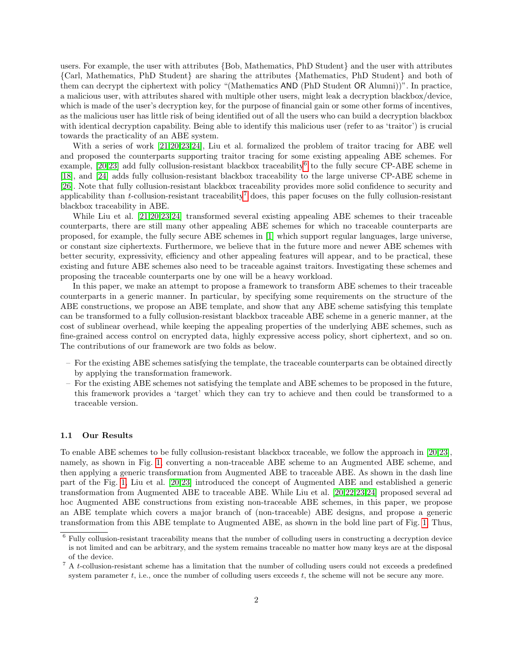users. For example, the user with attributes {Bob, Mathematics, PhD Student} and the user with attributes {Carl, Mathematics, PhD Student} are sharing the attributes {Mathematics, PhD Student} and both of them can decrypt the ciphertext with policy "(Mathematics AND (PhD Student OR Alumni))". In practice, a malicious user, with attributes shared with multiple other users, might leak a decryption blackbox/device, which is made of the user's decryption key, for the purpose of financial gain or some other forms of incentives, as the malicious user has little risk of being identified out of all the users who can build a decryption blackbox with identical decryption capability. Being able to identify this malicious user (refer to as 'traitor') is crucial towards the practicality of an ABE system.

With a series of work [\[21,](#page-25-14)[20](#page-25-15)[,23,](#page-25-16)[24\]](#page-25-17), Liu et al. formalized the problem of traitor tracing for ABE well and proposed the counterparts supporting traitor tracing for some existing appealing ABE schemes. For example,  $[20,23]$  $[20,23]$  add fully collusion-resistant blackbox traceability<sup>[6](#page-1-0)</sup> to the fully secure CP-ABE scheme in [\[18\]](#page-25-6), and [\[24\]](#page-25-17) adds fully collusion-resistant blackbox traceability to the large universe CP-ABE scheme in [\[26\]](#page-25-12). Note that fully collusion-resistant blackbox traceability provides more solid confidence to security and applicability than t-collusion-resistant traceability<sup>[7](#page-1-1)</sup> does, this paper focuses on the fully collusion-resistant blackbox traceability in ABE.

While Liu et al. [\[21,](#page-25-14)[20](#page-25-15)[,23,](#page-25-16)[24\]](#page-25-17) transformed several existing appealing ABE schemes to their traceable counterparts, there are still many other appealing ABE schemes for which no traceable counterparts are proposed, for example, the fully secure ABE schemes in [\[1\]](#page-24-1) which support regular languages, large universe, or constant size ciphertexts. Furthermore, we believe that in the future more and newer ABE schemes with better security, expressivity, efficiency and other appealing features will appear, and to be practical, these existing and future ABE schemes also need to be traceable against traitors. Investigating these schemes and proposing the traceable counterparts one by one will be a heavy workload.

In this paper, we make an attempt to propose a framework to transform ABE schemes to their traceable counterparts in a generic manner. In particular, by specifying some requirements on the structure of the ABE constructions, we propose an ABE template, and show that any ABE scheme satisfying this template can be transformed to a fully collusion-resistant blackbox traceable ABE scheme in a generic manner, at the cost of sublinear overhead, while keeping the appealing properties of the underlying ABE schemes, such as fine-grained access control on encrypted data, highly expressive access policy, short ciphertext, and so on. The contributions of our framework are two folds as below.

- For the existing ABE schemes satisfying the template, the traceable counterparts can be obtained directly by applying the transformation framework.
- For the existing ABE schemes not satisfying the template and ABE schemes to be proposed in the future, this framework provides a 'target' which they can try to achieve and then could be transformed to a traceable version.

#### 1.1 Our Results

To enable ABE schemes to be fully collusion-resistant blackbox traceable, we follow the approach in [\[20,](#page-25-15)[23\]](#page-25-16), namely, as shown in Fig. [1,](#page-2-0) converting a non-traceable ABE scheme to an Augmented ABE scheme, and then applying a generic transformation from Augmented ABE to traceable ABE. As shown in the dash line part of the Fig. [1,](#page-2-0) Liu et al. [\[20,](#page-25-15)[23\]](#page-25-16) introduced the concept of Augmented ABE and established a generic transformation from Augmented ABE to traceable ABE. While Liu et al. [\[20,](#page-25-15)[22](#page-25-18)[,23,](#page-25-16)[24\]](#page-25-17) proposed several ad hoc Augmented ABE constructions from existing non-traceable ABE schemes, in this paper, we propose an ABE template which covers a major branch of (non-traceable) ABE designs, and propose a generic transformation from this ABE template to Augmented ABE, as shown in the bold line part of Fig. [1.](#page-2-0) Thus,

<span id="page-1-0"></span> $6$  Fully collusion-resistant traceability means that the number of colluding users in constructing a decryption device is not limited and can be arbitrary, and the system remains traceable no matter how many keys are at the disposal of the device.

<span id="page-1-1"></span><sup>&</sup>lt;sup>7</sup> A t-collusion-resistant scheme has a limitation that the number of colluding users could not exceeds a predefined system parameter  $t$ , i.e., once the number of colluding users exceeds  $t$ , the scheme will not be secure any more.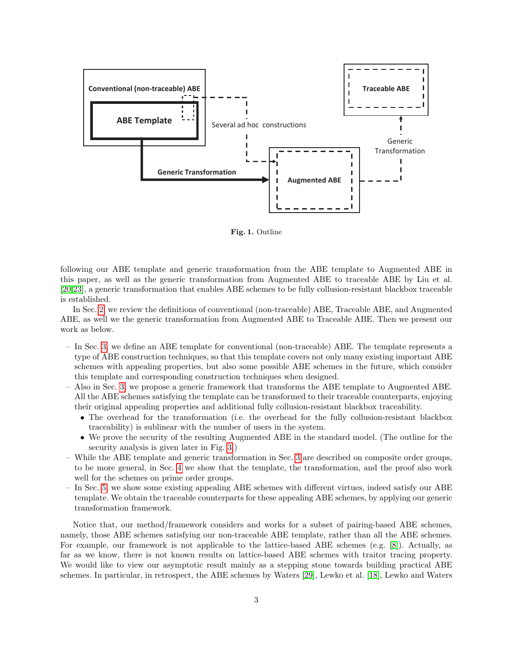

<span id="page-2-0"></span>Fig. 1. Outline

following our ABE template and generic transformation from the ABE template to Augmented ABE in this paper, as well as the generic transformation from Augmented ABE to traceable ABE by Liu et al. [\[20,](#page-25-15)[23\]](#page-25-16), a generic transformation that enables ABE schemes to be fully collusion-resistant blackbox traceable is established.

In Sec. [2,](#page-3-0) we review the definitions of conventional (non-traceable) ABE, Traceable ABE, and Augmented ABE, as well we the generic transformation from Augmented ABE to Traceable ABE. Then we present our work as below.

- In Sec. [3,](#page-8-0) we define an ABE template for conventional (non-traceable) ABE. The template represents a type of ABE construction techniques, so that this template covers not only many existing important ABE schemes with appealing properties, but also some possible ABE schemes in the future, which consider this template and corresponding construction techniques when designed.
- Also in Sec. [3,](#page-8-0) we propose a generic framework that transforms the ABE template to Augmented ABE. All the ABE schemes satisfying the template can be transformed to their traceable counterparts, enjoying their original appealing properties and additional fully collusion-resistant blackbox traceability.
	- The overhead for the transformation (i.e. the overhead for the fully collusion-resistant blackbox traceability) is sublinear with the number of users in the system.
	- We prove the security of the resulting Augmented ABE in the standard model. (The outline for the security analysis is given later in Fig. [3.](#page-13-0))
- While the ABE template and generic transformation in Sec. [3](#page-8-0) are described on composite order groups, to be more general, in Sec. [4](#page-17-0) we show that the template, the transformation, and the proof also work well for the schemes on prime order groups.
- In Sec. [5,](#page-18-0) we show some existing appealing ABE schemes with different virtues, indeed satisfy our ABE template. We obtain the traceable counterparts for these appealing ABE schemes, by applying our generic transformation framework.

Notice that, our method/framework considers and works for a subset of pairing-based ABE schemes, namely, those ABE schemes satisfying our non-traceable ABE template, rather than all the ABE schemes. For example, our framework is not applicable to the lattice-based ABE schemes (e.g. [\[8\]](#page-25-19)). Actually, as far as we know, there is not known results on lattice-based ABE schemes with traitor tracing property. We would like to view our asymptotic result mainly as a stepping stone towards building practical ABE schemes. In particular, in retrospect, the ABE schemes by Waters [\[29\]](#page-25-5), Lewko et al. [\[18\]](#page-25-6), Lewko and Waters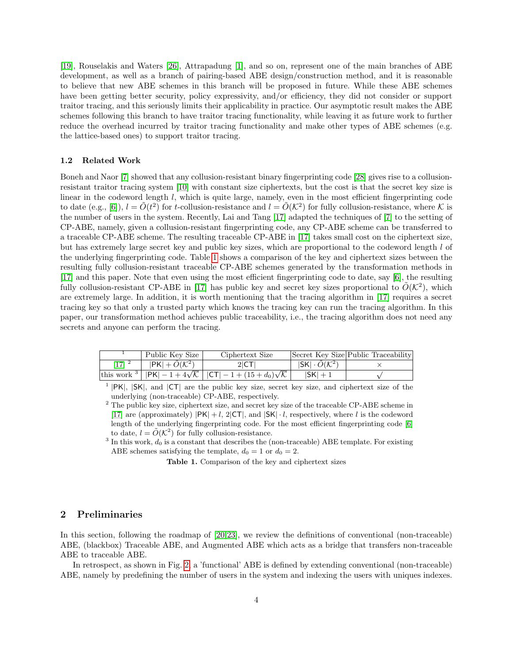[\[19\]](#page-25-9), Rouselakis and Waters [\[26\]](#page-25-12), Attrapadung [\[1\]](#page-24-1), and so on, represent one of the main branches of ABE development, as well as a branch of pairing-based ABE design/construction method, and it is reasonable to believe that new ABE schemes in this branch will be proposed in future. While these ABE schemes have been getting better security, policy expressivity, and/or efficiency, they did not consider or support traitor tracing, and this seriously limits their applicability in practice. Our asymptotic result makes the ABE schemes following this branch to have traitor tracing functionality, while leaving it as future work to further reduce the overhead incurred by traitor tracing functionality and make other types of ABE schemes (e.g. the lattice-based ones) to support traitor tracing.

## 1.2 Related Work

Boneh and Naor [\[7\]](#page-25-20) showed that any collusion-resistant binary fingerprinting code [\[28\]](#page-25-21) gives rise to a collusionresistant traitor tracing system [\[10\]](#page-25-22) with constant size ciphertexts, but the cost is that the secret key size is linear in the codeword length l, which is quite large, namely, even in the most efficient fingerprinting code to date (e.g., [\[6\]](#page-25-23)),  $l = \tilde{O}(t^2)$  for t-collusion-resistance and  $l = \tilde{O}(\mathcal{K}^2)$  for fully collusion-resistance, where  $\mathcal K$  is the number of users in the system. Recently, Lai and Tang [\[17\]](#page-25-24) adapted the techniques of [\[7\]](#page-25-20) to the setting of CP-ABE, namely, given a collusion-resistant fingerprinting code, any CP-ABE scheme can be transferred to a traceable CP-ABE scheme. The resulting traceable CP-ABE in [\[17\]](#page-25-24) takes small cost on the ciphertext size, but has extremely large secret key and public key sizes, which are proportional to the codeword length l of the underlying fingerprinting code. Table [1](#page-3-1) shows a comparison of the key and ciphertext sizes between the resulting fully collusion-resistant traceable CP-ABE schemes generated by the transformation methods in [\[17\]](#page-25-24) and this paper. Note that even using the most efficient fingerprinting code to date, say [\[6\]](#page-25-23), the resulting fully collusion-resistant CP-ABE in [\[17\]](#page-25-24) has public key and secret key sizes proportional to  $\tilde{O}(\mathcal{K}^2)$ , which are extremely large. In addition, it is worth mentioning that the tracing algorithm in [\[17\]](#page-25-24) requires a secret tracing key so that only a trusted party which knows the tracing key can run the tracing algorithm. In this paper, our transformation method achieves public traceability, i.e., the tracing algorithm does not need any secrets and anyone can perform the tracing.

|           | Public Key Size                   | Ciphertext Size                                                                                       |                     | Secret Key Size Public Traceability |
|-----------|-----------------------------------|-------------------------------------------------------------------------------------------------------|---------------------|-------------------------------------|
| [17] $^2$ | $ PK  + \tilde{O}(\mathcal{K}^2)$ | $2 \mathsf{CT} $                                                                                      | $ SK  \cdot O(K^2)$ |                                     |
|           |                                   | this work <sup>3</sup>   $ PK  - 1 + 4\sqrt{\mathcal{K}}$   $ CT  - 1 + (15 + d_0)\sqrt{\mathcal{K}}$ | $ SK  + 1$          |                                     |

<sup>&</sup>lt;sup>1</sup>  $|PK|$ ,  $|SK|$ , and  $|CT|$  are the public key size, secret key size, and ciphertext size of the underlying (non-traceable) CP-ABE, respectively.

<span id="page-3-1"></span>Table 1. Comparison of the key and ciphertext sizes

# <span id="page-3-0"></span>2 Preliminaries

In this section, following the roadmap of [\[20,](#page-25-15)[23\]](#page-25-16), we review the definitions of conventional (non-traceable) ABE, (blackbox) Traceable ABE, and Augmented ABE which acts as a bridge that transfers non-traceable ABE to traceable ABE.

In retrospect, as shown in Fig. [2,](#page-4-0) a 'functional' ABE is defined by extending conventional (non-traceable) ABE, namely by predefining the number of users in the system and indexing the users with uniques indexes.

 $2$  The public key size, ciphertext size, and secret key size of the traceable CP-ABE scheme in [\[17\]](#page-25-24) are (approximately)  $|PK| + l$ ,  $2|CT|$ , and  $|SK| \cdot l$ , respectively, where l is the codeword length of the underlying fingerprinting code. For the most efficient fingerprinting code [\[6\]](#page-25-23) to date,  $l = \tilde{O}(\mathcal{K}^2)$  for fully collusion-resistance.

<sup>&</sup>lt;sup>3</sup> In this work,  $d_0$  is a constant that describes the (non-traceable) ABE template. For existing ABE schemes satisfying the template,  $d_0 = 1$  or  $d_0 = 2$ .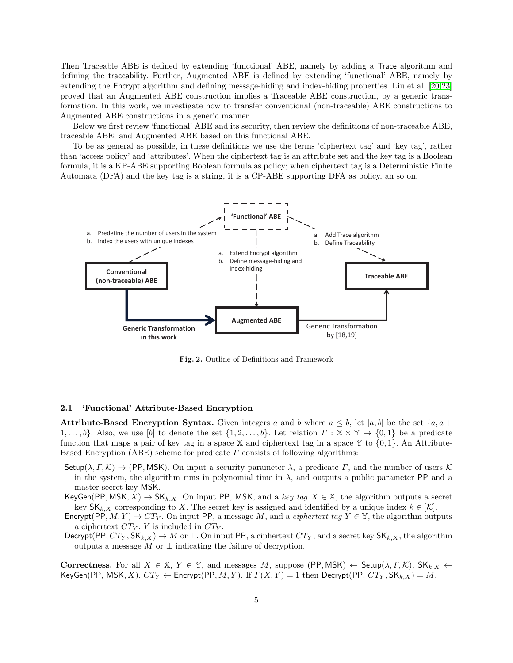Then Traceable ABE is defined by extending 'functional' ABE, namely by adding a Trace algorithm and defining the traceability. Further, Augmented ABE is defined by extending 'functional' ABE, namely by extending the Encrypt algorithm and defining message-hiding and index-hiding properties. Liu et al. [\[20](#page-25-15)[,23\]](#page-25-16) proved that an Augmented ABE construction implies a Traceable ABE construction, by a generic transformation. In this work, we investigate how to transfer conventional (non-traceable) ABE constructions to Augmented ABE constructions in a generic manner.

Below we first review 'functional' ABE and its security, then review the definitions of non-traceable ABE, traceable ABE, and Augmented ABE based on this functional ABE.

To be as general as possible, in these definitions we use the terms 'ciphertext tag' and 'key tag', rather than 'access policy' and 'attributes'. When the ciphertext tag is an attribute set and the key tag is a Boolean formula, it is a KP-ABE supporting Boolean formula as policy; when ciphertext tag is a Deterministic Finite Automata (DFA) and the key tag is a string, it is a CP-ABE supporting DFA as policy, an so on.



<span id="page-4-0"></span>Fig. 2. Outline of Definitions and Framework

#### <span id="page-4-1"></span>2.1 'Functional' Attribute-Based Encryption

**Attribute-Based Encryption Syntax.** Given integers a and b where  $a \leq b$ , let [a, b] be the set {a, a +  $1,\ldots,b\}$ . Also, we use  $[b]$  to denote the set  $\{1,2,\ldots,b\}$ . Let relation  $\Gamma : \mathbb{X} \times \mathbb{Y} \to \{0,1\}$  be a predicate function that maps a pair of key tag in a space X and ciphertext tag in a space  $\mathbb{Y}$  to  $\{0, 1\}$ . An Attribute-Based Encryption (ABE) scheme for predicate  $\Gamma$  consists of following algorithms:

Setup( $\lambda, \Gamma, \mathcal{K}$ )  $\rightarrow$  (PP, MSK). On input a security parameter  $\lambda$ , a predicate  $\Gamma$ , and the number of users  $\mathcal K$ in the system, the algorithm runs in polynomial time in  $\lambda$ , and outputs a public parameter PP and a master secret key MSK.

KeyGen(PP, MSK,  $X$ )  $\rightarrow$  SK<sub>k</sub>,  $X$ . On input PP, MSK, and a key tag  $X \in \mathbb{X}$ , the algorithm outputs a secret key  $\mathsf{SK}_{k,X}$  corresponding to X. The secret key is assigned and identified by a unique index  $k \in [\mathcal{K}]$ .

- Encrypt(PP,  $M, Y$ )  $\rightarrow$   $CT_Y$ . On input PP, a message M, and a *ciphertext tag*  $Y \in \mathbb{Y}$ , the algorithm outputs a ciphertext  $CT_Y$ . Y is included in  $CT_Y$ .
- Decrypt(PP,  $CT_Y$ ,  $SK_{k,X}$ )  $\rightarrow M$  or  $\perp$ . On input PP, a ciphertext  $CT_Y$ , and a secret key  $SK_{k,X}$ , the algorithm outputs a message M or  $\perp$  indicating the failure of decryption.

Correctness. For all  $X \in \mathbb{X}, Y \in \mathbb{Y}$ , and messages M, suppose (PP, MSK)  $\leftarrow$  Setup( $\lambda, \Gamma, \mathcal{K}$ ), SK<sub>k,X</sub>  $\leftarrow$ KeyGen(PP, MSK, X),  $CT_Y \leftarrow$  Encrypt(PP, M, Y). If  $\Gamma(X, Y) = 1$  then Decrypt(PP,  $CT_Y$ , SK $_{k,X}$ ) = M.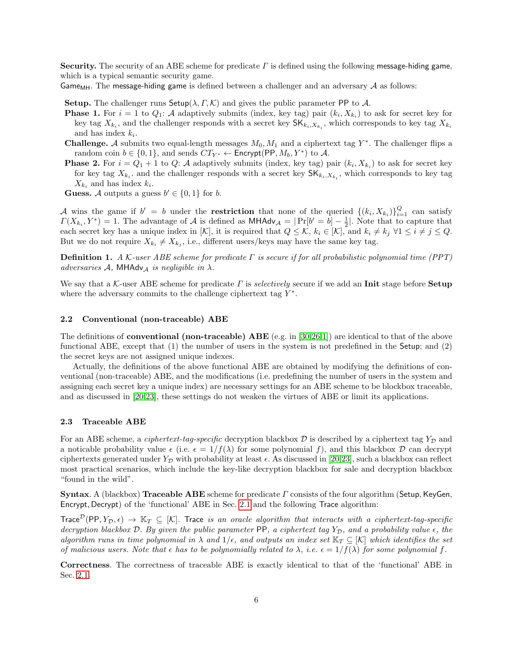Security. The security of an ABE scheme for predicate  $\Gamma$  is defined using the following message-hiding game, which is a typical semantic security game.

Game<sub>MH</sub>. The message-hiding game is defined between a challenger and an adversary  $\mathcal A$  as follows:

Setup. The challenger runs Setup( $\lambda, \Gamma, \mathcal{K}$ ) and gives the public parameter PP to A.

- **Phase 1.** For  $i = 1$  to  $Q_1$ : A adaptively submits (index, key tag) pair  $(k_i, X_{k_i})$  to ask for secret key for key tag  $X_{k_i}$ , and the challenger responds with a secret key  $\mathsf{SK}_{k_i,X_{k_i}}$ , which corresponds to key tag  $X_{k_i}$ and has index  $k_i$ .
- **Challenge.** A submits two equal-length messages  $M_0, M_1$  and a ciphertext tag  $Y^*$ . The challenger flips a random coin  $b \in \{0, 1\}$ , and sends  $CT_{Y^*} \leftarrow$  Encrypt(PP,  $M_b, Y^*$ ) to A.
- **Phase 2.** For  $i = Q_1 + 1$  to  $Q$ : A adaptively submits (index, key tag) pair  $(k_i, X_{k_i})$  to ask for secret key for key tag  $X_{k_i}$ , and the challenger responds with a secret key  $\mathsf{SK}_{k_i,X_{k_i}}$ , which corresponds to key tag  $X_{k_i}$  and has index  $k_i$ .

<span id="page-5-0"></span>**Guess.** A outputs a guess  $b' \in \{0, 1\}$  for b.

A wins the game if  $b' = b$  under the **restriction** that none of the queried  $\{(k_i, X_{k_i})\}_{i=1}^Q$  can satisfy  $\Gamma(X_{k_i}, Y^*) = 1$ . The advantage of A is defined as  $\mathsf{MHAdv}_{\mathcal{A}} = |\Pr[b' = b] - \frac{1}{2}|$ . Note that to capture that each secret key has a unique index in [K], it is required that  $Q \leq \mathcal{K}$ ,  $k_i \in [\mathcal{K}]$ , and  $k_i \neq k_j \ \forall 1 \leq i \neq j \leq Q$ . But we do not require  $X_{k_i} \neq X_{k_j}$ , i.e., different users/keys may have the same key tag.

**Definition 1.** A K-user ABE scheme for predicate  $\Gamma$  is secure if for all probabilistic polynomial time (PPT) adversaries A, MHAdv<sub>A</sub> is negligible in  $\lambda$ .

We say that a K-user ABE scheme for predicate  $\Gamma$  is selectively secure if we add an **Init** stage before **Setup** where the adversary commits to the challenge ciphertext tag  $Y^*$ .

#### 2.2 Conventional (non-traceable) ABE

The definitions of **conventional (non-traceable) ABE** (e.g. in [\[30](#page-25-10)[,26,](#page-25-12)[1\]](#page-24-1)) are identical to that of the above functional ABE, except that (1) the number of users in the system is not predefined in the Setup; and (2) the secret keys are not assigned unique indexes.

Actually, the definitions of the above functional ABE are obtained by modifying the definitions of conventional (non-traceable) ABE, and the modifications (i.e. predefining the number of users in the system and assigning each secret key a unique index) are necessary settings for an ABE scheme to be blockbox traceable, and as discussed in [\[20](#page-25-15)[,23\]](#page-25-16), these settings do not weaken the virtues of ABE or limit its applications.

#### 2.3 Traceable ABE

For an ABE scheme, a *ciphertext-tag-specific* decryption blackbox  $\mathcal D$  is described by a ciphertext tag  $Y_{\mathcal D}$  and a noticable probability value  $\epsilon$  (i.e.  $\epsilon = 1/f(\lambda)$  for some polynomial f), and this blackbox  $\mathcal D$  can decrypt ciphertexts generated under  $Y_{\mathcal{D}}$  with probability at least  $\epsilon$ . As discussed in [\[20,](#page-25-15)[23\]](#page-25-16), such a blackbox can reflect most practical scenarios, which include the key-like decryption blackbox for sale and decryption blackbox "found in the wild".

**Syntax.** A (blackbox) **Traceable ABE** scheme for predicate  $\Gamma$  consists of the four algorithm (Setup, KeyGen, Encrypt, Decrypt) of the 'functional' ABE in Sec. [2.1](#page-4-1) and the following Trace algorithm:

Trace<sup>D</sup>(PP,  $Y_{\mathcal{D}}, \epsilon$ )  $\to \mathbb{K}_T \subseteq [K]$ . Trace is an oracle algorithm that interacts with a ciphertext-tag-specific decryption blackbox D. By given the public parameter PP, a ciphertext tag  $Y_{\mathcal{D}}$ , and a probability value  $\epsilon$ , the algorithm runs in time polynomial in  $\lambda$  and  $1/\epsilon$ , and outputs an index set  $\mathbb{K}_T \subseteq [\mathcal{K}]$  which identifies the set of malicious users. Note that  $\epsilon$  has to be polynomially related to  $\lambda$ , i.e.  $\epsilon = 1/f(\lambda)$  for some polynomial f.

Correctness. The correctness of traceable ABE is exactly identical to that of the 'functional' ABE in Sec. [2.1.](#page-4-1)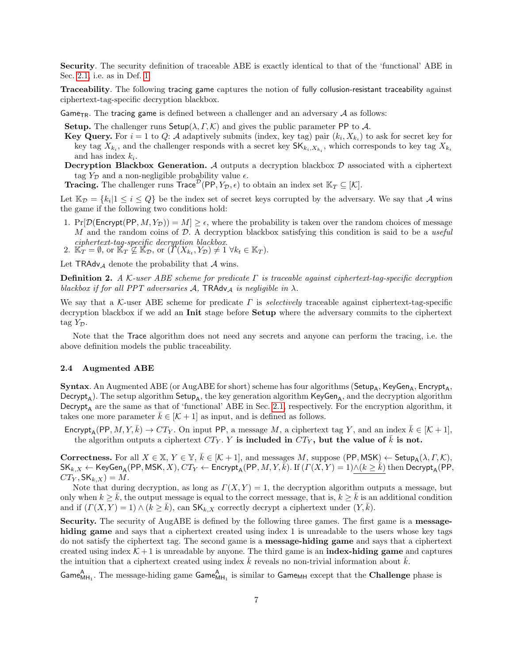Security. The security definition of traceable ABE is exactly identical to that of the 'functional' ABE in Sec. [2.1,](#page-4-1) i.e. as in Def. [1.](#page-5-0)

Traceability. The following tracing game captures the notion of fully collusion-resistant traceability against ciphertext-tag-specific decryption blackbox.

Game<sub>TR</sub>. The tracing game is defined between a challenger and an adversary  $\mathcal A$  as follows:

**Setup.** The challenger runs Setup( $\lambda, \Gamma, \mathcal{K}$ ) and gives the public parameter PP to A.

- **Key Query.** For  $i = 1$  to  $Q: A$  adaptively submits (index, key tag) pair  $(k_i, X_{k_i})$  to ask for secret key for key tag  $X_{k_i}$ , and the challenger responds with a secret key  $\mathsf{SK}_{k_i,X_{k_i}}$ , which corresponds to key tag  $X_{k_i}$ and has index  $k_i$ .
- **Decryption Blackbox Generation.** A outputs a decryption blackbox  $D$  associated with a ciphertext tag  $Y_{\mathcal{D}}$  and a non-negligible probability value  $\epsilon$ .

**Tracing.** The challenger runs  $\text{Trace}^{\mathcal{D}}(PP, Y_{\mathcal{D}}, \epsilon)$  to obtain an index set  $\mathbb{K}_T \subseteq [\mathcal{K}]$ .

Let  $\mathbb{K}_{\mathcal{D}} = \{k_i | 1 \leq i \leq Q\}$  be the index set of secret keys corrupted by the adversary. We say that A wins the game if the following two conditions hold:

1. Pr[D(Encrypt(PP,  $M, Y_{\mathcal{D}}$ )) =  $M$ ]  $\geq \epsilon$ , where the probability is taken over the random choices of message  $M$  and the random coins of  $D$ . A decryption blackbox satisfying this condition is said to be a useful ciphertext-tag-specific decryption blackbox.<br>2.  $\mathbb{K}_T = \emptyset$ , or  $\mathbb{K}_T \not\subseteq \mathbb{K}_\mathcal{D}$ , or  $(\Gamma(X_{k_t}, Y_{\mathcal{D}}) \neq 1 \ \forall k_t \in \mathbb{K}_T)$ .

Let  $TRAdv_{\mathcal{A}}$  denote the probability that  $\mathcal A$  wins.

<span id="page-6-0"></span>**Definition 2.** A K-user ABE scheme for predicate  $\Gamma$  is traceable against ciphertext-tag-specific decryption blackbox if for all PPT adversaries A, TRAdv<sub>A</sub> is negligible in  $\lambda$ .

We say that a K-user ABE scheme for predicate  $\Gamma$  is *selectively* traceable against ciphertext-tag-specific decryption blackbox if we add an **Init** stage before **Setup** where the adversary commits to the ciphertext tag  $Y_{\mathcal{D}}$ .

Note that the Trace algorithm does not need any secrets and anyone can perform the tracing, i.e. the above definition models the public traceability.

#### 2.4 Augmented ABE

**Syntax**. An Augmented ABE (or AugABE for short) scheme has four algorithms ( $\mathsf{Setup}_A$ , KeyGen<sub>A</sub>, Encrypt<sub>A</sub>,  $\text{Decrypt}_A$ ). The setup algorithm  $\text{Setup}_A$ , the key generation algorithm  $\text{KeyGen}_A$ , and the decryption algorithm Decrypt<sub>A</sub> are the same as that of 'functional' ABE in Sec. [2.1,](#page-4-1) respectively. For the encryption algorithm, it takes one more parameter  $\bar{k} \in [\mathcal{K} + 1]$  as input, and is defined as follows.

Encrypt<sub>A</sub>(PP,  $M, Y, \overline{k}$ )  $\rightarrow$  CT<sub>Y</sub>. On input PP, a message M, a ciphertext tag Y, and an index  $\overline{k} \in [\mathcal{K} + 1]$ , the algorithm outputs a ciphertext  $CT_Y$ . Y is included in  $CT_Y$ , but the value of k is not.

**Correctness.** For all  $X \in \mathbb{X}$ ,  $Y \in \mathbb{Y}$ ,  $\overline{k} \in [\mathcal{K} + 1]$ , and messages M, suppose  $(\text{PP}, \text{MSK}) \leftarrow \text{Setup}_{\mathsf{A}}(\lambda, \Gamma, \mathcal{K})$ ,  $\mathsf{SK}_{k,X} \leftarrow \mathsf{KeyGen}_{\mathsf{A}}(\mathsf{PP},\mathsf{MSK},X),\mathit{CT}_Y \leftarrow \mathsf{Encrypt}_{\mathsf{A}}(\mathsf{PP},M,Y,\bar{k}). \text{ If } (\Gamma(X,Y) = 1) \wedge (k \geq \bar{k}) \text{ then } \mathsf{Decrypt}_{\mathsf{A}}(\mathsf{PP},M,\bar{k}).$  $CT_Y$ ,  $SK_{k,X}$ ) = M.

Note that during decryption, as long as  $\Gamma(X, Y) = 1$ , the decryption algorithm outputs a message, but only when  $k \geq k$ , the output message is equal to the correct message, that is,  $k \geq k$  is an additional condition and if  $(\Gamma(X, Y) = 1) \wedge (k \geq k)$ , can  $\mathsf{SK}_{k,X}$  correctly decrypt a ciphertext under  $(Y, k)$ .

Security. The security of AugABE is defined by the following three games. The first game is a messagehiding game and says that a ciphertext created using index 1 is unreadable to the users whose key tags do not satisfy the ciphertext tag. The second game is a message-hiding game and says that a ciphertext created using index  $K + 1$  is unreadable by anyone. The third game is an **index-hiding game** and captures the intuition that a ciphertext created using index  $\overline{k}$  reveals no non-trivial information about  $\overline{k}$ .

Game<sub>MH<sub>1</sub></sub>. The message-hiding game Game<sub>MH<sub>1</sub></sub> is similar to Game<sub>MH</sub> except that the **Challenge** phase is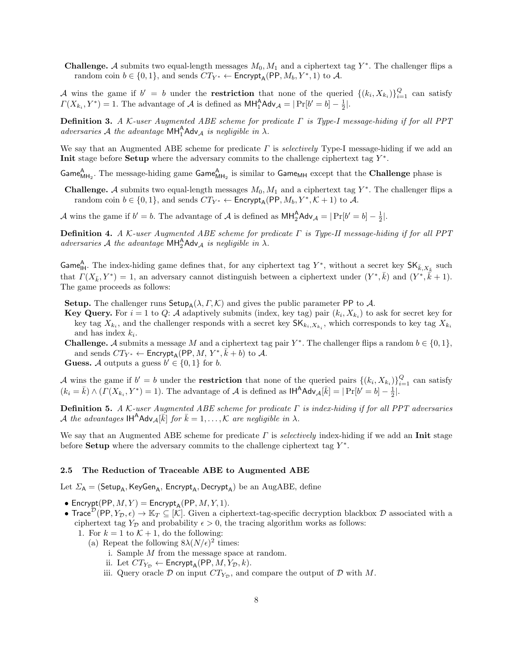**Challenge.** A submits two equal-length messages  $M_0, M_1$  and a ciphertext tag  $Y^*$ . The challenger flips a random coin  $b \in \{0, 1\}$ , and sends  $CT_{Y^*} \leftarrow$  Encrypt<sub>A</sub>(PP,  $M_b, Y^*, 1)$  to A.

A wins the game if  $b' = b$  under the **restriction** that none of the queried  $\{(k_i, X_{k_i})\}_{i=1}^Q$  can satisfy  $\Gamma(X_{k_i}, Y^*) = 1$ . The advantage of A is defined as  $\text{MH}_1^{\text{A}} \text{Adv}_{\mathcal{A}} = |\Pr[b' = b] - \frac{1}{2}|$ .

Definition 3. A K-user Augmented ABE scheme for predicate Γ is Type-I message-hiding if for all PPT adversaries A the advantage  $MH_1^A Adv_A$  is negligible in  $\lambda$ .

We say that an Augmented ABE scheme for predicate  $\Gamma$  is *selectively* Type-I message-hiding if we add an Init stage before Setup where the adversary commits to the challenge ciphertext tag  $Y^*$ .

Game<sub>MH2</sub>. The message-hiding game Game<sub>MH<sub>2</sub></sub> is similar to Game<sub>MH</sub> except that the **Challenge** phase is

**Challenge.** A submits two equal-length messages  $M_0, M_1$  and a ciphertext tag  $Y^*$ . The challenger flips a random coin  $b \in \{0, 1\}$ , and sends  $CT_{Y^*} \leftarrow$  Encrypt<sub>A</sub>(PP,  $M_b, Y^*, \mathcal{K} + 1$ ) to A.

A wins the game if  $b' = b$ . The advantage of A is defined as  $\text{MH}_2^{\text{A}}$ Adv<sub>A</sub> =  $|\Pr[b' = b] - \frac{1}{2}|$ .

**Definition 4.** A K-user Augmented ABE scheme for predicate  $\Gamma$  is Type-II message-hiding if for all PPT adversaries A the advantage  $MH_2^A Adv_{\mathcal{A}}$  is negligible in  $\lambda$ .

Game<sub>lH</sub>. The index-hiding game defines that, for any ciphertext tag Y<sup>\*</sup>, without a secret key  $SK_{\bar{k},X_{\bar{k}}}$  such that  $\Gamma(X_{\bar{k}}, Y^*) = 1$ , an adversary cannot distinguish between a ciphertext under  $(Y^*, \bar{k})$  and  $(Y^*, \bar{k} + 1)$ . The game proceeds as follows:

Setup. The challenger runs Setup<sub>A</sub>( $\lambda$ ,  $\Gamma$ ,  $\mathcal{K}$ ) and gives the public parameter PP to  $\mathcal{A}$ .

- **Key Query.** For  $i = 1$  to  $Q: A$  adaptively submits (index, key tag) pair  $(k_i, X_{k_i})$  to ask for secret key for key tag  $X_{k_i}$ , and the challenger responds with a secret key  $\mathsf{SK}_{k_i,X_{k_i}}$ , which corresponds to key tag  $X_{k_i}$ and has index  $k_i$ .
- **Challenge.** A submits a message M and a ciphertext tag pair  $Y^*$ . The challenger flips a random  $b \in \{0, 1\}$ , and sends  $CT_{Y^*} \leftarrow$  Encrypt<sub>A</sub>(PP, *M*,  $Y^*, \overline{k} + b$ ) to *A*.

**Guess.** A outputs a guess  $b' \in \{0, 1\}$  for b.

A wins the game if  $b' = b$  under the **restriction** that none of the queried pairs  $\{(k_i, X_{k_i})\}_{i=1}^Q$  can satisfy  $(k_i = \bar{k}) \wedge ( \Gamma(X_{k_i}, Y^*) = 1 ).$  The advantage of A is defined as  $\mathsf{IH}^{\mathsf{A}}\mathsf{Adv}_{\mathcal{A}}[\bar{k}] = |\Pr[b' = b] - \frac{1}{2}].$ 

**Definition 5.** A K-user Augmented ABE scheme for predicate  $\Gamma$  is index-hiding if for all PPT adversaries A the advantages  $\mathsf{IH}^{\mathsf{A}}\mathsf{Adv}_{\mathcal{A}}[\vec{k}]$  for  $\bar{k} = 1, \ldots, \mathcal{K}$  are negligible in  $\lambda$ .

We say that an Augmented ABE scheme for predicate  $\Gamma$  is selectively index-hiding if we add an Init stage before **Setup** where the adversary commits to the challenge ciphertext tag  $Y^*$ .

#### 2.5 The Reduction of Traceable ABE to Augmented ABE

Let  $\Sigma_A$  = (Setup<sub>A</sub>, KeyGen<sub>A</sub>, Encrypt<sub>A</sub>, Decrypt<sub>A</sub>) be an AugABE, define

• Encrypt(PP,  $M, Y$ ) = Encrypt<sub>A</sub>(PP,  $M, Y, 1$ ).

- Trace<sup>D</sup>(PP, Y<sub>D</sub>,  $\epsilon$ )  $\rightarrow$  K<sub>T</sub>  $\subseteq$  [K]. Given a ciphertext-tag-specific decryption blackbox D associated with a ciphertext tag  $Y_{\mathcal{D}}$  and probability  $\epsilon > 0$ , the tracing algorithm works as follows:
	- 1. For  $k = 1$  to  $\mathcal{K} + 1$ , do the following:
		- (a) Repeat the following  $8\lambda(N/\epsilon)^2$  times:
			- i. Sample M from the message space at random.
			- ii. Let  $CT_{Y_{\mathcal{D}}} \leftarrow$  Encrypt<sub>A</sub>(PP, *M*,  $Y_{\mathcal{D}}$ , *k*).
			- iii. Query oracle  $\mathcal D$  on input  $CT_{Y_{\mathcal D}}$ , and compare the output of  $\mathcal D$  with M.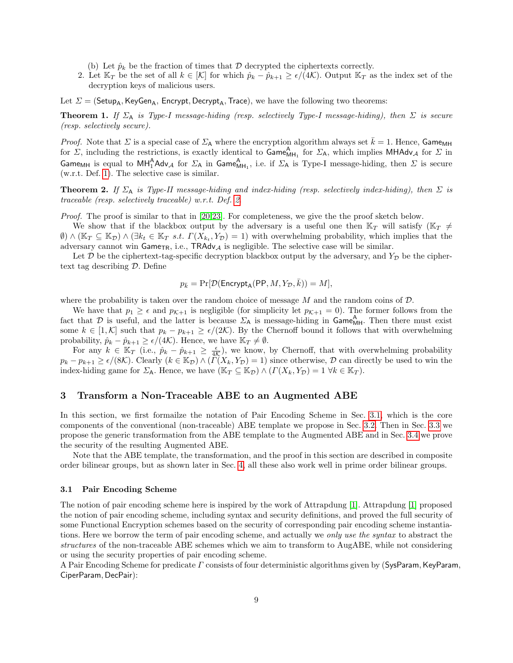- (b) Let  $\hat{p}_k$  be the fraction of times that  $\mathcal D$  decrypted the ciphertexts correctly.
- 2. Let  $\mathbb{K}_T$  be the set of all  $k \in |\mathcal{K}|$  for which  $\hat{p}_k \hat{p}_{k+1} \ge \epsilon/(4\mathcal{K})$ . Output  $\mathbb{K}_T$  as the index set of the decryption keys of malicious users.

Let  $\Sigma = (Setup_A, KeyGen_A, Encryption, Decrypt_A, Trace),$  we have the following two theorems:

**Theorem 1.** If  $\Sigma_A$  is Type-I message-hiding (resp. selectively Type-I message-hiding), then  $\Sigma$  is secure (resp. selectively secure).

*Proof.* Note that  $\Sigma$  is a special case of  $\Sigma_A$  where the encryption algorithm always set  $\bar{k} = 1$ . Hence, Game<sub>MH</sub> for  $\Sigma$ , including the restrictions, is exactly identical to  $\mathsf{Game}_{\mathsf{MH}_1}^{\mathsf{A}}$  for  $\Sigma_{\mathsf{A}}$ , which implies  $\mathsf{MHAdv}_{\mathcal{A}}$  for  $\Sigma$  in Game<sub>MH</sub> is equal to  $MH_1^A Adv_{\mathcal A}$  for  $\Sigma_A$  in Game $_{MH_1}^A$ , i.e. if  $\Sigma_A$  is Type-I message-hiding, then  $\Sigma$  is secure (w.r.t. Def. [1\)](#page-5-0). The selective case is similar.

**Theorem 2.** If  $\Sigma_A$  is Type-II message-hiding and index-hiding (resp. selectively index-hiding), then  $\Sigma$  is traceable (resp. selectively traceable) w.r.t. Def. [2.](#page-6-0)

Proof. The proof is similar to that in [\[20,](#page-25-15)[23\]](#page-25-16). For completeness, we give the the proof sketch below.

We show that if the blackbox output by the adversary is a useful one then  $\mathbb{K}_T$  will satisfy  $(\mathbb{K}_T \neq \mathbb{K}_T)$  $\emptyset$ )  $\wedge$  ( $\mathbb{K}_T \subseteq \mathbb{K}_D$ )  $\wedge$  ( $\exists k_t \in \mathbb{K}_T$  s.t.  $\Gamma(X_{k_t}, Y_{\mathcal{D}}) = 1$ ) with overwhelming probability, which implies that the adversary cannot win  $\mathsf{Game}_{TR}$ , i.e.,  $\mathsf{TRAdv}_{\mathcal{A}}$  is negligible. The selective case will be similar.

Let  $\mathcal D$  be the ciphertext-tag-specific decryption blackbox output by the adversary, and  $Y_{\mathcal D}$  be the ciphertext tag describing D. Define

$$
p_{\bar{k}} = \Pr[\mathcal{D}(\mathsf{Encrypt}_\mathsf{A}(\mathsf{PP}, M, Y_\mathcal{D}, \bar{k})) = M],
$$

where the probability is taken over the random choice of message  $M$  and the random coins of  $D$ .

We have that  $p_1 \geq \epsilon$  and  $p_{K+1}$  is negligible (for simplicity let  $p_{K+1} = 0$ ). The former follows from the fact that  $D$  is useful, and the latter is because  $\Sigma_A$  is message-hiding in Game<sub>MH</sub>. Then there must exist some  $k \in [1, \mathcal{K}]$  such that  $p_k - p_{k+1} \geq \epsilon/(2\mathcal{K})$ . By the Chernoff bound it follows that with overwhelming probability,  $\hat{p}_k - \hat{p}_{k+1} \ge \epsilon/(4\mathcal{K})$ . Hence, we have  $\mathbb{K}_T \neq \emptyset$ .

For any  $k \in \mathbb{K}_T$  (i.e.,  $\hat{p}_k - \hat{p}_{k+1} \geq \frac{\epsilon}{4\mathcal{K}}$ ), we know, by Chernoff, that with overwhelming probability  $p_k - p_{k+1} \ge \epsilon/(8\mathcal{K})$ . Clearly  $(k \in \mathbb{K}_{\mathcal{D}}) \wedge (\overline{\Gamma}(X_k, Y_{\mathcal{D}}) = 1)$  since otherwise,  $\mathcal{D}$  can directly be used to win the index-hiding game for  $\Sigma_A$ . Hence, we have  $(\mathbb{K}_T \subseteq \mathbb{K}_D) \wedge (\Gamma(X_k, Y_D) = 1 \ \forall k \in \mathbb{K}_T)$ .

# <span id="page-8-0"></span>3 Transform a Non-Traceable ABE to an Augmented ABE

In this section, we first formailze the notation of Pair Encoding Scheme in Sec. [3.1,](#page-8-1) which is the core components of the conventional (non-traceable) ABE template we propose in Sec. [3.2.](#page-9-0) Then in Sec. [3.3](#page-11-0) we propose the generic transformation from the ABE template to the Augmented ABE and in Sec. [3.4](#page-12-0) we prove the security of the resulting Augmented ABE.

Note that the ABE template, the transformation, and the proof in this section are described in composite order bilinear groups, but as shown later in Sec. [4,](#page-17-0) all these also work well in prime order bilinear groups.

#### <span id="page-8-1"></span>3.1 Pair Encoding Scheme

The notion of pair encoding scheme here is inspired by the work of Attrapdung [\[1\]](#page-24-1). Attrapdung [\[1\]](#page-24-1) proposed the notion of pair encoding scheme, including syntax and security definitions, and proved the full security of some Functional Encryption schemes based on the security of corresponding pair encoding scheme instantiations. Here we borrow the term of pair encoding scheme, and actually we only use the syntax to abstract the structures of the non-traceable ABE schemes which we aim to transform to AugABE, while not considering or using the security properties of pair encoding scheme.

A Pair Encoding Scheme for predicate  $\Gamma$  consists of four deterministic algorithms given by (SysParam, KeyParam, CiperParam, DecPair):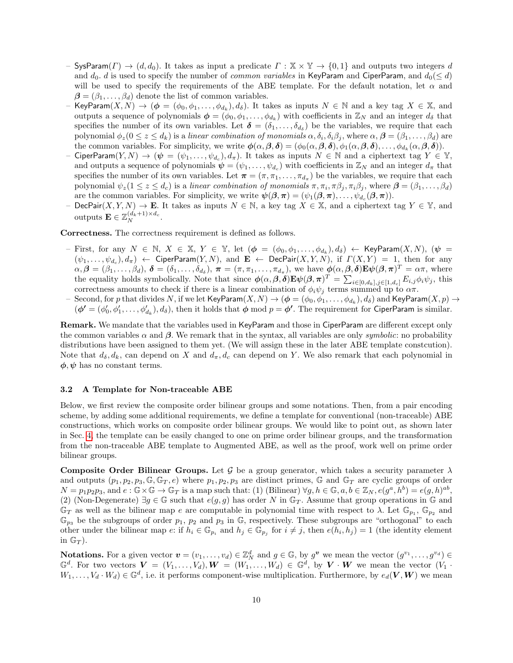- SysParam( $\Gamma$ )  $\rightarrow$  (d, d<sub>0</sub>). It takes as input a predicate  $\Gamma : \mathbb{X} \times \mathbb{Y} \rightarrow \{0,1\}$  and outputs two integers d and  $d_0$ . d is used to specify the number of *common variables* in KeyParam and CiperParam, and  $d_0(\leq d)$ will be used to specify the requirements of the ABE template. For the default notation, let  $\alpha$  and  $\beta = (\beta_1, \ldots, \beta_d)$  denote the list of common variables.
- KeyParam $(X,N)$   $\rightarrow$   $(\boldsymbol{\phi}=(\phi_0,\phi_1,\ldots,\phi_{d_k}),d_{\delta}).$  It takes as inputs  $N\in\mathbb{N}$  and a key tag  $X\in\mathbb{X},$  and outputs a sequence of polynomials  $\boldsymbol{\phi} = (\phi_0, \phi_1, \dots, \phi_{d_k})$  with coefficients in  $\mathbb{Z}_N$  and an integer  $d_{\delta}$  that specifies the number of its own variables. Let  $\boldsymbol{\delta} = (\delta_1, \ldots, \delta_{d_{\delta}})$  be the variables, we require that each polynomial  $\phi_z(0\leq z\leq d_k)$  is a *linear combination of monomials*  $\alpha,\delta_i,\delta_i\beta_j,$  where  $\alpha,\bm{\beta}=(\beta_1,\ldots,\beta_d)$  are the common variables. For simplicity, we write  $\phi(\alpha, \beta, \delta) = (\phi_0(\alpha, \beta, \delta), \phi_1(\alpha, \beta, \delta), \dots, \phi_{d_k}(\alpha, \beta, \delta)).$
- CiperParam $(Y, N)$   $\rightarrow$   $(\psi = (\psi_1, \ldots, \psi_{d_c}), d_\pi)$ . It takes as inputs  $N \in \mathbb{N}$  and a ciphertext tag  $Y \in \mathbb{Y},$ and outputs a sequence of polynomials  $\psi = (\psi_1, \dots, \psi_{d_c})$  with coefficients in  $\mathbb{Z}_N$  and an integer  $d_{\pi}$  that specifies the number of its own variables. Let  $\pi = (\pi, \pi_1, \ldots, \pi_{d_{\pi}})$  be the variables, we require that each polynomial  $\psi_z(1 \leq z \leq d_c)$  is a linear combination of monomials  $\pi, \pi_i, \pi \beta_j, \pi_i \beta_j$ , where  $\boldsymbol{\beta} = (\beta_1, \dots, \beta_d)$ are the common variables. For simplicity, we write  $\psi(\beta,\pi) = (\psi_1(\beta,\pi), \ldots, \psi_{d_c}(\beta,\pi)).$
- DecPair $(X, Y, N) \to \mathbf{E}$ . It takes as inputs  $N \in \mathbb{N}$ , a key tag  $X \in \mathbb{X}$ , and a ciphertext tag  $Y \in \mathbb{Y}$ , and outputs  $\mathbf{E} \in \mathbb{Z}_N^{(d_k+1) \times d_c}$ .

Correctness. The correctness requirement is defined as follows.

- First, for any  $N \in \mathbb{N}$ ,  $X \in \mathbb{X}$ ,  $Y \in \mathbb{Y}$ , let  $(\phi = (\phi_0, \phi_1, \ldots, \phi_{d_k}), d_\delta) \leftarrow \text{KeyParam}(X, N)$ ,  $(\psi =$  $(\psi_1,\ldots,\psi_{d_c}),d_\pi\rangle$   $\leftarrow$  CiperParam $(Y,N),$  and  $\mathbf{E}\leftarrow \mathsf{DecPair}(X,Y,N),$  if  $\varGamma(X,Y)$  = 1, then for any  $\alpha, \beta = (\beta_1, \ldots, \beta_d), \ \boldsymbol{\delta} = (\delta_1, \ldots, \delta_{d_{\delta}}), \ \boldsymbol{\pi} = (\pi, \pi_1, \ldots, \pi_{d_{\pi}}),$  we have  $\boldsymbol{\phi}(\alpha, \beta, \boldsymbol{\delta}) \mathbf{E} \boldsymbol{\psi}(\beta, \boldsymbol{\pi})^T = \alpha \pi$ , where the equality holds symbolically. Note that since  $\phi(\alpha,\beta,\delta) \mathbf{E} \psi(\beta,\pi)^T = \sum_{i \in [0,d_k],j \in [1,d_c]} E_{i,j} \phi_i \psi_j$ , this correctness amounts to check if there is a linear combination of  $\phi_i \psi_j$  terms summed up to  $\alpha \pi$ .
- $-$  Second, for  $p$  that divides  $N,$  if we let  $\mathsf{KeyParam}(X, N) \to (\bm{\phi} = (\phi_0, \phi_1, \ldots, \phi_{d_k}), d_\delta)$  and  $\mathsf{KeyParam}(X, p) \to$  $(\phi' = (\phi'_0, \phi'_1, \ldots, \phi'_{d_k}), d_\delta)$ , then it holds that  $\phi \mod p = \phi'$ . The requirement for CiperParam is similar.

Remark. We mandate that the variables used in KeyParam and those in CiperParam are different except only the common variables  $\alpha$  and  $\beta$ . We remark that in the syntax, all variables are only *symbolic*: no probability distributions have been assigned to them yet. (We will assign these in the later ABE template constcution). Note that  $d_{\delta}, d_k$ , can depend on X and  $d_{\pi}, d_c$  can depend on Y. We also remark that each polynomial in  $\phi, \psi$  has no constant terms.

#### <span id="page-9-0"></span>3.2 A Template for Non-traceable ABE

Below, we first review the composite order bilinear groups and some notations. Then, from a pair encoding scheme, by adding some additional requirements, we define a template for conventional (non-traceable) ABE constructions, which works on composite order bilinear groups. We would like to point out, as shown later in Sec. [4,](#page-17-0) the template can be easily changed to one on prime order bilinear groups, and the transformation from the non-traceable ABE template to Augmented ABE, as well as the proof, work well on prime order bilinear groups.

Composite Order Bilinear Groups. Let G be a group generator, which takes a security parameter  $\lambda$ and outputs  $(p_1, p_2, p_3, \mathbb{G}, \mathbb{G}_T, e)$  where  $p_1, p_2, p_3$  are distinct primes, G and  $\mathbb{G}_T$  are cyclic groups of order  $N = p_1p_2p_3$ , and  $e: \mathbb{G} \times \mathbb{G} \to \mathbb{G}_T$  is a map such that: (1) (Bilinear)  $\forall g, h \in \mathbb{G}, a, b \in \mathbb{Z}_N, e(g^a, h^b) = e(g, h)^{ab}$ , (2) (Non-Degenerate)  $\exists g \in \mathbb{G}$  such that  $e(g, g)$  has order N in  $\mathbb{G}_T$ . Assume that group operations in  $\mathbb{G}$  and  $\mathbb{G}_T$  as well as the bilinear map e are computable in polynomial time with respect to  $\lambda$ . Let  $\mathbb{G}_{p_1}$ ,  $\mathbb{G}_{p_2}$  and  $\mathbb{G}_{p_3}$  be the subgroups of order  $p_1$ ,  $p_2$  and  $p_3$  in  $\mathbb{G}$ , respectively. These subgroups are "orthogonal" to each other under the bilinear map  $e:$  if  $h_i \in \mathbb{G}_{p_i}$  and  $h_j \in \mathbb{G}_{p_j}$  for  $i \neq j$ , then  $e(h_i, h_j) = 1$  (the identity element in  $\mathbb{G}_T$ ).

**Notations.** For a given vector  $\mathbf{v} = (v_1, \ldots, v_d) \in \mathbb{Z}_N^d$  and  $g \in \mathbb{G}$ , by  $g^{\mathbf{v}}$  we mean the vector  $(g^{v_1}, \ldots, g^{v_d}) \in$  $\mathbb{G}^d$ . For two vectors  $\boldsymbol{V} = (V_1, \ldots, V_d), \boldsymbol{W} = (W_1, \ldots, W_d) \in \mathbb{G}^d$ , by  $\boldsymbol{V} \cdot \boldsymbol{W}$  we mean the vector  $(V_1 \cdot V_2)$  $W_1, \ldots, V_d \cdot W_d) \in \mathbb{G}^d$ , i.e. it performs component-wise multiplication. Furthermore, by  $e_d(V, W)$  we mean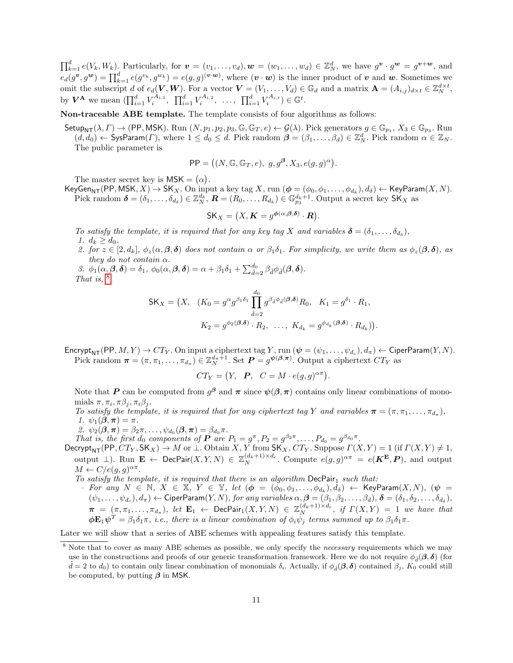$\prod_{k=1}^d e(V_k, W_k)$ . Particularly, for  $\mathbf{v} = (v_1, \ldots, v_d), \mathbf{w} = (w_1, \ldots, w_d) \in \mathbb{Z}_N^d$ , we have  $g^{\mathbf{v}} \cdot g^{\mathbf{w}} = g^{\mathbf{v} + \mathbf{w}}$ , and  $e_d(g^{\mathbf{v}}, g^{\mathbf{w}}) = \prod_{k=1}^d e(g^{v_k}, g^{w_k}) = e(g, g)^{(\mathbf{v} \cdot \mathbf{w})}$ , where  $(\mathbf{v} \cdot \mathbf{w})$  is the inner product of  $\mathbf{v}$  and  $\mathbf{w}$ . Sometimes we omit the subscript d of  $e_d(V, W)$ . For a vector  $V = (V_1, \ldots, V_d) \in \mathbb{G}_d$  and a matrix  $\mathbf{A} = (A_{i,j})_{d \times t} \in \mathbb{Z}_N^{d \times t}$ , by  $V^{\mathbf{A}}$  we mean  $(\prod_{i=1}^{d} V_i^{A_{i,1}}, \prod_{i=1}^{d} V_i^{A_{i,2}}, \dots, \prod_{i=1}^{d} V_i^{A_{i,t}}) \in \mathbb{G}^t$ .

Non-traceable ABE template. The template consists of four algorithms as follows:

 $\mathsf{Setup}_{\mathsf{NT}}(\lambda,\Gamma) \to (\mathsf{PP},\mathsf{MSK})$ . Run  $(N, p_1, p_2, p_3, \mathbb{G}, \mathbb{G}_T, e) \leftarrow \mathcal{G}(\lambda)$ . Pick generators  $g \in \mathbb{G}_{p_1}, X_3 \in \mathbb{G}_{p_3}$ . Run  $(d, d_0) \leftarrow$  SysParam(*Γ*), where  $1 \leq d_0 \leq d$ . Pick random  $\boldsymbol{\beta} = (\beta_1, \ldots, \beta_d) \in \mathbb{Z}_N^d$ . Pick random  $\alpha \in \mathbb{Z}_N$ . The public parameter is

$$
PP = ((N, \mathbb{G}, \mathbb{G}_T, e), g, g^{\beta}, X_3, e(g, g)^{\alpha}).
$$

The master secret key is  $MSK = (\alpha)$ .

KeyGen<sub>NT</sub>(PP, MSK,  $X) \to S K_X$ . On input a key tag  $X$ , run  $(\phi = (\phi_0, \phi_1, \dots, \phi_{d_k}), d_\delta) \leftarrow K$ eyParam $(X, N)$ . Pick random  $\boldsymbol{\delta} = (\delta_1, \ldots, \delta_{d_{\delta}}) \in \mathbb{Z}_N^{d_{\delta}}, \, \boldsymbol{R} = (R_0, \ldots, R_{d_k}) \in \mathbb{G}_{p_3}^{d_k+1}$ . Output a secret key  $\mathsf{SK}_X$  as

$$
\mathsf{SK}_X = (X, \mathbf{K} = g^{\boldsymbol{\phi}(\alpha, \boldsymbol{\beta}, \boldsymbol{\delta})} \cdot \mathbf{R}).
$$

To satisfy the template, it is required that for any key tag X and variables  $\boldsymbol{\delta} = (\delta_1, \ldots, \delta_{d_{\delta}})$ , 1.  $d_k > d_0$ .

2. for  $z \in [2, d_k], \phi_z(\alpha, \beta, \delta)$  does not contain  $\alpha$  or  $\beta_1\delta_1$ . For simplicity, we write them as  $\phi_z(\beta, \delta)$ , as they do not contain  $\alpha$ .

3.  $\phi_1(\alpha,\beta,\delta) = \delta_1$ ,  $\phi_0(\alpha,\beta,\delta) = \alpha + \beta_1\delta_1 + \sum_{\tilde{d}=2}^{d_0} \beta_{\tilde{d}}\phi_{\tilde{d}}(\beta,\delta).$ That is,  $8$ 

$$
\mathsf{SK}_X = \left(X, \quad (K_0 = g^{\alpha} g^{\beta_1 \delta_1} \prod_{\tilde{d}=2}^{d_0} g^{\beta_{\tilde{d}} \phi_{\tilde{d}}(\boldsymbol{\beta}, \boldsymbol{\delta})} R_0, \quad K_1 = g^{\delta_1} \cdot R_1,
$$

$$
K_2 = g^{\phi_2(\boldsymbol{\beta}, \boldsymbol{\delta})} \cdot R_2, \quad \dots, \quad K_{d_k} = g^{\phi_{d_k}(\boldsymbol{\beta}, \boldsymbol{\delta})} \cdot R_{d_k} \right).
$$

Encrypt<sub>NT</sub>(PP,  $M, Y) \to CT_Y$ . On input a ciphertext tag Y, run  $(\psi = (\psi_1, \dots, \psi_{d_c}), d_\pi) \leftarrow$  CiperParam $(Y, N)$ . Pick random  $\boldsymbol{\pi} = (\pi, \pi_1, \dots, \pi_{d_{\pi}}) \in \mathbb{Z}_N^{d_{\pi}+1}$ . Set  $\boldsymbol{P} = g^{\boldsymbol{\psi}(\boldsymbol{\beta}, \boldsymbol{\pi})}$ . Output a ciphertext  $CT_Y$  as

$$
CT_Y = (Y, \quad \mathbf{P}, \quad C = M \cdot e(g, g)^{\alpha \pi}).
$$

Note that P can be computed from  $g^{\beta}$  and  $\pi$  since  $\psi(\beta,\pi)$  contains only linear combinations of monomials  $\pi, \pi_i, \pi \beta_j, \pi_i \beta_j$ .

To satisfy the template, it is required that for any ciphertext tag Y and variables  $\boldsymbol{\pi} = (\pi, \pi_1, \dots, \pi_{d_{\pi}})$ , 1.  $\psi_1(\boldsymbol{\beta}, \boldsymbol{\pi}) = \pi$ .

2.  $\psi_2(\boldsymbol{\beta}, \boldsymbol{\pi}) = \beta_2 \pi, \dots, \psi_{d_0}(\boldsymbol{\beta}, \boldsymbol{\pi}) = \beta_{d_0} \pi$ .

That is, the first  $d_0$  components of  $P$  are  $P_1 = g^{\pi}, P_2 = g^{\beta_2 \pi}, \ldots, P_{d_0} = g^{\beta_{d_0} \pi}$ .

Decrypt<sub>NT</sub>(PP,  $CT_Y$ ,  $SK_X$ )  $\rightarrow M$  or  $\perp$ . Obtain X, Y from  $SK_X$ ,  $CT_Y$ . Suppose  $\Gamma(X,Y) = 1$  (if  $\Gamma(X,Y) \neq 1$ , output  $\bot$ ). Run  $\mathbf{E} \leftarrow \mathsf{DecPair}(X, Y, N) \in \mathbb{Z}_N^{(d_k+1) \times d_c}$ . Compute  $e(g, g)^{\alpha \pi} = e(\mathbf{K^E}, \mathbf{P})$ , and output  $M \leftarrow C/e(g, g)^{\alpha \pi}.$ 

To satisfy the template, it is required that there is an algorithm  $DecPair_1$  such that:

 $\emph{For any $N$}$   $\in$   $\mathbb{N},$   $X$   $\in$   $\mathbb{X},$   $Y$   $\in$   $\mathbb{Y},$   $\emph{let}$   $(\phi$   $=$   $(\breve{\phi_0}, \phi_1, \ldots, \phi_{d_k}), \breve{d_{\delta}})$   $\leftarrow$   $\emph{KeyParam}(X, N),$   $(\psi$   $=$  $(\psi_1,\ldots,\psi_{d_c}),d_\pi\rangle\leftarrow \mathsf{CiperParam}(Y,N),$  for any variables  $\alpha,\boldsymbol{\beta}=(\beta_1,\beta_2,\ldots,\beta_d),$   $\boldsymbol{\delta}=(\delta_1,\delta_2,\ldots,\delta_{d_\delta}),$  $\pi$  =  $(\pi, \pi_1, \ldots, \pi_{d_\pi})$ , let  $\mathbf{E}_1$   $\leftarrow$  DecPair<sub>1</sub> $(X, Y, N)$   $\in \mathbb{Z}_N^{(d_k+1)\times d_c}$ , if  $\Gamma(X, Y)$  = 1 we have that  $\phi \mathbf{E}_1 \psi^T = \beta_1 \delta_1 \pi$ , i.e., there is a linear combination of  $\phi_i \psi_j$  terms summed up to  $\beta_1 \delta_1 \pi$ .

Later we will show that a series of ABE schemes with appealing features satisfy this template.

<span id="page-10-0"></span><sup>&</sup>lt;sup>8</sup> Note that to cover as many ABE schemes as possible, we only specify the *necessary* requirements which we may use in the constructions and proofs of our generic transformation framework. Here we do not require  $\phi_d(\beta, \delta)$  (for  $\tilde{d} = 2$  to  $d_0$ ) to contain only linear combination of monomials  $\delta_i$ . Actually, if  $\phi_{\tilde{d}}(\beta, \delta)$  contained  $\beta_j$ ,  $K_0$  could still be computed, by putting  $\beta$  in MSK.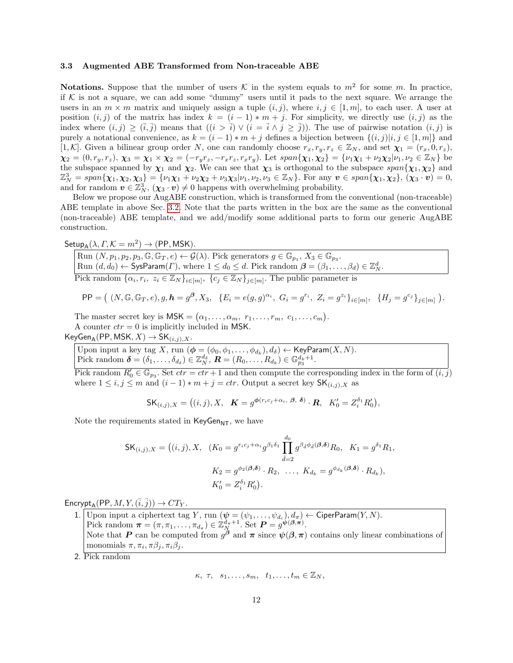### <span id="page-11-0"></span>3.3 Augmented ABE Transformed from Non-traceable ABE

**Notations.** Suppose that the number of users K in the system equals to  $m^2$  for some m. In practice, if  $K$  is not a square, we can add some "dummy" users until it pads to the next square. We arrange the users in an  $m \times m$  matrix and uniquely assign a tuple  $(i, j)$ , where  $i, j \in [1, m]$ , to each user. A user at position  $(i, j)$  of the matrix has index  $k = (i - 1) * m + j$ . For simplicity, we directly use  $(i, j)$  as the index where  $(i, j) \geq (\overline{i}, \overline{j})$  means that  $((i > \overline{i}) \vee (i = \overline{i} \wedge j \geq \overline{j}))$ . The use of pairwise notation  $(i, j)$  is purely a notational convenience, as  $k = (i - 1) * m + j$  defines a bijection between  $\{(i, j)|i, j \in [1, m]\}$  and [1, K]. Given a bilinear group order N, one can randomly choose  $r_x, r_y, r_z \in \mathbb{Z}_N$ , and set  $\chi_1 = (r_x, 0, r_z)$ ,  $\chi_2 = (0, r_y, r_z), \chi_3 = \chi_1 \times \chi_2 = (-r_y r_z, -r_x r_z, r_x r_y).$  Let  $span{\chi_1, \chi_2} = {\nu_1 \chi_1 + \nu_2 \chi_2 | \nu_1, \nu_2 \in \mathbb{Z}_N}$  be the subspace spanned by  $\chi_1$  and  $\chi_2$ . We can see that  $\chi_3$  is orthogonal to the subspace span{ $\chi_1, \chi_2$ } and  $\mathbb{Z}_N^3 = span{\chi_1, \chi_2, \chi_3\} = {\nu_1 \chi_1 + \nu_2 \chi_2 + \nu_3 \chi_3 | \nu_1, \nu_2, \nu_3 \in \mathbb{Z}_N}.$  For any  $\boldsymbol{v} \in span{\chi_1, \chi_2}, {\chi_3 \cdot \boldsymbol{v}} = 0,$ and for random  $v \in \mathbb{Z}_N^3$ ,  $(\chi_3 \cdot v) \neq 0$  happens with overwhelming probability.

Below we propose our AugABE construction, which is transformed from the conventional (non-traceable) ABE template in above Sec. [3.2.](#page-9-0) Note that the parts written in the box are the same as the conventional (non-traceable) ABE template, and we add/modify some additional parts to form our generic AugABE construction.

 $\mathsf{Setup}_{\mathsf{A}}(\lambda,\varGamma,\mathcal{K}=m^2)\to(\mathsf{PP},\mathsf{MSK}).$ 

Run  $(N, p_1, p_2, p_3, \mathbb{G}, \mathbb{G}_T, e) \leftarrow \mathcal{G}(\lambda)$ . Pick generators  $g \in \mathbb{G}_{p_1}, X_3 \in \mathbb{G}_{p_3}$ . Run  $(d, d_0) \leftarrow$  SysParam $(\Gamma)$ , where  $1 \leq d_0 \leq d$ . Pick random  $\boldsymbol{\beta} = (\beta_1, \dots, \beta_d) \in \mathbb{Z}_N^d$ . Pick random  $\{\alpha_i, r_i, z_i \in \mathbb{Z}_N\}_{i \in [m]}, \{\overline{c_j \in \mathbb{Z}_N}\}_{j \in [m]}$ . The public parameter is

$$
\mathsf{PP} = ( (N, \mathbb{G}, \mathbb{G}_T, e), g, \mathbf{h} = g^{\beta}, X_3, \ \{ E_i = e(g, g)^{\alpha_i}, \ G_i = g^{r_i}, \ Z_i = g^{z_i} \}_{i \in [m]}, \ \{ H_j = g^{c_j} \}_{j \in [m]} ).
$$

The master secret key is  $\mathsf{MSK} = (\alpha_1, \ldots, \alpha_m, r_1, \ldots, r_m, c_1, \ldots, c_m).$ A counter  $ctr = 0$  is implicitly included in MSK.

 $KeyGen_A(PP, MSK, X) \rightarrow SK_{(i,j),X}.$ 

Upon input a key tag X, run  $(\boldsymbol{\phi} = (\phi_0, \phi_1, \dots, \phi_{d_k}), d_{\delta}) \leftarrow \textsf{KeyParam}(X, N).$ Pick random  $\boldsymbol{\delta} = (\delta_1, \ldots, \delta_{d_{\delta}}) \in \mathbb{Z}_N^{d_{\delta}}, \boldsymbol{R} = (R_0, \ldots, R_{d_k}) \in \mathbb{G}_{p_3}^{d_k+1}.$ 

Pick random  $R'_0 \in \mathbb{G}_{p_3}$ . Set  $ctr =ctr + 1$  and then compute the corresponding index in the form of  $(i, j)$ where  $1 \leq i, j \leq m$  and  $(i-1) * m + j = \text{ctr.}$  Output a secret key  $\mathsf{SK}_{(i,j),X}$  as

 $\mathsf{SK}_{(i,j),X} = \big((i,j),X, \;\; \mathcal{\bm{K}} = g^{\boldsymbol{\phi}(r_ic_j + \alpha_i, \;\boldsymbol{\beta}, \;\boldsymbol{\delta})} \cdot \bm{R}, \;\; K_0^\prime = Z_i^{\delta_1}R_0^\prime\big),$ 

Note the requirements stated in  $KeyGen_{NT}$ , we have

$$
\begin{aligned} \mathsf{SK}_{(i,j),X} &= \left( (i,j), X, & (K_0 = g^{r_ic_j + \alpha_i} g^{\beta_1 \delta_1} \prod_{\tilde{d}=2}^{d_0} g^{\beta_{\tilde{d}} \phi_{\tilde{d}}(\mathcal{A}, \delta)} R_0, & K_1 = g^{\delta_1} R_1, \\ & K_2 = g^{\phi_2(\mathcal{A}, \delta)} \cdot R_2, & \dots, & K_{d_k} = g^{\phi_{d_k}(\mathcal{A}, \delta)} \cdot R_{d_k}), \\ & K'_0 = Z_i^{\delta_1} R'_0 \right). \end{aligned}
$$

 $\text{Encrypt}_A(\text{PP}, M, Y, (\bar{i}, \bar{j})) \rightarrow CT_Y.$ 

1. Upon input a ciphertext tag Y, run  $(\psi = (\psi_1, \ldots, \psi_{d_c}), d_\pi) \leftarrow$  CiperParam $(Y, N)$ . Pick random  $\boldsymbol{\pi} = (\pi, \pi_1, \dots, \pi_{d_{\pi}}) \in \mathbb{Z}_{N}^{d_{\pi}+1}$ . Set  $\boldsymbol{P} = g^{\boldsymbol{\psi}(\boldsymbol{\beta}, \boldsymbol{\pi})}$ . Note that P can be computed from  $g^{\hat{\beta}}$  and  $\pi$  since  $\psi(\beta,\pi)$  contains only linear combinations of monomials  $\pi, \pi_i, \pi \beta_j, \pi_i \beta_j$ .

2. Pick random

$$
\kappa, \tau, s_1, \ldots, s_m, t_1, \ldots, t_m \in \mathbb{Z}_N,
$$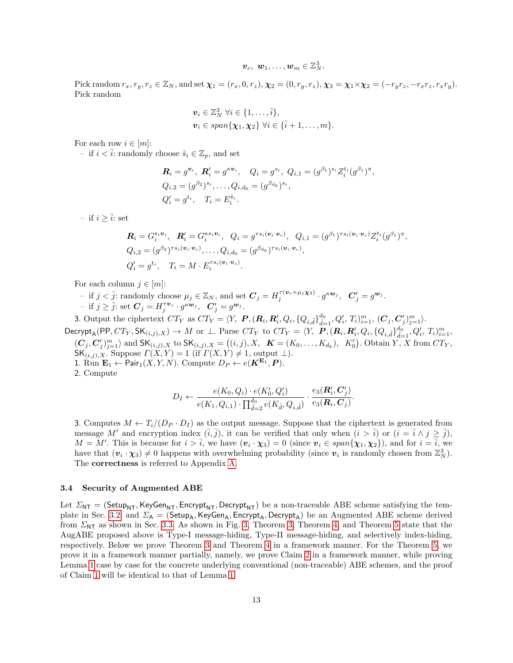$$
\boldsymbol{v}_c,~\boldsymbol{w}_1,\dots,\boldsymbol{w}_m\in\mathbb{Z}_N^3.
$$

Pick random  $r_x, r_y, r_z \in \mathbb{Z}_N$ , and set  $\chi_1 = (r_x, 0, r_z), \chi_2 = (0, r_y, r_z), \chi_3 = \chi_1 \times \chi_2 = (-r_y r_z, -r_x r_z, r_x r_y).$ Pick random

$$
\boldsymbol{v}_i \in \mathbb{Z}_N^3 \ \forall i \in \{1, \ldots, \overline{i}\},
$$
  

$$
\boldsymbol{v}_i \in span\{\boldsymbol{\chi}_1, \boldsymbol{\chi}_2\} \ \forall i \in \{\overline{i}+1, \ldots, m\}.
$$

For each row  $i \in [m]$ :

– if  $i < i$ : randomly choose  $\hat{s}_i \in \mathbb{Z}_p$ , and set

$$
\mathbf{R}_i = g^{\mathbf{v}_i}, \ \mathbf{R}'_i = g^{\kappa \mathbf{v}_i}, \quad Q_i = g^{s_i}, \ Q_{i,1} = (g^{\beta_1})^{s_i} Z_i^{t_i} (g^{\beta_1})^{\pi},
$$
  
\n
$$
Q_{i,2} = (g^{\beta_2})^{s_i}, \dots, Q_{i,d_0} = (g^{\beta_{d_0}})^{s_i},
$$
  
\n
$$
Q'_i = g^{t_i}, \quad T_i = E_i^{\hat{s}_i}.
$$

– if  $i \geq \overline{i}$ : set

$$
\mathbf{R}_{i} = G_{i}^{s_{i}v_{i}}, \quad \mathbf{R}'_{i} = G_{i}^{\kappa s_{i}v_{i}}, \quad Q_{i} = g^{\tau s_{i}(v_{i} \cdot v_{c})}, \quad Q_{i,1} = (g^{\beta_{1}})^{\tau s_{i}(v_{i} \cdot v_{c})} Z_{i}^{t_{i}} (g^{\beta_{1}})^{\pi},
$$
\n
$$
Q_{i,2} = (g^{\beta_{2}})^{\tau s_{i}(v_{i} \cdot v_{c})}, \dots, Q_{i,d_{0}} = (g^{\beta_{d_{0}}})^{\tau s_{i}(v_{i} \cdot v_{c})},
$$
\n
$$
Q'_{i} = g^{t_{i}}, \quad T_{i} = M \cdot E_{i}^{\tau s_{i}(v_{i} \cdot v_{c})}.
$$

For each column  $j \in [m]$ :

- if  $j < \overline{j}$ : randomly choose  $\mu_j \in \mathbb{Z}_N$ , and set  $\mathbf{C}_j = H_j^{\tau(\mathbf{v}_c + \mu_j \mathbf{x}_3)} \cdot g^{\kappa \mathbf{w}_j}$ ,  $\mathbf{C}'_j = g^{\mathbf{w}_j}$ . - if  $j \ge \overline{j}$ : set  $C_j = H_j^{\tau \nu_c} \cdot g^{\kappa \nu_j}$ ,  $C'_j = g^{\nu_j}$ .

3. Output the ciphertext  $CT_Y$  as  $CT_Y = \langle Y, \; \mathbf{P}, (\mathbf{R}_i, \mathbf{R}'_i, Q_i, \{Q_{i,\tilde{d}}\}_{\tilde{d}=1}^{d_0}, Q'_i, T_i \rangle_{i=1}^m, (\mathbf{C}_j, \mathbf{C}'_j)_{j=1}^m \rangle$ .

 $\mathsf{Decrypt}_\mathsf{A}(\mathsf{PP},CT_Y,\mathsf{SK}_{(i,j),X})\to M \text{ or } \bot. \text{ Parse } CT_Y \text{ to } CT_Y=\langle Y,\ \textbf{\textit{P}}, (\textbf{\textit{R}}_i,\textbf{\textit{R}}'_i,Q_i,\{Q_{i,\tilde{d}}\}_{\tilde{d}=1}^{d_0},Q'_i,\ T_i)_{i=1}^m,$  $(C_j, C'_j)_{j=1}^m$  and  $\mathsf{SK}_{(i,j),X}$  to  $\mathsf{SK}_{(i,j),X} = ((i,j), X, \mathbf{K} = (K_0, \ldots, K_{d_k}), K'_0)$ . Obtain Y, X from  $CT_Y$ ,  $\mathsf{SK}_{(i,j),X}$ . Suppose  $\Gamma(X,Y) = 1$  (if  $\Gamma(X,Y) \neq 1$ , output  $\bot$ ). 1. Run  $\mathbf{E}_1 \leftarrow \mathsf{Pair}_1(X, Y, N)$ . Compute  $D_P \leftarrow e(\mathbf{K}^{\mathbf{E}_1}, P)$ .

2. Compute

$$
D_I \leftarrow \frac{e(K_0, Q_i) \cdot e(K'_0, Q'_i)}{e(K_1, Q_{i,1}) \cdot \prod_{\tilde{d}=2}^{d_0} e(K_{\tilde{d}}, Q_{i,\tilde{d}})} \cdot \frac{e_3(R'_i, C'_j)}{e_3(R_i, C_j)}.
$$

3. Computes  $M \leftarrow T_i/(D_P \cdot D_I)$  as the output message. Suppose that the ciphertext is generated from message M' and encryption index  $(\overline{i}, \overline{j})$ , it can be verified that only when  $(i > \overline{i})$  or  $(i = \overline{i} \wedge j \ge \overline{j})$ ,  $M = M'$ . This is because for  $i > \overline{i}$ , we have  $(v_i \cdot \chi_3) = 0$  (since  $v_i \in span{\chi_1, \chi_2}$ ), and for  $i = \overline{i}$ , we have that  $(\mathbf{v}_i \cdot \mathbf{\chi}_3) \neq 0$  happens with overwhelming probability (since  $\mathbf{v}_i$  is randomly chosen from  $\mathbb{Z}_N^3$ ). The correctness is referred to Appendix [A.](#page-25-25)

# <span id="page-12-0"></span>3.4 Security of Augmented ABE

<span id="page-12-1"></span>Let  $\Sigma_{\text{NT}} = (\text{Setup}_{\text{NT}}, \text{KeyGen}_{\text{NT}}, \text{Energy}_{\text{NT}})$  be a non-traceable ABE scheme satisfying the tem-plate in Sec. [3.2,](#page-9-0) and  $\Sigma_A = (Setup_A, KeyGen_A, Energypt_A, Decrypt_A)$  be an Augmented ABE scheme derived from  $\Sigma_{\text{NT}}$  as shown in Sec. [3.3.](#page-11-0) As shown in Fig. [3,](#page-12-1) Theorem 3, Theorem [4,](#page-14-0) and Theorem [5](#page-15-0) state that the AugABE proposed above is Type-I message-hiding, Type-II message-hiding, and selectively index-hiding, respectively. Below we prove Theorem [3](#page-12-1) and Theorem [4](#page-14-0) in a framework manner. For the Theorem [5,](#page-15-0) we prove it in a framework manner partially, namely, we prove Claim [2](#page-15-1) in a framework manner, while proving Lemma [1](#page-15-2) case by case for the concrete underlying conventional (non-traceable) ABE schemes, and the proof of Claim [1](#page-15-3) will be identical to that of Lemma [1.](#page-15-2)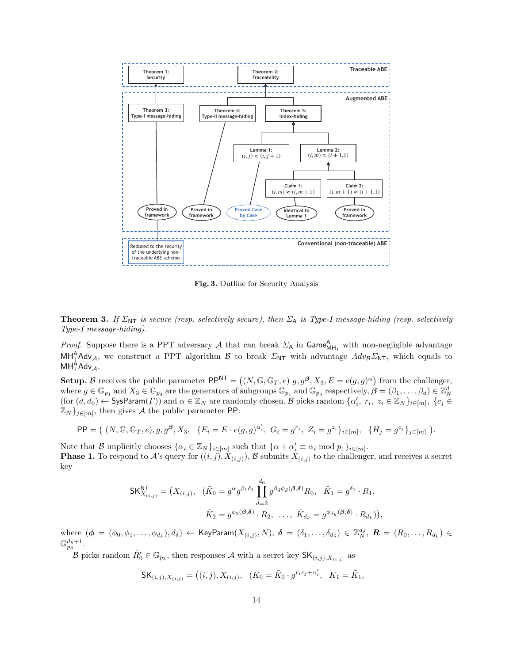

<span id="page-13-0"></span>Fig. 3. Outline for Security Analysis

**Theorem 3.** If  $\Sigma_{\text{NT}}$  is secure (resp. selectively secure), then  $\Sigma_A$  is Type-I message-hiding (resp. selectively Type-I message-hiding).

*Proof.* Suppose there is a PPT adversary A that can break  $\Sigma_A$  in  $\text{Game}_{\text{MH}_1}^A$  with non-negligible advantage  $MH_1^A Adv_A$ , we construct a PPT algorithm B to break  $\Sigma_{NT}$  with advantage  $Adv_B\Sigma_{NT}$ , which equals to  $\mathsf{MH}_1^\mathsf{A}\mathsf{Adv}_\mathcal{A}.$ 

**Setup.** B receives the public parameter  $PP^{NT} = ((N, \mathbb{G}, \mathbb{G}_T, e) \, g, g^{\beta}, X_3, E = e(g, g)^{\alpha})$  from the challenger, where  $g \in \mathbb{G}_{p_1}$  and  $X_3 \in \mathbb{G}_{p_3}$  are the generators of subgroups  $\mathbb{G}_{p_1}$  and  $\mathbb{G}_{p_3}$  respectively,  $\mathcal{B} = (\beta_1, \ldots, \beta_d) \in \mathbb{Z}_N^d$  $(\text{for } (d, d_0) \leftarrow \text{SysParam}(\Gamma))$  and  $\alpha \in \mathbb{Z}_N$  are randomly chosen. B picks random  $\{\alpha'_i, r_i, z_i \in \mathbb{Z}_N\}_{i \in [m]}, \{c_j \in \mathbb{Z}_N\}$  $\mathbb{Z}_N$ , then gives A the public parameter PP:

$$
\mathsf{PP} = ( (N, \mathbb{G}, \mathbb{G}_T, e), g, g^{\beta}, X_3, \{ E_i = E \cdot e(g, g)^{\alpha'_i}, G_i = g^{r_i}, Z_i = g^{z_i} \}_{i \in [m]}, \{ H_j = g^{c_j} \}_{j \in [m]} ).
$$

Note that B implicitly chooses  $\{\alpha_i \in \mathbb{Z}_N\}_{i \in [m]}$  such that  $\{\alpha + \alpha'_i \equiv \alpha_i \mod p_1\}_{i \in [m]}$ . **Phase 1.** To respond to A's query for  $((i, j), X_{(i,j)})$ , B submits  $X_{(i,j)}$  to the challenger, and receives a secret key

$$
\mathsf{SK}_{X_{(i,j)}}^{\mathsf{NT}} = \left( X_{(i,j)}, \ \ (\tilde{K}_0 = g^{\alpha} g^{\beta_1 \delta_1} \prod_{\tilde{d}=2}^{d_0} g^{\beta_{\tilde{d}} \phi_{\tilde{d}}(\mathbf{A}, \mathbf{\delta})} R_0, \ \ \tilde{K}_1 = g^{\delta_1} \cdot R_1, \\ \tilde{K}_2 = g^{\phi_2(\mathbf{A}, \mathbf{\delta})} \cdot R_2, \ \ \ldots, \ \tilde{K}_{d_k} = g^{\phi_{d_k}(\mathbf{A}, \mathbf{\delta})} \cdot R_{d_k} \right),
$$

where  $(\boldsymbol{\phi} = (\phi_0, \phi_1, \dots, \phi_{d_k}), d_\delta) \leftarrow \textsf{KeyParam}(X_{(i,j)}, N), \ \boldsymbol{\delta} = (\delta_1, \dots, \delta_{d_\delta}) \in \mathbb{Z}_N^{d_\delta}, \ \boldsymbol{R} = (R_0, \dots, R_{d_k}) \in \mathbb{Z}_N^{d_\delta}$  $\mathbb{G}_{p_3}^{d_k+1}$ .

B picks random  $\tilde{R}'_0 \in \mathbb{G}_{p_3}$ , then responses A with a secret key  $\mathsf{SK}_{(i,j),X_{(i,j)}}$  as

$$
\mathsf{SK}_{(i,j),X_{(i,j)}} = \left( (i,j), X_{(i,j)}, \ \ (K_0 = \tilde{K}_0 \cdot g^{r_ic_j + \alpha'_i}, \ \ K_1 = \tilde{K}_1, \right.
$$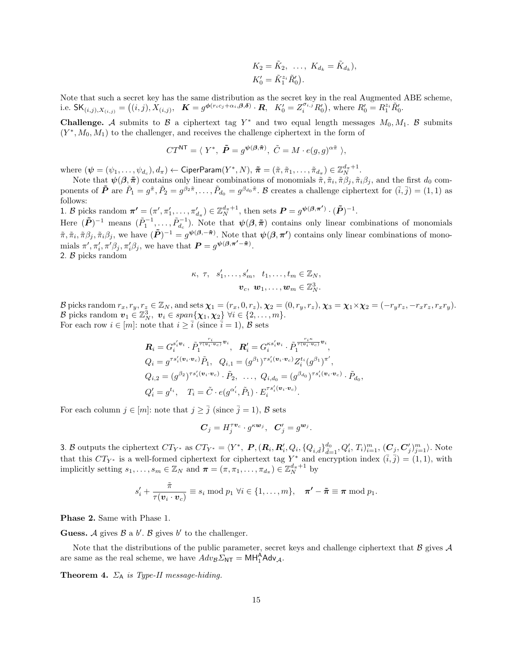$$
K_2 = \tilde{K}_2, \ \ldots, \ K_{d_k} = \tilde{K}_{d_k}),
$$
  

$$
K'_0 = \tilde{K}_1^{z_i} \tilde{R}'_0).
$$

Note that such a secret key has the same distribution as the secret key in the real Augmented ABE scheme, i.e.  $\mathsf{SK}_{(i,j),X_{(i,j)}} = ((i,j), X_{(i,j)}, \mathbf{K} = g^{\phi(r_ic_j + \alpha_i, \beta, \delta)} \cdot \mathbf{R}, \mathbf{K}_0' = Z_i^{\sigma_{i,j}} R_0'), \text{ where } R_0' = R_1^{z_i} \tilde{R}_0'.$ 

**Challenge.** A submits to B a ciphertext tag  $Y^*$  and two equal length messages  $M_0, M_1$ . B submits  $(Y^*, M_0, M_1)$  to the challenger, and receives the challenge ciphertext in the form of

$$
CT^{\mathsf{NT}} = \langle Y^*, \ \tilde{\boldsymbol{P}} = g^{\boldsymbol{\psi}(\boldsymbol{\beta}, \tilde{\boldsymbol{\pi}})}, \ \tilde{C} = M \cdot e(g, g)^{\alpha \tilde{\pi}} \ \rangle,
$$

where  $(\boldsymbol{\psi}=(\psi_1,\ldots,\psi_{d_c}),d_{\pi}) \leftarrow \mathsf{CiperParam}(Y^*,N), \ \boldsymbol{\tilde{\pi}}=(\tilde{\pi},\tilde{\pi}_1,\ldots,\tilde{\pi}_{d_{\pi}}) \in \mathbb{Z}_N^{d_{\pi}+1}.$ 

Note that  $\psi(\beta, \tilde{\pi})$  contains only linear combinations of monomials  $\tilde{\pi}, \tilde{\pi}_i, \tilde{\pi}\beta_j, \tilde{\pi}_i\beta_j$ , and the first  $d_0$  components of  $\tilde{P}$  are  $\tilde{P}_1 = g^{\tilde{\pi}}, \tilde{P}_2 = g^{\beta_2 \tilde{\pi}}, \ldots, \tilde{P}_{d_0} = g^{\beta_{d_0} \tilde{\pi}}$ . B creates a challenge ciphertext for  $(\tilde{i}, \tilde{j}) = (1, 1)$  as follows:

1. B picks random  $\boldsymbol{\pi'} = (\pi', \pi'_1, \dots, \pi'_{d_{\pi}}) \in \mathbb{Z}_N^{d_{\pi}+1}$ , then sets  $\boldsymbol{P} = g^{\boldsymbol{\psi}(\boldsymbol{\beta}, \boldsymbol{\pi'})} \cdot (\tilde{\boldsymbol{P}})^{-1}$ .

Here  $(\tilde{P})^{-1}$  means  $(\tilde{P}_1^{-1},\ldots,\tilde{P}_{d_c}^{-1})$ . Note that  $\psi(\beta,\tilde{\pi})$  contains only linear combinations of monomials  $\tilde{\pi}, \tilde{\pi}_i, \tilde{\pi} \beta_j, \tilde{\pi}_i \beta_j$ , we have  $(\tilde{\bm{P}})^{-1} = g^{\bm{\psi}(\bm{\beta}, -\bm{\tilde{\pi}})}$ . Note that  $\bm{\psi}(\bm{\beta}, \bm{\pi}')$  contains only linear combinations of monomials  $\pi', \pi'_i, \pi' \beta_j, \pi'_i \beta_j$ , we have that  $\mathbf{P} = g^{\psi(\beta, \pi' - \tilde{\pi})}$ .

2. B picks random

$$
\kappa, \ \tau, \ \ s'_1, \ldots, s'_m, \ \ t_1, \ldots, t_m \in \mathbb{Z}_N, \boldsymbol{v}_c, \ \boldsymbol{w}_1, \ldots, \boldsymbol{w}_m \in \mathbb{Z}_N^3.
$$

B picks random  $r_x, r_y, r_z \in \mathbb{Z}_N$ , and sets  $\chi_1 = (r_x, 0, r_z), \chi_2 = (0, r_y, r_z), \chi_3 = \chi_1 \times \chi_2 = (-r_y r_z, -r_x r_z, r_x r_y).$ B picks random  $\boldsymbol{v}_1 \in \mathbb{Z}_N^3$ ,  $\boldsymbol{v}_i \in span\{\boldsymbol{\chi}_1, \boldsymbol{\chi}_2\}$   $\forall i \in \{2, ..., m\}.$ For each row  $i \in [m]$ : note that  $i \geq \overline{i}$  (since  $\overline{i} = 1$ ),  $\mathcal{B}$  sets

$$
\mathbf{R}_{i} = G_{i}^{s'_{i} \mathbf{v}_{i}} \cdot \tilde{P}_{1}^{\frac{r_{i}}{\tau(\mathbf{v}_{i} \cdot \mathbf{v}_{c})} \mathbf{v}_{i}}, \quad \mathbf{R}_{i}' = G_{i}^{\kappa s'_{i} \mathbf{v}_{i}} \cdot \tilde{P}_{1}^{\frac{r_{i} \kappa}{\tau(\mathbf{v}_{i} \cdot \mathbf{v}_{c})} \mathbf{v}_{i}},
$$
\n
$$
Q_{i} = g^{\tau s'_{i}(\mathbf{v}_{i} \cdot \mathbf{v}_{c})} \tilde{P}_{1}, \quad Q_{i,1} = (g^{\beta_{1}})^{\tau s'_{i}(\mathbf{v}_{i} \cdot \mathbf{v}_{c})} Z_{i}^{t_{i}} (g^{\beta_{1}})^{\pi'},
$$
\n
$$
Q_{i,2} = (g^{\beta_{2}})^{\tau s'_{i}(\mathbf{v}_{i} \cdot \mathbf{v}_{c})} \cdot \tilde{P}_{2}, \quad \dots, \quad Q_{i,d_{0}} = (g^{\beta_{d_{0}}})^{\tau s'_{i}(\mathbf{v}_{i} \cdot \mathbf{v}_{c})} \cdot \tilde{P}_{d_{0}},
$$
\n
$$
Q_{i}' = g^{t_{i}}, \quad T_{i} = \tilde{C} \cdot e(g^{\alpha'_{i}}, \tilde{P}_{1}) \cdot E_{i}^{\tau s'_{i}(\mathbf{v}_{i} \cdot \mathbf{v}_{c})}.
$$

For each column  $j \in [m]$ : note that  $j \geq \overline{j}$  (since  $\overline{j} = 1$ ), B sets

$$
\boldsymbol{C}_j = H_j^{\tau \boldsymbol{v}_c} \cdot g^{\kappa \boldsymbol{w}_j}, \ \ \boldsymbol{C}'_j = g^{\boldsymbol{w}_j}.
$$

3. B outputs the ciphertext  $CT_{Y^*}$  as  $CT_{Y^*} = \langle Y^*, P, (R_i, R'_i, Q_i, \{Q_{i,\tilde{d}}\}_{\tilde{d}=1}^{d_0}, Q'_i, T_i)_{i=1}^m, (C_j, C'_j)_{j=1}^m \rangle$ . Note that this  $CT_{Y^*}$  is a well-formed ciphertext for ciphertext tag  $Y^*$  and encryption index  $(\bar{i}, \bar{j}) = (1, 1)$ , with implicitly setting  $s_1, \ldots, s_m \in \mathbb{Z}_N$  and  $\boldsymbol{\pi} = (\pi, \pi_1, \ldots, \pi_{d_{\pi}}) \in \mathbb{Z}_N^{d_{\pi}+1}$  by

$$
s'_{i} + \frac{\tilde{\pi}}{\tau(\mathbf{v}_{i} \cdot \mathbf{v}_{c})} \equiv s_{i} \bmod p_{1} \ \forall i \in \{1, \ldots, m\}, \quad \pi' - \tilde{\pi} \equiv \pi \bmod p_{1}.
$$

Phase 2. Same with Phase 1.

Guess. A gives  $\beta$  a b'.  $\beta$  gives b' to the challenger.

Note that the distributions of the public parameter, secret keys and challenge ciphertext that  $\beta$  gives  $\mathcal A$ are same as the real scheme, we have  $Adv_{\mathcal{B}}\Sigma_{\mathsf{NT}} = \mathsf{MH}_1^{\mathsf{A}}\mathsf{Adv}_{\mathcal{A}}$ .

<span id="page-14-0"></span>**Theorem 4.**  $\Sigma_A$  is Type-II message-hiding.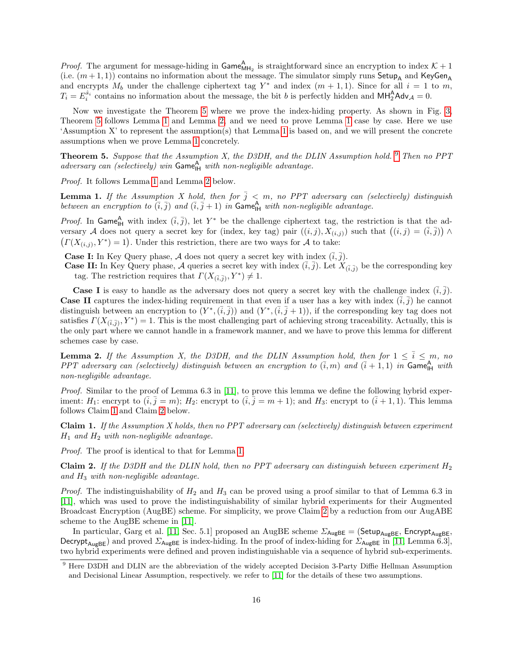*Proof.* The argument for message-hiding in  $\text{Game}_{\text{MH}_2}^{\text{A}}$  is straightforward since an encryption to index  $K + 1$ (i.e.  $(m+1, 1)$ ) contains no information about the message. The simulator simply runs Setup<sub>A</sub> and KeyGen<sub>A</sub> and encrypts  $M_b$  under the challenge ciphertext tag  $Y^*$  and index  $(m + 1, 1)$ . Since for all  $i = 1$  to m,  $T_i = E_i^{\hat{s}_i}$  contains no information about the message, the bit b is perfectly hidden and  $\text{MH}_2^{\text{A}}$ Adv<sub>A</sub> = 0.

Now we investigate the Theorem [5](#page-15-0) where we prove the index-hiding property. As shown in Fig. [3,](#page-13-0) Theorem [5](#page-15-0) follows Lemma [1](#page-15-2) and Lemma [2,](#page-15-4) and we need to prove Lemma [1](#page-15-2) case by case. Here we use 'Assumption X' to represent the assumption(s) that Lemma [1](#page-15-2) is based on, and we will present the concrete assumptions when we prove Lemma [1](#page-15-2) concretely.

<span id="page-15-0"></span>**Theorem 5.** Suppose that the Assumption X, the D3DH, and the DLIN Assumption hold.  $9$  Then no PPT  $adversary can$  (selectively) win  $Gam_{H}^{A}$  with non-negligible advantage.

Proof. It follows Lemma [1](#page-15-2) and Lemma [2](#page-15-4) below.

<span id="page-15-2"></span>**Lemma 1.** If the Assumption X hold, then for  $\overline{j} \leq m$ , no PPT adversary can (selectively) distinguish between an encryption to  $(\overline{i}, \overline{j})$  and  $(\overline{i}, \overline{j} + 1)$  in Game<sub>lH</sub> with non-negligible advantage.

*Proof.* In Game<sub>lH</sub> with index  $(\overline{i}, \overline{j})$ , let Y<sup>\*</sup> be the challenge ciphertext tag, the restriction is that the adversary A does not query a secret key for (index, key tag) pair  $((i,j), X(i,j))$  such that  $((i,j) = (\overline{i}, \overline{j})) \wedge$  $(T(X_{(i,j)}, Y^*) = 1)$ . Under this restriction, there are two ways for A to take:

**Case I:** In Key Query phase, A does not query a secret key with index  $(i, j)$ .

**Case II:** In Key Query phase, A queries a secret key with index  $(\bar{i}, \bar{j})$ . Let  $X_{(\bar{i}, \bar{j})}$  be the corresponding key tag. The restriction requires that  $\Gamma(X_{(\bar{i},\bar{j})}, Y^*) \neq 1$ .

**Case I** is easy to handle as the adversary does not query a secret key with the challenge index  $(\bar{i}, \bar{j})$ . **Case II** captures the index-hiding requirement in that even if a user has a key with index  $(\tilde{i}, \tilde{j})$  he cannot distinguish between an encryption to  $(Y^*,(\overline{i},\overline{j}))$  and  $(Y^*,(\overline{i},\overline{j}+1))$ , if the corresponding key tag does not satisfies  $\Gamma(X_{(\bar{i},\bar{j})},Y^*)=1$ . This is the most challenging part of achieving strong traceability. Actually, this is the only part where we cannot handle in a framework manner, and we have to prove this lemma for different schemes case by case.

<span id="page-15-4"></span>**Lemma 2.** If the Assumption X, the D3DH, and the DLIN Assumption hold, then for  $1 \leq \overline{i} \leq m$ , no PPT adversary can (selectively) distinguish between an encryption to  $(\bar{i},m)$  and  $(\bar{i}+1,1)$  in Game<sub>IH</sub> with non-negligible advantage.

Proof. Similar to the proof of Lemma 6.3 in [\[11\]](#page-25-26), to prove this lemma we define the following hybrid experiment:  $H_1$ : encrypt to  $(\bar{i}, \bar{j} = m)$ ;  $H_2$ : encrypt to  $(\bar{i}, \bar{j} = m + 1)$ ; and  $H_3$ : encrypt to  $(\bar{i} + 1, 1)$ . This lemma follows Claim [1](#page-15-3) and Claim [2](#page-15-1) below.

<span id="page-15-3"></span>Claim 1. If the Assumption X holds, then no PPT adversary can (selectively) distinguish between experiment  $H_1$  and  $H_2$  with non-negligible advantage.

Proof. The proof is identical to that for Lemma [1.](#page-15-2)

<span id="page-15-1"></span>**Claim 2.** If the D3DH and the DLIN hold, then no PPT adversary can distinguish between experiment  $H_2$ and  $H_3$  with non-negligible advantage.

*Proof.* The indistinguishability of  $H_2$  and  $H_3$  can be proved using a proof similar to that of Lemma 6.3 in [\[11\]](#page-25-26), which was used to prove the indistinguishability of similar hybrid experiments for their Augmented Broadcast Encryption (AugBE) scheme. For simplicity, we prove Claim [2](#page-15-1) by a reduction from our AugABE scheme to the AugBE scheme in [\[11\]](#page-25-26).

In particular, Garg et al. [\[11,](#page-25-26) Sec. 5.1] proposed an AugBE scheme  $\Sigma_{\text{AugBE}} = (\text{Setup}_{\text{AugBE}}, \text{Encrypt}_{\text{AugBE}})$ Decrypt<sub>AugBE</sub>) and proved  $\Sigma_{\text{AugBE}}$  is index-hiding. In the proof of index-hiding for  $\Sigma_{\text{AugBE}}$  in [\[11,](#page-25-26) Lemma 6.3], two hybrid experiments were defined and proven indistinguishable via a sequence of hybrid sub-experiments.

<span id="page-15-5"></span><sup>&</sup>lt;sup>9</sup> Here D3DH and DLIN are the abbreviation of the widely accepted Decision 3-Party Diffie Hellman Assumption and Decisional Linear Assumption, respectively. we refer to [\[11\]](#page-25-26) for the details of these two assumptions.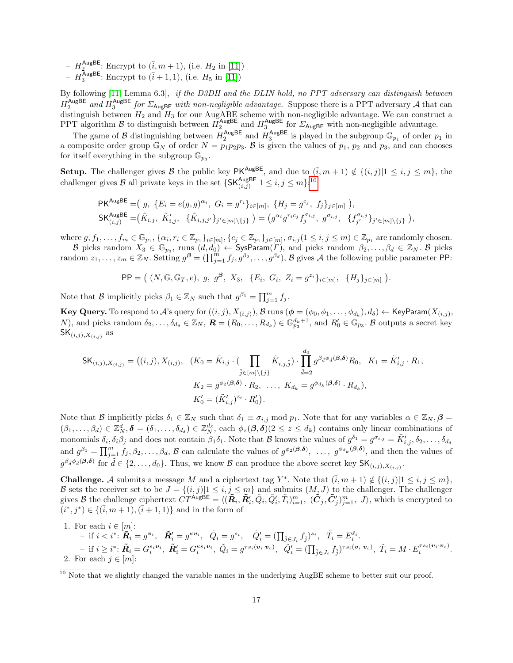- $H_2^{\text{AugBE}}$ : Encrypt to  $(\bar{i}, m + 1)$ , (i.e.  $H_2$  in [\[11\]](#page-25-26))
- $H_3^{\text{AugBE}}$ : Encrypt to  $(\bar{i} + 1, 1)$ , (i.e.  $H_5$  in [\[11\]](#page-25-26))

By following [\[11,](#page-25-26) Lemma 6.3], if the D3DH and the DLIN hold, no PPT adversary can distinguish between  $H_2^{\text{AugBE}}$  and  $H_3^{\text{AugBE}}$  for  $\Sigma_{\text{AugBE}}$  with non-negligible advantage. Suppose there is a PPT adversary A that can distinguish between  $H_2$  and  $H_3$  for our AugABE scheme with non-negligible advantage. We can construct a PPT algorithm B to distinguish between  $H_2^{\text{AugBE}}$  and  $H_3^{\text{AugBE}}$  for  $\Sigma_{\text{AugBE}}$  with non-negligible advantage.

The game of B distinguishing between  $H_2^{\text{AugBE}}$  and  $H_3^{\text{AugBE}}$  is played in the subgroup  $\mathbb{G}_{p_1}$  of order  $p_1$  in a composite order group  $\mathbb{G}_N$  of order  $N = p_1p_2p_3$ . B is given the values of  $p_1$ ,  $p_2$  and  $p_3$ , and can chooses for itself everything in the subgroup  $\mathbb{G}_{p_3}$ .

Setup. The challenger gives B the public key PK<sup>AugBE</sup>, and due to  $(\bar{i}, m + 1) \notin \{(i, j)|1 \leq i, j \leq m\}$ , the challenger gives B all private keys in the set  $\{\mathsf{SK}_{(i,j)}^{\mathsf{AugBE}} | 1 \leq i, j \leq m\}$ <sup>[10](#page-16-0)</sup>

$$
\mathsf{PK}^{\mathsf{AugBE}} = (g, \{E_i = e(g, g)^{\alpha_i}, G_i = g^{r_i}\}_{i \in [m]}, \{H_j = g^{c_j}, f_j\}_{j \in [m]})
$$
\n
$$
\mathsf{SK}^{\mathsf{AugBE}}_{(i,j)} = (\tilde{K}_{i,j}, \tilde{K}'_{i,j}, \{\tilde{K}_{i,j,j'}\}_{j' \in [m] \setminus \{j\}}) = (g^{\alpha_i} g^{r_i c_j} f_j^{\sigma_{i,j}}, g^{\sigma_{i,j}}, \{f_{j'}^{\sigma_{i,j}}\}_{j' \in [m] \setminus \{j\}}),
$$

where  $g, f_1, \ldots, f_m \in \mathbb{G}_{p_1}, \{\alpha_i, r_i \in \mathbb{Z}_{p_1}\}_{i \in [m]}, \{c_j \in \mathbb{Z}_{p_1}\}_{j \in [m]}, \sigma_{i,j} (1 \leq i,j \leq m) \in \mathbb{Z}_{p_1}$  are randomly chosen.

B picks random  $X_3 \in \mathbb{G}_{p_3}$ , runs  $(d,d_0) \leftarrow$  SysParam $(\Gamma)$ , and picks random  $\beta_2,\ldots,\beta_d \in \mathbb{Z}_N$ . B picks random  $z_1, \ldots, z_m \in \mathbb{Z}_N$ . Setting  $g^{\beta} = (\prod_{j=1}^m f_j, g^{\beta_2}, \ldots, g^{\beta_d})$ ,  $\beta$  gives  $\mathcal A$  the following public parameter PP:

$$
PP = ( (N, \mathbb{G}, \mathbb{G}_T, e), g, g^{\beta}, X_3, \{E_i, G_i, Z_i = g^{z_i}\}_{i \in [m]}, \{H_j\}_{j \in [m]} ).
$$

Note that  $\mathcal{B}$  implicitly picks  $\beta_1 \in \mathbb{Z}_N$  such that  $g^{\beta_1} = \prod_{j=1}^m f_j$ .

 $\bf{Key \textbf{Query. To respond to} } \mathcal{A} \text{'s query for } ((i,j),X_{(i,j)}), \mathcal{B} \text{ runs } (\bm{\phi}=(\phi_0,\phi_1,\ldots,\phi_{d_k}),d_\delta) \gets \textsf{KeyParam}(X_{(i,j)},\phi_1,\ldots,\phi_{d_k})$ N), and picks random  $\delta_2, \ldots, \delta_{d_\delta} \in \mathbb{Z}_N$ ,  $\mathbf{R} = (R_0, \ldots, R_{d_k}) \in \mathbb{G}_{p_3}^{d_k+1}$ , and  $R'_0 \in \mathbb{G}_{p_3}$ . B outputs a secret key  $\mathsf{SK}_{(i,j),X_{(i,j)}}$  as

$$
\mathsf{SK}_{(i,j),X_{(i,j)}} = ((i,j), X_{(i,j)}, (K_0 = \tilde{K}_{i,j} \cdot (\prod_{\tilde{j} \in [m] \setminus \{j\}} \tilde{K}_{i,j,\tilde{j}}) \cdot \prod_{\tilde{d}=2}^{d_0} g^{\beta_{\tilde{d}} \phi_{\tilde{d}}(\mathbf{\beta}, \delta)} R_0, K_1 = \tilde{K}'_{i,j} \cdot R_1,
$$
  

$$
K_2 = g^{\phi_2(\mathbf{\beta}, \delta)} \cdot R_2, \dots, K_{d_k} = g^{\phi_{d_k}(\mathbf{\beta}, \delta)} \cdot R_{d_k}),
$$
  

$$
K'_0 = (\tilde{K}'_{i,j})^{z_i} \cdot R'_0).
$$

Note that B implicitly picks  $\delta_1 \in \mathbb{Z}_N$  such that  $\delta_1 \equiv \sigma_{i,j} \mod p_1$ . Note that for any variables  $\alpha \in \mathbb{Z}_N$ ,  $\beta =$  $(\beta_1,\ldots,\beta_d) \in \mathbb{Z}_N^d$ ,  $\boldsymbol{\delta} = (\delta_1,\ldots,\delta_{d_{\delta}}) \in \mathbb{Z}_N^{d_{\delta}}$ , each  $\phi_z(\boldsymbol{\beta},\boldsymbol{\delta}) \geq z \leq d_k$ ) contains only linear combinations of monomials  $\delta_i, \delta_i \beta_j$  and does not contain  $\beta_1 \delta_1$ . Note that  $\mathcal B$  knows the values of  $g^{\delta_1} = g^{\sigma_{i,j}} = \tilde{K}'_{i,j}, \delta_2, \ldots, \delta_{ds}$ and  $g^{\beta_1} = \prod_{j=1}^m f_j, \beta_2, \ldots, \beta_d$ , B can calculate the values of  $g^{\phi_2(\beta,\delta)}$ , ...,  $g^{\phi_{d_k}(\beta,\delta)}$ , and then the values of  $g^{\beta_{\tilde{d}}\phi_{\tilde{d}}(\beta,\delta)}$  for  $\tilde{d} \in \{2,\ldots,d_0\}$ . Thus, we know  $\mathcal{B}$  can produce the above secret key  $\mathsf{SK}_{(i,j),X_{(i,j)}}$ .

**Challenge.** A submits a message M and a ciphertext tag Y<sup>\*</sup>. Note that  $(\bar{i}, m + 1) \notin \{(i, j) | 1 \le i, j \le m\}$ , B sets the receiver set to be  $J = \{(i,j) | 1 \le i,j \le m\}$  and submits  $(M, J)$  to the challenger. The challenger gives B the challenge ciphertext  $\hat{CT}^{\text{AugBE}} = \langle (\tilde{R}_i, \tilde{R}'_i, \tilde{Q}_i, \tilde{Q}'_i, \tilde{T}_i)_{i=1}^m, (\tilde{C}_j, \tilde{C}'_j)_{j=1}^m, J \rangle$ , which is encrypted to  $(i^*, j^*) \in \{(\bar{i}, m + 1), (\bar{i} + 1, 1)\}\$ and in the form of

- 1. For each  $i \in [m]$ :
- $\text{ if } i < i^* \colon \widetilde{\boldsymbol{R}}_i = g^{\boldsymbol{v}_i}, \hspace{3mm} \widetilde{\boldsymbol{R}}'_i = g^{\kappa \boldsymbol{v}_i}, \hspace{3mm} \widetilde{Q}_i = g^{s_i}, \hspace{3mm} \widetilde{Q}'_i = (\prod_{\hat{j} \in J_i} f_{\hat{j}})^{s_i}, \hspace{3mm} \tilde{T}_i = E_i^{\hat{s}_i}.$  $- \text{ if } i \geq i^* \colon \tilde{\boldsymbol{R}}_i = G_i^{s_i \boldsymbol{v}_i}, \ \tilde{\boldsymbol{R}}_i' = G_i^{\kappa s_i \boldsymbol{v}_i}, \ \tilde{Q}_i = g^{\tau s_i (\boldsymbol{v}_i \cdot \boldsymbol{v}_c)}, \ \ \tilde{Q}_i' = (\prod_{\hat{j} \in J_i} f_{\hat{j}})^{\tau s_i (\boldsymbol{v}_i \cdot \boldsymbol{v}_c)}, \ \tilde{T}_i = M \cdot E_i^{\tau s_i (\boldsymbol{v}_i \cdot \boldsymbol{v}_c)}.$ 2. For each  $j \in [m]$ :

<span id="page-16-0"></span><sup>&</sup>lt;sup>10</sup> Note that we slightly changed the variable names in the underlying AugBE scheme to better suit our proof.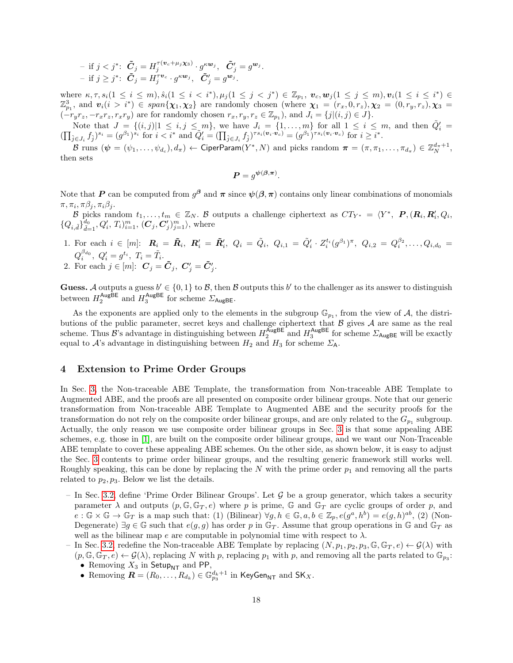$$
- \text{ if } j < j^* \text{: } \tilde{\boldsymbol{C}}_j = H_j^{\tau(\boldsymbol{v}_c + \mu_j \boldsymbol{\chi_3})} \cdot g^{\kappa \boldsymbol{w}_j}, \ \ \tilde{\boldsymbol{C}}_j^{\prime} = g^{\boldsymbol{w}_j} \text{.} \\ - \text{ if } j \geq j^* \text{: } \ \tilde{\boldsymbol{C}}_j = H_j^{\tau \boldsymbol{v}_c} \cdot g^{\kappa \boldsymbol{w}_j}, \ \ \tilde{\boldsymbol{C}}_j^{\prime} = g^{\boldsymbol{w}_j} \text{.}
$$

where  $\kappa, \tau, s_i(1 \leq i \leq m), \hat{s}_i(1 \leq i \leq i^*), \mu_j(1 \leq j \leq j^*) \in \mathbb{Z}_{p_1}, \ v_c, w_j(1 \leq j \leq m), v_i(1 \leq i \leq i^*) \in$  $\mathbb{Z}_{p_1}^3$ , and  $\mathbf{v}_i(i > i^*) \in span\{\chi_1, \chi_2\}$  are randomly chosen (where  $\chi_1 = (r_x, 0, r_z), \chi_2 = (0, r_y, r_z), \chi_3 = (0, r_z)$  $(-r_yr_z, -r_xr_z, r_xr_y)$  are for randomly chosen  $r_x, r_y, r_z \in \mathbb{Z}_{p_1}$ , and  $J_i = \{j|(i,j) \in J\}$ .

Note that  $J = \{(i, j)|1 \le i, j \le m\}$ , we have  $J_i = \{1, \ldots, m\}$  for all  $1 \le i \le m$ , and then  $\tilde{Q}'_i =$  $(\prod_{\hat{j}\in J_i} f_{\hat{j}})^{s_i} = (g^{\beta_1})^{s_i}$  for  $i < i^*$  and  $\tilde{Q}'_i = (\prod_{\hat{j}\in J_i} f_{\hat{j}})^{\tau s_i(\mathbf{v}_i \cdot \mathbf{v}_c)} = (g^{\beta_1})^{\tau s_i(\mathbf{v}_i \cdot \mathbf{v}_c)}$  for  $i \geq i^*$ .

 ${\cal B}$  runs  $(\bm{\psi}=(\psi_1,\ldots,\psi_{d_c}),d_\pi)\gets$  CiperParam $(Y^*,N)$  and picks random  $\bm{\pi}=(\pi,\pi_1,\ldots,\pi_{d_\pi})\in\mathbb{Z}_N^{d_\pi+1},$ then sets

$$
\boldsymbol{P} = g^{\boldsymbol{\psi}(\boldsymbol{\beta}, \boldsymbol{\pi})}.
$$

Note that P can be computed from  $g^{\beta}$  and  $\pi$  since  $\psi(\beta,\pi)$  contains only linear combinations of monomials  $\pi, \pi_i, \pi \beta_j, \pi_i \beta_j.$ 

B picks random  $t_1, \ldots, t_m \in \mathbb{Z}_N$ . B outputs a challenge ciphertext as  $CT_{Y^*} = \langle Y^*, \mathbf{P}, (\mathbf{R}_i, \mathbf{R}'_i, Q_i, \mathbf{R}'_i, Q_i, \mathbf{P}'_i, \mathbf{P}'_i, \mathbf{P}'_i, \mathbf{P}'_i, \mathbf{P}'_i, \mathbf{P}'_i, \mathbf{P}'_i, \mathbf{P}'_i, \mathbf{P}'_i, \mathbf{P}'_i, \mathbf{P}'$  $\{Q_{i,\tilde{d}}\}_{\tilde{d}=1}^{d_0}, Q'_i, T_i)_{i=1}^m, (\mathbf{C}_j, \mathbf{C}_j')_{j=1}^m \rangle$ , where

1. For each  $i \in [m]$ :  $\mathbf{R}_i = \tilde{\mathbf{R}}_i$ ,  $\mathbf{R}'_i = \tilde{\mathbf{R}}'_i$ ,  $Q_i = \tilde{Q}_i$ ,  $Q_{i,1} = \tilde{Q}'_i \cdot Z_i^{t_i}(g^{\beta_1})^{\pi}$ ,  $Q_{i,2} = Q_i^{\beta_2}, \ldots, Q_{i,d_0}$  $Q_i^{\beta_{d_0}},\ Q_i'=g^{t_i},\ T_i=\tilde T_i.$ 2. For each  $j \in [m]$ :  $\mathbf{C}_j = \tilde{\mathbf{C}}_j$ ,  $\mathbf{C}'_j = \tilde{\mathbf{C}}'_j$ .

**Guess.** A outputs a guess  $b' \in \{0, 1\}$  to B, then B outputs this b' to the challenger as its answer to distinguish between  $H_2^{\text{AugBE}}$  and  $H_3^{\text{AugBE}}$  for scheme  $\Sigma_{\text{AugBE}}$ .

As the exponents are applied only to the elements in the subgroup  $\mathbb{G}_{p_1}$ , from the view of A, the distributions of the public parameter, secret keys and challenge ciphertext that  $\beta$  gives  $\mathcal A$  are same as the real scheme. Thus  $\mathcal{B}$ 's advantage in distinguishing between  $H_2^{\text{AugBE}}$  and  $H_3^{\text{AugBE}}$  for scheme  $\Sigma_{\text{AugBE}}$  will be exactly equal to A's advantage in distinguishing between  $H_2$  and  $H_3$  for scheme  $\Sigma_A$ .

# <span id="page-17-0"></span>4 Extension to Prime Order Groups

In Sec. [3,](#page-8-0) the Non-traceable ABE Template, the transformation from Non-traceable ABE Template to Augmented ABE, and the proofs are all presented on composite order bilinear groups. Note that our generic transformation from Non-traceable ABE Template to Augmented ABE and the security proofs for the transformation do not rely on the composite order bilinear groups, and are only related to the  $G_{p_1}$  subgroup. Actually, the only reason we use composite order bilinear groups in Sec. [3](#page-8-0) is that some appealing ABE schemes, e.g. those in [\[1\]](#page-24-1), are built on the composite order bilinear groups, and we want our Non-Traceable ABE template to cover these appealing ABE schemes. On the other side, as shown below, it is easy to adjust the Sec. [3](#page-8-0) contents to prime order bilinear groups, and the resulting generic framework still works well. Roughly speaking, this can be done by replacing the  $N$  with the prime order  $p_1$  and removing all the parts related to  $p_2, p_3$ . Below we list the details.

- In Sec. [3.2,](#page-9-0) define 'Prime Order Bilinear Groups'. Let  $\mathcal G$  be a group generator, which takes a security parameter  $\lambda$  and outputs  $(p, \mathbb{G}, \mathbb{G}_T, e)$  where p is prime,  $\mathbb{G}$  and  $\mathbb{G}_T$  are cyclic groups of order p, and  $e: \mathbb{G} \times \mathbb{G} \to \mathbb{G}_T$  is a map such that: (1) (Bilinear)  $\forall g, h \in \mathbb{G}, a, b \in \mathbb{Z}_p, e(g^a, h^b) = e(g, h)^{ab},$  (2) (Non-Degenerate)  $\exists g \in \mathbb{G}$  such that  $e(g, g)$  has order p in  $\mathbb{G}_T$ . Assume that group operations in  $\mathbb{G}$  and  $\mathbb{G}_T$  as well as the bilinear map e are computable in polynomial time with respect to  $\lambda$ .
- In Sec. [3.2,](#page-9-0) redefine the Non-traceable ABE Template by replacing  $(N, p_1, p_2, p_3, \mathbb{G}, \mathbb{G}_T, e) \leftarrow \mathcal{G}(\lambda)$  with  $(p, \mathbb{G}, \mathbb{G}_T, e) \leftarrow \mathcal{G}(\lambda)$ , replacing N with p, replacing  $p_1$  with p, and removing all the parts related to  $\mathbb{G}_{p_3}$ :
	- Removing  $X_3$  in Setup<sub>NT</sub> and PP,
	- Removing  $\mathbf{R} = (R_0, \ldots, R_{d_k}) \in \mathbb{G}_{p_3}^{d_k+1}$  in KeyGen<sub>NT</sub> and SK<sub>X</sub>.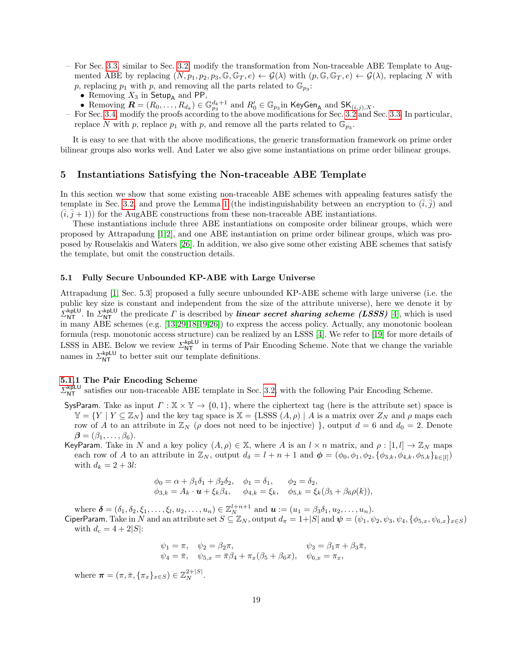- For Sec. [3.3,](#page-11-0) similar to Sec. [3.2,](#page-9-0) modify the transformation from Non-traceable ABE Template to Augmented ABE by replacing  $(N, p_1, p_2, p_3, \mathbb{G}, \mathbb{G}_T, e) \leftarrow \mathcal{G}(\lambda)$  with  $(p, \mathbb{G}, \mathbb{G}_T, e) \leftarrow \mathcal{G}(\lambda)$ , replacing N with p, replacing  $p_1$  with p, and removing all the parts related to  $\mathbb{G}_{p_3}$ :
	- Removing  $X_3$  in Setup<sub>A</sub> and PP,
	- Removing  $\mathbf{R} = (R_0, \ldots, R_{d_k}) \in \mathbb{G}_{p_3}^{d_k+1}$  and  $R'_0 \in \mathbb{G}_{p_3}$  in KeyGen<sub>A</sub> and SK $_{(i,j),X}$ .
- For Sec. [3.4,](#page-12-0) modify the proofs according to the above modifications for Sec. [3.2](#page-9-0) and Sec. [3.3.](#page-11-0) In particular, replace N with p, replace  $p_1$  with p, and remove all the parts related to  $\mathbb{G}_{p_3}$ .

It is easy to see that with the above modifications, the generic transformation framework on prime order bilinear groups also works well. And Later we also give some instantiations on prime order bilinear groups.

# <span id="page-18-0"></span>5 Instantiations Satisfying the Non-traceable ABE Template

In this section we show that some existing non-traceable ABE schemes with appealing features satisfy the template in Sec. [3.2,](#page-9-0) and prove the Lemma [1](#page-15-2) (the indistinguishability between an encryption to  $(\bar{i}, \bar{j})$ ) and  $(i, j + 1)$  for the AugABE constructions from these non-traceable ABE instantiations.

These instantiations include three ABE instantiations on composite order bilinear groups, which were proposed by Attrapadung [\[1,](#page-24-1)[2\]](#page-24-2), and one ABE instantiation on prime order bilinear groups, which was proposed by Rouselakis and Waters [\[26\]](#page-25-12). In addition, we also give some other existing ABE schemes that satisfy the template, but omit the construction details.

#### <span id="page-18-1"></span>5.1 Fully Secure Unbounded KP-ABE with Large Universe

Attrapadung [\[1,](#page-24-1) Sec. 5.3] proposed a fully secure unbounded KP-ABE scheme with large universe (i.e. the public key size is constant and independent from the size of the attribute universe), here we denote it by  $\Sigma_{\text{NT}}^{\text{kplU}}$ . In  $\Sigma_{\text{NT}}^{\text{kplU}}$  the predicate  $\Gamma$  is described by *linear secret sharing scheme (LSSS)* [\[4\]](#page-25-27), which is used in many ABE schemes (e.g. [\[13,](#page-25-1)[29,](#page-25-5)[18,](#page-25-6)[19](#page-25-9)[,26\]](#page-25-12)) to express the access policy. Actually, any monotonic boolean formula (resp. monotonic access structure) can be realized by an LSSS [\[4\]](#page-25-27). We refer to [\[19\]](#page-25-9) for more details of LSSS in ABE. Below we review  $\Sigma_{NT}^{kplU}$  in terms of Pair Encoding Scheme. Note that we change the variable names in  $\sum_{NT}^{kpLU}$  to better suit our template definitions.

#### [5.1.](#page-18-1)1 The Pair Encoding Scheme

 $\Sigma_{\text{NT}}^{\text{kplU}}$  satisfies our non-traceable ABE template in Sec. [3.2,](#page-9-0) with the following Pair Encoding Scheme.

- SysParam. Take as input  $\Gamma : \mathbb{X} \times \mathbb{Y} \to \{0,1\}$ , where the ciphertext tag (here is the attribute set) space is  $\mathbb{Y} = \{ Y | Y \subseteq \mathbb{Z}_N \}$  and the key tag space is  $\mathbb{X} = \{ \text{LSSS } (A, \rho) | A \text{ is a matrix over } \mathbb{Z}_N \}$  and  $\rho$  maps each row of A to an attribute in  $\mathbb{Z}_N$  ( $\rho$  does not need to be injective) }, output  $d = 6$  and  $d_0 = 2$ . Denote  $\beta = (\beta_1, \ldots, \beta_6).$
- KeyParam. Take in N and a key policy  $(A, \rho) \in \mathbb{X}$ , where A is an  $l \times n$  matrix, and  $\rho : [1, l] \to \mathbb{Z}_N$  maps each row of A to an attribute in  $\mathbb{Z}_N$ , output  $d_{\delta} = l + n + 1$  and  $\boldsymbol{\phi} = (\phi_0, \phi_1, \phi_2, \{\phi_{3,k}, \phi_{4,k}, \phi_{5,k}\}_{k \in [l]})$ with  $d_k = 2 + 3l$ :

$$
\phi_0 = \alpha + \beta_1 \delta_1 + \beta_2 \delta_2, \quad \phi_1 = \delta_1, \quad \phi_2 = \delta_2, \n\phi_{3,k} = A_k \cdot \mathbf{u} + \xi_k \beta_4, \quad \phi_{4,k} = \xi_k, \quad \phi_{5,k} = \xi_k (\beta_5 + \beta_6 \rho(k)),
$$

where  $\boldsymbol{\delta} = (\delta_1, \delta_2, \xi_1, \dots, \xi_l, u_2, \dots, u_n) \in \mathbb{Z}_N^{l+n+1}$  and  $\boldsymbol{u} := (u_1 = \beta_3 \delta_1, u_2, \dots, u_n)$ .

CiperParam. Take in N and an attribute set  $S \subseteq \mathbb{Z}_N$ , output  $d_\pi = 1+|S|$  and  $\psi = (\psi_1, \psi_2, \psi_3, \psi_4, {\phi_{5,x}, \psi_{6,x}}_{x \in S})$ with  $d_c = 4 + 2|S|$ :

$$
\psi_1 = \pi, \quad \psi_2 = \beta_2 \pi, \quad \psi_3 = \beta_1 \pi + \beta_3 \bar{\pi}, \n\psi_4 = \bar{\pi}, \quad \psi_{5,x} = \bar{\pi} \beta_4 + \pi_x (\beta_5 + \beta_6 x), \quad \psi_{6,x} = \pi_x,
$$

where  $\boldsymbol{\pi} = (\pi, \bar{\pi}, \{\pi_x\}_{x \in S}) \in \mathbb{Z}_N^{2+|S|}$ .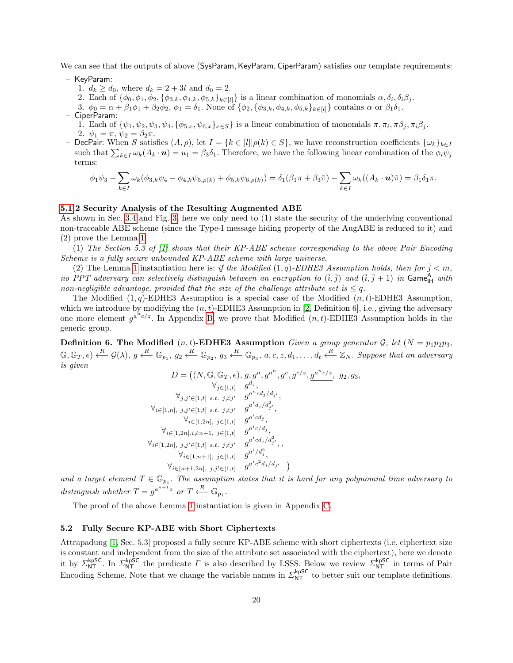We can see that the outputs of above (SysParam, KeyParam, CiperParam) satisfies our template requirements:

- KeyParam:
	- 1.  $d_k \geq d_0$ , where  $d_k = 2 + 3l$  and  $d_0 = 2$ .
	- 2. Each of  $\{\phi_0, \phi_1, \phi_2, \{\phi_{3,k}, \phi_{4,k}, \phi_{5,k}\}_{k\in[l]}\}$  is a linear combination of monomials  $\alpha, \delta_i, \delta_i\beta_j$ .
	- 3.  $\phi_0 = \alpha + \beta_1 \phi_1 + \beta_2 \phi_2$ ,  $\phi_1 = \delta_1$ . None of  $\{\phi_2, \{\phi_{3,k}, \phi_{4,k}, \phi_{5,k}\}_{k \in [l]}\}$  contains  $\alpha$  or  $\beta_1 \delta_1$ .
- CiperParam: 1. Each of  $\{\psi_1, \psi_2, \psi_3, \psi_4, \{\phi_{5,x}, \psi_{6,x}\}_{x \in S}\}\$ is a linear combination of monomials  $\pi, \pi_i, \pi \beta_j, \pi_i \beta_j$ .
	- 2.  $\psi_1 = \pi, \psi_2 = \beta_2 \pi$ .
- DecPair: When S satisfies  $(A, \rho)$ , let  $I = \{k \in [l] | \rho(k) \in S\}$ , we have reconstruction coefficients  $\{\omega_k\}_{k \in I}$ such that  $\sum_{k\in I}\omega_k(A_k\cdot\boldsymbol{u})=u_1=\beta_3\delta_1$ . Therefore, we have the following linear combination of the  $\phi_i\psi_j$ terms:

$$
\phi_1 \psi_3 - \sum_{k \in I} \omega_k (\phi_{3,k} \psi_4 - \phi_{4,k} \psi_{5,\rho(k)} + \phi_{5,k} \psi_{6,\rho(k)}) = \delta_1(\beta_1 \pi + \beta_3 \bar{\pi}) - \sum_{k \in I} \omega_k((A_k \cdot \mathbf{u})\bar{\pi}) = \beta_1 \delta_1 \pi.
$$

# [5.1.](#page-18-1)2 Security Analysis of the Resulting Augmented ABE

As shown in Sec. [3.4](#page-12-0) and Fig. [3,](#page-13-0) here we only need to (1) state the security of the underlying conventional non-traceable ABE scheme (since the Type-I message hiding property of the AugABE is reduced to it) and (2) prove the Lemma [1.](#page-15-2)

(1) The Section 5.3 of [\[1\]](#page-24-1) shows that their KP-ABE scheme corresponding to the above Pair Encoding Scheme is a fully secure unbounded KP-ABE scheme with large universe.

(2) The Lemma [1](#page-15-2) instantiation here is: if the Modified  $(1, q)$ -EDHE3 Assumption holds, then for  $\bar{j} < m$ , no PPT adversary can selectively distinguish between an encryption to  $(\bar{i}, \bar{j})$  and  $(\bar{i}, \bar{j} + 1)$  in Game<sub>IH</sub> with non-negligible advantage, provided that the size of the challenge attribute set is  $\leq q$ .

The Modified  $(1, q)$ -EDHE3 Assumption is a special case of the Modified  $(n, t)$ -EDHE3 Assumption, which we introduce by modifying the  $(n, t)$ -EDHE3 Assumption in [\[2,](#page-24-2) Definition 6], i.e., giving the adversary one more element  $g^{a^n c/z}$ . In Appendix [B,](#page-26-0) we prove that Modified  $(n, t)$ -EDHE3 Assumption holds in the generic group.

<span id="page-19-1"></span>Definition 6. The Modified  $(n, t)$ -EDHE3 Assumption Given a group generator G, let  $(N = p_1p_2p_3,$  $\mathbb{G}, \mathbb{G}_T, e) \xleftarrow{R} \mathcal{G}(\lambda), g \xleftarrow{R} \mathbb{G}_{p_1}, g_2 \xleftarrow{R} \mathbb{G}_{p_2}, g_3 \xleftarrow{R} \mathbb{G}_{p_3}, a, c, z, d_1, \dots, d_t \xleftarrow{R} \mathbb{Z}_N$ . Suppose that an adversary is given

$$
D = ((N, \mathbb{G}, \mathbb{G}_T, e), g, g^a, g^{a^n}, g^c, g^{c/z}, g^{a^n c/z}, g_2, g_3, \forall_{j \in [1, t]} g^{d_j}, \forall_{j \in [1, t]} g^{d_j}, \forall_{j \in [1, t]} s.t. j \neq j' g^{a^n c d_j / d_{j'}}, \forall_{i \in [1, n], j, j' \in [1, t]} g^{a^i d_j / d_j^2}, \forall_{i \in [1, 2n], j \in [1, t]} g^{a^i c d_j}, \forall_{i \in [1, 2n], i \neq n+1, j \in [1, t]} g^{a^i c / d_j}, \forall_{i \in [1, 2n], j, j' \in [1, t]} g^{a^i c d_j / d_{j'}^2}, \forall_{i \in [1, n+1], j \in [1, t]} g^{a^i / d_j^2}, \forall_{i \in [n+1, 2n], j, j' \in [1, t]} g^{a^i / d_j^2}, \forall_{i \in [n+1, 2n], j, j' \in [1, t]} g^{a^i c^2 d_j / d_{j'}})
$$

and a target element  $T \in \mathbb{G}_{p_1}$ . The assumption states that it is hard for any polynomial time adversary to distinguish whether  $T = g^{a^{n+1}z}$  or  $T \xleftarrow{R} \mathbb{G}_{p_1}$ .

The proof of the above Lemma [1](#page-15-2) instantiation is given in Appendix [C.](#page-29-0)

# <span id="page-19-0"></span>5.2 Fully Secure KP-ABE with Short Ciphertexts

Attrapadung [\[1,](#page-24-1) Sec. 5.3] proposed a fully secure KP-ABE scheme with short ciphertexts (i.e. ciphertext size is constant and independent from the size of the attribute set associated with the ciphertext), here we denote it by  $\Sigma_{\text{NT}}^{\text{kpSC}}$ . In  $\Sigma_{\text{NT}}^{\text{kpSC}}$  the predicate  $\Gamma$  is also described by LSSS. Below we review  $\Sigma_{\text{NT}}^{\text{kpSC}}$  in terms of Pair Encoding Scheme. Note that we change the variable names in  $\Sigma_{NT}^{kpSC}$  to better suit our template definitions.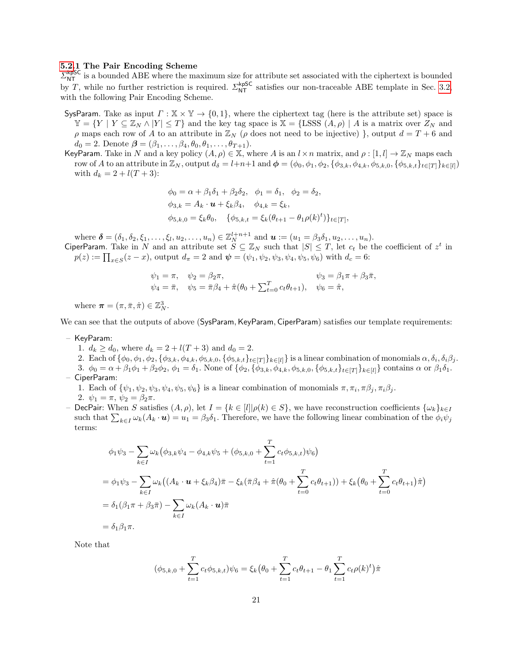#### [5.2.](#page-19-0)1 The Pair Encoding Scheme

 $\Sigma_{\text{NT}}^{\text{kpSC}}$  is a bounded ABE where the maximum size for attribute set associated with the ciphertext is bounded by T, while no further restriction is required.  $\Sigma_{NT}^{kpSC}$  satisfies our non-traceable ABE template in Sec. [3.2,](#page-9-0) with the following Pair Encoding Scheme.

- SysParam. Take as input  $\Gamma : \mathbb{X} \times \mathbb{Y} \to \{0,1\}$ , where the ciphertext tag (here is the attribute set) space is  $\mathbb{Y} = \{Y \mid Y \subseteq \mathbb{Z}_N \wedge |Y| \leq T\}$  and the key tag space is  $\mathbb{X} = \{\text{LSSS } (A, \rho) \mid A \text{ is a matrix over } \mathbb{Z}_N \text{ and } \mathbb{Z}_N\}$ ρ maps each row of A to an attribute in  $\mathbb{Z}_N$  (ρ does not need to be injective) }, output  $d = T + 6$  and  $d_0 = 2$ . Denote  $\boldsymbol{\beta} = (\beta_1, \ldots, \beta_4, \theta_0, \theta_1, \ldots, \theta_{T+1}).$
- KeyParam. Take in N and a key policy  $(A, \rho) \in \mathbb{X}$ , where A is an  $l \times n$  matrix, and  $\rho : [1, l] \to \mathbb{Z}_N$  maps each row of A to an attribute in  $\mathbb{Z}_N$ , output  $d_{\delta} = l+n+1$  and  $\boldsymbol{\phi} = (\phi_0, \phi_1, \phi_2, \{\phi_{3,k}, \phi_{4,k}, \phi_{5,k,0}, \{\phi_{5,k,t}\}_{t\in[T]}\}_{k\in[l]}$ with  $d_k = 2 + l(T + 3)$ :

$$
\phi_0 = \alpha + \beta_1 \delta_1 + \beta_2 \delta_2, \quad \phi_1 = \delta_1, \quad \phi_2 = \delta_2, \n\phi_{3,k} = A_k \cdot \mathbf{u} + \xi_k \beta_4, \quad \phi_{4,k} = \xi_k, \n\phi_{5,k,0} = \xi_k \theta_0, \quad \{\phi_{5,k,t} = \xi_k (\theta_{t+1} - \theta_1 \rho(k)^t)\}_{t \in [T]},
$$

where  $\boldsymbol{\delta} = (\delta_1, \delta_2, \xi_1, \dots, \xi_l, u_2, \dots, u_n) \in \mathbb{Z}_N^{l+n+1}$  and  $\boldsymbol{u} := (u_1 = \beta_3 \delta_1, u_2, \dots, u_n)$ .

CiperParam. Take in N and an attribute set  $S \subseteq \mathbb{Z}_N$  such that  $|S| \leq T$ , let  $c_t$  be the coefficient of  $z^t$  in  $p(z) := \prod_{x \in S} (z - x)$ , output  $d_{\pi} = 2$  and  $\boldsymbol{\psi} = (\psi_1, \psi_2, \psi_3, \psi_4, \psi_5, \psi_6)$  with  $d_c = 6$ :

$$
\psi_1 = \pi
$$
,  $\psi_2 = \beta_2 \pi$ ,  $\psi_3 = \beta_1 \pi + \beta_3 \bar{\pi}$ ,  
\n $\psi_4 = \bar{\pi}$ ,  $\psi_5 = \bar{\pi}\beta_4 + \hat{\pi}(\theta_0 + \sum_{t=0}^T c_t \theta_{t+1})$ ,  $\psi_6 = \hat{\pi}$ ,

where  $\boldsymbol{\pi} = (\pi, \bar{\pi}, \hat{\pi}) \in \mathbb{Z}_N^3$ .

We can see that the outputs of above (SysParam, KeyParam, CiperParam) satisfies our template requirements:

- KeyParam:
	- 1.  $d_k \geq d_0$ , where  $d_k = 2 + l(T + 3)$  and  $d_0 = 2$ .
	- 2. Each of  $\{\phi_0, \phi_1, \phi_2, \{\phi_{3,k}, \phi_{4,k}, \phi_{5,k,0}, \{\phi_{5,k,t}\}_{t\in[T]}\}_{k\in[I]}\}$  is a linear combination of monomials  $\alpha, \delta_i, \delta_i\beta_j$ .
- 3.  $\phi_0 = \alpha + \beta_1 \phi_1 + \beta_2 \phi_2$ ,  $\phi_1 = \delta_1$ . None of  $\{\phi_2, \{\phi_{3,k}, \phi_{4,k}, \phi_{5,k,0}, \{\phi_{5,k,t}\}_{t \in [T]}\}_{k \in [l]}$  contains  $\alpha$  or  $\beta_1 \delta_1$ . – CiperParam:
	- 1. Each of  $\{\psi_1, \psi_2, \psi_3, \psi_4, \psi_5, \psi_6\}$  is a linear combination of monomials  $\pi, \pi_i, \pi \beta_j, \pi_i \beta_j$ . 2.  $\psi_1 = \pi, \psi_2 = \beta_2 \pi$ .
- DecPair: When S satisfies  $(A, \rho)$ , let  $I = \{k \in [l] | \rho(k) \in S\}$ , we have reconstruction coefficients  $\{\omega_k\}_{k \in I}$ such that  $\sum_{k\in I}\omega_k(A_k\cdot u)=u_1=\beta_3\delta_1$ . Therefore, we have the following linear combination of the  $\phi_i\psi_j$ terms:

$$
\phi_1 \psi_3 - \sum_{k \in I} \omega_k (\phi_{3,k} \psi_4 - \phi_{4,k} \psi_5 + (\phi_{5,k,0} + \sum_{t=1}^T c_t \phi_{5,k,t}) \psi_6)
$$
  
=  $\phi_1 \psi_3 - \sum_{k \in I} \omega_k ((A_k \cdot \mathbf{u} + \xi_k \beta_4) \bar{\pi} - \xi_k (\bar{\pi} \beta_4 + \hat{\pi} (\theta_0 + \sum_{t=0}^T c_t \theta_{t+1})) + \xi_k (\theta_0 + \sum_{t=0}^T c_t \theta_{t+1}) \hat{\pi})$   
=  $\delta_1 (\beta_1 \pi + \beta_3 \bar{\pi}) - \sum_{k \in I} \omega_k (A_k \cdot \mathbf{u}) \bar{\pi}$   
=  $\delta_1 \beta_1 \pi$ .

Note that

$$
(\phi_{5,k,0} + \sum_{t=1}^{T} c_t \phi_{5,k,t})\psi_6 = \xi_k (\theta_0 + \sum_{t=1}^{T} c_t \theta_{t+1} - \theta_1 \sum_{t=1}^{T} c_t \rho(k)^t) \hat{\pi}
$$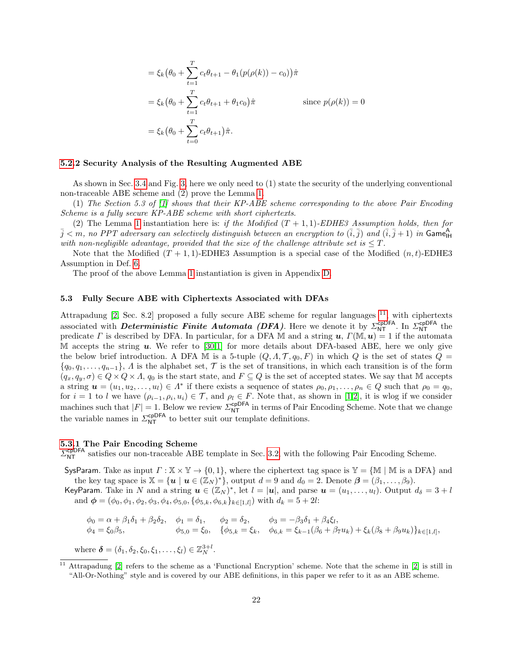$$
= \xi_k (\theta_0 + \sum_{t=1}^T c_t \theta_{t+1} - \theta_1 (p(\rho(k)) - c_0)) \hat{\pi}
$$
  
=  $\xi_k (\theta_0 + \sum_{t=1}^T c_t \theta_{t+1} + \theta_1 c_0) \hat{\pi}$  since  $p(\rho(k)) = 0$   
=  $\xi_k (\theta_0 + \sum_{t=0}^T c_t \theta_{t+1}) \hat{\pi}.$ 

#### [5.2.](#page-19-0)2 Security Analysis of the Resulting Augmented ABE

As shown in Sec. [3.4](#page-12-0) and Fig. [3,](#page-13-0) here we only need to (1) state the security of the underlying conventional non-traceable ABE scheme and (2) prove the Lemma [1.](#page-15-2)

(1) The Section 5.3 of [\[1\]](#page-24-1) shows that their KP-ABE scheme corresponding to the above Pair Encoding Scheme is a fully secure KP-ABE scheme with short ciphertexts.

(2) The Lemma [1](#page-15-2) instantiation here is: if the Modified  $(T + 1, 1)$ -EDHE3 Assumption holds, then for  $\bar{j} < m$ , no PPT adversary can selectively distinguish between an encryption to  $(\bar{i},\bar{j})$  and  $(\bar{i},\bar{j}+1)$  in Game $_{\sf HH}^{\sf A}$ with non-negligible advantage, provided that the size of the challenge attribute set is  $\leq T$ .

Note that the Modified  $(T + 1, 1)$ -EDHE3 Assumption is a special case of the Modified  $(n, t)$ -EDHE3 Assumption in Def. [6.](#page-19-1)

The proof of the above Lemma [1](#page-15-2) instantiation is given in Appendix [D.](#page-35-0)

#### <span id="page-21-1"></span>5.3 Fully Secure ABE with Ciphertexts Associated with DFAs

Attrapadung  $[2, \text{Sec. 8.2}]$  $[2, \text{Sec. 8.2}]$  proposed a fully secure ABE scheme for regular languages  $^{11}$  $^{11}$  $^{11}$ , with ciphertexts associated with *Deterministic Finite Automata (DFA)*. Here we denote it by  $\Sigma_{NT}^{c pDFA}$ . In  $\Sigma_{NT}^{c pDFA}$  the predicate Γ is described by DFA. In particular, for a DFA M and a string  $u$ ,  $\Gamma(\mathbb{M}, u) = 1$  if the automata M accepts the string  $u$ . We refer to [\[30,](#page-25-10)[1\]](#page-24-1) for more details about DFA-based ABE, here we only give the below brief introduction. A DFA M is a 5-tuple  $(Q, \Lambda, \mathcal{T}, q_0, F)$  in which Q is the set of states  $Q =$  $\{q_0, q_1, \ldots, q_{n-1}\},\Lambda$  is the alphabet set,  $\mathcal T$  is the set of transitions, in which each transition is of the form  $(q_x, q_y, \sigma) \in Q \times Q \times \Lambda$ ,  $q_0$  is the start state, and  $F \subseteq Q$  is the set of accepted states. We say that M accepts a string  $u = (u_1, u_2, \dots, u_l) \in \Lambda^*$  if there exists a sequence of states  $\rho_0, \rho_1, \dots, \rho_n \in Q$  such that  $\rho_0 = q_0$ , for  $i = 1$  to l we have  $(\rho_{i-1}, \rho_i, u_i) \in \mathcal{T}$ , and  $\rho_l \in F$ . Note that, as shown in [\[1,](#page-24-1)[2\]](#page-24-2), it is wlog if we consider machines such that  $|F| = 1$ . Below we review  $\Sigma_{NT}^{\text{cpDFA}}$  in terms of Pair Encoding Scheme. Note that we change the variable names in  $\mathcal{L}_{NT}^{\text{cpDFA}}$  to better suit our template definitions.

# [5.3.](#page-21-1)1 The Pair Encoding Scheme

 $\Sigma_{\text{NT}}^{\text{cpDFA}}$  satisfies our non-traceable ABE template in Sec. [3.2,](#page-9-0) with the following Pair Encoding Scheme.

SysParam. Take as input  $\Gamma : \mathbb{X} \times \mathbb{Y} \to \{0,1\}$ , where the ciphertext tag space is  $\mathbb{Y} = \{\mathbb{M} \mid \mathbb{M} \text{ is a DFA}\}$  and the key tag space is  $\mathbb{X} = {\mathbf{u} \mid \mathbf{u} \in (\mathbb{Z}_N)^*}$ , output  $d = 9$  and  $d_0 = 2$ . Denote  $\boldsymbol{\beta} = (\beta_1, \dots, \beta_9)$ .

KeyParam. Take in N and a string  $u \in (\mathbb{Z}_N)^*$ , let  $l = |u|$ , and parse  $u = (u_1, \ldots, u_l)$ . Output  $d_{\delta} = 3 + l$ and  $\phi = (\phi_0, \phi_1, \phi_2, \phi_3, \phi_4, \phi_{5,0}, {\phi_{5,k}, \phi_{6,k}}_{k \in [1,l]})$  with  $d_k = 5 + 2l$ :

$$
\begin{aligned}\n\phi_0 &= \alpha + \beta_1 \delta_1 + \beta_2 \delta_2, & \phi_1 &= \delta_1, & \phi_2 &= \delta_2, & \phi_3 &= -\beta_3 \delta_1 + \beta_4 \xi_l, \\
\phi_4 &= \xi_0 \beta_5, & \phi_{5,0} &= \xi_0, & \{\phi_{5,k} = \xi_k, & \phi_{6,k} = \xi_{k-1} (\beta_6 + \beta_7 u_k) + \xi_k (\beta_8 + \beta_9 u_k) \}_{k \in [1,l]},\n\end{aligned}
$$

where  $\boldsymbol{\delta} = (\delta_1, \delta_2, \xi_0, \xi_1, \dots, \xi_l) \in \mathbb{Z}_N^{3+l}$ .

<span id="page-21-0"></span>Attrapadung [\[2\]](#page-24-2) refers to the scheme as a 'Functional Encryption' scheme. Note that the scheme in [2] is still in "All-Or-Nothing" style and is covered by our ABE definitions, in this paper we refer to it as an ABE scheme.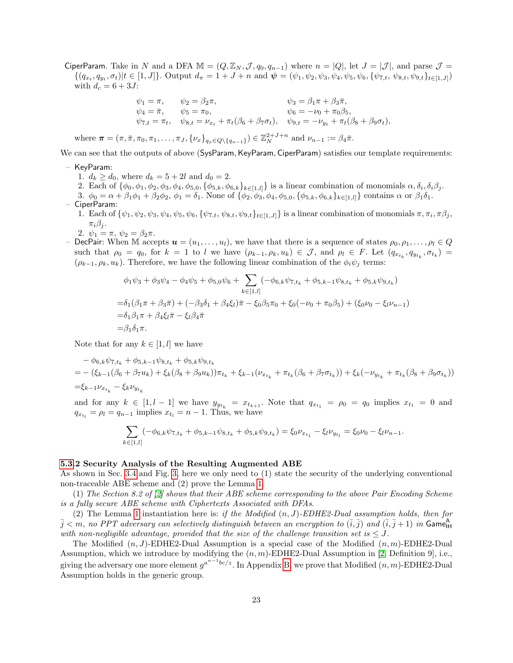CiperParam. Take in N and a DFA  $\mathbb{M} = (Q, \mathbb{Z}_N, \mathcal{J}, q_0, q_{n-1})$  where  $n = |Q|$ , let  $J = |\mathcal{J}|$ , and parse  $\mathcal{J} =$  ${(q_{x_t}, q_{y_t}, \sigma_t)|t \in [1, J]}$ . Output  $d_{\pi} = 1 + J + n$  and  $\boldsymbol{\psi} = (\psi_1, \psi_2, \psi_3, \psi_4, \psi_5, \psi_6, {\psi_{7,t}, \psi_{8,t}, \psi_{9,t}}_{t \in [1, J]})$ with  $d_c = 6 + 3J$ :

$$
\psi_1 = \pi, \qquad \psi_2 = \beta_2 \pi, \qquad \qquad \psi_3 = \beta_1 \pi + \beta_3 \bar{\pi}, \n\psi_4 = \bar{\pi}, \qquad \psi_5 = \pi_0, \qquad \qquad \psi_6 = -\nu_0 + \pi_0 \beta_5, \n\psi_{7,t} = \pi_t, \quad \psi_{8,t} = \nu_{x_t} + \pi_t(\beta_6 + \beta_7 \sigma_t), \quad \psi_{9,t} = -\nu_{y_t} + \pi_t(\beta_8 + \beta_9 \sigma_t),
$$

where  $\boldsymbol{\pi} = (\pi, \bar{\pi}, \pi_0, \pi_1, \dots, \pi_J, \{\nu_x\}_{q_x \in Q \setminus \{q_{n-1}\}}) \in \mathbb{Z}_N^{2+J+n}$  and  $\nu_{n-1} := \beta_4 \bar{\pi}$ .

We can see that the outputs of above (SysParam, KeyParam, CiperParam) satisfies our template requirements:

- KeyParam:
	- 1.  $d_k \geq d_0$ , where  $d_k = 5 + 2l$  and  $d_0 = 2$ .
	- 2. Each of  $\{\phi_0, \phi_1, \phi_2, \phi_3, \phi_4, \phi_{5,0}, \{\phi_{5,k}, \phi_{6,k}\}_{k\in[1,l]} \}$  is a linear combination of monomials  $\alpha, \delta_i, \delta_i\beta_j$ .
- 3.  $\phi_0 = \alpha + \beta_1 \phi_1 + \beta_2 \phi_2$ ,  $\phi_1 = \delta_1$ . None of  $\{\phi_2, \phi_3, \phi_4, \phi_{5,0}, \{\phi_{5,k}, \phi_{6,k}\}_{k \in [1,l]} \}$  contains  $\alpha$  or  $\beta_1 \delta_1$ . – CiperParam:
	- 1. Each of  $\{\psi_1, \psi_2, \psi_3, \psi_4, \psi_5, \psi_6, \{\psi_{7,t}, \psi_{8,t}, \psi_{9,t}\}_{t\in[1,J]}\}$  is a linear combination of monomials  $\pi, \pi_i, \pi \beta_j$ ,  $\pi_i \beta_i$ .
	- 2.  $\psi_1 = \pi, \psi_2 = \beta_2 \pi$ .
- DecPair: When M accepts  $u = (u_1, \ldots, u_l)$ , we have that there is a sequence of states  $\rho_0, \rho_1, \ldots, \rho_l \in Q$ such that  $\rho_0 = q_0$ , for  $k = 1$  to l we have  $(\rho_{k-1}, \rho_k, u_k) \in \mathcal{J}$ , and  $\rho_l \in F$ . Let  $(q_{x_{t_k}}, q_{y_{t_k}}, \sigma_{t_k}) =$  $(\rho_{k-1}, \rho_k, u_k)$ . Therefore, we have the following linear combination of the  $\phi_i \psi_j$  terms:

$$
\phi_1 \psi_3 + \phi_3 \psi_4 - \phi_4 \psi_5 + \phi_{5,0} \psi_6 + \sum_{k \in [1,l]} (-\phi_{6,k} \psi_{7,t_k} + \phi_{5,k-1} \psi_{8,t_k} + \phi_{5,k} \psi_{9,t_k})
$$
  
=  $\delta_1 (\beta_1 \pi + \beta_3 \bar{\pi}) + (-\beta_3 \delta_1 + \beta_4 \xi_l) \bar{\pi} - \xi_0 \beta_5 \pi_0 + \xi_0 (-\nu_0 + \pi_0 \beta_5) + (\xi_0 \nu_0 - \xi_l \nu_{n-1})$   
=  $\delta_1 \beta_1 \pi + \beta_4 \xi_l \bar{\pi} - \xi_l \beta_4 \bar{\pi}$   
=  $\beta_1 \delta_1 \pi$ .

Note that for any  $k \in [1, l]$  we have

$$
- \phi_{6,k} \psi_{7,t_k} + \phi_{5,k-1} \psi_{8,t_k} + \phi_{5,k} \psi_{9,t_k}
$$
  
= -(\xi\_{k-1} (\beta\_6 + \beta\_7 u\_k) + \xi\_k (\beta\_8 + \beta\_9 u\_k)) \pi\_{t\_k} + \xi\_{k-1} (\nu\_{x\_{t\_k}} + \pi\_{t\_k} (\beta\_6 + \beta\_7 \sigma\_{t\_k})) + \xi\_k (-\nu\_{y\_{t\_k}} + \pi\_{t\_k} (\beta\_8 + \beta\_9 \sigma\_{t\_k}))  
= \xi\_{k-1} \nu\_{x\_{t\_k}} - \xi\_k \nu\_{y\_{t\_k}}

and for any  $k \in [1, l-1]$  we have  $y_{y_{t_k}} = x_{t_{k+1}}$ . Note that  $q_{x_{t_1}} = \rho_0 = q_0$  implies  $x_{t_1} = 0$  and  $q_{x_{t_l}} = \rho_l = q_{n-1}$  implies  $x_{t_l} = n - 1$ . Thus, we have

$$
\sum_{k \in [1,l]} (-\phi_{6,k} \psi_{7,t_k} + \phi_{5,k-1} \psi_{8,t_k} + \phi_{5,k} \psi_{9,t_k}) = \xi_0 \nu_{x_{t_1}} - \xi_l \nu_{y_{t_l}} = \xi_0 \nu_0 - \xi_l \nu_{n-1}.
$$

## [5.3.](#page-21-1)2 Security Analysis of the Resulting Augmented ABE

As shown in Sec. [3.4](#page-12-0) and Fig. [3,](#page-13-0) here we only need to (1) state the security of the underlying conventional non-traceable ABE scheme and (2) prove the Lemma [1.](#page-15-2)

(1) The Section 8.2 of [\[2\]](#page-24-2) shows that their ABE scheme corresponding to the above Pair Encoding Scheme is a fully secure ABE scheme with Ciphertexts Associated with DFAs.

(2) The Lemma [1](#page-15-2) instantiation here is: if the Modified  $(n, J)$ -EDHE2-Dual assumption holds, then for  $\bar{j} < m$ , no PPT adversary can selectively distinguish between an encryption to  $(\bar{i},\bar{j})$  and  $(\bar{i},\bar{j}+1)$  in Game $_{\sf HH}^{\sf A}$ with non-negligible advantage, provided that the size of the challenge transition set is  $\leq J$ .

The Modified  $(n, J)$ -EDHE2-Dual Assumption is a special case of the Modified  $(n, m)$ -EDHE2-Dual Assumption, which we introduce by modifying the  $(n, m)$ -EDHE2-Dual Assumption in [\[2,](#page-24-2) Definition 9], i.e., giving the adversary one more element  $g^{a^{n-1}bc/z}$ . In Appendix [B,](#page-26-0) we prove that Modified  $(n,m)$ -EDHE2-Dual Assumption holds in the generic group.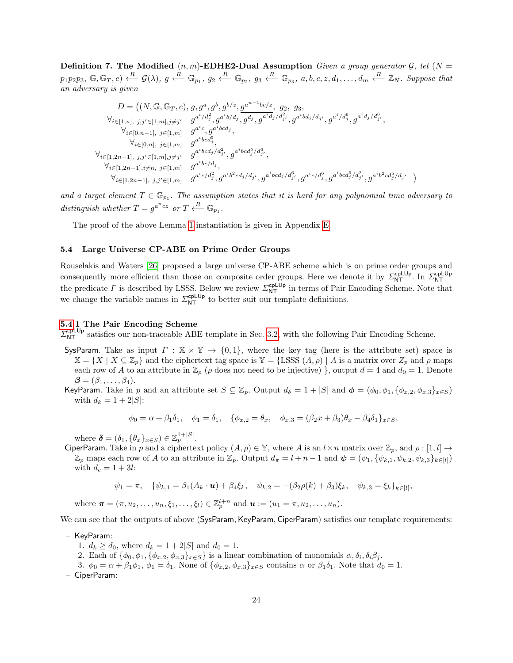**Definition 7.** The Modified  $(n, m)$ -EDHE2-Dual Assumption Given a group generator G, let  $(N =$  $p_1p_2p_3, \mathbb{G}, \mathbb{G}_T, e) \xleftarrow{R} \mathcal{G}(\lambda), g \xleftarrow{R} \mathbb{G}_{p_1}, g_2 \xleftarrow{R} \mathbb{G}_{p_2}, g_3 \xleftarrow{R} \mathbb{G}_{p_3}, a, b, c, z, d_1, \ldots, d_m \xleftarrow{R} \mathbb{Z}_N$ . Suppose that an adversary is given

$$
D = \left( (N, \mathbb{G}, \mathbb{G}_T, e), g, g^a, g^b, g^{b/z}, g^{a^{n-1}bc/z}, g_2, g_3, \n\forall_{i \in [1,n], j, j' \in [1,m], j \neq j'} g^{a^i/d_j^2}, g^{a^ib/d_j}, g^{d^j}, g^{a^id_j/d_{j'}^2}, g^{a^ibd_j/d_{j'}}, g^{a^i/d_j^6}, g^{a^id_j/d_{j'}^6}, \n\forall_{i \in [0,n-1], j \in [1,m]} g^{a^ic}, g^{a^ibcd_j}, \n\forall_{i \in [0,n], j \in [1,m]} g^{a^ibcd_j^5}, \n\forall_{i \in [1,2n-1], j, j' \in [1,m], j \neq j'} g^{a^ibcd_j/d_{j'}^2}, g^{a^ibcd_j^5/d_j^6}, \n\forall_{i \in [1,2n-1], i \neq n, j \in [1,m]} g^{a^ibcd_j/d_j^2}, g^{a^ibcd_j/d_{j'}^4}, g^{a^ibcd_j/d_j^6}, g^{a^ic/d_j^6}, g^{a^ibcd_j^5/d_{j'}^2}, g^{a^ib^2cd_j^5/d_{j'}^4} \right)
$$

and a target element  $T \in \mathbb{G}_{p_1}$ . The assumption states that it is hard for any polynomial time adversary to distinguish whether  $T = g^{a^n c z}$  or  $T \xleftarrow{R} \mathbb{G}_{p_1}$ .

The proof of the above Lemma [1](#page-15-2) instantiation is given in Appendix [E.](#page-41-0)

#### <span id="page-23-0"></span>5.4 Large Universe CP-ABE on Prime Order Groups

Rouselakis and Waters [\[26\]](#page-25-12) proposed a large universe CP-ABE scheme which is on prime order groups and consequently more efficient than those on composite order groups. Here we denote it by  $\Sigma_{NT}^{cplUp}$ . In  $\Sigma_{NT}^{cplUp}$ the predicate  $\Gamma$  is described by LSSS. Below we review  $\Sigma_{\text{NT}}^{\text{cplUp}}$  in terms of Pair Encoding Scheme. Note that we change the variable names in  $\mathcal{L}_{NT}^{\text{cplUp}}$  to better suit our template definitions.

#### [5.4.](#page-23-0)1 The Pair Encoding Scheme

 $\Sigma_{\text{NT}}^{\text{cplUp}}$  satisfies our non-traceable ABE template in Sec. [3.2,](#page-9-0) with the following Pair Encoding Scheme.

- SysParam. Take as input  $\Gamma : \mathbb{X} \times \mathbb{Y} \to \{0,1\}$ , where the key tag (here is the attribute set) space is  $\mathbb{X} = \{X \mid X \subseteq \mathbb{Z}_p\}$  and the ciphertext tag space is  $\mathbb{Y} = \{\text{LSSS } (A, \rho) \mid A \text{ is a matrix over } \mathbb{Z}_p \text{ and } \rho \text{ maps}\}$ each row of A to an attribute in  $\mathbb{Z}_p$  ( $\rho$  does not need to be injective) }, output  $d = 4$  and  $d_0 = 1$ . Denote  $\boldsymbol{\beta} = (\beta_1, \ldots, \beta_4).$
- KeyParam. Take in p and an attribute set  $S \subseteq \mathbb{Z}_p$ . Output  $d_{\delta} = 1 + |S|$  and  $\phi = (\phi_0, \phi_1, \{\phi_{x,2}, \phi_{x,3}\}_{x \in S})$ with  $d_k = 1 + 2|S|$ :

$$
\phi_0 = \alpha + \beta_1 \delta_1, \quad \phi_1 = \delta_1, \quad \{\phi_{x,2} = \theta_x, \quad \phi_{x,3} = (\beta_2 x + \beta_3) \theta_x - \beta_4 \delta_1\}_{x \in S},
$$

where  $\boldsymbol{\delta} = (\delta_1, \{\theta_x\}_{x \in S}) \in \mathbb{Z}_p^{1+|S|}$ .

CiperParam. Take in p and a ciphertext policy  $(A, \rho) \in \mathbb{Y}$ , where A is an  $l \times n$  matrix over  $\mathbb{Z}_p$ , and  $\rho : [1, l] \to$  $\mathbb{Z}_p$  maps each row of A to an attribute in  $\mathbb{Z}_p$ . Output  $d_{\pi} = l + n - 1$  and  $\boldsymbol{\psi} = (\psi_1, \{\psi_{k,1}, \psi_{k,2}, \psi_{k,3}\}_{k \in [l]})$ with  $d_c = 1 + 3l$ :

$$
\psi_1 = \pi, \quad \{ \psi_{k,1} = \beta_1(A_k \cdot \mathbf{u}) + \beta_4 \xi_k, \quad \psi_{k,2} = -(\beta_2 \rho(k) + \beta_3) \xi_k, \quad \psi_{k,3} = \xi_k \}_{k \in [l]},
$$

where  $\bm{\pi} = (\pi, u_2, \dots, u_n, \xi_1, \dots, \xi_l) \in \mathbb{Z}_p^{l+n}$  and  $\bm{u} := (u_1 = \pi, u_2, \dots, u_n)$ .

We can see that the outputs of above (SysParam, KeyParam, CiperParam) satisfies our template requirements:

- KeyParam:
	- 1.  $d_k \geq d_0$ , where  $d_k = 1 + 2|S|$  and  $d_0 = 1$ .
	- 2. Each of  $\{\phi_0, \phi_1, \{\phi_{x,2}, \phi_{x,3}\}_{x \in S}\}$  is a linear combination of monomials  $\alpha, \delta_i, \delta_i\beta_j$ .
	- 3.  $\phi_0 = \alpha + \beta_1 \phi_1$ ,  $\phi_1 = \delta_1$ . None of  $\{\phi_{x,2}, \phi_{x,3}\}_{x \in S}$  contains  $\alpha$  or  $\beta_1 \delta_1$ . Note that  $d_0 = 1$ .
- CiperParam: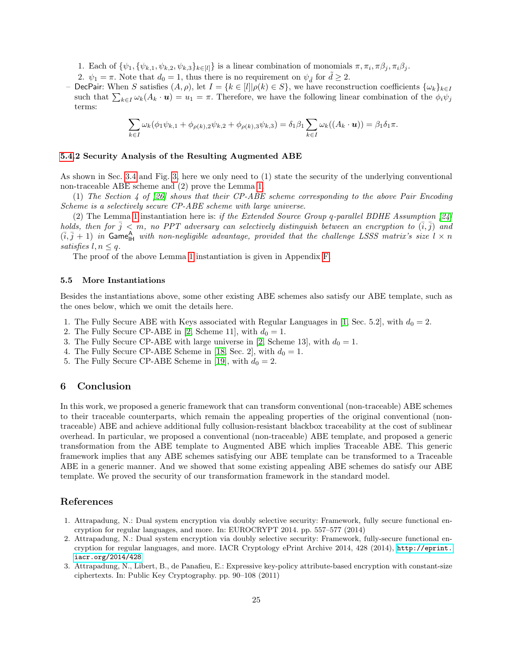1. Each of  $\{\psi_1, \{\psi_{k,1}, \psi_{k,2}, \psi_{k,3}\}_{k\in[l]} \}$  is a linear combination of monomials  $\pi, \pi_i, \pi \beta_j, \pi_i \beta_j$ .

- 2.  $\psi_1 = \pi$ . Note that  $d_0 = 1$ , thus there is no requirement on  $\psi_{\tilde{d}}$  for  $\tilde{d} \geq 2$ .
- **DecPair:** When S satisfies  $(A, \rho)$ , let  $I = \{k \in [l] | \rho(k) \in S\}$ , we have reconstruction coefficients  $\{\omega_k\}_{k \in I}$ such that  $\sum_{k\in I}\omega_k(A_k \cdot \boldsymbol{u}) = u_1 = \pi$ . Therefore, we have the following linear combination of the  $\phi_i\psi_j$ terms:

$$
\sum_{k \in I} \omega_k(\phi_1 \psi_{k,1} + \phi_{\rho(k),2} \psi_{k,2} + \phi_{\rho(k),3} \psi_{k,3}) = \delta_1 \beta_1 \sum_{k \in I} \omega_k((A_k \cdot \mathbf{u})) = \beta_1 \delta_1 \pi.
$$

## [5.4.](#page-23-0)2 Security Analysis of the Resulting Augmented ABE

As shown in Sec. [3.4](#page-12-0) and Fig. [3,](#page-13-0) here we only need to (1) state the security of the underlying conventional non-traceable ABE scheme and (2) prove the Lemma [1.](#page-15-2)

(1) The Section 4 of [\[26\]](#page-25-12) shows that their CP-ABE scheme corresponding to the above Pair Encoding Scheme is a selectively secure CP-ABE scheme with large universe.

(2) The Lemma [1](#page-15-2) instantiation here is: if the Extended Source Group q-parallel BDHE Assumption  $[24]$ holds, then for  $\bar{j} < m$ , no PPT adversary can selectively distinguish between an encryption to  $(\bar{i}, \bar{j})$  and  $(\overline{i}, \overline{j} + 1)$  in Game<sub>lH</sub> with non-negligible advantage, provided that the challenge LSSS matrix's size  $l \times n$ satisfies  $l, n \leq q$ .

The proof of the above Lemma [1](#page-15-2) instantiation is given in Appendix [F.](#page-60-0)

#### 5.5 More Instantiations

Besides the instantiations above, some other existing ABE schemes also satisfy our ABE template, such as the ones below, which we omit the details here.

- 1. The Fully Secure ABE with Keys associated with Regular Languages in [\[1,](#page-24-1) Sec. 5.2], with  $d_0 = 2$ .
- 2. The Fully Secure CP-ABE in [\[2,](#page-24-2) Scheme 11], with  $d_0 = 1$ .
- 3. The Fully Secure CP-ABE with large universe in [\[2,](#page-24-2) Scheme 13], with  $d_0 = 1$ .
- 4. The Fully Secure CP-ABE Scheme in [\[18,](#page-25-6) Sec. 2], with  $d_0 = 1$ .
- 5. The Fully Secure CP-ABE Scheme in [\[19\]](#page-25-9), with  $d_0 = 2$ .

# 6 Conclusion

In this work, we proposed a generic framework that can transform conventional (non-traceable) ABE schemes to their traceable counterparts, which remain the appealing properties of the original conventional (nontraceable) ABE and achieve additional fully collusion-resistant blackbox traceability at the cost of sublinear overhead. In particular, we proposed a conventional (non-traceable) ABE template, and proposed a generic transformation from the ABE template to Augmented ABE which implies Traceable ABE. This generic framework implies that any ABE schemes satisfying our ABE template can be transformed to a Traceable ABE in a generic manner. And we showed that some existing appealing ABE schemes do satisfy our ABE template. We proved the security of our transformation framework in the standard model.

# References

- <span id="page-24-1"></span>1. Attrapadung, N.: Dual system encryption via doubly selective security: Framework, fully secure functional encryption for regular languages, and more. In: EUROCRYPT 2014. pp. 557–577 (2014)
- <span id="page-24-2"></span>2. Attrapadung, N.: Dual system encryption via doubly selective security: Framework, fully-secure functional encryption for regular languages, and more. IACR Cryptology ePrint Archive 2014, 428 (2014), [http://eprint.](http://eprint.iacr.org/2014/428) [iacr.org/2014/428](http://eprint.iacr.org/2014/428)
- <span id="page-24-0"></span>3. Attrapadung, N., Libert, B., de Panafieu, E.: Expressive key-policy attribute-based encryption with constant-size ciphertexts. In: Public Key Cryptography. pp. 90–108 (2011)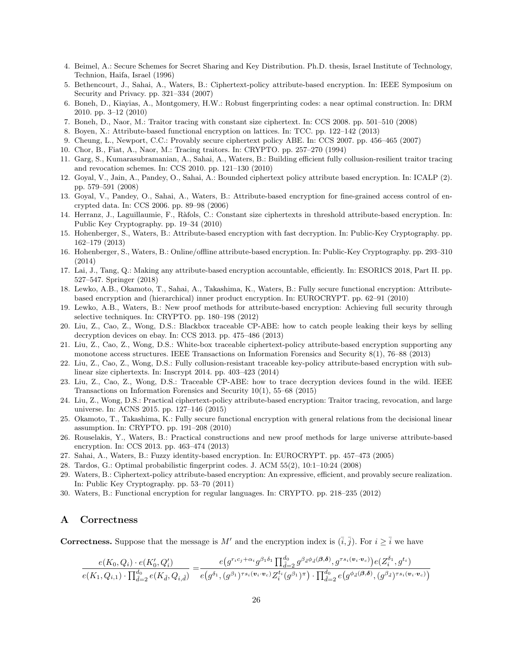- <span id="page-25-27"></span>4. Beimel, A.: Secure Schemes for Secret Sharing and Key Distribution. Ph.D. thesis, Israel Institute of Technology, Technion, Haifa, Israel (1996)
- <span id="page-25-2"></span>5. Bethencourt, J., Sahai, A., Waters, B.: Ciphertext-policy attribute-based encryption. In: IEEE Symposium on Security and Privacy. pp. 321–334 (2007)
- <span id="page-25-23"></span>6. Boneh, D., Kiayias, A., Montgomery, H.W.: Robust fingerprinting codes: a near optimal construction. In: DRM 2010. pp. 3–12 (2010)
- <span id="page-25-20"></span>7. Boneh, D., Naor, M.: Traitor tracing with constant size ciphertext. In: CCS 2008. pp. 501–510 (2008)
- <span id="page-25-19"></span>8. Boyen, X.: Attribute-based functional encryption on lattices. In: TCC. pp. 122–142 (2013)
- <span id="page-25-3"></span>9. Cheung, L., Newport, C.C.: Provably secure ciphertext policy ABE. In: CCS 2007. pp. 456–465 (2007)
- <span id="page-25-22"></span>10. Chor, B., Fiat, A., Naor, M.: Tracing traitors. In: CRYPTO. pp. 257–270 (1994)
- <span id="page-25-26"></span>11. Garg, S., Kumarasubramanian, A., Sahai, A., Waters, B.: Building efficient fully collusion-resilient traitor tracing and revocation schemes. In: CCS 2010. pp. 121–130 (2010)
- <span id="page-25-4"></span>12. Goyal, V., Jain, A., Pandey, O., Sahai, A.: Bounded ciphertext policy attribute based encryption. In: ICALP (2). pp. 579–591 (2008)
- <span id="page-25-1"></span>13. Goyal, V., Pandey, O., Sahai, A., Waters, B.: Attribute-based encryption for fine-grained access control of encrypted data. In: CCS 2006. pp. 89–98 (2006)
- <span id="page-25-8"></span>14. Herranz, J., Laguillaumie, F., Ràfols, C.: Constant size ciphertexts in threshold attribute-based encryption. In: Public Key Cryptography. pp. 19–34 (2010)
- <span id="page-25-11"></span>15. Hohenberger, S., Waters, B.: Attribute-based encryption with fast decryption. In: Public-Key Cryptography. pp. 162–179 (2013)
- <span id="page-25-13"></span>16. Hohenberger, S., Waters, B.: Online/offline attribute-based encryption. In: Public-Key Cryptography. pp. 293–310 (2014)
- <span id="page-25-24"></span>17. Lai, J., Tang, Q.: Making any attribute-based encryption accountable, efficiently. In: ESORICS 2018, Part II. pp. 527–547. Springer (2018)
- <span id="page-25-6"></span>18. Lewko, A.B., Okamoto, T., Sahai, A., Takashima, K., Waters, B.: Fully secure functional encryption: Attributebased encryption and (hierarchical) inner product encryption. In: EUROCRYPT. pp. 62–91 (2010)
- <span id="page-25-9"></span>19. Lewko, A.B., Waters, B.: New proof methods for attribute-based encryption: Achieving full security through selective techniques. In: CRYPTO. pp. 180–198 (2012)
- <span id="page-25-15"></span>20. Liu, Z., Cao, Z., Wong, D.S.: Blackbox traceable CP-ABE: how to catch people leaking their keys by selling decryption devices on ebay. In: CCS 2013. pp. 475–486 (2013)
- <span id="page-25-14"></span>21. Liu, Z., Cao, Z., Wong, D.S.: White-box traceable ciphertext-policy attribute-based encryption supporting any monotone access structures. IEEE Transactions on Information Forensics and Security 8(1), 76–88 (2013)
- <span id="page-25-18"></span>22. Liu, Z., Cao, Z., Wong, D.S.: Fully collusion-resistant traceable key-policy attribute-based encryption with sublinear size ciphertexts. In: Inscrypt 2014. pp. 403–423 (2014)
- <span id="page-25-16"></span>23. Liu, Z., Cao, Z., Wong, D.S.: Traceable CP-ABE: how to trace decryption devices found in the wild. IEEE Transactions on Information Forensics and Security 10(1), 55–68 (2015)
- <span id="page-25-17"></span>24. Liu, Z., Wong, D.S.: Practical ciphertext-policy attribute-based encryption: Traitor tracing, revocation, and large universe. In: ACNS 2015. pp. 127–146 (2015)
- <span id="page-25-7"></span>25. Okamoto, T., Takashima, K.: Fully secure functional encryption with general relations from the decisional linear assumption. In: CRYPTO. pp. 191–208 (2010)
- <span id="page-25-12"></span>26. Rouselakis, Y., Waters, B.: Practical constructions and new proof methods for large universe attribute-based encryption. In: CCS 2013. pp. 463–474 (2013)
- <span id="page-25-0"></span>27. Sahai, A., Waters, B.: Fuzzy identity-based encryption. In: EUROCRYPT. pp. 457–473 (2005)
- <span id="page-25-21"></span>28. Tardos, G.: Optimal probabilistic fingerprint codes. J. ACM 55(2), 10:1–10:24 (2008)
- <span id="page-25-5"></span>29. Waters, B.: Ciphertext-policy attribute-based encryption: An expressive, efficient, and provably secure realization. In: Public Key Cryptography. pp. 53–70 (2011)
- <span id="page-25-10"></span>30. Waters, B.: Functional encryption for regular languages. In: CRYPTO. pp. 218–235 (2012)

# <span id="page-25-25"></span>A Correctness

**Correctness.** Suppose that the message is M' and the encryption index is  $(\bar{i}, \bar{j})$ . For  $i \geq \bar{i}$  we have

$$
\frac{e(K_0,Q_i) \cdot e(K_0',Q_i')}{e(K_1,Q_{i,1}) \cdot \prod_{\tilde{d}=2}^{d_0} e(K_{\tilde{d}},Q_{i,\tilde{d}})} = \frac{e\left(g^{r_ic_j+\alpha_i}g^{\beta_1\delta_1} \prod_{\tilde{d}=2}^{d_0}g^{\beta_{\tilde{d}}\phi_{\tilde{d}}(\boldsymbol{\beta},\boldsymbol{\delta})},g^{\tau s_i(\boldsymbol{v}_i \cdot \boldsymbol{v}_c)}\right)e(Z_i^{\delta_1},g^{t_i})}{e\left(g^{\delta_1},(g^{\beta_1})^{\tau s_i(\boldsymbol{v}_i \cdot \boldsymbol{v}_c)} Z_i^{t_i}(g^{\beta_1})^{\pi}\right) \cdot \prod_{\tilde{d}=2}^{d_0} e\left(g^{\phi_{\tilde{d}}(\boldsymbol{\beta},\boldsymbol{\delta})},(g^{\beta_{\tilde{d}}})^{\tau s_i(\boldsymbol{v}_i \cdot \boldsymbol{v}_c)}\right)}
$$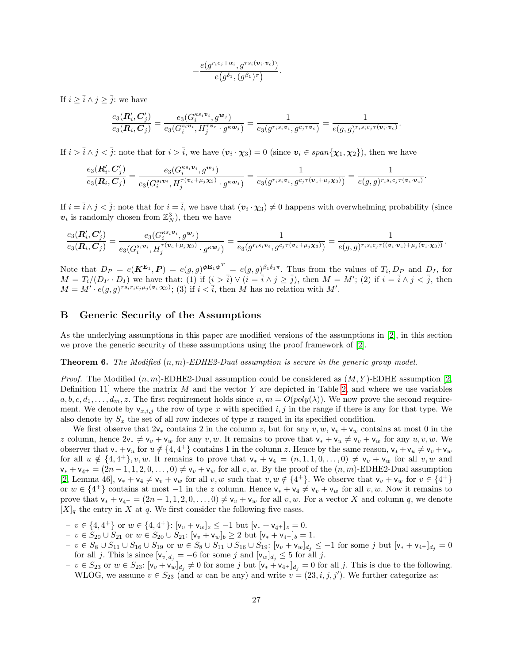$$
\!=\!\frac{e(g^{r_ic_j+\alpha_i},g^{\tau s_i(\boldsymbol{v}_i\cdot \boldsymbol{v}_c)})}{e\big(g^{\delta_1},(g^{\beta_1})^\pi\big)}.
$$

If  $i \geq \overline{i} \wedge j \geq \overline{j}$ : we have

$$
\frac{e_3({\bm{R}}_i',{\bm{C}}_j')}{e_3({\bm{R}}_i,{\bm{C}}_j)} = \frac{e_3(G_i^{\kappa s_i {\bm{v}}_i},g^{{\bm{w}}_j})}{e_3(G_i^{\kappa {\bm{v}}_i},H_j^{\tau {\bm{v}}_c} \cdot g^{\kappa {\bm{w}}_j})} = \frac{1}{e_3(g^{r_i s_i {\bm{v}}_i},g^{c_j \tau {\bm{v}}_c})} = \frac{1}{e(g,g)^{r_i s_i c_j \tau({\bm{v}}_i \cdot {\bm{v}}_c)}}.
$$

If  $i > \overline{i} \wedge j < \overline{j}$ : note that for  $i > \overline{i}$ , we have  $(\mathbf{v}_i \cdot \mathbf{\chi}_3) = 0$  (since  $\mathbf{v}_i \in span{\{\mathbf{\chi}_1, \mathbf{\chi}_2\}}\}$ , then we have

$$
\frac{e_3(R_i',C_j')}{e_3(R_i,C_j)} = \frac{e_3(G_i^{\kappa s_i \mathbf{v}_i},g^{\mathbf{w}_j})}{e_3(G_i^{\kappa_i \mathbf{v}_i},H_j^{\tau(\mathbf{v}_c+\mu_j\mathbf{x}_3)}\cdot g^{\kappa \mathbf{w}_j})} = \frac{1}{e_3(g^{r_is_i \mathbf{v}_i},g^{c_j \tau(\mathbf{v}_c+\mu_j\mathbf{x}_3)})} = \frac{1}{e(g,g)^{r_is_i c_j \tau(\mathbf{v}_i\cdot\mathbf{v}_c)}}.
$$

If  $i = \overline{i} \wedge j < \overline{j}$ : note that for  $i = \overline{i}$ , we have that  $(v_i \cdot \chi_3) \neq 0$  happens with overwhelming probability (since  $v_i$  is randomly chosen from  $\mathbb{Z}_N^3$ , then we have

$$
\frac{e_3({\bm{R}}_i',{\bm{C}}_j')}{e_3({\bm{R}}_i,{\bm{C}}_j)}=\frac{e_3(G_i^{\kappa s_i{\bm{v}}_i},g^{{\bm{w}}_j})}{e_3(G_i^{\kappa_i{\bm{v}}_i},H_j^{\tau({\bm{v}}_c+\mu_j{\bm{\chi}}_3)}\cdot g^{\kappa{\bm{w}}_j})}=\frac{1}{e_3(g^{r_is_i{\bm{v}}_i},g^{c_j\tau({\bm{v}}_c+\mu_j{\bm{\chi}}_3)})}=\frac{1}{e(g,g)^{r_is_i{c_j}\tau(({\bm{v}}_i\cdot{\bm{v}}_c)+\mu_j({\bm{v}}_i\cdot{\bm{\chi}}_3))}}.
$$

Note that  $D_P = e(K^{E_1}, P) = e(g, g)^{\phi E_1 \phi^T} = e(g, g)^{\beta_1 \delta_1 \pi}$ . Thus from the values of  $T_i, D_P$  and  $D_I$ , for  $M = T_i/(D_P \cdot D_I)$  we have that: (1) if  $(i > \overline{i}) \vee (i = \overline{i} \wedge j \ge \overline{j})$ , then  $M = M'$ ; (2) if  $i = \overline{i} \wedge j < \overline{j}$ , then  $M = M' \cdot e(g, g)^{\tau s_i r_i c_j \mu_j(\boldsymbol{v}_i \cdot \boldsymbol{\chi}_3)}$ ; (3) if  $i < \overline{i}$ , then M has no relation with M'.

# <span id="page-26-0"></span>B Generic Security of the Assumptions

As the underlying assumptions in this paper are modified versions of the assumptions in [\[2\]](#page-24-2), in this section we prove the generic security of these assumptions using the proof framework of [\[2\]](#page-24-2).

#### **Theorem 6.** The Modified  $(n, m)$ -EDHE2-Dual assumption is secure in the generic group model.

*Proof.* The Modified  $(n, m)$ -EDHE2-Dual assumption could be considered as  $(M, Y)$ -EDHE assumption [\[2,](#page-24-2) Definition 11] where the matrix  $M$  and the vector  $Y$  are depicted in Table [2,](#page-27-0) and where we use variables  $a, b, c, d_1, \ldots, d_m, z$ . The first requirement holds since  $n, m = O(poly(\lambda))$ . We now prove the second requirement. We denote by  $\mathsf{v}_{x,i,j}$  the row of type x with specified i, j in the range if there is any for that type. We also denote by  $S_x$  the set of all row indexes of type x ranged in its specified condition.

We first observe that  $2v_*$  contains 2 in the column z, but for any  $v, w, v_v + v_w$  contains at most 0 in the z column, hence  $2v_* \neq v_v + v_w$  for any v, w. It remains to prove that  $v_* + v_u \neq v_v + v_w$  for any  $u, v, w$ . We observer that  $\mathsf{v}_* + \mathsf{v}_u$  for  $u \notin \{4, 4^+\}$  contains 1 in the column z. Hence by the same reason,  $\mathsf{v}_* + \mathsf{v}_u \neq \mathsf{v}_v + \mathsf{v}_w$ for all  $u \notin \{4, 4^+\}$ , v, w. It remains to prove that  $v_* + v_4 = (n, 1, 1, 0, \ldots, 0) \neq v_v + v_w$  for all v, w and  $v_* + v_{4^+} = (2n-1, 1, 2, 0, \ldots, 0) \neq v_v + v_w$  for all v, w. By the proof of the  $(n, m)$ -EDHE2-Dual assumption [\[2,](#page-24-2) Lemma 46],  $v_* + v_4 \neq v_v + v_w$  for all  $v, w$  such that  $v, w \notin \{4^+\}$ . We observe that  $v_v + v_w$  for  $v \in \{4^+\}$ or  $w \in \{4^+\}$  contains at most  $-1$  in the z column. Hence  $v_* + v_4 \neq v_v + v_w$  for all  $v, w$ . Now it remains to prove that  $\mathsf{v}_* + \mathsf{v}_{4^+} = (2n-1,1,2,0,\ldots,0) \neq \mathsf{v}_v + \mathsf{v}_w$  for all  $v, w$ . For a vector X and column q, we denote  $[X]_q$  the entry in X at q. We first consider the following five cases.

- $-v \in \{4, 4^+\}$  or  $w \in \{4, 4^+\}$ :  $[v_v + v_w]_z \le -1$  but  $[v_* + v_{4^+}]_z = 0$ .
- $v \in S_{20} \cup S_{21}$  or  $w \in S_{20} \cup S_{21}$ : [**v**<sub>*v*</sub> + **v**<sub>*w*</sub>]<sub>*b*</sub> ≥ 2 but [**v**<sub>\*</sub> + **v**<sub>4</sub>+]<sub>*b*</sub> = 1.
- $v_1 v \in S_8 \cup S_{11} \cup S_{16} \cup S_{19}$  or  $w \in S_8 \cup S_{11} \cup S_{16} \cup S_{19}$ :  $[v_v + v_w]_{d_i} \le -1$  for some j but  $[v_* + v_{4+}]_{d_i} = 0$ for all j. This is since  $[v_v]_{d_i} = -6$  for some j and  $[v_w]_{d_i} \leq 5$  for all j.
- $v \in S_{23}$  or  $w \in S_{23}$ :  $[v_v + v_w]_{d_j} \neq 0$  for some j but  $[v_* + v_{4+}]_{d_j} = 0$  for all j. This is due to the following. WLOG, we assume  $v \in S_{23}$  (and w can be any) and write  $v = (23, i, j, j')$ . We further categorize as: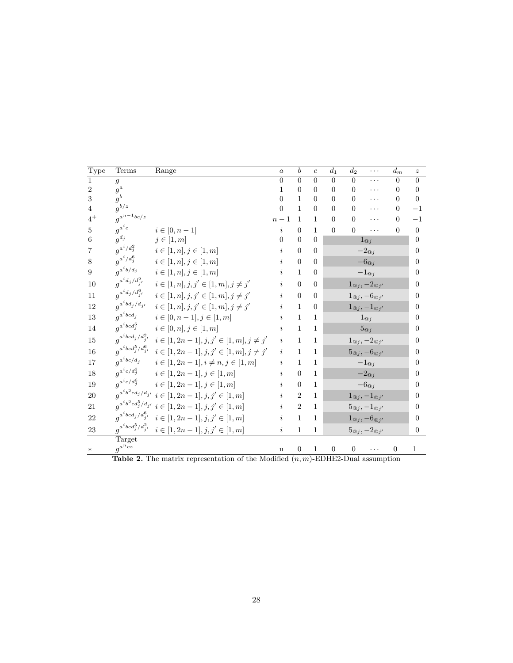| Terms  | Range                                                                                                                                                                                                                                                                                                                                                                                                                                                                                          | $\alpha$                                                                                                                                                                 | b                                                                                                                        | $\overline{c}$ | $d_1$            | $d_2$          | $\cdots$ | $d_m$                                                                                                                                                                                                                                                                                                                                                                                                                                    | $\boldsymbol{z}$                                                                                    |
|--------|------------------------------------------------------------------------------------------------------------------------------------------------------------------------------------------------------------------------------------------------------------------------------------------------------------------------------------------------------------------------------------------------------------------------------------------------------------------------------------------------|--------------------------------------------------------------------------------------------------------------------------------------------------------------------------|--------------------------------------------------------------------------------------------------------------------------|----------------|------------------|----------------|----------|------------------------------------------------------------------------------------------------------------------------------------------------------------------------------------------------------------------------------------------------------------------------------------------------------------------------------------------------------------------------------------------------------------------------------------------|-----------------------------------------------------------------------------------------------------|
| 9      |                                                                                                                                                                                                                                                                                                                                                                                                                                                                                                | $\overline{0}$                                                                                                                                                           | $\overline{0}$                                                                                                           | $\overline{0}$ | $\Omega$         | $\Omega$       | .        | $\Omega$                                                                                                                                                                                                                                                                                                                                                                                                                                 | $\theta$                                                                                            |
|        |                                                                                                                                                                                                                                                                                                                                                                                                                                                                                                | 1                                                                                                                                                                        | $\overline{0}$                                                                                                           | $\overline{0}$ | $\Omega$         | $\Omega$       | .        | $\Omega$                                                                                                                                                                                                                                                                                                                                                                                                                                 | $\Omega$                                                                                            |
|        |                                                                                                                                                                                                                                                                                                                                                                                                                                                                                                |                                                                                                                                                                          | $\mathbf{1}$                                                                                                             | $\overline{0}$ | $\theta$         | $\overline{0}$ | .        | $\Omega$                                                                                                                                                                                                                                                                                                                                                                                                                                 | $\Omega$                                                                                            |
|        |                                                                                                                                                                                                                                                                                                                                                                                                                                                                                                |                                                                                                                                                                          |                                                                                                                          |                |                  |                | .        |                                                                                                                                                                                                                                                                                                                                                                                                                                          | $-1$                                                                                                |
|        |                                                                                                                                                                                                                                                                                                                                                                                                                                                                                                | $n-1$                                                                                                                                                                    | $\mathbf{1}$                                                                                                             | $\mathbf{1}$   | $\Omega$         | $\Omega$       | .        | $\Omega$                                                                                                                                                                                                                                                                                                                                                                                                                                 | $^{-1}$                                                                                             |
|        | $i \in [0, n-1]$                                                                                                                                                                                                                                                                                                                                                                                                                                                                               | $\dot{i}$                                                                                                                                                                | $\overline{0}$                                                                                                           | $\mathbf{1}$   | $\overline{0}$   | $\overline{0}$ | .        | $\overline{0}$                                                                                                                                                                                                                                                                                                                                                                                                                           | $\theta$                                                                                            |
|        |                                                                                                                                                                                                                                                                                                                                                                                                                                                                                                | $\Omega$                                                                                                                                                                 | $\overline{0}$                                                                                                           | $\overline{0}$ |                  |                |          |                                                                                                                                                                                                                                                                                                                                                                                                                                          | $\Omega$                                                                                            |
|        | $i\in [1,n], j\in [1,m]$                                                                                                                                                                                                                                                                                                                                                                                                                                                                       | $\dot{i}$                                                                                                                                                                | $\overline{0}$                                                                                                           | $\theta$       |                  |                |          |                                                                                                                                                                                                                                                                                                                                                                                                                                          | $\theta$                                                                                            |
|        | $i \in [1, n], j \in [1, m]$                                                                                                                                                                                                                                                                                                                                                                                                                                                                   | $\dot{i}$                                                                                                                                                                | $\boldsymbol{0}$                                                                                                         | $\theta$       |                  |                |          |                                                                                                                                                                                                                                                                                                                                                                                                                                          | $\Omega$                                                                                            |
|        | $i \in [1, n], j \in [1, m]$                                                                                                                                                                                                                                                                                                                                                                                                                                                                   | $\dot{i}$                                                                                                                                                                | $\mathbf{1}$                                                                                                             | $\overline{0}$ |                  |                |          |                                                                                                                                                                                                                                                                                                                                                                                                                                          | $\theta$                                                                                            |
|        | $i \in [1, n], j, j' \in [1, m], j \neq j'$                                                                                                                                                                                                                                                                                                                                                                                                                                                    | i                                                                                                                                                                        | $\theta$                                                                                                                 | $\overline{0}$ |                  |                |          |                                                                                                                                                                                                                                                                                                                                                                                                                                          | $\overline{0}$                                                                                      |
|        | $i\in [1,n], j,j'\in [1,m], j\neq j'$                                                                                                                                                                                                                                                                                                                                                                                                                                                          | i                                                                                                                                                                        | $\overline{0}$                                                                                                           | $\Omega$       |                  |                |          |                                                                                                                                                                                                                                                                                                                                                                                                                                          | $\Omega$                                                                                            |
|        | $i \in [1, n], j, j' \in [1, m], j \neq j'$                                                                                                                                                                                                                                                                                                                                                                                                                                                    |                                                                                                                                                                          | $\mathbf{1}$                                                                                                             | $\overline{0}$ |                  |                |          |                                                                                                                                                                                                                                                                                                                                                                                                                                          | $\overline{0}$                                                                                      |
|        | $i\in [0,n-1], j\in [1,m]$                                                                                                                                                                                                                                                                                                                                                                                                                                                                     | i                                                                                                                                                                        | $\mathbf{1}$                                                                                                             | $\mathbf{1}$   |                  |                |          |                                                                                                                                                                                                                                                                                                                                                                                                                                          | $\theta$                                                                                            |
|        | $i \in [0, n], j \in [1, m]$                                                                                                                                                                                                                                                                                                                                                                                                                                                                   | i                                                                                                                                                                        | $\mathbf{1}$                                                                                                             | $\mathbf{1}$   |                  |                |          |                                                                                                                                                                                                                                                                                                                                                                                                                                          | $\overline{0}$                                                                                      |
|        |                                                                                                                                                                                                                                                                                                                                                                                                                                                                                                | $\dot{i}$                                                                                                                                                                | $\mathbf{1}$                                                                                                             | $\mathbf{1}$   |                  |                |          |                                                                                                                                                                                                                                                                                                                                                                                                                                          | $\theta$                                                                                            |
|        |                                                                                                                                                                                                                                                                                                                                                                                                                                                                                                | $\dot{i}$                                                                                                                                                                | $\mathbf{1}$                                                                                                             | $\mathbf{1}$   |                  |                |          |                                                                                                                                                                                                                                                                                                                                                                                                                                          | $\theta$                                                                                            |
|        | $i \in [1, 2n-1], i \neq n, j \in [1, m]$                                                                                                                                                                                                                                                                                                                                                                                                                                                      | $\it i$                                                                                                                                                                  | $\mathbf{1}$                                                                                                             | $\mathbf{1}$   |                  |                |          |                                                                                                                                                                                                                                                                                                                                                                                                                                          | $\Omega$                                                                                            |
|        | $i \in [1, 2n-1], j \in [1, m]$                                                                                                                                                                                                                                                                                                                                                                                                                                                                | $\dot{i}$                                                                                                                                                                | $\theta$                                                                                                                 | $\mathbf{1}$   |                  |                |          |                                                                                                                                                                                                                                                                                                                                                                                                                                          | $\Omega$                                                                                            |
|        | $i \in [1, 2n-1], j \in [1, m]$                                                                                                                                                                                                                                                                                                                                                                                                                                                                | $\dot{i}$                                                                                                                                                                | $\boldsymbol{0}$                                                                                                         | $\mathbf{1}$   |                  |                |          |                                                                                                                                                                                                                                                                                                                                                                                                                                          | $\boldsymbol{0}$                                                                                    |
|        |                                                                                                                                                                                                                                                                                                                                                                                                                                                                                                | $\dot{i}$                                                                                                                                                                | $\overline{2}$                                                                                                           | $\mathbf{1}$   |                  |                |          |                                                                                                                                                                                                                                                                                                                                                                                                                                          | $\Omega$                                                                                            |
|        |                                                                                                                                                                                                                                                                                                                                                                                                                                                                                                | $\dot{i}$                                                                                                                                                                | $\overline{2}$                                                                                                           | $\mathbf{1}$   |                  |                |          |                                                                                                                                                                                                                                                                                                                                                                                                                                          | $\theta$                                                                                            |
|        | $i \in [1, 2n-1], j, j' \in [1, m]$                                                                                                                                                                                                                                                                                                                                                                                                                                                            | $\dot{i}$                                                                                                                                                                | $\mathbf{1}$                                                                                                             | 1              |                  |                |          |                                                                                                                                                                                                                                                                                                                                                                                                                                          | $\Omega$                                                                                            |
|        | $i\in [1,2n-1], j,j'\in [1,m]$                                                                                                                                                                                                                                                                                                                                                                                                                                                                 | $\dot{\imath}$                                                                                                                                                           | $\mathbf{1}$                                                                                                             | $\mathbf{1}$   |                  |                |          |                                                                                                                                                                                                                                                                                                                                                                                                                                          | $\theta$                                                                                            |
| Target |                                                                                                                                                                                                                                                                                                                                                                                                                                                                                                |                                                                                                                                                                          |                                                                                                                          |                |                  |                |          |                                                                                                                                                                                                                                                                                                                                                                                                                                          |                                                                                                     |
|        |                                                                                                                                                                                                                                                                                                                                                                                                                                                                                                | $\mathbf n$                                                                                                                                                              | $\overline{0}$                                                                                                           | $\,1$          | $\boldsymbol{0}$ | $\overline{0}$ | .        | $\boldsymbol{0}$                                                                                                                                                                                                                                                                                                                                                                                                                         | 1                                                                                                   |
|        | $g^a$<br>$g^b$<br>$g^{b/z}$<br>$g^{a^{n-1}bc/z}$<br>$g^{a^ic}$<br>$\boldsymbol{g}^{d_j}$<br>$g^{a^i/d_j^2}$<br>$g^{a^i/d_j^6}$<br>$g^{a^ib/d_j}$<br>$g^{a^id_j/d_{j^\prime}^2}$<br>$g^{a^id_j/d^6_{j^\prime}}$<br>$g^{a^i b d_j / d_{j^\prime}}$<br>$q^{a^i b c d_j}$<br>$g^{a^i b c d^5_j}$<br>$g^{a^i b c d_j / d_{j^\prime}^2}$<br>$g^{a^i b c d^5_j/d^6_{j^\prime}}$<br>$g^{a^i b c/d_j}$<br>$g^{a^i c/d_j^2}$<br>$q^{a^i c/d_j^6}$<br>$g^{a^i b c d_j / d^6_{j^\prime}}$<br>$g^{a^{n}cz}$ | $j\in[1,m]$<br>$q^{a^ib^2cd_j/d_{j'}}\ i\in [1,2n-1], j,j'\in [1,m]$<br>$g^{a^ib^2cd^5_j/d_{j'}}\; i\in [1,2n-1], j,j'\in [1,m]$<br>$q^{a^i b c d^5_j / d^2_{j^\prime}}$ | $\Omega$<br>$\theta$<br>$i \in [1, 2n-1], j, j' \in [1, m], j \neq j'$<br>$i \in [1, 2n-1], j, j' \in [1, m], j \neq j'$ | $\mathbf{1}$   | $\Omega$         | $\Omega$       | $\Omega$ | $1_{@j}$<br>$-2\mathbf{Q}_j$<br>$-6\alpha_j$<br>$-1_{@j}$<br>$1_{@j}, -2_{@j'}$<br>$1\omega_j, -6\omega_{j'}$<br>$1_{@j}, -1_{@j'}$<br>$1_{@j}$<br>$5\text{e}_j$<br>$1_{@j}, -2_{@j'}$<br>$5\mathbf{e}_j, -6\mathbf{e}_j$<br>$-1_{@j}$<br>$-2\mathbf{Q}_j$<br>$-6\mathbf{e}_j$<br>$1_{\mathcal{Q}_j}, -1_{\mathcal{Q}_j}$<br>$5\mathbf{e}_j, -1\mathbf{e}_{j'}$<br>$1_{\mathcal{Q}_j}, -6_{\mathcal{Q}_j}$<br>$5\omega_j, -2\omega_{j'}$ | $\Omega$<br><b>Table 2</b> The matrix representation of the Modified $(n, m)$ FDHF2 Dual assumption |

<span id="page-27-0"></span>

|  |  | <b>Table 2.</b> The matrix representation of the Modified $(n, m)$ -EDHE2-Dual assumption |  |  |  |  |  |
|--|--|-------------------------------------------------------------------------------------------|--|--|--|--|--|
|--|--|-------------------------------------------------------------------------------------------|--|--|--|--|--|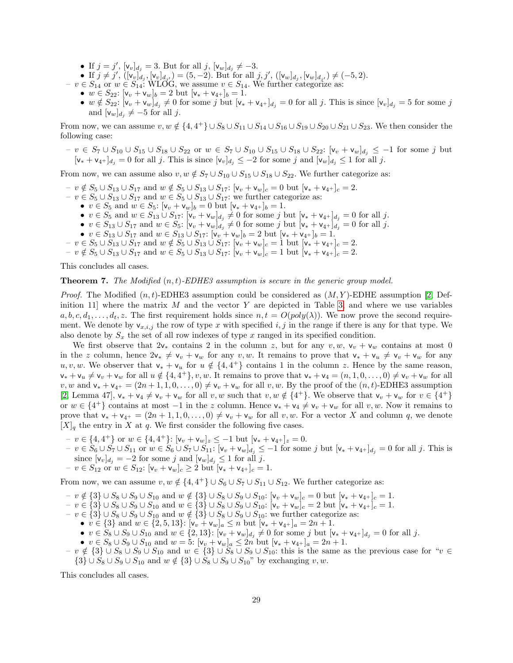- If  $j = j'$ ,  $[v_v]_{d_j} = 3$ . But for all  $j$ ,  $[v_w]_{d_j} \neq -3$ .
- If  $j \neq j'$ ,  $([\mathsf{v}_v]_{d_j}, [\mathsf{v}_v]_{d_{j'}}) = (5, -2)$ . But for all  $j, j'$ ,  $([\mathsf{v}_w]_{d_j}, [\mathsf{v}_w]_{d_{j'}}) \neq (-5, 2)$ .
- $v \in S_{14}$  or  $w \in S_{14}$ : WLOG, we assume  $v \in S_{14}$ . We further categorize as:
	- $w \in S_{22}$ :  $[v_v + v_w]_b = 2$  but  $[v_* + v_{4+}]_b = 1$ .
	- $w \notin S_{22}$ :  $[v_v + v_w]_{d_j} \neq 0$  for some j but  $[v_* + v_{4+}]_{d_j} = 0$  for all j. This is since  $[v_v]_{d_j} = 5$  for some j and  $[v_w]_{d_j} \neq -5$  for all j.

From now, we can assume  $v, w \notin \{4, 4^+\} \cup S_8 \cup S_{11} \cup S_{14} \cup S_{16} \cup S_{19} \cup S_{20} \cup S_{21} \cup S_{23}$ . We then consider the following case:

 $- v \in S_7 \cup S_{10} \cup S_{15} \cup S_{18} \cup S_{22} \text{ or } w \in S_7 \cup S_{10} \cup S_{15} \cup S_{18} \cup S_{22}: [\mathsf{v}_v + \mathsf{v}_w]_{d_j} \leq -1 \text{ for some } j \text{ but } j \text{ is a constant.}$  $[v_* + v_{4+}]_{d_i} = 0$  for all j. This is since  $[v_v]_{d_i} \leq -2$  for some j and  $[v_w]_{d_i} \leq 1$  for all j.

From now, we can assume also  $v, w \notin S_7 \cup S_{10} \cup S_{15} \cup S_{18} \cup S_{22}$ . We further categorize as:

- $v \notin S_5 \cup S_{13} \cup S_{17}$  and  $w \notin S_5 \cup S_{13} \cup S_{17}$ : [ $v_v + v_w$ ]<sub>c</sub> = 0 but [ $v_* + v_{4+}$ ]<sub>c</sub> = 2.
- $v \in S_5 \cup S_{13} \cup S_{17}$  and  $w \in S_5 \cup S_{13} \cup S_{17}$ : we further categorize as:
	- $v \in S_5$  and  $w \in S_5$ :  $[v_v + v_w]_b = 0$  but  $[v_* + v_{4^+}]_b = 1$ .
		- $v \in S_5$  and  $w \in S_{13} \cup S_{17}$ :  $[v_v + v_w]_{d_j} \neq 0$  for some j but  $[v_* + v_{4^+}]_{d_j} = 0$  for all j.
	- $v \in S_{13} \cup S_{17}$  and  $w \in S_5$ :  $[v_v + v_w]_{d_j} \neq 0$  for some j but  $[v_* + v_{4^+}]_{d_j} = 0$  for all j.
	- $v \in S_{13} \cup S_{17}$  and  $w \in S_{13} \cup S_{17}$ :  $[v_v + v_w]_b = 2$  but  $[v_* + v_{4+}]_b = 1$ .
- $v \in S_5 \cup S_{13} \cup S_{17}$  and  $w \notin S_5 \cup S_{13} \cup S_{17}$ : [ $v_v + v_w$ ]<sub>c</sub> = 1 but [ $v_* + v_{4+}$ ]<sub>c</sub> = 2.
- $v \notin S_5 \cup S_{13} \cup S_{17}$  and  $w \in S_5 \cup S_{13} \cup S_{17}$ : [ $v_v + v_w$ ]<sub>c</sub> = 1 but [ $v_* + v_{4+}$ ]<sub>c</sub> = 2.

This concludes all cases.

#### **Theorem 7.** The Modified  $(n, t)$ -EDHE3 assumption is secure in the generic group model.

*Proof.* The Modified  $(n, t)$ -EDHE3 assumption could be considered as  $(M, Y)$ -EDHE assumption [\[2,](#page-24-2) Definition 11] where the matrix  $M$  and the vector  $Y$  are depicted in Table [3,](#page-29-1) and where we use variables  $a, b, c, d_1, \ldots, d_t, z$ . The first requirement holds since  $n, t = O(poly(\lambda))$ . We now prove the second requirement. We denote by  $v_{x,i,j}$  the row of type x with specified i, j in the range if there is any for that type. We also denote by  $S_x$  the set of all row indexes of type x ranged in its specified condition.

We first observe that  $2v_*$  contains 2 in the column z, but for any  $v, w, v_v + v_w$  contains at most 0 in the z column, hence  $2v_* \neq v_v + v_w$  for any v, w. It remains to prove that  $v_* + v_u \neq v_v + v_w$  for any u, v, w. We observer that  $v_* + v_u$  for  $u \notin \{4, 4^+\}$  contains 1 in the column z. Hence by the same reason,  $\mathsf{v}_* + \mathsf{v}_u \neq \mathsf{v}_v + \mathsf{v}_w$  for all  $u \notin \{4, 4^+\}, v, w$ . It remains to prove that  $\mathsf{v}_* + \mathsf{v}_4 = (n, 1, 0, \ldots, 0) \neq \mathsf{v}_v + \mathsf{v}_w$  for all v, w and  $\mathsf{v}_* + \mathsf{v}_{4+} = (2n+1,1,0,\ldots,0) \neq \mathsf{v}_v + \mathsf{v}_w$  for all v, w. By the proof of the  $(n,t)$ -EDHE3 assumption [\[2,](#page-24-2) Lemma 47],  $v_* + v_4 \neq v_v + v_w$  for all  $v, w$  such that  $v, w \notin \{4^+\}$ . We observe that  $v_v + v_w$  for  $v \in \{4^+\}$ or  $w \in \{4^+\}$  contains at most  $-1$  in the z column. Hence  $v_* + v_4 \neq v_v + v_w$  for all  $v, w$ . Now it remains to prove that  $\mathsf{v}_* + \mathsf{v}_{4^+} = (2n+1,1,0,\ldots,0) \neq \mathsf{v}_v + \mathsf{v}_w$  for all  $v, w$ . For a vector X and column q, we denote  $[X]_q$  the entry in X at q. We first consider the following five cases.

- $-v \in \{4, 4^+\}$  or  $w \in \{4, 4^+\}$ :  $[v_v + v_w]_z \le -1$  but  $[v_* + v_{4^+}]_z = 0$ .
- $v = v \in S_6 \cup S_7 \cup S_{11}$  or  $w \in S_6 \cup S_7 \cup S_{11}$ :  $[v_v + v_w]_{d_j}$  ≤ −1 for some j but  $[v_* + v_{4^+}]_{d_j} = 0$  for all j. This is since  $[v_v]_{d_j} = -2$  for some j and  $[v_w]_{d_j} \le 1$  for all j.
- $-v \in S_{12}$  or  $w \in S_{12}$ :  $[v_v + v_w]_c \ge 2$  but  $[v_* + v_{4+}]_c = 1$ .

From now, we can assume  $v, w \notin \{4, 4^+\} \cup S_6 \cup S_7 \cup S_{11} \cup S_{12}$ . We further categorize as:

- $v \notin \{3\} \cup S_8 \cup S_9 \cup S_{10} \text{ and } w \notin \{3\} \cup S_8 \cup S_9 \cup S_{10}: [\mathsf{v}_v + \mathsf{v}_w]_c = 0 \text{ but } [\mathsf{v}_* + \mathsf{v}_{4^+}]_c = 1.$
- $v \in \{3\} \cup S_8 \cup S_9 \cup S_{10} \text{ and } w \in \{3\} \cup S_8 \cup S_9 \cup S_{10}$ : [ $\mathsf{v}_v + \mathsf{v}_w$ ]<sub>c</sub> = 2 but [ $\mathsf{v}_* + \mathsf{v}_{4+}$ ]<sub>c</sub> = 1.
- $v \in \{3\} \cup S_8 \cup S_9 \cup S_{10}$  and  $w \notin \{3\} \cup S_8 \cup S_9 \cup S_{10}$ : we further categorize as:
	- $v \in \{3\}$  and  $w \in \{2, 5, 13\}$ :  $[v_v + v_w]_a \le n$  but  $[v_* + v_{4+}]_a = 2n + 1$ .
	- $v \in S_8 \cup S_9 \cup S_{10}$  and  $w \in \{2, 13\}$ :  $[v_v + v_w]_{d_j} \neq 0$  for some j but  $[v_* + v_{4+}]_{d_j} = 0$  for all j.
	- $v \in S_8 \cup S_9 \cup S_{10}$  and  $w = 5$ :  $[v_v + v_w]_a \le 2n$  but  $[v_* + v_{4+}]_a = 2n + 1$ .
- $v \notin \{3\} \cup S_8 \cup S_9 \cup S_{10} \text{ and } w \in \{3\} \cup \overline{S}_8 \cup S_9 \cup S_{10}$ : this is the same as the previous case for " $v \in \{3\}$  $\{3\} \cup S_8 \cup S_9 \cup S_{10}$  and  $w \notin \{3\} \cup S_8 \cup S_9 \cup S_{10}$ " by exchanging v, w.

This concludes all cases.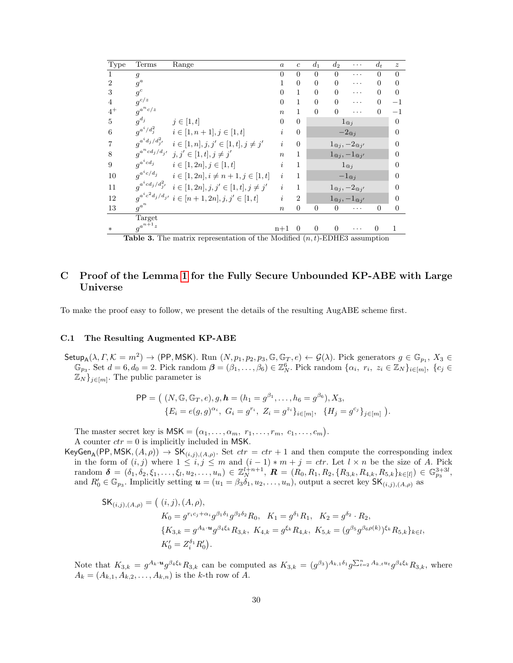| ${\rm Type}$   | Terms                         | Range                                                   | $\boldsymbol{a}$              | $\mathfrak{c}$ | $d_1$          | $d_2$           | .                                       | $d_t$            | $\tilde{z}$ |
|----------------|-------------------------------|---------------------------------------------------------|-------------------------------|----------------|----------------|-----------------|-----------------------------------------|------------------|-------------|
| 1              | $\mathfrak{g}$                |                                                         | $\overline{0}$                | $\overline{0}$ | $\overline{0}$ | $\Omega$        | .                                       | $\theta$         | $\Omega$    |
| $\overline{2}$ | $g^a$                         |                                                         | $\mathbf{1}$                  | $\overline{0}$ | $\overline{0}$ | $\theta$        | .                                       | $\Omega$         | $\Omega$    |
| 3              | $g^c$                         |                                                         | $\overline{0}$                | 1              | $\overline{0}$ | $\Omega$        | .                                       | $\Omega$         | $\theta$    |
| $\overline{4}$ | $g^{c/z}$                     |                                                         | $\overline{0}$                | 1              | $\overline{0}$ | $\theta$        | .                                       | $\overline{0}$   | $^{-1}$     |
| $4^+$          | $g^{a^n c/z}$                 |                                                         | $\boldsymbol{n}$              | 1              | $\overline{0}$ | $\overline{0}$  | .                                       | 0                | $^{-1}$     |
| 5              | $g^{d_j}$                     | $j\in[1,t]$                                             | $\overline{0}$                | $\overline{0}$ |                |                 | $1_{@j}$                                |                  | $\Omega$    |
| 6              | $g^{a^i/d_j^2}$               | $i\in [1,n+1], j\in [1,t]$                              | i                             | $\overline{0}$ |                |                 | $-2\mathbf{e}_j$                        |                  | $\Omega$    |
| $\overline{7}$ | $g^{a^id_j/d_{j^\prime}^2}$   | $i \in [1, n], j, j' \in [1, t], j \neq j'$             | i                             | $\overline{0}$ |                |                 | $1_{\mathbb{Q}_j}, -2_{\mathbb{Q}_j}$   |                  | 0           |
| 8              | $g^{a^n cd_j / d_{j^\prime}}$ | $j, j' \in [1, t], j \neq j'$                           | $\boldsymbol{n}$              | 1              |                |                 | $1\omega_j, -1\omega_{j'}$              |                  | $\Omega$    |
| 9              | $g^{a^i c d_j}$               | $i\in [1,2n], j\in [1,t]$                               | i                             | 1              |                |                 | $1_{@j}$                                |                  | 0           |
| 10             | $q^{a^i c/d_j}$               | $i \in [1, 2n], i \neq n+1, j \in [1, t]$               | i                             | 1              |                |                 | $-1_{@j}$                               |                  | 0           |
| 11             | $g^{a^i cd_j/d_{j^\prime}^2}$ | $i \in [1, 2n], j, j' \in [1, t], j \neq j'$            | i                             | 1              |                |                 | $1\omega_j, -2\omega_{j'}$              |                  | 0           |
| 12             |                               | $q^{a^ic^2d_j/d_{j'}}\; i \in [n+1,2n], j,j' \in [1,t]$ | i                             | $\overline{2}$ |                |                 | $1_{\mathcal{Q}_j}, -1_{\mathcal{Q}_j}$ |                  | 0           |
| 13             | $g^{a^n}$                     |                                                         | $\boldsymbol{n}$              | $\overline{0}$ | $\overline{0}$ | $\overline{0}$  | .                                       | $\boldsymbol{0}$ | $\Omega$    |
|                | <b>Target</b>                 |                                                         |                               |                |                |                 |                                         |                  |             |
| $\ast$         | $g^{a^{n+1}z}$                |                                                         | $n+1$                         | $\theta$       | $\theta$       | $\overline{0}$  |                                         | $\boldsymbol{0}$ | 1           |
|                | $T^*$                         | $\alpha$ $\alpha$<br>$\cdots$                           | $\overline{1}$ $\overline{1}$ | $\mathbf{1}$   |                | $\theta$ mprima |                                         |                  |             |

<span id="page-29-1"></span>**Table 3.** The matrix representation of the Modified  $(n, t)$ -EDHE3 assumption

# <span id="page-29-0"></span>C Proof of the Lemma [1](#page-15-2) for the Fully Secure Unbounded KP-ABE with Large Universe

To make the proof easy to follow, we present the details of the resulting AugABE scheme first.

### C.1 The Resulting Augmented KP-ABE

 $\mathsf{Setup}_\mathsf{A}(\lambda,\Gamma,\mathcal{K}=m^2)\rightarrow (\mathsf{PP},\mathsf{MSK}).$  Run  $(N,p_1,p_2,p_3,\mathbb{G},\mathbb{G}_T,e)\leftarrow \mathcal{G}(\lambda)$ . Pick generators  $g\in\mathbb{G}_{p_1}, X_3\in\mathbb{G}_p$  $\mathbb{G}_{p_3}$ . Set  $d = 6, d_0 = 2$ . Pick random  $\boldsymbol{\beta} = (\beta_1, \ldots, \beta_6) \in \mathbb{Z}_{N}^6$ . Pick random  $\{\alpha_i, r_i, z_i \in \mathbb{Z}_{N}\}_{i \in [m]}, \{c_j \in \mathbb{Z}_{N}\}_{i \in [m]}$  $\mathbb{Z}_{N}$ <sub>j∈[m]</sub>. The public parameter is

$$
\mathsf{PP} = \big( \ (N, \mathbb{G}, \mathbb{G}_T, e), g, \mathbf{h} = (h_1 = g^{\beta_1}, \dots, h_6 = g^{\beta_6}), X_3, \{E_i = e(g, g)^{\alpha_i}, G_i = g^{r_i}, Z_i = g^{z_i}\}_{i \in [m]}, \ \{H_j = g^{c_j}\}_{j \in [m]} \ \big).
$$

The master secret key is  $\mathsf{MSK} = (\alpha_1, \ldots, \alpha_m, r_1, \ldots, r_m, c_1, \ldots, c_m).$ A counter  $ctr = 0$  is implicitly included in MSK.

KeyGen<sub>A</sub>(PP, MSK,  $(A, \rho)$ )  $\to$  SK<sub> $(i,j),(A,\rho)$ </sub>. Set  $ctr =ctr + 1$  and then compute the corresponding index in the form of  $(i, j)$  where  $1 \leq i, j \leq m$  and  $(i - 1) * m + j = ctr$ . Let  $l \times n$  be the size of A. Pick  $\text{random }\ \boldsymbol{\delta}\ =\ (\delta_1,\delta_2,\xi_1,\ldots,\xi_l,u_2,\ldots,u_n)\ \in\ \mathbb{Z}_{N}^{l+n+1},\ \boldsymbol{R}\ =\ (\dot{R_0},R_1,R_2,\{R_{3,k},R_{4,k},R_{5,k}\}_{k\in[l]})\ \in\ \mathbb{G}_{p_3}^{3+3l},$ and  $R'_0 \in \mathbb{G}_{p_3}$ . Implicitly setting  $\mathbf{u} = (u_1 = \beta_3 \delta_1, u_2, \dots, u_n)$ , output a secret key  $\mathsf{SK}_{(i,j),(A,\rho)}$  as

$$
\begin{aligned} \mathsf{SK}_{(i,j),(A,\rho)} &= \left( (i,j), (A,\rho), \right. \\ K_0 &= g^{r_ic_j + \alpha_i} g^{\beta_1 \delta_1} g^{\beta_2 \delta_2} R_0, \quad K_1 = g^{\delta_1} R_1, \quad K_2 = g^{\delta_2} \cdot R_2, \\ \{ K_{3,k} = g^{A_k \cdot u} g^{\beta_4 \xi_k} R_{3,k}, \quad K_{4,k} = g^{\xi_k} R_{4,k}, \quad K_{5,k} = (g^{\beta_5} g^{\beta_6 \rho(k)})^{\xi_k} R_{5,k} \}_{k \in \mathcal{I}}, \\ K_0' &= Z_i^{\delta_1} R_0'. \end{aligned}
$$

Note that  $K_{3,k} = g^{A_k \cdot u} g^{\beta_4 \xi_k} R_{3,k}$  can be computed as  $K_{3,k} = (g^{\beta_3})^{A_{k,1} \delta_1} g^{\sum_{t=2}^n A_{k,t} u_t} g^{\beta_4 \xi_k} R_{3,k}$ , where  $A_k = (A_{k,1}, A_{k,2}, \ldots, A_{k,n})$  is the k-th row of A.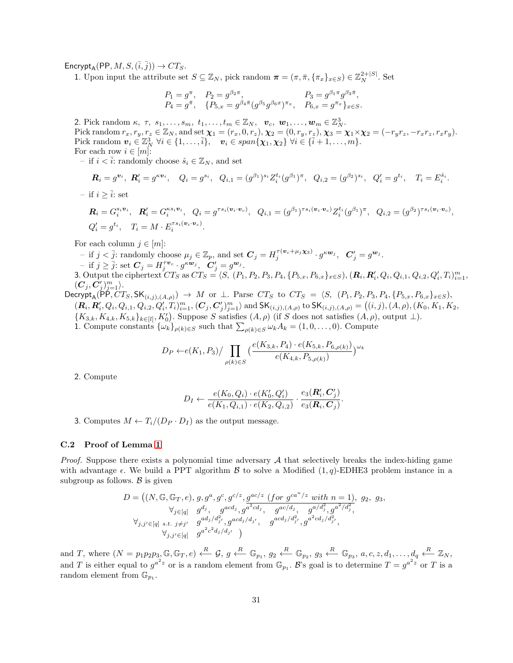$\text{Encrypt}_A(\text{PP}, M, S, (\overline{i}, \overline{j})) \rightarrow CT_S.$ 

1. Upon input the attribute set  $S \subseteq \mathbb{Z}_N$ , pick random  $\boldsymbol{\pi} = (\pi, \bar{\pi}, \{\pi_x\}_{x \in S}) \in \mathbb{Z}_N^{2+|S|}$ . Set

$$
\begin{array}{ll} P_1=g^{\pi},& P_2=g^{\beta_2\pi},& P_3=g^{\beta_1\pi}g^{\beta_3\bar{\pi}},\\ P_4=g^{\bar{\pi}},& \{P_{5,x}=g^{\beta_4\bar{\pi}}(g^{\beta_5}g^{\beta_6x})^{\pi_x},& P_{6,x}=g^{\pi_x}\}_{x\in S}. \end{array}
$$

2. Pick random  $\kappa$ ,  $\tau$ ,  $s_1, \ldots, s_m$ ,  $t_1, \ldots, t_m \in \mathbb{Z}_N$ ,  $v_c$ ,  $w_1, \ldots, w_m \in \mathbb{Z}_N^3$ . Pick random  $r_x, r_y, r_z \in \mathbb{Z}_N$ , and set  $\boldsymbol{\chi}_1 = (r_x, 0, r_z), \boldsymbol{\chi}_2 = (0, r_y, r_z), \boldsymbol{\chi}_3 = \boldsymbol{\chi}_1 \times \boldsymbol{\chi}_2 = (-r_y r_z, -r_x r_z, r_x r_y).$ Pick random  $\mathbf{v}_i \in \mathbb{Z}_N^3 \ \forall i \in \{1, \ldots, \overline{i}\}, \quad \mathbf{v}_i \in span\{\boldsymbol{\chi}_1, \boldsymbol{\chi}_2\} \ \forall i \in \{\overline{i}+1, \ldots, m\}.$ For each row  $i \in [m]$ :

– if  $i < \overline{i}$ : randomly choose  $\hat{s}_i \in \mathbb{Z}_N$ , and set

$$
\mathbf{R}_i = g^{\mathbf{v}_i}, \ \mathbf{R}'_i = g^{\kappa \mathbf{v}_i}, \quad Q_i = g^{s_i}, \ \ Q_{i,1} = (g^{\beta_1})^{s_i} Z_i^{t_i} (g^{\beta_1})^{\pi}, \ \ Q_{i,2} = (g^{\beta_2})^{s_i}, \ \ Q'_i = g^{t_i}, \quad T_i = E_i^{\hat{s}_i}.
$$

– if  $i > \overline{i}$ : set

$$
\mathbf{R}_{i} = G_{i}^{s_{i}\mathbf{v}_{i}}, \quad \mathbf{R}'_{i} = G_{i}^{\kappa s_{i}\mathbf{v}_{i}}, \quad Q_{i} = g^{\tau s_{i}(\mathbf{v}_{i} \cdot \mathbf{v}_{c})}, \quad Q_{i,1} = (g^{\beta_{1}})^{\tau s_{i}(\mathbf{v}_{i} \cdot \mathbf{v}_{c})} Z_{i}^{t_{i}} (g^{\beta_{1}})^{\pi}, \quad Q_{i,2} = (g^{\beta_{2}})^{\tau s_{i}(\mathbf{v}_{i} \cdot \mathbf{v}_{c})},
$$
  

$$
Q'_{i} = g^{t_{i}}, \quad T_{i} = M \cdot E_{i}^{\tau s_{i}(\mathbf{v}_{i} \cdot \mathbf{v}_{c})}.
$$

For each column  $j \in [m]$ :

 $\mathcal{I} - \text{ if } j < \overline{j} \text{ : randomly choose } \mu_j \in \mathbb{Z}_p \text{, and set } \mathbf{C}_j = H_j^{\tau(\mathbf{v}_c + \mu_j \mathbf{x}_3)} \cdot g^{\kappa \mathbf{w}_j}, \ \ \mathbf{C}'_j = g^{\mathbf{w}_j}.$ 

$$
- \text{ if } j \geq \overline{j} \text{ : set } \mathbf{C}_j = H_j^{\tau \mathbf{v}_c} \cdot g^{\kappa \mathbf{w}_j}, \quad \mathbf{C}'_j = g^{\mathbf{w}_j}.
$$

3. Output the ciphertext  $CT_S$  as  $CT_S = \langle S, (P_1, P_2, P_3, P_4, \{P_{5,x}, P_{6,x}\}_{x \in S}), (\mathbf{R}_i, \mathbf{R}'_i, Q_i, Q_{i,1}, Q_{i,2}, Q'_i, T_i)_{i=1}^m,$  $(\boldsymbol{C}_j, \boldsymbol{C}_j')_{j=1}^m \rangle.$ 

 $\text{Decrypt}_A(\mathsf{P}\mathsf{P},\overline{CT_S},\mathsf{SK}_{(i,j),(A,\rho)}) \to M \text{ or } \bot. \text{ Parse } CT_S \text{ to } CT_S = \langle S, (P_1,P_2,P_3,P_4, \{P_{5,x}, P_{6,x}\}_{x \in S}),$  $(\mathbf{R}_i, \mathbf{R}'_i, Q_i, Q_{i,1}, Q_{i,2}, Q'_i, T_i)_{i=1}^m, (\mathbf{C}_j, \mathbf{C}'_j)_{j=1}^m \rangle$  and  $\mathsf{SK}_{(i,j),(A,\rho)}$  to  $\mathsf{SK}_{(i,j),(A,\rho)} = ((i,j),(A,\rho),(K_0,K_1,K_2,K_2,K_1,K_2,K_1,K_2,K_1,K_2,K_1,K_2,K_1,K_2,K_1,K_2,K_1,K_2,K_1,K_2,K_1,K_2,K_1,K_2,K_1,K_2,K_1,K_2,K_1,K_2,K_1,K_2,K$  ${K_{3,k}, K_{4,k}, K_{5,k}}_{k\in[l]}, K'_0$ . Suppose S satisfies  $(A, \rho)$  (if S does not satisfies  $(A, \rho)$ , output  $\perp$ ). 1. Compute constants  $\{\omega_k\}_{\rho(k)\in S}$  such that  $\sum_{\rho(k)\in S}\omega_k A_k = (1,0,\ldots,0)$ . Compute

$$
D_P \leftarrow e(K_1, P_3) / \prod_{\rho(k) \in S} \left( \frac{e(K_{3,k}, P_4) \cdot e(K_{5,k}, P_{6,\rho(k)})}{e(K_{4,k}, P_{5,\rho(k)})} \right)^{\omega_k}
$$

2. Compute

$$
D_I \leftarrow \frac{e(K_0, Q_i) \cdot e(K'_0, Q'_i)}{e(K_1, Q_{i,1}) \cdot e(K_2, Q_{i,2})} \cdot \frac{e_3(R'_i, C'_j)}{e_3(R_i, C_j)}
$$

.

3. Computes  $M \leftarrow T_i/(D_P \cdot D_I)$  as the output message.

#### C.2 Proof of Lemma [1](#page-15-2)

*Proof.* Suppose there exists a polynomial time adversary  $A$  that selectively breaks the index-hiding game with advantage  $\epsilon$ . We build a PPT algorithm  $\beta$  to solve a Modified  $(1, q)$ -EDHE3 problem instance in a subgroup as follows.  $\beta$  is given

$$
D = ((N, \mathbb{G}, \mathbb{G}_T, e), g, g^a, g^c, g^{c/z}, g^{ac/z} \text{ (for } g^{ca^n/z} \text{ with } n = 1), g_2, g_3,\forall_{j \in [q]} g^{d_j}, g^{acd_j}, g^{a^2cd_j}, g^{ac/d_j}, g^{a/c/d_j}, g^{a/d_j^2}, g^{a^2/d_j^2},\forall_{j, j' \in [q]} s.t. j \neq j' g^{ad_j/d_{j'}^2}, g^{acd_j/d_{j'}}, g^{acd_j/d_{j'}^2}, g^{a^2cd_j/d_{j'}^2},\forall_{j, j' \in [q]} g^{a^2c^2d_j/d_{j'}})
$$

and T, where  $(N = p_1p_2p_3, \mathbb{G}, \mathbb{G}_T, e) \stackrel{R}{\longleftarrow} \mathcal{G}, g \stackrel{R}{\longleftarrow} \mathbb{G}_{p_1}, g_2 \stackrel{R}{\longleftarrow} \mathbb{G}_{p_2}, g_3 \stackrel{R}{\longleftarrow} \mathbb{G}_{p_3}, a, c, z, d_1, \dots, d_q \stackrel{R}{\longleftarrow} \mathbb{Z}_N$ and T is either equal to  $g^{a^2z}$  or is a random element from  $\mathbb{G}_{p_1}$ . B's goal is to determine  $T = g^{a^2z}$  or T is a random element from  $\mathbb{G}_{p_1}$ .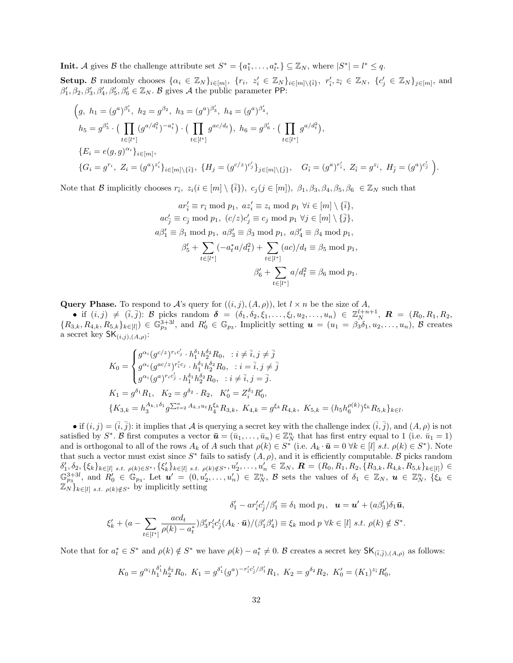**Init.** A gives B the challenge attribute set  $S^* = \{a_1^*, \ldots, a_{l^*}^*\} \subseteq \mathbb{Z}_N$ , where  $|S^*| = l^* \leq q$ .

Setup. B randomly chooses  $\{\alpha_i \in \mathbb{Z}_N\}_{i \in [m]},\ \{r_i,\ z'_i \in \mathbb{Z}_N\}_{i \in [m] \setminus {\{\overline{i}\}}},\ r'_i, z_{\overline{i}} \in \mathbb{Z}_N,\ \{c'_j \in \mathbb{Z}_N\}_{j \in [m]},\$ and  $\beta'_1$ ,  $\beta_2$ ,  $\beta'_3$ ,  $\beta'_4$ ,  $\beta'_5$ ,  $\beta'_6 \in \mathbb{Z}_N$ . B gives A the public parameter PP:

$$
(g, h_1 = (g^a)^{\beta'_1}, h_2 = g^{\beta_2}, h_3 = (g^a)^{\beta'_3}, h_4 = (g^a)^{\beta'_4},
$$
  
\n
$$
h_5 = g^{\beta'_5} \cdot \left( \prod_{t \in [l^*]} (g^{a/d_t^2})^{-a_t^*} \right) \cdot \left( \prod_{t \in [l^*]} g^{ac/d_t} \right), h_6 = g^{\beta'_6} \cdot \left( \prod_{t \in [l^*]} g^{a/d_t^2} \right),
$$
  
\n
$$
\{E_i = e(g, g)^{\alpha_i}\}_{i \in [m]},
$$
  
\n
$$
\{G_i = g^{r_i}, Z_i = (g^a)^{z'_i}\}_{i \in [m] \setminus \{\bar{i}\}}, \{H_j = (g^{c/z})^{c'_j}\}_{j \in [m] \setminus \{\bar{j}\}}, G_{\bar{i}} = (g^a)^{r'_{\bar{i}}}, Z_{\bar{i}} = g^{z_{\bar{i}}}, H_{\bar{j}} = (g^a)^{c'_{\bar{j}}}\}.
$$

Note that B implicitly chooses  $r_{\bar{i}}$ ,  $z_i (i \in [m] \setminus {\bar{i}}$ ,  $c_j (j \in [m])$ ,  $\beta_1, \beta_3, \beta_4, \beta_5, \beta_6 \in \mathbb{Z}_N$  such that

 $ar'_{\overline{i}} \equiv r_{\overline{i}} \bmod p_1, \ az'_{i} \equiv z_{i} \bmod p_1 \ \forall i \in [m] \setminus {\{\overline{i}\}},$  $ac'_j \equiv c_j \bmod p_1$ ,  $(c/z)c'_j \equiv c_j \bmod p_1 \ \forall j \in [m] \setminus {\overline{j}}$ ,  $a\beta'_1 \equiv \beta_1 \bmod p_1$ ,  $a\beta'_3 \equiv \beta_3 \bmod p_1$ ,  $a\beta'_4 \equiv \beta_4 \bmod p_1$ ,  $\beta'_5 + \sum$  $t \in [l^*]$  $(-a_t^*a/d_t^2) + \sum$  $t \in [l^*]$  $(ac)/d_t \equiv \beta_5 \mod p_1$ ,  $\beta'_6+\sum$  $t \in [l^*]$  $a/d_t^2 \equiv \beta_6 \bmod p_1.$ 

Query Phase. To respond to A's query for  $((i, j), (A, \rho))$ , let  $l \times n$  be the size of A,

• if  $(i, j) \neq (\bar{i}, \bar{j})$ : B picks random  $\delta = (\delta_1, \delta_2, \xi_1, \ldots, \xi_l, u_2, \ldots, u_n) \in \mathbb{Z}_N^{l+n+1}$ ,  $\mathbf{R} = (R_0, R_1, R_2, \ldots, R_n)$  ${R_{3,k}, R_{4,k}, R_{5,k}}_{k\in[l]}$   $\in \mathbb{G}_{p_3}^{3+3l}$ , and  $R'_0 \in \mathbb{G}_{p_3}$ . Implicitly setting  $\boldsymbol{u} = (u_1 = \beta_3 \delta_1, u_2, \ldots, u_n)$ ,  $\boldsymbol{\beta}$  creates a secret key  $\mathsf{SK}_{(i,j),(A,\rho)}$ :

$$
K_0 = \begin{cases} g^{\alpha_i} (g^{c/z})^{r_ic'_j} \cdot h_1^{\delta_1} h_2^{\delta_2} R_0, \quad i \neq \overline{i}, j \neq \overline{j} \\ g^{\alpha_i} (g^{ac/z})^{r_ic'_j} \cdot h_1^{\delta_1} h_2^{\delta_2} R_0, \quad i = \overline{i}, j \neq \overline{j} \\ g^{\alpha_i} (g^{a})^{r_ic'_j} \cdot h_1^{\delta_1} h_2^{\delta_2} R_0, \quad i \neq \overline{i}, j = \overline{j}. \end{cases}
$$
  
\n
$$
K_1 = g^{\delta_1} R_1, \quad K_2 = g^{\delta_2} \cdot R_2, \quad K'_0 = Z_i^{\delta_1} R'_0,
$$
  
\n
$$
\{K_{3,k} = h_3^{A_{k,1}\delta_1} g^{\sum_{t=2}^n A_{k,t} u_t} h_4^{\xi_k} R_{3,k}, \quad K_{4,k} = g^{\xi_k} R_{4,k}, \quad K_{5,k} = (h_5 h_6^{p(k)})^{\xi_k} R_{5,k} \}_{k \in l}.
$$

• if  $(i, j) = (\overline{i}, \overline{j})$ : it implies that A is querying a secret key with the challenge index  $(\overline{i}, \overline{j})$ , and  $(A, \rho)$  is not satisfied by  $S^*$ . B first computes a vector  $\bar{\mathbf{u}} = (\bar{u}_1, \ldots, \bar{u}_n) \in \mathbb{Z}_N^n$  that has first entry equal to 1 (i.e.  $\bar{u}_1 = 1$ ) and is orthogonal to all of the rows  $A_k$  of A such that  $\rho(k) \in S^*$  (i.e.  $A_k \cdot \bar{u} = 0 \ \forall k \in [l] \ s.t. \ \rho(k) \in S^*$ ). Note that such a vector must exist since  $S^*$  fails to satisfy  $(A, \rho)$ , and it is efficiently computable. B picks random  $\delta_1',\delta_2,\{\xi_k\}_{k\in[l]}$  s.t.  $\rho(k)\in S^*,\{\xi_k'\}_{k\in[l]}$  s.t.  $\rho(k)\notin S^*,u_2',\ldots,u_n'\in\mathbb{Z}_N$ ,  $\boldsymbol{R}=(R_0,R_1,R_2,\{R_{3,k},R_{4,k},R_{5,k}\}_{k\in[l]})\in\mathbb{Z}_N$  $\mathbb{G}_{p_3}^{3+3l}$ , and  $R'_0 \in \mathbb{G}_{p_3}$ . Let  $u' = (0, u'_2, \ldots, u'_n) \in \mathbb{Z}_N^n$ ,  $\mathcal{B}$  sets the values of  $\delta_1 \in \mathbb{Z}_N$ ,  $u \in \mathbb{Z}_N^n$ ,  $\{\xi_k \in \mathbb{Z}_N\}$  $\mathbb{Z}_N$ <sub>k∈[l]</sub> s.t.  $\rho(k) \notin S^*$  by implicitly setting

$$
\delta_1' - ar_{\overline{i}}'c_{\overline{j}}'/\beta_1' \equiv \delta_1 \bmod p_1, \quad \mathbf{u} = \mathbf{u}' + (a\beta_3')\delta_1\bar{\mathbf{u}},
$$

$$
\xi_k' + (a - \sum_{t \in [l^*]} \frac{acd_t}{\rho(k) - a_t^*})\beta_3'r_{\overline{i}}'c_{\overline{j}}'(A_k \cdot \bar{\mathbf{u}})/(\beta_1'\beta_4') \equiv \xi_k \bmod p \,\,\forall k \in [l] \,\, s.t. \,\, \rho(k) \notin S^*.
$$

Note that for  $a_t^* \in S^*$  and  $\rho(k) \notin S^*$  we have  $\rho(k) - a_t^* \neq 0$ . B creates a secret key  $\mathsf{SK}_{(\bar{i},\bar{j}), (A,\rho)}$  as follows:

$$
K_0 = g^{\alpha_{\tilde{i}}} h_1^{\delta_1'} h_2^{\delta_2} R_0, \ K_1 = g^{\delta_1'} (g^a)^{-r'_{\tilde{i}} c_3' / \beta_1'} R_1, \ K_2 = g^{\delta_2} R_2, \ K_0' = (K_1)^{z_{\tilde{i}}} R_0',
$$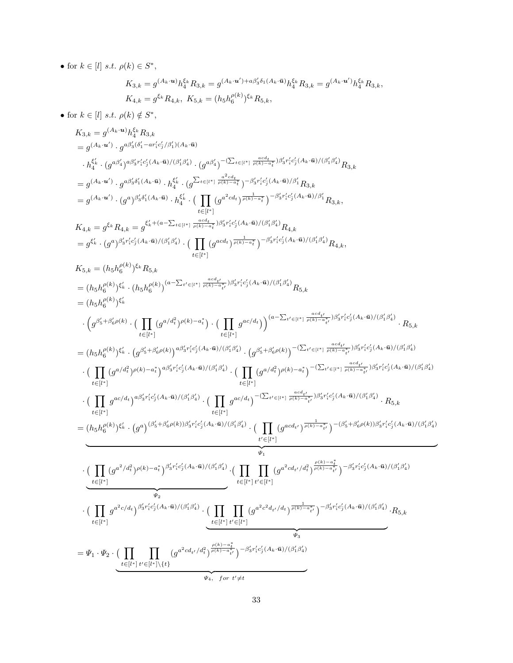• for  $k \in [l]$  s.t.  $\rho(k) \in S^*$ ,

$$
K_{3,k} = g^{(A_k \cdot \mathbf{u})} h_4^{\xi_k} R_{3,k} = g^{(A_k \cdot \mathbf{u}') + a\beta'_3 \delta_1(A_k \cdot \bar{\mathbf{u}})} h_4^{\xi_k} R_{3,k} = g^{(A_k \cdot \mathbf{u}')} h_4^{\xi_k} R_{3,k},
$$
  

$$
K_{4,k} = g^{\xi_k} R_{4,k}, \ K_{5,k} = (h_5 h_6^{\rho(k)})^{\xi_k} R_{5,k},
$$

• for  $k \in [l]$  s.t.  $\rho(k) \notin S^*$ ,

$$
\begin{split} &K_{3,k} = g^{(A_{k}\cdot u_{k})}h_{4}^{6_{k}}R_{3,k} \\ &= g^{(A_{k}\cdot u_{k}')} \cdot g^{a\beta'_{5}(s'_{1}-a\gamma'_{7}s'_{7}/\beta'_{1})(A_{k}\cdot a)} \\ &\qquad \cdot h_{4}^{c_{k}} \cdot (g^{a\beta'_{4}})^{a\beta'_{5}c'_{5}c'_{4}A_{k}\cdot a_{1})/(\beta'_{4}s'_{4})} \cdot (g^{a\beta'_{4}})^{-a\sum_{k=1}^{n}(1-\frac{a^{2}\cdot d_{k}}{\beta^{2}\cdot a_{k}^{2}})^{a\beta'_{3}c'_{5}c'_{3}A_{k}\cdot a_{1})/(\beta'_{1}\beta'_{4})}R_{3,k} \\ &= g^{(A_{k}\cdot u^{\prime})} \cdot g^{a\beta'_{5}c'_{1}(A_{k}\cdot a_{k})} \cdot h_{4}^{c_{k}} \cdot (g^{\sum_{k=1}^{n}(1-\frac{a^{2}\cdot d_{k}}{\beta^{2}\cdot a_{k}^{2}})^{-\beta'_{3}c'_{1}c'_{3}})^{a\beta'_{4}c'_{3}A}\cdot a_{1})/(\beta'_{1}\beta'_{4})}R_{3,k} \\ &= g^{(A_{k}\cdot u^{\prime})} \cdot (g^{a})^{\beta'_{3}\beta'_{1}(A_{k}\cdot a_{k})} \cdot h_{4}^{c_{k}} \cdot (g^{\sum_{l=1}^{n}(1-\frac{a^{2}\cdot d_{l}}{\beta^{2}\cdot a_{k}^{2}})^{-\beta'_{3}c'_{1}c'_{3}})^{a\beta'_{4}c'_{3}A}\cdot a_{1})/\beta'_{1}R_{3,k} \\ &= g^{c_{k}} \cdot (g^{a})^{\beta'_{3}c'_{1}c'_{3}A_{k}\cdot a_{1})/(\beta'_{1}\beta'_{4})} \cdot (\prod_{l\in [l^{r}]} (g^{acd})^{\frac{a\cdot d_{l}}{\beta^{2}\cdot a_{k}^{2}})^{-\beta'_{3}c'_{1}c'_{3}}(A_{k}\cdot a)/(\beta'_{1}\beta'_{4})}R_{4,k} \\ &= (h_{5}h_{6}^{(k)})^{c_{k}} \cdot (h_{5}h_{6}^{(k)})^{a\sum_{l\in [l^{r}]} (1-\frac{a\cdot d_{l}}{\beta
$$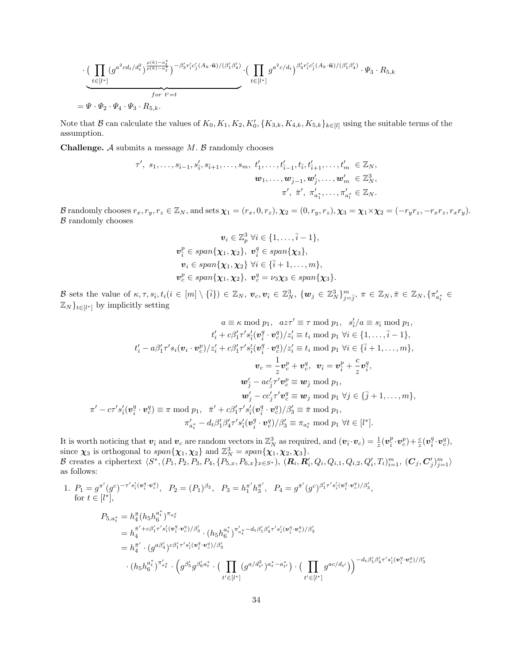$$
\cdot \underbrace{\left(\prod_{t\in[l^{*}]}\left(g^{a^{2}cd_{t}/d_{t}^{2}}\right)^{\frac{\rho(k)-a_{t}^{*}}{\rho(k)-a_{t}^{*}}}\right)^{-\beta_{3}^{\prime}r_{i}^{\prime}c_{j}^{\prime}(A_{k}\cdot\bar{\mathbf{u}})/(\beta_{1}^{\prime}\beta_{4}^{\prime})}}_{for\ t^{\prime}=t}\cdot \left(\prod_{t\in[l^{*}]}\left(g^{a^{2}c/d_{t}}\right)^{\beta_{3}^{\prime}r_{i}^{\prime}c_{j}^{\prime}(A_{k}\cdot\bar{\mathbf{u}})/(\beta_{1}^{\prime}\beta_{4}^{\prime})}\cdot \Psi_{3}\cdot R_{5,k}.
$$

Note that  $\mathcal B$  can calculate the values of  $K_0, K_1, K_2, K'_0, \{K_{3,k}, K_{4,k}, K_{5,k}\}_{k\in[l]}$  using the suitable terms of the assumption.

**Challenge.**  $A$  submits a message  $M$ .  $B$  randomly chooses

$$
\tau', s_1, \ldots, s_{\tilde{i}-1}, s'_{\tilde{i}}, s_{\tilde{i}+1}, \ldots, s_m, t'_1, \ldots, t'_{\tilde{i}-1}, t_{\tilde{i}}, t'_{\tilde{i}+1}, \ldots, t'_m \in \mathbb{Z}_N, \n\mathbf{w}_1, \ldots, \mathbf{w}_{\tilde{j}-1}, \mathbf{w}'_{\tilde{j}}, \ldots, \mathbf{w}'_m \in \mathbb{Z}_N^3, \n\pi', \bar{\pi}', \pi'_{a_1^*}, \ldots, \pi'_{a_l^*} \in \mathbb{Z}_N.
$$

B randomly chooses  $r_x, r_y, r_z \in \mathbb{Z}_N$ , and sets  $\chi_1 = (r_x, 0, r_z), \chi_2 = (0, r_y, r_z), \chi_3 = \chi_1 \times \chi_2 = (-r_y r_z, -r_x r_z, r_x r_y).$  $B$  randomly chooses

$$
\mathbf{v}_i \in \mathbb{Z}_p^3 \,\,\forall i \in \{1, \ldots, \bar{i} - 1\},
$$
  

$$
\mathbf{v}_i^p \in span\{\mathbf{\chi}_1, \mathbf{\chi}_2\}, \,\mathbf{v}_i^q \in span\{\mathbf{\chi}_3\},
$$
  

$$
\mathbf{v}_i \in span\{\mathbf{\chi}_1, \mathbf{\chi}_2\} \,\,\forall i \in \{\bar{i} + 1, \ldots, m\},
$$
  

$$
\mathbf{v}_c^p \in span\{\mathbf{\chi}_1, \mathbf{\chi}_2\}, \,\mathbf{v}_c^q = \nu_3 \mathbf{\chi}_3 \in span\{\mathbf{\chi}_3\}.
$$

B sets the value of  $\kappa, \tau, s_{\bar{i}}, t_i (i \in [m] \setminus {\bar{i}}) \in \mathbb{Z}_N$ ,  $v_c, v_{\bar{i}} \in \mathbb{Z}_N^3$ ,  $\{w_j \in \mathbb{Z}_N^3\}_{j=\bar{j}}^m$ ,  $\pi \in \mathbb{Z}_N$ ,  $\bar{\pi} \in \mathbb{Z}_N$ ,  $\{\pi'_{a_t^*} \in \mathbb{Z}_N\}$  $\mathbb{Z}_N$ <sub> $t \in [l^*]$ </sub> by implicitly setting

$$
a \equiv \kappa \bmod p_1, \quad az\tau' \equiv \tau \bmod p_1, \quad s'_i/a \equiv s_{\bar{i}} \bmod p_1, \n t'_i + c\beta'_1\tau's'_i(\mathbf{v}_i^q \cdot \mathbf{v}_c^q)/z'_i \equiv t_i \bmod p_1 \ \forall i \in \{1, ..., \bar{i} - 1\}, \n t'_i - a\beta'_1\tau's_i(\mathbf{v}_i \cdot \mathbf{v}_c^p)/z'_i + c\beta'_1\tau's_i^r(\mathbf{v}_i^q \cdot \mathbf{v}_c^q)/z'_i \equiv t_i \bmod p_1 \ \forall i \in \{\bar{i} + 1, ..., m\}, \n \mathbf{v}_c = \frac{1}{z}\mathbf{v}_c^p + \mathbf{v}_c^q, \quad \mathbf{v}_{\bar{i}} = \mathbf{v}_\bar{i}^p + \frac{c}{z}\mathbf{v}_\bar{i}^q, \n \mathbf{w}'_j - ac'_j\tau'\mathbf{v}_c^q \equiv \mathbf{w}_j \bmod p_1, \n \mathbf{w}'_j - cc'_j\tau'\mathbf{v}_c^q \equiv \mathbf{w}_j \bmod p_1 \ \forall j \in \{\bar{j} + 1, ..., m\}, \n \pi' - cr's_i^r(\mathbf{v}_i^q \cdot \mathbf{v}_c^q) \equiv \pi \bmod p_1, \quad \bar{\pi}' + c\beta'_1\tau's_i^r(\mathbf{v}_i^q \cdot \mathbf{v}_c^q)/\beta'_3 \equiv \bar{\pi} \bmod p_1, \n \pi'_{a_i^*} - d_t\beta'_1\beta'_4\tau's_i^r(\mathbf{v}_i^q \cdot \mathbf{v}_c^q)/\beta'_3 \equiv \pi_{a_i^*} \bmod p_1 \ \forall t \in [l^*].
$$

It is worth noticing that  $v_{\bar{i}}$  and  $v_c$  are random vectors in  $\mathbb{Z}_N^3$  as required, and  $(v_{\bar{i}} \cdot v_c) = \frac{1}{z}(v_{\bar{i}}^p \cdot v_c^p) + \frac{c}{z}(v_{\bar{i}}^q \cdot v_c^q)$ , since  $\chi_3$  is orthogonal to  $span{\chi_1, \chi_2}$  and  $\mathbb{Z}_N^3 = span{\chi_1, \chi_2, \chi_3}$ . B creates a ciphertext  $\langle S^*, (P_1, P_2, P_3, P_4, \{P_{5,x}, P_{6,x}\}_{x \in S^*})$ ,  $(\mathbf{R}_i, \mathbf{R}_i', Q_i, Q_{i,1}, Q_{i,2}, Q_i', T_i)_{i=1}^m$ ,  $(\mathbf{C}_j, \mathbf{C}_j')_{j=1}^m \rangle$ as follows:

1. 
$$
P_1 = g^{\pi'}(g^c)^{-\tau' s'_i(\mathbf{v}_i^q \cdot \mathbf{v}_c^q)}
$$
,  $P_2 = (P_1)^{\beta_2}$ ,  $P_3 = h_1^{\pi'} h_3^{\pi'}$ ,  $P_4 = g^{\pi'}(g^c)^{\beta'_1 \tau' s'_i(\mathbf{v}_i^q \cdot \mathbf{v}_c^q)/\beta'_3}$ ,  
\nfor  $t \in [l^*]$ ,  
\n
$$
P_{5,a_t^*} = h_4^{\pi} (h_5 h_6^{a_t^*})^{\pi_{a_t^*}}
$$
\n
$$
= h_4^{\pi' + c\beta'_1 \tau' s'_i(\mathbf{v}_i^q \cdot \mathbf{v}_c^q)/\beta'_3} \cdot (h_5 h_6^{a_t^*})^{\pi'_{a_t^*} - d_t \beta'_1 \beta'_4 \tau' s'_i(\mathbf{v}_i^q \cdot \mathbf{v}_c^q)/\beta'_3}
$$
\n
$$
= h_4^{\pi'} \cdot (g^{a\beta'_4})^{c\beta'_1 \tau' s'_i(\mathbf{v}_i^q \cdot \mathbf{v}_c^q)/\beta'_3}
$$
\n
$$
\cdot (h_5 h_6^{a_t^*})^{\pi'_{a_t^*}} \cdot (g^{\beta'_5} g^{\beta'_6 a_t^*} \cdot (\prod_{t' \in [l^*]} (g^{a/d_{t'}^2})^{a_t^* - a_{t'}^*}) \cdot (\prod_{t' \in [l^*]} g^{ac/d_{t'}}))^{-d_t \beta'_1 \beta'_4 \tau' s'_i(\mathbf{v}_i^q \cdot \mathbf{v}_c^q)/\beta'_3}
$$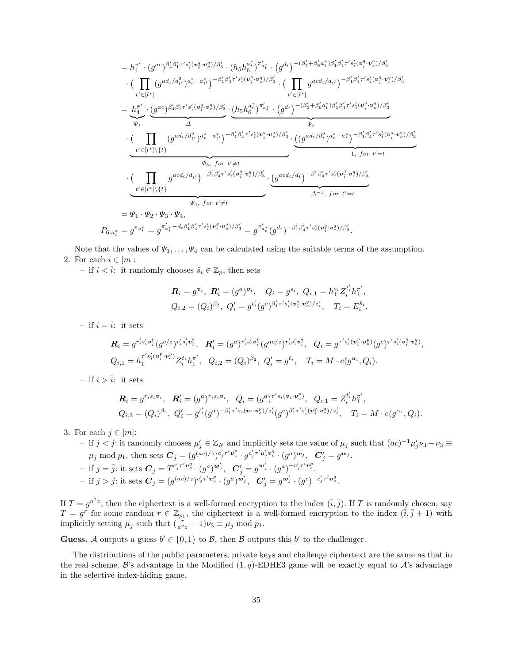$$
=h_{4}^{\pi'} \cdot (g^{ac})^{\beta'_{4}\beta'_{1}r's'_{i}(v_{i}^{q} \cdot v_{c}^{q})/\beta'_{3}} \cdot (h_{5}h_{6}^{a_{t}^{*}})^{\pi'_{a_{t}^{*}}} \cdot (g^{d_{t}})^{-(\beta'_{5}+\beta'_{6}a_{t}^{*})\beta'_{1}\beta'_{4}\tau's'_{i}(v_{i}^{q} \cdot v_{c}^{q})/\beta'_{3}} \cdot (\prod_{t' \in [l^{*}]} (g^{acd_{t}/d_{t'}^{2}})^{a_{t}^{*}a_{t}^{*}})^{a_{t}^{*}a_{t}^{*}})^{-\beta'_{1}\beta'_{4}\tau's'_{i}(v_{i}^{q} \cdot v_{c}^{q})/\beta'_{3}} \cdot (\prod_{t' \in [l^{*}]} g^{acd_{t}/d_{t'}})^{-\beta'_{1}\beta'_{4}\tau's'_{i}(v_{i}^{q} \cdot v_{c}^{q})/\beta'_{3}} \cdot (\prod_{t' \in [l^{*}]} g^{acd_{t}/d_{t'}})^{-\beta'_{1}\beta'_{4}\tau's'_{i}(v_{i}^{q} \cdot v_{c}^{q})/\beta'_{3}} \cdot (\prod_{t' \in [l^{*}]} (g^{ac})^{\beta'_{4}\beta'_{1}\tau's'_{i}(v_{i}^{q} \cdot v_{c}^{q})/\beta'_{3}} \cdot \prod_{t' \in [l^{*}]} (g^{ad_{t}/d_{t'}^{2}})^{a_{t}^{*}a_{t}^{*}})^{-\beta'_{1}\beta'_{4}\tau's'_{i}(v_{i}^{q} \cdot v_{c}^{q})/\beta'_{3}} \cdot \underbrace{((g^{ad_{t}/d_{t}^{2}})^{a_{t}^{*}a_{t}^{*}})^{-\beta'_{1}\beta'_{4}\tau's'_{i}(v_{i}^{q} \cdot v_{c}^{q})/\beta'_{3}}}_{t' \in [l^{*}]\setminus\{t\}} \cdot \underbrace{((\prod_{t' \in [l^{*}]\setminus\{t\}} g^{acd_{t}/d_{t'})})^{-\beta'_{1}\beta'_{4}\tau's'_{i}(v_{i}^{q} \cdot v_{c}^{q})/\beta'_{3}}}_{t' \in [l^{*}]\setminus\{t\}} \cdot (\prod_{t' \in [l^{*}]\setminus\{t\}} g^{acd_{t}/d_{t
$$

Note that the values of  $\Psi_1, \ldots, \Psi_4$  can be calculated using the suitable terms of the assumption. 2. For each  $i \in [m]$ :

– if  $i < \overline{i}$ : it randomly chooses  $\hat{s}_i \in \mathbb{Z}_p$ , then sets

$$
\begin{split} \pmb{R}_i &= g^{\pmb{v}_i}, \ \pmb{R}'_i = (g^a)^{\pmb{v}_i}, \quad Q_i = g^{s_i}, \ Q_{i,1} = h_1^{s_i} Z_i^{t'_i} h_1^{\pmb{\pi}'}, \\ Q_{i,2} &= (Q_i)^{\beta_2}, \ Q'_i = g^{t'_i} (g^c)^{\beta'_1 \pmb{\tau}' s'_i (\pmb{v}_i^q \cdot \pmb{v}_c^q)/z'_i}, \quad T_i = E_i^{\hat{s}_i}. \end{split}
$$

– if  $i = \overline{i}$ : it sets

$$
\begin{aligned}\n\mathbf{R}_{i} &= g^{r'_{i}s'_{i}\mathbf{v}_{i}^{p}}(g^{c/z})^{r'_{i}s'_{i}\mathbf{v}_{i}^{q}}, \quad \mathbf{R}_{i}^{\prime} = (g^{a})^{r'_{i}s'_{i}\mathbf{v}_{i}^{p}}(g^{ac/z})^{r'_{i}s'_{i}\mathbf{v}_{i}^{q}}, \quad Q_{i} = g^{\tau^{\prime}s'_{i}(\mathbf{v}_{i}^{p}\cdot\mathbf{v}_{c}^{p})}(g^{c})^{\tau^{\prime}s'_{i}(\mathbf{v}_{i}^{q}\cdot\mathbf{v}_{c}^{q})}, \\
Q_{i,1} &= h_{1}^{\tau^{\prime}s'_{i}(\mathbf{v}_{i}^{p}\cdot\mathbf{v}_{c}^{p})}Z_{i}^{t_{i}}h_{1}^{\tau^{\prime}}, \quad Q_{i,2} = (Q_{i})^{\beta_{2}}, \quad Q_{i}^{\prime} = g^{t_{i}}, \quad T_{i} = M \cdot e(g^{\alpha_{i}}, Q_{i}).\n\end{aligned}
$$

– if  $i > \overline{i}$ : it sets

$$
\mathbf{R}_{i} = g^{r_{i}s_{i}\mathbf{v}_{i}}, \quad \mathbf{R}'_{i} = (g^{a})^{r_{i}s_{i}\mathbf{v}_{i}}, \quad Q_{i} = (g^{a})^{r's_{i}(\mathbf{v}_{i} \cdot \mathbf{v}_{c}^{p})}, \quad Q_{i,1} = Z_{i}^{t'} h_{1}^{\pi'},
$$
\n
$$
Q_{i,2} = (Q_{i})^{\beta_{2}}, \quad Q'_{i} = g^{t'_{i}}(g^{a})^{-\beta_{1}' \tau' s_{i}(\mathbf{v}_{i} \cdot \mathbf{v}_{c}^{p})/z'_{i}}(g^{c})^{\beta_{1}' \tau' s'_{i}(\mathbf{v}_{i}^{q} \cdot \mathbf{v}_{c}^{q})/z'_{i}}, \quad T_{i} = M \cdot e(g^{\alpha_{i}}, Q_{i}).
$$

3. For each  $j \in [m]$ :

 $-$  if  $j < \overline{j}$ : it randomly chooses  $\mu'_j \in \mathbb{Z}_N$  and implicitly sets the value of  $\mu_j$  such that  $(ac)^{-1}\mu'_j\nu_3 - \nu_3$  $\mu_j \bmod p_1, \text{ then sets } \boldsymbol{C}_j = (g^{(ac)/z})^{c'_j \tau' \boldsymbol{v}_c^p} \cdot g^{c'_j \tau' \mu'_j \boldsymbol{v}_c^q} \cdot (g^a)^{\boldsymbol{w}_j}, \;\; \boldsymbol{C}'_j = g^{\boldsymbol{w}_j}.$  $-$  if  $j = \overline{j}$ : it sets  $C_j = T^{c'_j \tau' \mathbf{v}^q_c} \cdot (g^a)^{\mathbf{w}'_j}, \ \ C'_j = g^{\mathbf{w}'_j} \cdot (g^a)^{-c'_j \tau' \mathbf{v}^p_c}.$  $-$  if  $j > \bar{j}$ : it sets  $C_j = (g^{(ac)/z})^{c'_j \tau' \mathbf{v}_c^p} \cdot (g^a)^{\mathbf{w}'_j}, \ \ C'_j = g^{\mathbf{w}'_j} \cdot (g^c)^{-c'_j \tau' \mathbf{v}_c^q}$ .

If  $T = g^{a^2z}$ , then the ciphertext is a well-formed encryption to the index  $(\bar{i}, \bar{j})$ . If T is randomly chosen, say  $T = g^r$  for some random  $r \in \mathbb{Z}_{p_1}$ , the ciphertext is a well-formed encryption to the index  $(\bar{i}, \bar{j} + 1)$  with implicitly setting  $\mu_{\bar{j}}$  such that  $(\frac{r}{a^2z} - 1)\nu_3 \equiv \mu_{\bar{j}} \mod p_1$ .

**Guess.** A outputs a guess  $b' \in \{0, 1\}$  to B, then B outputs this b' to the challenger.

The distributions of the public parameters, private keys and challenge ciphertext are the same as that in the real scheme. B's advantage in the Modified  $(1,q)$ -EDHE3 game will be exactly equal to  $\mathcal{A}$ 's advantage in the selective index-hiding game.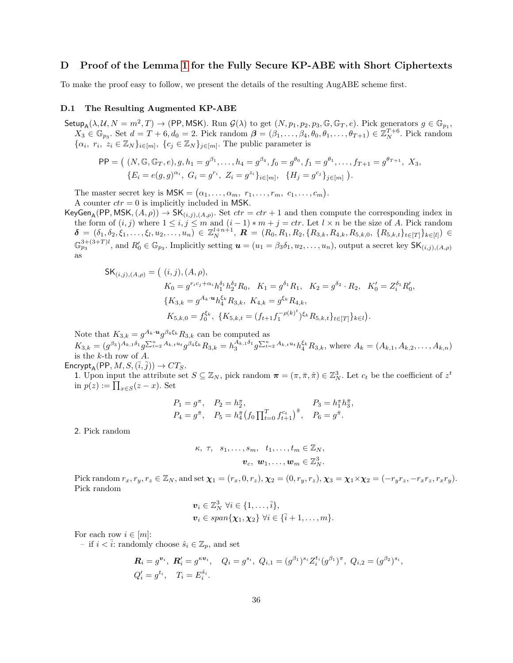# <span id="page-35-0"></span>D Proof of the Lemma [1](#page-15-2) for the Fully Secure KP-ABE with Short Ciphertexts

To make the proof easy to follow, we present the details of the resulting AugABE scheme first.

## D.1 The Resulting Augmented KP-ABE

Setup<sub>A</sub>( $\lambda$ ,  $\mathcal{U}, N = m^2, T$ )  $\rightarrow$  (PP, MSK). Run  $\mathcal{G}(\lambda)$  to get  $(N, p_1, p_2, p_3, \mathbb{G}, \mathbb{G}_T, e)$ . Pick generators  $g \in \mathbb{G}_{p_1}$ ,  $X_3 \in \mathbb{G}_{p_3}$ . Set  $d = T + 6, d_0 = 2$ . Pick random  $\boldsymbol{\beta} = (\beta_1, \dots, \beta_4, \theta_0, \theta_1, \dots, \theta_{T+1}) \in \mathbb{Z}_{N}^{T+6}$ . Pick random  $\{\alpha_i, r_i, z_i \in \mathbb{Z}_N\}_{i \in [m]}, \{\overline{c_j} \in \mathbb{Z}_N\}_{j \in [m]}$ . The public parameter is

$$
\mathsf{PP} = \left( (N, \mathbb{G}, \mathbb{G}_T, e), g, h_1 = g^{\beta_1}, \dots, h_4 = g^{\beta_4}, f_0 = g^{\theta_0}, f_1 = g^{\theta_1}, \dots, f_{T+1} = g^{\theta_{T+1}}, X_3, \{E_i = e(g, g)^{\alpha_i}, G_i = g^{r_i}, Z_i = g^{z_i}\}_{i \in [m]}, \{H_j = g^{c_j}\}_{j \in [m]}\right).
$$

The master secret key is  $\mathsf{MSK} = (\alpha_1, \ldots, \alpha_m, r_1, \ldots, r_m, c_1, \ldots, c_m).$ A counter  $ctr = 0$  is implicitly included in MSK.

KeyGen<sub>A</sub>(PP, MSK,  $(A, \rho)$ )  $\to$  SK<sub> $(i,j),(A,\rho)$ </sub>. Set  $ctr =ctr + 1$  and then compute the corresponding index in the form of  $(i, j)$  where  $1 \leq i, j \leq m$  and  $(i - 1) * m + j = \text{ctr.}$  Let  $l \times n$  be the size of A. Pick random  $\boldsymbol{\delta} \,=\, (\delta_1, \delta_2, \xi_1, \ldots, \xi_l, u_2, \ldots, u_n) \,\in\, \mathbb{Z}_N^{l+n+1}, \,\, \boldsymbol{R} \,=\, (R_0, R_1, R_2, \{R_{3,k}, R_{4,k}, R_{5,k,0}, \ \{R_{5,k,t}\}_{t \in [T]}\}_{k \in [l]} ) \,\in\,$  $\mathbb{G}_{p_3}^{3+(3+T)l}$ , and  $R'_0 \in \mathbb{G}_{p_3}$ . Implicitly setting  $\boldsymbol{u} = (u_1 = \beta_3 \delta_1, u_2, \dots, u_n)$ , output a secret key  $\mathsf{SK}_{(i,j),(A,\rho)}$ as

$$
\mathsf{SK}_{(i,j),(A,\rho)} = \left( (i,j), (A,\rho), \right.\n\begin{aligned}\nK_0 &= g^{r_ic_j + \alpha_i} h_1^{\delta_1} h_2^{\delta_2} R_0, \quad K_1 = g^{\delta_1} R_1, \quad K_2 = g^{\delta_2} \cdot R_2, \quad K'_0 = Z_i^{\delta_1} R'_0, \\
\{K_{3,k} = g^{A_k \cdot \mathbf{u}} h_4^{\xi_k} R_{3,k}, \quad K_{4,k} = g^{\xi_k} R_{4,k}, \\
K_{5,k,0} &= f_0^{\xi_k}, \quad \{K_{5,k,t} = (f_{t+1} f_1^{-\rho(k)^t})^{\xi_k} R_{5,k,t} \}_{t \in [T]} \}_{k \in l}.\n\end{aligned}
$$

Note that  $K_{3,k} = g^{A_k \cdot u} g^{\beta_4 \xi_k} R_{3,k}$  can be computed as

 $K_{3,k} = (g^{\beta_3})^{A_{k,1}\delta_1}g^{\sum_{t=2}^n A_{k,t}u_t}g^{\beta_4\xi_k}R_{3,k} = h_3^{A_{k,1}\delta_1}g^{\sum_{t=2}^n A_{k,t}u_t}h_4^{\xi_k}R_{3,k}$ , where  $A_k = (A_{k,1}, A_{k,2}, \ldots, A_{k,n})$ is the k-th row of A.

 $\mathsf{Encrypt}_A(\mathsf{PP}, M, S, (\overline{i}, \overline{j})) \to CT_S.$ 

1. Upon input the attribute set  $S \subseteq \mathbb{Z}_N$ , pick random  $\pi = (\pi, \bar{\pi}, \hat{\pi}) \in \mathbb{Z}_N^3$ . Let  $c_t$  be the coefficient of  $z^t$ in  $p(z) := \prod_{x \in S} (z - x)$ . Set

$$
P_1 = g^{\pi}, \quad P_2 = h_2^{\pi}, \quad P_3 = h_1^{\pi} h_3^{\pi},
$$
  
\n
$$
P_4 = g^{\bar{\pi}}, \quad P_5 = h_4^{\bar{\pi}} (f_0 \prod_{t=0}^T f_{t+1}^{c_t})^{\hat{\pi}}, \quad P_6 = g^{\hat{\pi}}.
$$

2. Pick random

$$
\kappa, \tau, s_1, \ldots, s_m, t_1, \ldots, t_m \in \mathbb{Z}_N, \n\boldsymbol{v}_c, \boldsymbol{w}_1, \ldots, \boldsymbol{w}_m \in \mathbb{Z}_N^3.
$$

Pick random  $r_x, r_y, r_z \in \mathbb{Z}_N$ , and set  $\chi_1 = (r_x, 0, r_z), \chi_2 = (0, r_y, r_z), \chi_3 = \chi_1 \times \chi_2 = (-r_y r_z, -r_x r_z, r_x r_y).$ Pick random

$$
\mathbf{v}_i \in \mathbb{Z}_N^3 \ \forall i \in \{1, \ldots, \overline{i}\},
$$
  

$$
\mathbf{v}_i \in span\{\mathbf{\chi}_1, \mathbf{\chi}_2\} \ \forall i \in \{\overline{i}+1, \ldots, m\}.
$$

For each row  $i \in [m]$ :

– if  $i < \overline{i}$ : randomly choose  $\hat{s}_i \in \mathbb{Z}_p$ , and set

$$
\mathbf{R}_i = g^{\mathbf{v}_i}, \ \mathbf{R}'_i = g^{\kappa \mathbf{v}_i}, \quad Q_i = g^{s_i}, \ Q_{i,1} = (g^{\beta_1})^{s_i} Z_i^{t_i} (g^{\beta_1})^{\pi}, \ Q_{i,2} = (g^{\beta_2})^{s_i},
$$
  

$$
Q'_i = g^{t_i}, \quad T_i = E_i^{\hat{s}_i}.
$$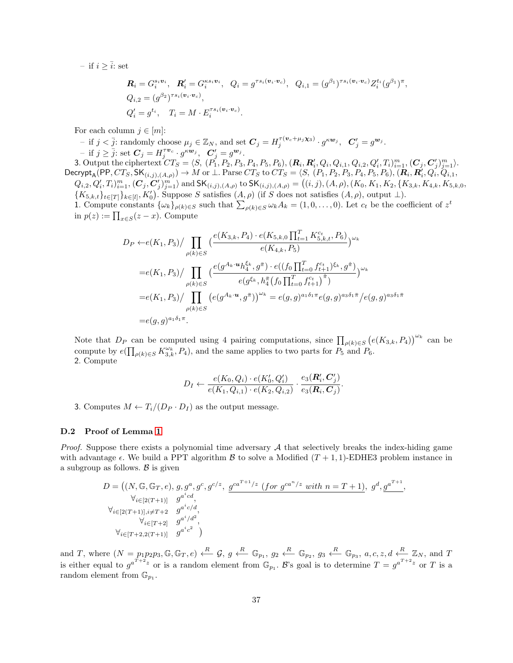– if  $i \geq \overline{i}$ : set

$$
\begin{aligned} \mathbf{R}_i &= G_i^{s_i \mathbf{v}_i}, \quad \mathbf{R}'_i = G_i^{\kappa s_i \mathbf{v}_i}, \quad Q_i = g^{\tau s_i(\mathbf{v}_i \cdot \mathbf{v}_c)}, \quad Q_{i,1} = (g^{\beta_1})^{\tau s_i(\mathbf{v}_i \cdot \mathbf{v}_c)} Z_i^{t_i}(g^{\beta_1})^{\pi}, \\ Q_{i,2} &= (g^{\beta_2})^{\tau s_i(\mathbf{v}_i \cdot \mathbf{v}_c)}, \\ Q'_i &= g^{t_i}, \quad T_i = M \cdot E_i^{\tau s_i(\mathbf{v}_i \cdot \mathbf{v}_c)}. \end{aligned}
$$

For each column  $j \in [m]$ :

- if  $j < \overline{j}$ : randomly choose  $\mu_j \in \mathbb{Z}_N$ , and set  $\mathbf{C}_j = H_j^{\tau(\mathbf{v}_c + \mu_j \mathbf{x}_3)} \cdot g^{\kappa \mathbf{w}_j}$ ,  $\mathbf{C}'_j = g^{\mathbf{w}_j}$ . - if  $j \ge \overline{j}$ : set  $\mathbf{C}_j = H_j^{\tau \nu_c} \cdot g^{\kappa \nu_j}$ ,  $\mathbf{C}'_j = g^{\nu_j}$ . 3. Output the ciphertext  $CT_S = \langle S, (P_1, P_2, P_3, P_4, P_5, P_6), (R_i, R'_i, Q_i, Q_{i,1}, Q_{i,2}, Q'_i, T_i)_{i=1}^m, (C_j, C'_j)_{j=1}^m \rangle$ .  $\mathsf{Decrypt}_\mathsf{A}(\mathsf{PP},CT_S,\mathsf{SK}_{(i,j),(A,\rho)}) \rightarrow M \text{ or } \bot. \text{ Parse } CT_S \text{ to } CT_S=\langle S,\ (P_1,P_2,P_3,P_4,P_5,P_6), (\bm{R}_i,\bm{R}_i',Q_i',Q_{i,1},Q_{i,2}) \rangle$  $Q_{i,2}, Q_i', T_i|_{i=1}^m, (\mathcal{C}_j, \mathcal{C}_j')_{j=1}^m \rangle$  and  $\mathsf{SK}_{(i,j),(A,\rho)}$  to  $\mathsf{SK}_{(i,j),(A,\rho)} = ((i,j),(A,\rho),(K_0,K_1,K_2,\{K_{3,k},K_{4,k},K_{5,k,0},\rho))$  ${K_{5,k,t}}_{t\in[T]}_{k\in[T]}$ ,  $K'_0$ ). Suppose S satisfies  $(A, \rho)$  (if S does not satisfies  $(A, \rho)$ , output  $\bot$ ). 1. Compute constants  $\{\omega_k\}_{\rho(k)\in S}$  such that  $\sum_{\rho(k)\in S}\omega_k A_k = (1,0,\ldots,0)$ . Let  $c_t$  be the coefficient of  $z^t$ in  $p(z) := \prod_{x \in S} (z - x)$ . Compute

$$
D_P \leftarrow e(K_1, P_3) / \prod_{\rho(k) \in S} \left( \frac{e(K_{3,k}, P_4) \cdot e(K_{5,k,0} \prod_{t=1}^T K_{5,k,t}^{c_t}, P_6)}{e(K_{4,k}, P_5)} \right)^{\omega_k}
$$
  
\n
$$
= e(K_1, P_3) / \prod_{\rho(k) \in S} \left( \frac{e(g^{A_k \cdot u} h_4^{\xi_k}, g^{\pi}) \cdot e((f_0 \prod_{t=0}^T f_{t+1}^{c_t})^{\xi_k}, g^{\hat{\pi}})}{e(g^{\xi_k}, h_4^{\pi} (f_0 \prod_{t=0}^T f_{t+1}^{c_t})^{\hat{\pi}})} \right)^{\omega_k}
$$
  
\n
$$
= e(K_1, P_3) / \prod_{\rho(k) \in S} \left( e(g^{A_k \cdot u}, g^{\bar{\pi}}) \right)^{\omega_k} = e(g, g)^{a_1 \delta_1 \pi} e(g, g)^{a_3 \delta_1 \bar{\pi}} / e(g, g)^{a_3 \delta_1 \bar{\pi}}
$$
  
\n
$$
= e(g, g)^{a_1 \delta_1 \pi}.
$$

Note that  $D_P$  can be computed using 4 pairing computations, since  $\prod_{\rho(k)\in S} (e(K_{3,k}, P_4))^{\omega_k}$  can be compute by  $e(\prod_{\rho(k)\in S} K_{3,k}^{\omega_k}, P_4)$ , and the same applies to two parts for  $P_5$  and  $P_6$ . 2. Compute

$$
D_I \leftarrow \frac{e(K_0, Q_i) \cdot e(K'_0, Q'_i)}{e(K_1, Q_{i,1}) \cdot e(K_2, Q_{i,2})} \cdot \frac{e_3(\mathbf{R}'_i, \mathbf{C}'_j)}{e_3(\mathbf{R}_i, \mathbf{C}_j)}.
$$

3. Computes  $M \leftarrow T_i/(D_P \cdot D_I)$  as the output message.

# D.2 Proof of Lemma [1](#page-15-2)

*Proof.* Suppose there exists a polynomial time adversary  $A$  that selectively breaks the index-hiding game with advantage  $\epsilon$ . We build a PPT algorithm  $\beta$  to solve a Modified  $(T + 1, 1)$ -EDHE3 problem instance in a subgroup as follows.  $\beta$  is given

$$
D = ((N, \mathbb{G}, \mathbb{G}_T, e), g, g^a, g^c, g^{c/z}, g^{ca^{T+1}/z} (for g^{ca^n/z} with n = T + 1), g^d, g^{a^{T+1}},
$$
  
\n
$$
\forall_{i \in [2(T+1)], i \neq T+2} g^{a^i c/d},
$$
  
\n
$$
\forall_{i \in [T+2]} g^{a^i / d^2},
$$
  
\n
$$
\forall_{i \in [T+2, 2(T+1)]} g^{a^i / d^2},
$$

and T, where  $(N = p_1p_2p_3, \mathbb{G}, \mathbb{G}_T, e) \stackrel{R}{\longleftarrow} \mathcal{G}, g \stackrel{R}{\longleftarrow} \mathbb{G}_{p_1}, g_2 \stackrel{R}{\longleftarrow} \mathbb{G}_{p_2}, g_3 \stackrel{R}{\longleftarrow} \mathbb{G}_{p_3}, a, c, z, d \stackrel{R}{\longleftarrow} \mathbb{Z}_N$ , and T is either equal to  $g^{a^{T+2}z}$  or is a random element from  $\mathbb{G}_{p_1}$ . B's goal is to determine  $T = g^{a^{T+2}z}$  or T is a random element from  $\mathbb{G}_{p_1}$ .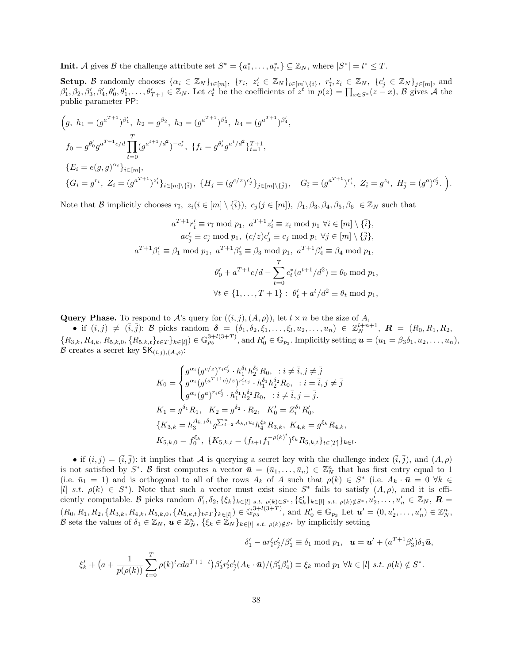**Init.** A gives B the challenge attribute set  $S^* = \{a_1^*, \ldots, a_{l^*}^*\} \subseteq \mathbb{Z}_N$ , where  $|S^*| = l^* \leq T$ .

Setup. B randomly chooses  $\{\alpha_i \in \mathbb{Z}_N\}_{i \in [m]},\ \{r_i,\ z'_i \in \mathbb{Z}_N\}_{i \in [m] \setminus {\{\overline{i}\}}},\ r'_i, z_{\overline{i}} \in \mathbb{Z}_N,\ \{c'_j \in \mathbb{Z}_N\}_{j \in [m]},$  and  $\beta'_1, \beta_2, \beta'_3, \beta'_4, \theta'_0, \theta'_1, \ldots, \theta'_{T+1} \in \mathbb{Z}_N$ . Let  $c_t^*$  be the coefficients of  $z^t$  in  $p(z) = \prod_{x \in S^*} (z - x)$ , B gives A the public parameter PP:

$$
(g, h_1 = (g^{a^{T+1}})^{\beta'_1}, h_2 = g^{\beta_2}, h_3 = (g^{a^{T+1}})^{\beta'_3}, h_4 = (g^{a^{T+1}})^{\beta'_4},
$$
  
\n
$$
f_0 = g^{\theta'_0} g^{a^{T+1}c/d} \prod_{t=0}^T (g^{a^{t+1}/d^2})^{-c_t^*}, \{f_t = g^{\theta'_t} g^{a^t/d^2}\}_{t=1}^{T+1},
$$
  
\n
$$
\{E_i = e(g, g)^{\alpha_i}\}_{i \in [m]},
$$
  
\n
$$
\{G_i = g^{r_i}, Z_i = (g^{a^{T+1}})^{z'_i}\}_{i \in [m] \setminus \{\bar{i}\}}, \{H_j = (g^{c/z})^{c'_j}\}_{j \in [m] \setminus \{\bar{j}\}}, \quad G_{\bar{i}} = (g^{a^{T+1}})^{r'_{\bar{i}}}, Z_{\bar{i}} = g^{z_{\bar{i}}}, H_{\bar{j}} = (g^a)^{c'_{\bar{j}}}.
$$

Note that B implicitly chooses  $r_{\bar{i}}$ ,  $z_i (i \in [m] \setminus {\bar{i}}$ ,  $c_j (j \in [m])$ ,  $\beta_1, \beta_3, \beta_4, \beta_5, \beta_6 \in \mathbb{Z}_N$  such that

$$
a^{T+1}r'_{\overline{i}} \equiv r_{\overline{i}} \mod p_1, \ a^{T+1}z'_{\overline{i}} \equiv z_i \mod p_1 \ \forall i \in [m] \setminus {\overline{i}},
$$
  
\n
$$
ac'_{\overline{j}} \equiv c_{\overline{j}} \mod p_1, \ (c/z)c'_{\overline{j}} \equiv c_j \mod p_1 \ \forall j \in [m] \setminus {\overline{j}},
$$
  
\n
$$
a^{T+1}\beta'_{1} \equiv \beta_1 \mod p_1, \ a^{T+1}\beta'_{3} \equiv \beta_3 \mod p_1, \ a^{T+1}\beta'_{4} \equiv \beta_4 \mod p_1,
$$
  
\n
$$
\theta'_{0} + a^{T+1}c/d - \sum_{t=0}^{T} c_{t}^{*}(a^{t+1}/d^{2}) \equiv \theta_0 \mod p_1,
$$
  
\n
$$
\forall t \in \{1, \ldots, T+1\}: \ \theta'_{t} + a^{t}/d^{2} \equiv \theta_{t} \mod p_1,
$$

Query Phase. To respond to A's query for  $((i, j), (A, \rho))$ , let  $l \times n$  be the size of A,

• if  $(i, j) \neq (\bar{i}, \bar{j})$ : B picks random  $\delta = (\delta_1, \delta_2, \xi_1, \ldots, \xi_l, u_2, \ldots, u_n) \in \mathbb{Z}_N^{l+n+1}$ ,  $\mathbf{R} = (R_0, R_1, R_2, \ldots, R_n)$  ${R_{3,k}, R_{4,k}, R_{5,k,0}, \{R_{5,k,t}\}_{t\in\mathcal{I}}\}_{k\in[l]}$   $\in \mathbb{G}_{p_3}^{3+l(3+T)}$ , and  $R'_0 \in \mathbb{G}_{p_3}$ . Implicitly setting  $\boldsymbol{u} = (u_1 = \beta_3 \delta_1, u_2, \dots, u_n)$ , B creates a secret key  $\mathsf{SK}_{(i,j),(A,\rho)}$ :

$$
K_0 = \begin{cases} g^{\alpha_i} (g^{c/z})^{r_ic'_j} \cdot h_1^{\delta_1} h_2^{\delta_2} R_0, \quad i \neq \overline{i}, j \neq \overline{j} \\ g^{\alpha_i} (g^{(a^{T+1}c)/z})^{r'_ic_j} \cdot h_1^{\delta_1} h_2^{\delta_2} R_0, \quad i = \overline{i}, j \neq \overline{j} \\ g^{\alpha_i} (g^a)^{r_ic'_j} \cdot h_1^{\delta_1} h_2^{\delta_2} R_0, \quad i \neq \overline{i}, j = \overline{j}. \end{cases}
$$
  
\n
$$
K_1 = g^{\delta_1} R_1, \quad K_2 = g^{\delta_2} \cdot R_2, \quad K'_0 = Z_i^{\delta_1} R'_0,
$$
  
\n
$$
\{K_{3,k} = h_3^{A_{k,1}\delta_1} g^{\sum_{t=2}^n A_{k,t} u_t} h_4^{\xi_k} R_{3,k}, \quad K_{4,k} = g^{\xi_k} R_{4,k},
$$
  
\n
$$
K_{5,k,0} = f_0^{\xi_k}, \quad \{K_{5,k,t} = (f_{t+1} f_1^{-\rho(k)^t})^{\xi_k} R_{5,k,t} \}_{t \in [T]} \}_{k \in I}.
$$

• if  $(i, j) = (\overline{i}, \overline{j})$ : it implies that A is querying a secret key with the challenge index  $(\overline{i}, \overline{j})$ , and  $(A, \rho)$ is not satisfied by  $S^*$ . B first computes a vector  $\bar{u} = (\bar{u}_1, \ldots, \bar{u}_n) \in \mathbb{Z}_N^n$  that has first entry equal to 1 (i.e.  $\bar{u}_1 = 1$ ) and is orthogonal to all of the rows  $A_k$  of A such that  $\rho(k) \in S^*$  (i.e.  $A_k \cdot \bar{u} = 0 \ \forall k \in$ [l] s.t.  $\rho(k) \in S^*$ ). Note that such a vector must exist since  $S^*$  fails to satisfy  $(A, \rho)$ , and it is efficiently computable. B picks random  $\delta'_1, \delta_2, \{\xi_k\}_{k\in[l]}$  s.t.  $\rho(k)\in S^*$ ,  $\{\xi'_k\}_{k\in[l]}$  s.t.  $\rho(k)\notin S^*$ ,  $u'_2, \ldots, u'_n \in \mathbb{Z}_N$ ,  $\mathbf{R} =$  $(R_0, R_1, R_2, \{R_{3,k}, R_{4,k}, R_{5,k,0}, \{R_{5,k,t}\}_{t \in T}\}_{k \in [l]} ) \in \mathbb{G}_{p_3}^{3+l(3+T)}$ , and  $R'_0 \in \mathbb{G}_{p_3}$  Let  $\mathbf{u}' = (0, u'_2, \dots, u'_n) \in \mathbb{Z}_N^n$ , B sets the values of  $\delta_1 \in \mathbb{Z}_N$ ,  $\mathbf{u} \in \mathbb{Z}_N^n$ ,  $\{\xi_k \in \mathbb{Z}_N\}_{k \in [l]}$  s.t.  $\rho(k) \notin S^*$  by implicitly setting

$$
\delta_1' - ar_i' c_j'/\beta_1' \equiv \delta_1 \mod p_1, \quad \mathbf{u} = \mathbf{u}' + (a^{T+1}\beta_3')\delta_1\bar{\mathbf{u}},
$$

$$
\xi_k' + (a + \frac{1}{p(\rho(k))}\sum_{t=0}^T \rho(k)^t c da^{T+1-t})\beta_3' r_i' c_j' (A_k \cdot \bar{\mathbf{u}}) / (\beta_1'\beta_4') \equiv \xi_k \mod p_1 \ \forall k \in [l] \ s.t. \ \rho(k) \notin S^*.
$$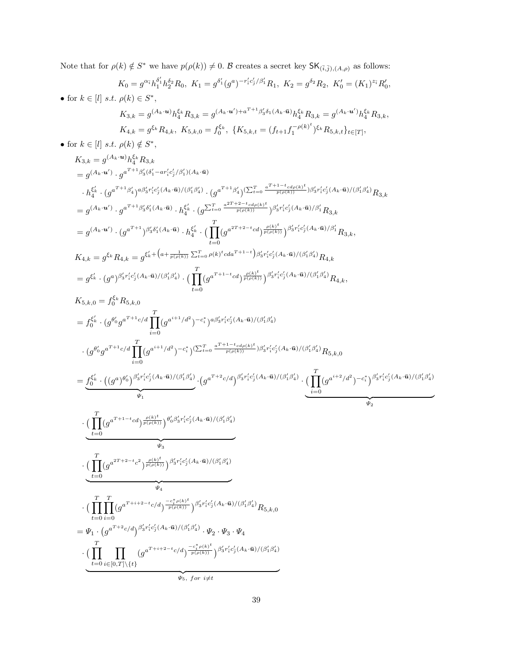Note that for  $\rho(k) \notin S^*$  we have  $p(\rho(k)) \neq 0$ . B creates a secret key  $\mathsf{SK}_{(\bar{i},\bar{j}), (A,\rho)}$  as follows:

$$
K_0 = g^{\alpha_{\tilde{i}}} h_1^{\delta_1'} h_2^{\delta_2} R_0, \ K_1 = g^{\delta_1'} (g^a)^{-r'_i c'_j/\beta'_1} R_1, \ K_2 = g^{\delta_2} R_2, \ K'_0 = (K_1)^{z_{\tilde{i}}} R'_0,
$$
  
\n• for  $k \in [l]$  s.t.  $\rho(k) \in S^*$ ,  
\n
$$
K_{3,k} = g^{(A_k \cdot \mathbf{u})} h_4^{\xi_k} R_{3,k} = g^{(A_k \cdot \mathbf{u}') + a^{T+1} \beta'_3 \delta_1 (A_k \cdot \bar{\mathbf{u}})} h_4^{\xi_k} R_{3,k} = g^{(A_k \cdot \mathbf{u}')} h_4^{\xi_k} R_{3,k},
$$
\n
$$
K_{4,k} = g^{\xi_k} R_{4,k}, \ K_{5,k,0} = f_0^{\xi_k}, \ \{K_{5,k,t} = (f_{t+1} f_1^{-\rho(k)^t})^{\xi_k} R_{5,k,t} \}_{t \in [T]},
$$
\n• for  $k \in [l]$  s.t.  $\rho(k) \notin S^*$ ,  
\n
$$
K_{\tilde{K},1} = g^{(A_k \cdot \mathbf{u})} h_5^{\xi_k} R_{\tilde{K},1}.
$$

$$
K_{3,k} = g^{(A_k \cdot u')} \cdot g^{a^{T+1} \beta'_3 (\delta'_1 - ar'_i c'_j/\beta'_1)(A_k \cdot \bar{u})}
$$
  
\n
$$
= g^{(A_k \cdot u')} \cdot g^{a^{T+1} \beta'_3 (\delta'_1 - ar'_i c'_j/\beta'_1)(A_k \cdot \bar{u})}
$$
  
\n
$$
\cdot h_4^{\xi'_k} \cdot (g^{a^{T+1} \beta'_4})^{a \beta'_3 r'_i c'_j (A_k \cdot \bar{u})/( \beta'_1 \beta'_4 )} \cdot (g^{a^{T+1} \beta'_4})^{(\sum_{t=0}^T \frac{a^{T+1-t_{c d\rho(k)}t}}{p(\rho(k))}) \beta'_3 r'_i c'_j (A_k \cdot \bar{u})/( \beta'_1 \beta'_4)} R_{3,k}
$$
  
\n
$$
= g^{(A_k \cdot u')} \cdot g^{a^{T+1} \beta'_3 \delta'_1 (A_k \cdot \bar{u})} \cdot h_4^{\xi'_k} \cdot (g^{\sum_{t=0}^T \frac{a^{2T+2-t_{c d\rho(k)}t}}{p(\rho(k))}})^{\beta'_3 r'_i c'_j (A_k \cdot \bar{u})/\beta'_1} R_{3,k}
$$
  
\n
$$
= g^{(A_k \cdot u')} \cdot (g^{a^{T+1}})^{\beta'_3 \delta'_1 (A_k \cdot \bar{u})} \cdot h_4^{\xi'_k} \cdot (\prod_{t=0}^T (g^{a^{2T+2-t_{c d}}})^{\frac{\rho(k)t}{p(\rho(k))}})^{\beta'_3 r'_i c'_j (A_k \cdot \bar{u})/\beta'_1} R_{3,k},
$$
  
\n
$$
K_{4,k} = g^{\xi_k} R_{4,k} = g^{\xi'_k + (a + \frac{1}{p(\rho(k))} \sum_{t=0}^T \rho(k)^t c d a^{T+1-t}})^{\beta'_3 r'_i c'_j (A_k \cdot \bar{u})/(\beta'_1 \beta'_4)} R_{4,k}
$$
  
\n
$$
= g^{\xi'_k} \cdot (g^a)^{\beta'_3 r'_i c'_j (A_k \cdot \bar{u})/(\beta'_1 \beta'_4)} \cdot (\prod_{t=0}^T (g^{a^{T+1-t_{c d}}})^{\frac{\rho(k)^t}{p(\rho(k))}})^{\beta'_3 r'_i c'_j (A_k \
$$

$$
K_{5,k,0} = f_0^{\xi_k} R_{5,k,0}
$$
\n
$$
= f_0^{\xi_k'} \cdot (g^{\theta_0'} g^{a^{T+1}c/d} \prod_{i=0}^T (g^{a^{i+1}/d^2})^{-c_i^*} )^{a\beta_3' r_i' c_j' (A_k \cdot \bar{u}) / (\beta_1' \beta_4')}
$$
\n
$$
\cdot (g^{\theta_0'} g^{a^{T+1}c/d} \prod_{i=0}^T (g^{a^{i+1}/d^2})^{-c_i^*} )^{(\sum_{i=0}^T \frac{a^{T+1-t}c d\rho(k)^t}{p(\rho(k))})\beta_3' r_i' c_j' (A_k \cdot \bar{u}) / (\beta_1' \beta_4')} R_{5,k,0}
$$
\n
$$
= \underbrace{f_0^{\xi_k'} \cdot ((g^a)^{\theta_0'})^{\beta_3' r_i' c_j' (A_k \cdot \bar{u}) / (\beta_1' \beta_4')} \cdot (g^{a^{T+2}c/d})^{\beta_3' r_i' c_j' (A_k \cdot \bar{u}) / (\beta_1' \beta_4')} \cdot (\prod_{i=0}^T (g^{a^{i+2}/d^2})^{-c_i^*})^{\beta_3' r_i' c_j' (A_k \cdot \bar{u}) / (\beta_1' \beta_4')}_{\psi_1}
$$
\n
$$
\cdot \underbrace{(\prod_{t=0}^T (g^{a^{T+1-t}c d})^{\frac{\rho(k)^t}{p(\rho(k))}})^{\theta_0' \beta_3' r_i' c_j' (A_k \cdot \bar{u}) / (\beta_1' \beta_4')}_{\psi_3}
$$
\n
$$
\cdot \underbrace{(\prod_{t=0}^T (g^{a^{T+2-t}c^2})^{\frac{\rho(k)^t}{p(\rho(k))}})^{\beta_3' r_i' c_j' (A_k \cdot \bar{u}) / (\beta_1' \beta_4')}_{\psi_4} R_{5,k,0}
$$
\n
$$
= \Psi_1 \cdot (g^{a^{T+2}c/d})^{\beta_3' r_i' c_j' (A_k \cdot \bar{u}) / (\beta_1' \beta_4')}_{\psi_1 \cdot \psi_2 \cdot \psi_3 \cdot \psi_4} \cdot (\prod_{i=0}^T \prod_{i=0}^T (g^{a^{T+i+2-t}c/d})^{\frac{-c_i
$$

 ${\color{black} \Psi_5,~for~i{\not \equiv}t}$ 

 $t=0$ 

 $i \in [0,T] \backslash \{t\}$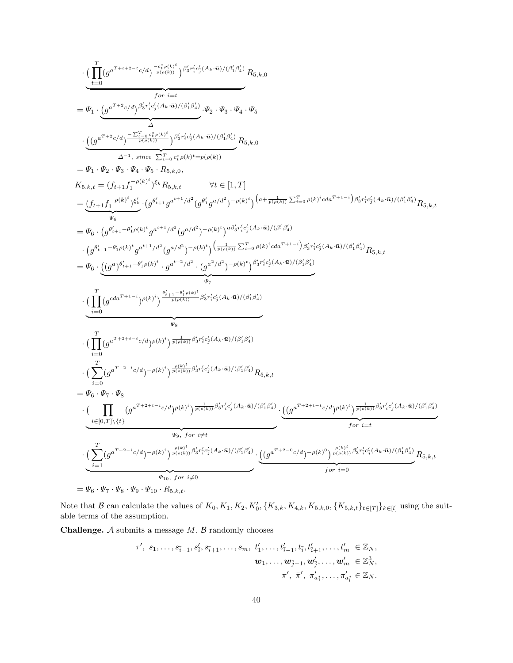$$
\begin{split} &\cdot \big(\underbrace{\prod_{t=0}^{T}(g^{a^{T+t+2-t}c/d})\frac{-c_{T(t)b}^{z}}{r^{(p(t))}}}\big)^{\beta_{5}r_{i}^{z}c'_{j}(A_{k}\cdot\bar{\mathbf{u}})/( \beta_{i}^{z}\beta_{i}^{z})}R_{5,k,0} \\ &=\Psi_{1}\cdot \underbrace{\big(g^{a^{T+t}2}c/d)\frac{c_{T(t)b}^{z}}{r^{(p(t))}}\big)^{\beta_{5}r_{i}^{z}c'_{j}(A_{k}\cdot\bar{\mathbf{u}})/( \beta_{i}^{z}\beta_{i}^{z})}\Psi_{2}\cdot\Psi_{3}\cdot\Psi_{4}\cdot\Psi_{5}}_{\Delta^{1},\,i\text{ since } \sum_{t=0}^{T}c_{T}\rho(k)^{z}}p_{(p(k))} \\ &=\Psi_{1}\cdot \underbrace{\Psi_{2}\cdot \Psi_{3}\cdot \Psi_{4}\cdot \Psi_{5}\cdot R_{5,k,0}}_{\Delta^{-1},\,i\text{ since } \sum_{t=0}^{T}c_{T}\rho(k)^{z}}p_{(p(k))} \\ &=\Psi_{1}\cdot \underbrace{\Psi_{2}\cdot \Psi_{3}\cdot \Psi_{4}\cdot \Psi_{5}\cdot R_{5,k,0}}_{\Psi_{0}} \times f\in [1,T]\\ &=\underbrace{\big(f_{t+1}\int_{\mathbf{T}}^{-\rho(k)^{t}}\big)^{c'_{k}}}_{\Psi_{0}}\cdot \big(g^{\theta_{i+1}^{z}}g^{\theta_{i+1}^{z}}g^{\theta_{i}}g^{\theta_{i}d^{2}}\big)^{-\rho(k)^{t}}\big)^{\left(a+\frac{1}{p(r_{i}^{z})}\sum_{t=0}^{T} \rho(k)^{t}}c(d\mathbf{x}^{T+t-1})\big)^{\beta_{5}r_{i}^{z}c'_{j}(A_{k}\cdot\bar{\mathbf{u}})/( \beta_{i}^{z}\beta_{i}^{z})}\big)R_{5,k,t} \\ &=\Psi_{6}\cdot \big(g^{\theta_{i+1}^{z}-\theta_{i}^{z}/\theta_{i}^{z}}g^{\theta_{i+1}^{z}d^{2}}g^{\theta_{i}d^{2}}\big)^{-\rho(k)^{t}}\big)^{\beta_{5}^{z}c'_{j}^{z}(A_{k}\cdot\bar{\mathbf{u}})/( \beta_{i}^{z}\beta_{i}^{z})}\big)\\ &\cdot \big(g^{\theta_{i+1}^{z
$$

Note that B can calculate the values of  $K_0, K_1, K_2, K'_0, \{K_{3,k}, K_{4,k}, K_{5,k,0}, \{K_{5,k,t}\}_{t\in[T]}\}_{k\in[l]}$  using the suitable terms of the assumption.

**Challenge.**  $A$  submits a message  $M$ .  $B$  randomly chooses

$$
\tau', s_1, \ldots, s_{\tilde{i}-1}, s'_{\tilde{i}}, s_{\tilde{i}+1}, \ldots, s_m, t'_1, \ldots, t'_{\tilde{i}-1}, t_{\tilde{i}}, t'_{\tilde{i}+1}, \ldots, t'_m \in \mathbb{Z}_N, \n \bm{w}_1, \ldots, \bm{w}_{\tilde{j}-1}, \bm{w}'_{\tilde{j}}, \ldots, \bm{w}'_m \in \mathbb{Z}_N^3, \n \pi', \bar{\pi}', \pi'_{a_1^*}, \ldots, \pi'_{a_l^*} \in \mathbb{Z}_N.
$$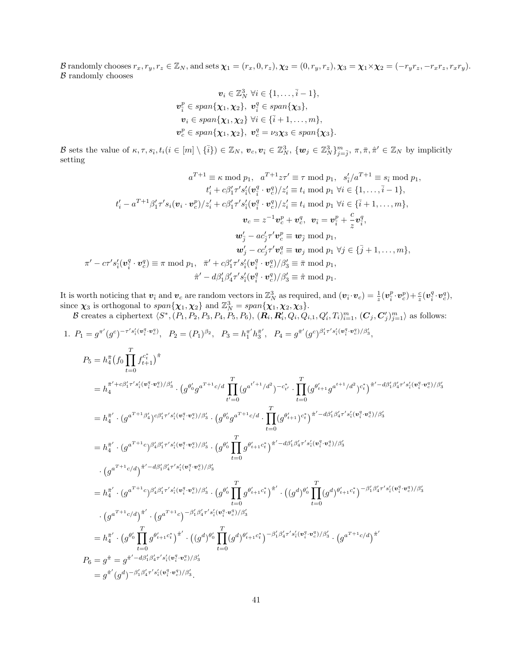B randomly chooses  $r_x, r_y, r_z \in \mathbb{Z}_N$ , and sets  $\chi_1 = (r_x, 0, r_z), \chi_2 = (0, r_y, r_z), \chi_3 = \chi_1 \times \chi_2 = (-r_y r_z, -r_x r_z, r_x r_y).$  $B$  randomly chooses

$$
\mathbf{v}_i \in \mathbb{Z}_N^3 \ \forall i \in \{1, \ldots, \bar{i} - 1\},
$$

$$
\mathbf{v}_i^p \in span\{\mathbf{\chi}_1, \mathbf{\chi}_2\}, \ \mathbf{v}_i^q \in span\{\mathbf{\chi}_3\},
$$

$$
\mathbf{v}_i \in span\{\mathbf{\chi}_1, \mathbf{\chi}_2\} \ \forall i \in \{\bar{i} + 1, \ldots, m\},
$$

$$
\mathbf{v}_c^p \in span\{\mathbf{\chi}_1, \mathbf{\chi}_2\}, \ \mathbf{v}_c^q = \nu_3 \mathbf{\chi}_3 \in span\{\mathbf{\chi}_3\}.
$$

B sets the value of  $\kappa, \tau, s_{\bar{i}}, t_i (i \in [m] \setminus {\bar{i}}) \in \mathbb{Z}_N$ ,  $v_c, v_{\bar{i}} \in \mathbb{Z}_N^3$ ,  $\{w_j \in \mathbb{Z}_N^3\}_{j=\bar{j}}^m$ ,  $\pi, \bar{\pi}, \hat{\pi}' \in \mathbb{Z}_N$  by implicitly setting

$$
a^{T+1} \equiv \kappa \mod p_1, \quad a^{T+1}z\tau' \equiv \tau \mod p_1, \quad s_i^{\prime}/a^{T+1} \equiv s_i \mod p_1, \n t_i^{\prime} + c\beta_1^{\prime}\tau^{\prime} s_i^{\prime} (\mathbf{v}_i^q \cdot \mathbf{v}_c^q)/z_i^{\prime} \equiv t_i \mod p_1 \ \forall i \in \{1, ..., \bar{i} - 1\}, \n t_i^{\prime} - a^{T+1}\beta_1^{\prime}\tau^{\prime} s_i (\mathbf{v}_i \cdot \mathbf{v}_c^p)/z_i^{\prime} + c\beta_1^{\prime}\tau^{\prime} s_i^{\prime} (\mathbf{v}_i^q \cdot \mathbf{v}_c^q)/z_i^{\prime} \equiv t_i \mod p_1 \ \forall i \in \{\bar{i} + 1, ..., m\}, \n \mathbf{v}_c = z^{-1}\mathbf{v}_c^p + \mathbf{v}_c^q, \quad \mathbf{v}_{\bar{i}} = \mathbf{v}_{\bar{i}}^p + \frac{c}{z}\mathbf{v}_{\bar{i}}^q, \n \mathbf{w}_j^{\prime} - ac_j^{\prime}\tau^{\prime} \mathbf{v}_c^p \equiv \mathbf{w}_j \mod p_1, \n \mathbf{w}_j^{\prime} - cc_j^{\prime}\tau^{\prime} \mathbf{v}_c^q \equiv \mathbf{w}_j \mod p_1 \ \forall j \in \{\bar{j} + 1, ..., m\}, \n \pi^{\prime} - cr^{\prime} s_i^{\prime} (\mathbf{v}_{\bar{i}}^q \cdot \mathbf{v}_c^q) \equiv \pi \mod p_1, \quad \tilde{\pi}^{\prime} + c\beta_1^{\prime}\tau^{\prime} s_i^{\prime} (\mathbf{v}_i^q \cdot \mathbf{v}_c^q)/\beta_3^{\prime} \equiv \bar{\pi} \mod p_1, \n \hat{\pi}^{\prime} - d\beta_1^{\prime}\beta_4^{\prime}\tau^{\prime} s_i^{\prime} (\mathbf{v}_i^q \cdot \mathbf{v}_c^q)/\beta_3^{\prime} \equiv \hat{\pi} \mod p_1.
$$

It is worth noticing that  $v_{\bar{i}}$  and  $v_c$  are random vectors in  $\mathbb{Z}_N^3$  as required, and  $(v_{\bar{i}} \cdot v_c) = \frac{1}{z}(v_{\bar{i}}^p \cdot v_c^p) + \frac{c}{z}(v_{\bar{i}}^q \cdot v_c^q)$ , since  $\chi_3$  is orthogonal to  $span{\chi_1, \chi_2}$  and  $\mathbb{Z}_N^3 = span{\chi_1, \chi_2, \chi_3}$ .

B creates a ciphertext  $\langle S^*, (P_1, P_2, P_3, P_4, P_5, P_6), (R_i, R'_i, Q_i, Q_{i,1}, Q'_i, T_i)_{i=1}^m, (C_j, C'_j)_{j=1}^m \rangle$  as follows:

1. 
$$
P_1 = g^{\pi'}(g^c)^{-\tau's'_i(\mathbf{v}_i^q \cdot \mathbf{v}_c^q)}, P_2 = (P_1)^{\beta_2}, P_3 = h_1^{\pi'}h_3^{\pi'}, P_4 = g^{\pi'}(g^c)^{\beta'_1 \tau's'_i(\mathbf{v}_i^q \cdot \mathbf{v}_c^q)/\beta'_3},
$$
  
\n $P_5 = h_4^{\pi}(f_0 \prod_{t=0}^T f_{t+1}^{c_t^*})^{\hat{\pi}}$   
\n $= h_4^{\pi' + c\beta'_1 \tau's'_i(\mathbf{v}_i^q \cdot \mathbf{v}_c^q)/\beta'_3} \cdot (g^{\theta'_0}g^{a^T+1}c/d \prod_{t'=0}^T (g^{a^{t'+1}}/d^2)^{-c_{t'}^*} \cdot \prod_{t=0}^T (g^{\theta'_{t+1}}g^{a^{t+1}}/d^2)^{c_t^*})^{\hat{\pi}' - d\beta'_1\beta'_4 \tau's'_i(\mathbf{v}_i^q \cdot \mathbf{v}_c^q)/\beta'_3}$   
\n $= h_4^{\pi'} \cdot (g^{a^T+1}\beta'_4)^{c\beta'_1 \tau's'_i(\mathbf{v}_i^q \cdot \mathbf{v}_c^q)/\beta'_3} \cdot (g^{\theta'_0}g^{a^T+1}c/d \prod_{t=0}^T (g^{\theta'_{t+1}})^{c_t^*})^{\hat{\pi}' - d\beta'_1\beta'_4 \tau's'_i(\mathbf{v}_i^q \cdot \mathbf{v}_c^q)/\beta'_3}$   
\n $= h_4^{\pi'} \cdot (g^{a^T+1}c)^{\beta'_4\beta'_1 \tau's'_i(\mathbf{v}_i^q \cdot \mathbf{v}_c^q)/\beta'_3} \cdot (g^{\theta'_0} \prod_{t=0}^T g^{\theta'_{t+1}c_t^*})^{\hat{\pi}' - d\beta'_1\beta'_4 \tau's'_i(\mathbf{v}_i^q \cdot \mathbf{v}_c^q)/\beta'_3$   
\n $\cdot (g^{a^T+1}c/d)^{\hat{\pi}' - d\beta'_1\beta'_4 \tau's'_i(\mathbf{v}_i^q \cdot \mathbf{v}_c^q)/\beta'_3} \cdot (g^{\theta'_0} \prod_{t=0}^T g^{\theta$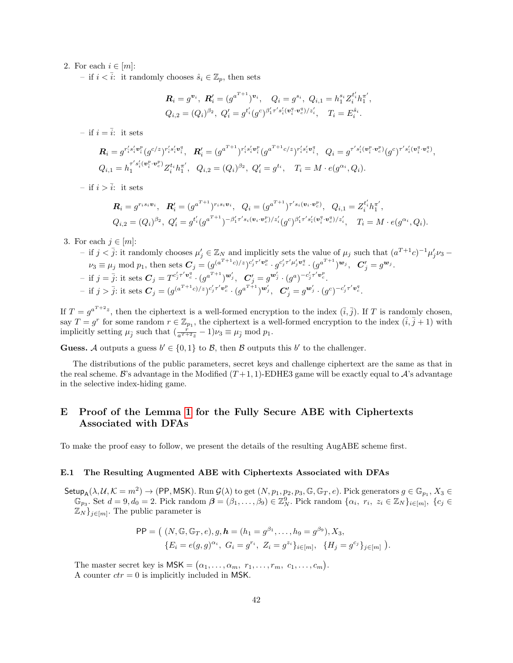# 2. For each  $i \in [m]$ :

– if  $i < \overline{i}$ : it randomly chooses  $\hat{s}_i \in \mathbb{Z}_p$ , then sets

$$
\mathbf{R}_{i} = g^{\mathbf{v}_{i}}, \ \mathbf{R}'_{i} = (g^{a^{T+1}})^{\mathbf{v}_{i}}, \quad Q_{i} = g^{s_{i}}, \ Q_{i,1} = h_{1}^{s_{i}} Z_{i}^{t'_{i}} h_{1}^{\pi'},
$$
  

$$
Q_{i,2} = (Q_{i})^{\beta_{2}}, \ Q'_{i} = g^{t'_{i}} (g^{c})^{\beta'_{1} \tau' s'_{i} (\mathbf{v}_{i}^{q} \cdot \mathbf{v}_{c}^{q})/z'_{i}}, \quad T_{i} = E_{i}^{\hat{s}_{i}}.
$$

– if  $i = \overline{i}$ : it sets

$$
\mathbf{R}_{i} = g^{r'_{i}s'_{i}\mathbf{v}_{i}^{p}}(g^{c/z})^{r'_{i}s'_{i}\mathbf{v}_{i}^{q}}, \quad\n\mathbf{R}'_{i} = (g^{a^{T+1}})^{r'_{i}s'_{i}\mathbf{v}_{i}^{p}}(g^{a^{T+1}c/z})^{r'_{i}s'_{i}\mathbf{v}_{i}^{q}}, \quad\nQ_{i} = g^{r's'_{i}(\mathbf{v}_{i}^{p} \cdot \mathbf{v}_{c}^{p})}(g^{c})^{r's'_{i}(\mathbf{v}_{i}^{q} \cdot \mathbf{v}_{c}^{q})},
$$
\n
$$
Q_{i,1} = h_{1}^{r's'_{i}(\mathbf{v}_{i}^{p} \cdot \mathbf{v}_{c}^{p})} Z_{i}^{t_{i}}h_{1}^{r'}, \quad\nQ_{i,2} = (Q_{i})^{\beta_{2}}, \quad\nQ'_{i} = g^{t_{i}}, \quad\nT_{i} = M \cdot e(g^{\alpha_{i}}, Q_{i}).
$$

– if  $i > \overline{i}$ : it sets

$$
\mathbf{R}_{i} = g^{r_{i}s_{i}\mathbf{v}_{i}}, \quad \mathbf{R}'_{i} = (g^{a^{T+1}})^{r_{i}s_{i}\mathbf{v}_{i}}, \quad Q_{i} = (g^{a^{T+1}})^{r's_{i}(\mathbf{v}_{i}\cdot\mathbf{v}_{c}^{p})}, \quad Q_{i,1} = Z_{i}^{t'_{i}}h_{1}^{\pi'},
$$
\n
$$
Q_{i,2} = (Q_{i})^{\beta_{2}}, \quad Q'_{i} = g^{t'_{i}}(g^{a^{T+1}})^{-\beta'_{1}r's_{i}(\mathbf{v}_{i}\cdot\mathbf{v}_{c}^{p})/z'_{i}}(g^{c})^{\beta'_{1}r's'_{i}(\mathbf{v}_{i}^{q}\cdot\mathbf{v}_{c}^{q})/z'_{i}}, \quad T_{i} = M \cdot e(g^{\alpha_{i}}, Q_{i}).
$$

3. For each  $j \in [m]$ :

 $-$  if j <  $\overline{j}$ : it randomly chooses  $\mu'_j$  ∈  $\mathbb{Z}_N$  and implicitly sets the value of  $\mu_j$  such that  $(a^{T+1}c)^{-1}\mu'_j\nu_3$  –  $\nu_3 \equiv \mu_j \bmod p_1$ , then sets  $\mathbf{C}_j = (g^{(a^{T+1}c)/z})^{c'_j \tau' \mathbf{v}^p_c} \cdot g^{c'_j \tau' \mu'_j \mathbf{v}^q_c} \cdot (g^{a^{T+1}})^{\mathbf{w}_j}$ ,  $\mathbf{C}'_j = g^{\mathbf{w}_j}$ .  $\mathcal{L}_j = \overline{j}$ : it sets  $\mathcal{C}_j = T^{c'_j \tau' \mathbf{v}_c^q} \cdot (g^{a^{T+1}})^{\mathbf{w}'_j}, \ \ \mathcal{C}'_j = g^{\mathbf{w}'_j} \cdot (g^a)^{-c'_j \tau' \mathbf{v}_c^p}.$  $\mathcal{I} = \text{if } j > \overline{j}: \text{ it sets } \mathbf{C}_j = (g^{(a^{T+1}c)/z})^{c'_j \tau' \mathbf{v}^p_c} \cdot (g^{a^{T+1}})^{\mathbf{w}'_j}, \ \ \mathbf{C}'_j = g^{\mathbf{w}'_j} \cdot (g^c)^{-c'_j \tau' \mathbf{v}^q_c}.$ 

If  $T = g^{a^{T+2}z}$ , then the ciphertext is a well-formed encryption to the index  $(\bar{i}, \bar{j})$ . If T is randomly chosen, say  $T = g^r$  for some random  $r \in \mathbb{Z}_{p_1}$ , the ciphertext is a well-formed encryption to the index  $(\bar{i}, \bar{j} + 1)$  with implicitly setting  $\mu_{\bar{j}}$  such that  $(\frac{\tilde{r}}{a^{T+2}z} - 1)\nu_3 \equiv \mu_{\bar{j}} \mod p_1$ .

**Guess.** A outputs a guess  $b' \in \{0,1\}$  to B, then B outputs this b' to the challenger.

The distributions of the public parameters, secret keys and challenge ciphertext are the same as that in the real scheme. B's advantage in the Modified  $(T+1, 1)$ -EDHE3 game will be exactly equal to A's advantage in the selective index-hiding game.

# <span id="page-41-0"></span>E Proof of the Lemma [1](#page-15-2) for the Fully Secure ABE with Ciphertexts Associated with DFAs

To make the proof easy to follow, we present the details of the resulting AugABE scheme first.

#### E.1 The Resulting Augmented ABE with Ciphertexts Associated with DFAs

 $\mathsf{Setup}_{\mathsf{A}}(\lambda,\mathcal{U},\mathcal{K}=m^2)\to(\mathsf{PP},\mathsf{MSK}).$   $\mathrm{Run} \ \mathcal{G}(\lambda)$  to get  $(N,p_1,p_2,p_3,\mathbb{G},\mathbb{G}_T,e).$  Pick generators  $g\in\mathbb{G}_{p_1},$   $X_3\in\mathbb{G}_{p_2},$  $\mathbb{G}_{p_3}$ . Set  $d = 9, d_0 = 2$ . Pick random  $\boldsymbol{\beta} = (\beta_1, \dots, \beta_9) \in \mathbb{Z}_N^9$ . Pick random  $\{\alpha_i, r_i, z_i \in \mathbb{Z}_N\}_{i \in [m]}, \{c_j \in \mathbb{Z}_N\}_{i \in [m]}$  $\mathbb{Z}_{N}$ <sub>j∈[m]</sub>. The public parameter is

$$
\mathsf{PP} = \big( (N, \mathbb{G}, \mathbb{G}_T, e), g, \mathbf{h} = (h_1 = g^{\beta_1}, \dots, h_9 = g^{\beta_9}), X_3, \{E_i = e(g, g)^{\alpha_i}, G_i = g^{r_i}, Z_i = g^{z_i}\}_{i \in [m]}, \{H_j = g^{c_j}\}_{j \in [m]}\big).
$$

The master secret key is  $\mathsf{MSK} = (\alpha_1, \ldots, \alpha_m, r_1, \ldots, r_m, c_1, \ldots, c_m).$ A counter  $ctr = 0$  is implicitly included in MSK.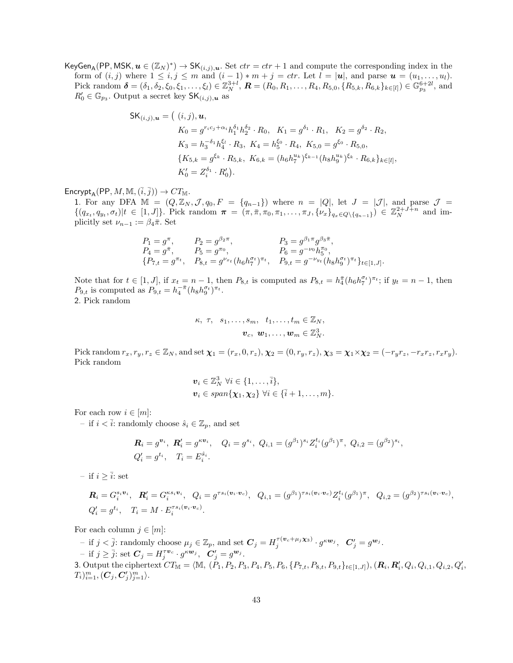KeyGen<sub>A</sub>(PP, MSK,  $u \in (\mathbb{Z}_N)^*$ )  $\to$  SK $(i,j), u$ . Set  $ctr =ctr + 1$  and compute the corresponding index in the form of  $(i, j)$  where  $1 \leq i, j \leq m$  and  $(i - 1) * m + j = \text{ctr.}$  Let  $l = |\mathbf{u}|$ , and parse  $\mathbf{u} = (u_1, \ldots, u_l)$ . Pick random  $\boldsymbol{\delta} = (\delta_1, \delta_2, \xi_0, \xi_1, \dots, \xi_l) \in \mathbb{Z}_N^{3+l}$ ,  $\boldsymbol{R} = (R_0, R_1, \dots, R_4, R_{5,0}, \{R_{5,k}, R_{6,k}\}_{k \in [l]}) \in \mathbb{G}_{p_3}^{6+2l}$ , and  $R'_0 \in \mathbb{G}_{p_3}$ . Output a secret key  $\mathsf{SK}_{(i,j),\bm{u}}$  as

$$
\mathsf{SK}_{(i,j),\mathbf{u}} = ( (i,j), \mathbf{u},
$$
  
\n
$$
K_0 = g^{r_ic_j + \alpha_i} h_1^{\delta_1} h_2^{\delta_2} \cdot R_0, \quad K_1 = g^{\delta_1} \cdot R_1, \quad K_2 = g^{\delta_2} \cdot R_2,
$$
  
\n
$$
K_3 = h_3^{-\delta_1} h_4^{\xi_l} \cdot R_3, \quad K_4 = h_5^{\xi_0} \cdot R_4, \quad K_{5,0} = g^{\xi_0} \cdot R_{5,0},
$$
  
\n
$$
\{ K_{5,k} = g^{\xi_k} \cdot R_{5,k}, \quad K_{6,k} = (h_6 h_7^{u_k})^{\xi_{k-1}} (h_8 h_9^{u_k})^{\xi_k} \cdot R_{6,k} \}_{k \in [l]},
$$
  
\n
$$
K_0' = Z_i^{\delta_1} \cdot R_0').
$$

Encrypt<sub>A</sub>(PP, M, M,  $(\overline{i}, \overline{j})) \rightarrow CT_{\mathbb{M}}$ .

1. For any DFA  $\mathbb{M} = (Q, \mathbb{Z}_N, \mathcal{J}, q_0, F = \{q_{n-1}\})$  where  $n = |Q|$ , let  $J = |\mathcal{J}|$ , and parse  $\mathcal{J} =$  $\{(q_{x_t}, q_{y_t}, \sigma_t)|t \in [1, J]\}.$  Pick random  $\pi = (\pi, \bar{\pi}, \pi_0, \pi_1, \ldots, \pi_J, \{\nu_x\}_{q_x \in Q \setminus \{q_{n-1}\}}) \in \mathbb{Z}_N^{2+J+n}$  and implicitly set  $\nu_{n-1} := \beta_4 \bar{\pi}$ . Set

$$
P_1 = g^{\pi}, \t P_2 = g^{\beta_2 \pi}, \t P_3 = g^{\beta_1 \pi} g^{\beta_3 \bar{\pi}},
$$
  
\n
$$
P_4 = g^{\bar{\pi}}, \t P_5 = g^{\pi_0}, \t P_6 = g^{-\nu_0} h_5^{\pi_0},
$$
  
\n
$$
\{P_{7,t} = g^{\pi_t}, \t P_{8,t} = g^{\nu_{x_t}} (h_6 h_7^{\sigma_t})^{\pi_t}, \t P_{9,t} = g^{-\nu_{y_t}} (h_8 h_9^{\sigma_t})^{\pi_t} \}_{t \in [1, J]}.
$$

Note that for  $t \in [1, J]$ , if  $x_t = n - 1$ , then  $P_{8,t}$  is computed as  $P_{8,t} = h_4^{\pi} (h_6 h_7^{\sigma_t})^{\pi_t}$ ; if  $y_t = n - 1$ , then  $P_{9,t}$  is computed as  $P_{9,t} = h_4^{-\bar{\pi}} (h_8 h_9^{\sigma_t})^{\pi_t}$ . 2. Pick random

$$
\kappa, \tau, s_1, \ldots, s_m, t_1, \ldots, t_m \in \mathbb{Z}_N,
$$
  

$$
\boldsymbol{v}_c, \boldsymbol{w}_1, \ldots, \boldsymbol{w}_m \in \mathbb{Z}_N^3.
$$

Pick random  $r_x, r_y, r_z \in \mathbb{Z}_N$ , and set  $\chi_1 = (r_x, 0, r_z), \chi_2 = (0, r_y, r_z), \chi_3 = \chi_1 \times \chi_2 = (-r_y r_z, -r_x r_z, r_x r_y).$ Pick random

$$
\mathbf{v}_i \in \mathbb{Z}_N^3 \ \forall i \in \{1, \ldots, \overline{i}\},
$$
  

$$
\mathbf{v}_i \in span\{\mathbf{\chi}_1, \mathbf{\chi}_2\} \ \forall i \in \{\overline{i}+1, \ldots, m\}.
$$

For each row  $i \in [m]$ :

– if  $i < \overline{i}$ : randomly choose  $\hat{s}_i \in \mathbb{Z}_p$ , and set

$$
\mathbf{R}_{i} = g^{\mathbf{v}_{i}}, \ \mathbf{R}'_{i} = g^{\kappa \mathbf{v}_{i}}, \quad Q_{i} = g^{s_{i}}, \ Q_{i,1} = (g^{\beta_{1}})^{s_{i}} Z_{i}^{t_{i}} (g^{\beta_{1}})^{\pi}, \ Q_{i,2} = (g^{\beta_{2}})^{s_{i}},
$$
  

$$
Q'_{i} = g^{t_{i}}, \quad T_{i} = E_{i}^{\hat{s}_{i}}.
$$

– if  $i > \overline{i}$ : set

$$
\mathbf{R}_{i} = G_{i}^{s_{i}v_{i}}, \quad \mathbf{R}'_{i} = G_{i}^{\kappa s_{i}v_{i}}, \quad Q_{i} = g^{\tau s_{i}(v_{i} \cdot v_{c})}, \quad Q_{i,1} = (g^{\beta_{1}})^{\tau s_{i}(v_{i} \cdot v_{c})} Z_{i}^{t_{i}} (g^{\beta_{1}})^{\pi}, \quad Q_{i,2} = (g^{\beta_{2}})^{\tau s_{i}(v_{i} \cdot v_{c})},
$$
  

$$
Q'_{i} = g^{t_{i}}, \quad T_{i} = M \cdot E_{i}^{\tau s_{i}(v_{i} \cdot v_{c})}.
$$

For each column  $j \in [m]$ :

 $\mathcal{I} - \text{ if } j < \overline{j} \text{ : randomly choose } \mu_j \in \mathbb{Z}_p \text{, and set } \mathbf{C}_j = H_j^{\tau(\mathbf{v}_c + \mu_j \mathbf{x}_3)} \cdot g^{\kappa \mathbf{w}_j}, \ \ \mathbf{C}'_j = g^{\mathbf{w}_j}.$ - if  $j \ge \overline{j}$ : set  $C_j = H_j^{\tau \nu_c} \cdot g^{\kappa \mathbf{w}_j}, \ \ C'_j = g^{\mathbf{w}_j}$ . 3. Output the ciphertext CT<sup>M</sup> = hM, (P1, P2, P3, P4, P5, P6, {P7,t, P8,t, P9,t}t∈[1,J]), (R<sup>i</sup> , R<sup>0</sup> i , Q<sup>i</sup> , Qi,1, Qi,2, Q<sup>0</sup> i ,  $T_i)_{i=1}^m, (\bm{C}_j, \bm{C}_j')_{j=1}^m \rangle.$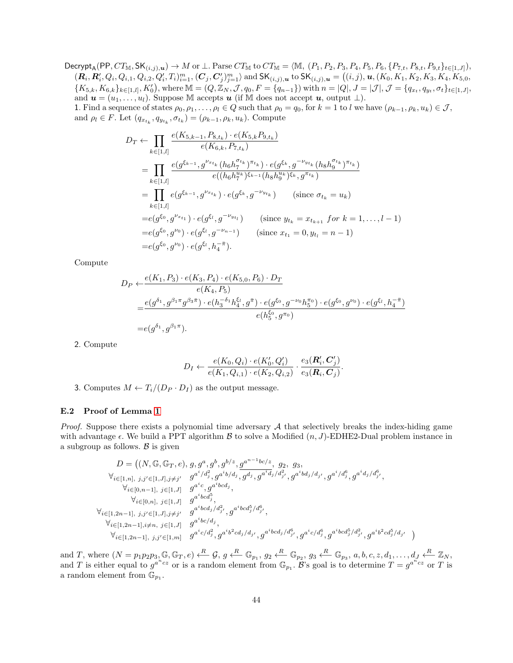Decrypt<sub>A</sub>(PP,  $CT_{\mathbb{M}}$ , SK $_{(i,j),u}$ )  $\to M$  or  $\perp$ . Parse  $CT_{\mathbb{M}}$  to  $CT_{\mathbb{M}} = \langle \mathbb{M}, (P_1, P_2, P_3, P_4, P_5, P_6, \{P_{7,t}, P_{8,t}, P_{9,t}\}_{t\in[1,J]}),$  $(\mathbf{R}_i, \mathbf{R}'_i, Q_i, Q_{i,1}, Q_{i,2}, Q'_i, T_i)_{i=1}^m, (\mathbf{C}_j, \mathbf{C}'_j)_{j=1}^m \rangle$  and  $\mathsf{SK}_{(i,j),\bm{u}}$  to  $\mathsf{SK}_{(i,j),\bm{u}} = ((i,j), \bm{u}, (K_0, K_1, K_2, K_3, K_4, K_{5,0}, K_5, K_6, K_7, K_8, K_7, K_8, K_9, K_1, K_2, K_4, K_5, K_6, K_7, K_8, K_9, K_9, K_1$  ${K_{5,k}, K_{6,k}}_{k\in [1,l], K'_0},$  where  $\mathbb{M} = (Q, \mathbb{Z}_N, \mathcal{J}, q_0, F = \{q_{n-1}\})$  with  $n = |Q|, J = |\mathcal{J}|, \mathcal{J} = \{q_{x_t}, q_{y_t}, \sigma_t\}_{t\in [1,J]},$ and  $u = (u_1, \ldots, u_l)$ . Suppose M accepts u (if M does not accept u, output  $\perp$ ). 1. Find a sequence of states  $\rho_0, \rho_1, \ldots, \rho_l \in Q$  such that  $\rho_0 = q_0$ , for  $k = 1$  to l we have  $(\rho_{k-1}, \rho_k, u_k) \in \mathcal{J}$ ,

and  $\rho_l \in F$ . Let  $(q_{x_{t_k}}, q_{y_{t_k}}, \sigma_{t_k}) = (\rho_{k-1}, \rho_k, u_k)$ . Compute

$$
D_T \leftarrow \prod_{k \in [1,l]} \frac{e(K_{5,k-1}, P_{8,t_k}) \cdot e(K_{5,k}P_{9,t_k})}{e(K_{6,k}, P_{7,t_k})}
$$
  
\n
$$
= \prod_{k \in [1,l]} \frac{e(g^{\xi_{k-1}}, g^{\nu_{x_{t_k}}}(h_6 h_7^{\sigma_{t_k}})^{\pi_{t_k}}) \cdot e(g^{\xi_k}, g^{-\nu_{y_{t_k}}}(h_8 h_9^{\sigma_{t_k}})^{\pi_{t_k}})}{e((h_6 h_7^{\nu_k})^{\xi_{k-1}}(h_8 h_9^{\nu_k})^{\xi_k}, g^{\pi_{t_k}})}
$$
  
\n
$$
= \prod_{k \in [1,l]} e(g^{\xi_{k-1}}, g^{\nu_{x_{t_k}}}) \cdot e(g^{\xi_k}, g^{-\nu_{y_{t_k}}}) \text{ (since } \sigma_{t_k} = u_k)
$$
  
\n
$$
= e(g^{\xi_0}, g^{\nu_{x_{t_1}}}) \cdot e(g^{\xi_l}, g^{-\nu_{y_{t_l}}}) \text{ (since } y_{t_k} = x_{t_{k+1}} \text{ for } k = 1, ..., l-1)
$$
  
\n
$$
= e(g^{\xi_0}, g^{\nu_0}) \cdot e(g^{\xi_l}, g^{-\nu_{n-1}}) \text{ (since } x_{t_1} = 0, y_{t_l} = n-1)
$$
  
\n
$$
= e(g^{\xi_0}, g^{\nu_0}) \cdot e(g^{\xi_l}, h_4^{-\pi}).
$$

Compute

$$
D_P \leftarrow \frac{e(K_1, P_3) \cdot e(K_3, P_4) \cdot e(K_5, 0, P_6) \cdot D_T}{e(K_4, P_5)}
$$
  
= 
$$
\frac{e(g^{\delta_1}, g^{\beta_1 \pi} g^{\beta_3 \pi}) \cdot e(h_3^{-\delta_1} h_4^{\xi_1}, g^{\pi}) \cdot e(g^{\xi_0}, g^{-\nu_0} h_5^{\pi_0}) \cdot e(g^{\xi_0}, g^{\nu_0}) \cdot e(g^{\xi_1}, h_4^{-\pi})}{e(h_5^{\xi_0}, g^{\pi_0})}
$$
  
= 
$$
e(g^{\delta_1}, g^{\beta_1 \pi}).
$$

2. Compute

$$
D_I \leftarrow \frac{e(K_0, Q_i) \cdot e(K'_0, Q'_i)}{e(K_1, Q_{i,1}) \cdot e(K_2, Q_{i,2})} \cdot \frac{e_3(\mathbf{R}'_i, \mathbf{C}'_j)}{e_3(\mathbf{R}_i, \mathbf{C}_j)}.
$$

3. Computes  $M \leftarrow T_i/(D_P \cdot D_I)$  as the output message.

## E.2 Proof of Lemma [1](#page-15-2)

*Proof.* Suppose there exists a polynomial time adversary  $A$  that selectively breaks the index-hiding game with advantage  $\epsilon$ . We build a PPT algorithm  $\beta$  to solve a Modified  $(n, J)$ -EDHE2-Dual problem instance in a subgroup as follows.  $\beta$  is given

$$
D = \left( (N, \mathbb{G}, \mathbb{G}_T, e), g, g^a, g^b, g^{b/z}, g^{a^{n-1}bc/z}, g_2, g_3, \n\forall_{i \in [1,n], j, j' \in [1,J], j \neq j'} g^{a^i/d_j^2}, g^{a^ib/d_j}, g^{d_j}, g^{a^id_j/d_{j'}^2}, g^{a^ibd_j/d_{j'}}, g^{a^i/d_j^6}, g^{a^id_j/d_{j'}^6}, \n\forall_{i \in [0,n-1], j \in [1,J]} g^{a^ic}, g^{a^ibcd_j^5}, \n\forall_{i \in [0,n], j \in [1,J]} g^{a^ibcd_j^5}, \n\forall_{i \in [1,2n-1], j, j' \in [1,J], j \neq j'} g^{a^ibcd_j/d_{j'}^2}, g^{a^ibcd_j^5/d_{j'}^6}, \n\forall_{i \in [1,2n-1], i \neq n, j \in [1,J]} g^{a^ibcd_j/d_j^2}, g^{a^ibcd_j^5/d_{j'}^6}, g^{a^ic/d_j^6}, g^{a^ibcd_j^5/d_{j'}^2}, g^{a^ib^2cd_j^5/d_{j'}^4} \right)
$$

and T, where  $(N = p_1p_2p_3, \mathbb{G}, \mathbb{G}_T, e) \stackrel{R}{\longleftarrow} \mathcal{G}, g \stackrel{R}{\longleftarrow} \mathbb{G}_{p_1}, g_2 \stackrel{R}{\longleftarrow} \mathbb{G}_{p_2}, g_3 \stackrel{R}{\longleftarrow} \mathbb{G}_{p_3}, a, b, c, z, d_1, \ldots, d_J \stackrel{R}{\longleftarrow} \mathbb{Z}_N$ and T is either equal to  $g^{a^n c z}$  or is a random element from  $\mathbb{G}_{p_1}$ . B's goal is to determine  $T = g^{a^n c z}$  or T is a random element from  $\mathbb{G}_{p_1}$ .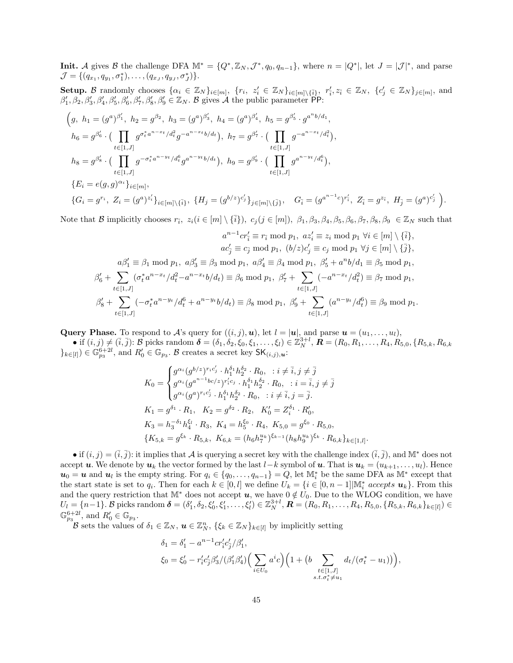**Init.** A gives B the challenge DFA  $\mathbb{M}^* = \{Q^*, \mathbb{Z}_N, \mathcal{J}^*, q_0, q_{n-1}\}$ , where  $n = |Q^*|$ , let  $J = |\mathcal{J}|^*$ , and parse  $\mathcal{J} = \{ (q_{x_1}, q_{y_1}, \sigma_1^*), \ldots, (q_{x_J}, q_{y_J}, \sigma_J^*) \}.$ 

Setup. B randomly chooses  $\{\alpha_i \in \mathbb{Z}_N\}_{i \in [m]}, \ \{r_i, z'_i \in \mathbb{Z}_N\}_{i \in [m] \setminus {\{\overline{i}\}}}, \ r'_i, z_{\overline{i}} \in \mathbb{Z}_N, \ \{c'_j \in \mathbb{Z}_N\}_{j \in [m]},$  and  $\beta'_1, \beta_2, \beta'_3, \beta'_4, \beta'_5, \beta'_6, \beta'_7, \beta'_8, \beta'_9 \in \mathbb{Z}_N$ . B gives A the public parameter PP:

$$
\left(g, h_1 = (g^a)^{\beta'_1}, h_2 = g^{\beta_2}, h_3 = (g^a)^{\beta'_3}, h_4 = (g^a)^{\beta'_4}, h_5 = g^{\beta'_5} \cdot g^{a^n b / d_1},\n h_6 = g^{\beta'_6} \cdot \left(\prod_{t \in [1, J]} g^{\sigma_t^* a^{n-x_t} / d_t^2} g^{-a^{n-x_t} b / d_t}\right), h_7 = g^{\beta'_7} \cdot \left(\prod_{t \in [1, J]} g^{-a^{n-x_t} / d_t^2}\right),\n h_8 = g^{\beta'_8} \cdot \left(\prod_{t \in [1, J]} g^{-\sigma_t^* a^{n-y_t} / d_t^6} g^{a^{n-y_t} b / d_t}\right), h_9 = g^{\beta'_9} \cdot \left(\prod_{t \in [1, J]} g^{a^{n-y_t} / d_t^6}\right),\n \{E_i = e(g, g)^{\alpha_i}\}_{i \in [m]},\n \{G_i = g^{r_i}, Z_i = (g^a)^{z'_i}\}_{i \in [m] \setminus \{\overline{i}\}}, \{H_j = (g^{b/z})^{c'_j}\}_{j \in [m] \setminus \{\overline{j}\}}, \quad G_{\overline{i}} = (g^{a^{n-1}c})^{r'_i}, Z_{\overline{i}} = g^{z_{\overline{i}}}, H_{\overline{j}} = (g^a)^{c'_j}\right)
$$

Note that B implicitly chooses  $r_{\bar{i}}$ ,  $z_i (i \in [m] \setminus {\bar{i}}$ ,  $c_j (j \in [m])$ ,  $\beta_1, \beta_3, \beta_4, \beta_5, \beta_6, \beta_7, \beta_8, \beta_9 \in \mathbb{Z}_N$  such that

.

$$
a^{n-1}cr_{\bar{i}} \equiv r_{\bar{i}} \mod p_1, \ az_i' \equiv z_i \mod p_1 \ \forall i \in [m] \setminus {\bar{i}},
$$
  
\n
$$
ac_j' \equiv c_j \mod p_1, \ (b/z)c_j' \equiv c_j \mod p_1 \ \forall j \in [m] \setminus {\bar{i}},
$$
  
\n
$$
a\beta_1' \equiv \beta_1 \mod p_1, \ a\beta_3' \equiv \beta_3 \mod p_1, \ a\beta_4' \equiv \beta_4 \mod p_1, \ \beta_5' + a^n b/d_1 \equiv \beta_5 \mod p_1,
$$
  
\n
$$
\beta_6' + \sum_{t \in [1,J]} (\sigma_t^* a^{n-x_t}/d_t^2 - a^{n-x_t} b/d_t) \equiv \beta_6 \mod p_1, \ \beta_7' + \sum_{t \in [1,J]} (-a^{n-x_t}/d_t^2) \equiv \beta_7 \mod p_1,
$$
  
\n
$$
\beta_8' + \sum_{t \in [1,J]} (-\sigma_t^* a^{n-y_t}/d_t^6 + a^{n-y_t} b/d_t) \equiv \beta_8 \mod p_1, \ \beta_9' + \sum_{t \in [1,J]} (a^{n-y_t}/d_t^6) \equiv \beta_9 \mod p_1.
$$

**Query Phase.** To respond to A's query for  $((i, j), u)$ , let  $l = |u|$ , and parse  $u = (u_1, \ldots, u_l)$ ,

• if  $(i, j) \neq (\bar{i}, \bar{j})$ : B picks random  $\delta = (\delta_1, \delta_2, \xi_0, \xi_1, \dots, \xi_l) \in \mathbb{Z}_N^{3+l}$ ,  $\mathbf{R} = (R_0, R_1, \dots, R_4, R_{5,0}, \{R_{5,k}, R_{6,k}\})$  $\{k\in [l]\}\in \mathbb{G}_{p_3}^{6+2l}$ , and  $R_0'\in \mathbb{G}_{p_3}$ . B creates a secret key  $\mathsf{SK}_{(i,j),\boldsymbol{u}}$ .

$$
K_0 = \begin{cases} g^{\alpha_i} (g^{b/z})^{r_ic'_j} \cdot h_1^{\delta_1} h_2^{\delta_2} \cdot R_0, \quad : i \neq \overline{i}, j \neq \overline{j} \\ g^{\alpha_i} (g^{a^{n-1}bc/z})^{r'_ic_j} \cdot h_1^{\delta_1} h_2^{\delta_2} \cdot R_0, \quad : i = \overline{i}, j \neq \overline{j} \\ g^{\alpha_i} (g^{a})^{r_ic'_j} \cdot h_1^{\delta_1} h_2^{\delta_2} \cdot R_0, \quad : i \neq \overline{i}, j = \overline{j}. \end{cases}
$$
  
\n
$$
K_1 = g^{\delta_1} \cdot R_1, \quad K_2 = g^{\delta_2} \cdot R_2, \quad K'_0 = Z_i^{\delta_1} \cdot R'_0,
$$
  
\n
$$
K_3 = h_3^{-\delta_1} h_4^{\delta_1} \cdot R_3, \quad K_4 = h_5^{\xi_0} \cdot R_4, \quad K_{5,0} = g^{\xi_0} \cdot R_{5,0},
$$
  
\n
$$
\{K_{5,k} = g^{\xi_k} \cdot R_{5,k}, \quad K_{6,k} = (h_6 h_7^{u_k})^{\xi_{k-1}} (h_8 h_9^{u_k})^{\xi_k} \cdot R_{6,k} \}_{k \in [1,l]}.
$$

• if  $(i, j) = (\overline{i}, \overline{j})$ : it implies that A is querying a secret key with the challenge index  $(\overline{i}, \overline{j})$ , and M<sup>\*</sup> does not accept u. We denote by  $u_k$  the vector formed by the last  $l-k$  symbol of u. That is  $u_k = (u_{k+1}, \ldots, u_l)$ . Hence  $u_0 = u$  and  $u_i$  is the empty string. For  $q_i \in \{q_0, \ldots, q_{n-1}\} = Q$ , let  $\mathbb{M}_i^*$  be the same DFA as  $\mathbb{M}^*$  except that the start state is set to  $q_i$ . Then for each  $k \in [0, l]$  we define  $U_k = \{i \in [0, n-1] | \mathbb{M}_i^*$  accepts  $u_k\}$ . From this and the query restriction that M<sup>\*</sup> does not accept  $u$ , we have  $0 \notin U_0$ . Due to the WLOG condition, we have  $U_l = \{n-1\}$ . B picks random  $\boldsymbol{\delta} = (\delta'_1, \delta_2, \xi'_0, \xi'_1, \dots, \xi'_l) \in \mathbb{Z}_N^{3+l}$ ,  $\boldsymbol{R} = (R_0, R_1, \dots, R_4, R_{5,0}, \{R_{5,k}, R_{6,k}\}_{k \in [l]}) \in$  $\mathbb{G}_{p_3}^{6+2l}$ , and  $R'_0 \in \mathbb{G}_{p_3}$ .

B sets the values of  $\delta_1 \in \mathbb{Z}_N$ ,  $\mathbf{u} \in \mathbb{Z}_N^n$ ,  $\{\xi_k \in \mathbb{Z}_N\}_{k \in [l]}$  by implicitly setting

$$
\delta_1 = \delta'_1 - a^{n-1} cr'_i c'_j / \beta'_1,
$$
  
\n
$$
\xi_0 = \xi'_0 - r'_i c'_j \beta'_3 / (\beta'_1 \beta'_4) \Big( \sum_{i \in U_0} a^i c \Big) \Big( 1 + \big( b \sum_{\substack{t \in [1, J] \\ s.t. \sigma_t^* \neq u_1}} d_t / (\sigma_t^* - u_1) \Big) \Big),
$$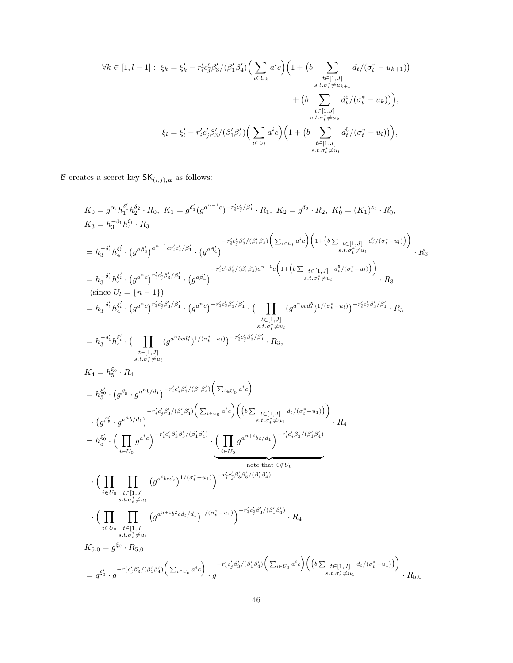$$
\forall k \in [1, l-1]: \xi_k = \xi'_k - r'_i c'_j \beta'_3 / (\beta'_1 \beta'_4) \Big( \sum_{i \in U_k} a^i c \Big) \Big( 1 + \big( b \sum_{\substack{t \in [1, J] \\ s.t. \sigma_t^* \neq u_{k+1}}} d_t / (\sigma_t^* - u_{k+1}) \Big) \\ + \big( b \sum_{\substack{t \in [1, J] \\ s.t. \sigma_t^* \neq u_k}} d_t^5 / (\sigma_t^* - u_k) \Big) \Big),
$$
  

$$
\xi_l = \xi'_l - r'_i c'_j \beta'_3 / (\beta'_1 \beta'_4) \Big( \sum_{i \in U_l} a^i c \Big) \Big( 1 + \big( b \sum_{\substack{t \in [1, J] \\ s.t. \sigma_t^* \neq u_l}} d_t^5 / (\sigma_t^* - u_l) \Big) \Big),
$$

 $\mathcal B$  creates a secret key  $\mathsf{SK}_{(\bar i,\bar j),\bm u}$  as follows:

$$
K_{0} = g^{\alpha_{i}}h_{1}^{\delta_{i}}h_{2}^{\delta_{2}} \cdot R_{0}, K_{1} = g^{\delta_{i}}(g^{a^{n-1}c})^{-r'_{i}c'_{j}/\beta'_{1}} \cdot R_{1}, K_{2} = g^{\delta_{2}} \cdot R_{2}, K'_{0} = (K_{1})^{\tilde{\pi}_{i}} \cdot R'_{0},
$$
\n
$$
K_{3} = h_{3}^{-\delta_{1}}h_{4}^{\epsilon_{1}} \cdot R_{3}
$$
\n
$$
= h_{3}^{-\delta_{1}}h_{4}^{\epsilon_{1}} \cdot (g^{\alpha\beta'_{0}})^{a^{n-1}c_{1}c'_{2}/\beta'_{1}} \cdot (g^{\alpha\beta'_{4}})^{-r'_{i}c'_{2}\beta'_{3}/(\beta'_{1}\beta'_{4})} \left(\sum_{i \in U_{1}} a^{i \cdot c} \right) \left(1 + (b \sum_{s.t.c_{i}^{\epsilon} \neq u_{i}} (e_{i1})_{s \neq i} d^{s}/(\sigma_{i}^{*} - u_{i}))\right) \cdot R_{3}
$$
\n
$$
= h_{3}^{-\delta_{1}^{\epsilon}}h_{4}^{\epsilon_{4}^{\epsilon}} \cdot (g^{\alpha^{n}c})^{r'_{1}c'_{2}\beta'_{3}/\beta'_{1}} \cdot (g^{\alpha\beta'_{4}})^{-r'_{1}c'_{2}\beta'_{3}/(\beta'_{1}\beta'_{4})a^{n-1}c} \left(1 + (b \sum_{s.t.c_{i}^{\epsilon} \neq u_{i}} d^{s}/(\sigma_{i}^{*} - u_{i}))\right) \cdot R_{3}
$$
\n
$$
(since U_{l} = \{n-1\})
$$
\n
$$
= h_{3}^{-\delta_{1}^{\epsilon}}h_{4}^{\epsilon_{1}^{\epsilon}} \cdot (g^{a^{n}c})^{r'_{1}c'_{2}\beta'_{3}/\beta'_{1}} \cdot (g^{a^{n}c})^{-r'_{1}c'_{2}\beta'_{3}/\beta'_{1}} \cdot (g^{a^{n}c})^{-r'_{1}c'_{2}\beta'_{3}/\beta'_{1}} \cdot R_{3},
$$
\n
$$
= h_{3}^{-\delta_{1}^{\epsilon}}h_{4}^{\epsilon_{4}^{\epsilon}} \cdot (g^{a^{n}c})^{r'
$$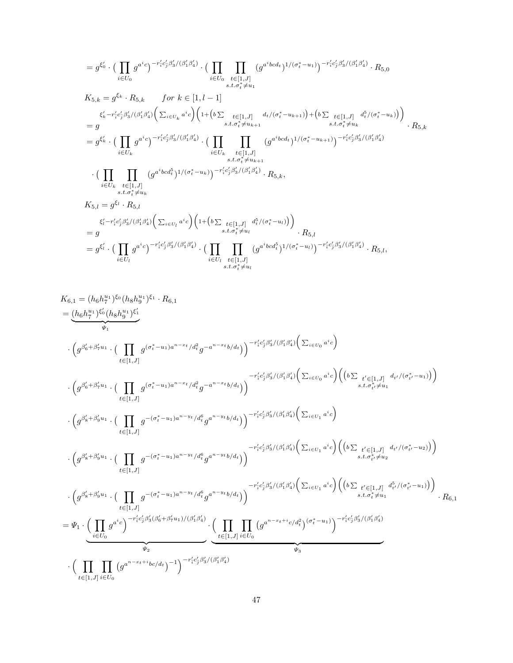$$
= g^{\xi_{0}'} \cdot \Big( \prod_{i \in U_{0}} g^{a^{i}c} \Big)^{-r'_{i}c'_{j}\beta'_{3}/(\beta'_{1}\beta'_{4})} \cdot \Big( \prod_{i \in U_{0}} \prod_{t \in [1,J]} (g^{a^{i}bcd_{t}})^{1/(\sigma_{t}^{*}-u_{1})} \Big)^{-r'_{i}c'_{j}\beta'_{3}/(\beta'_{1}\beta'_{4})} \cdot R_{5,0}
$$
\n
$$
K_{5,k} = g^{\xi_{k}} \cdot R_{5,k} \qquad \text{for } k \in [1, l-1]
$$
\n
$$
\xi'_{k} - r'_{i}c'_{j}\beta'_{3}/(\beta'_{1}\beta'_{4}) \Big( \sum_{i \in U_{k}} a^{i}c \Big) \Big( 1 + \Big(b \sum_{t \in [1,J]} d_{t}/(\sigma_{t}^{*}-u_{k+1}) \Big) + \Big(b \sum_{t \in [1,J]} d^{5}/(\sigma_{t}^{*}-u_{k}) \Big) \Big)
$$
\n
$$
= g
$$
\n
$$
= g^{\xi'_{k}} \cdot \Big( \prod_{i \in U_{k}} g^{a^{i}c} \Big)^{-r'_{i}c'_{j}\beta'_{3}/(\beta'_{1}\beta'_{4})} \cdot \Big( \prod_{i \in U_{k}} \prod_{t \in [1,J]} (g^{a^{i}bcd_{t}})^{1/(\sigma_{t}^{*}-u_{k+1})} \Big)^{-r'_{i}c'_{j}\beta'_{3}/(\beta'_{1}\beta'_{4})}
$$
\n
$$
\cdot \Big( \prod_{i \in U_{k}} \prod_{t \in [1,J]} (g^{a^{i}bcd_{t}^{*}})^{1/(\sigma_{t}^{*}-u_{k})} \Big)^{-r'_{i}c'_{j}\beta'_{3}/(\beta'_{1}\beta'_{4})} \cdot R_{5,k},
$$
\n
$$
K_{5,l} = g^{\xi_{l}} \cdot R_{5,l}
$$
\n
$$
K_{5,l} = g^{\xi_{l}} \cdot R_{5,l}
$$
\n
$$
\xi'_{l} - r'_{i}c'_{j}\beta'_{3}/(\beta'_{1}\beta'_{4}) \Big( \sum_{i \in U_{l}} a^{i}c \Big) \Big( 1 + \Big(b \sum_{t \in [1,J]} d^{5}_{t}/(\
$$

$$
K_{6,1} = (h_6 h_i^{u_1})^{\xi_0} (h_8 h_9^{u_1})^{\xi'_1}.
$$
\n
$$
= \underbrace{(h_6 h_i^{u_1})^{\xi'_0} (h_8 h_9^{u_1})^{\xi'_1}}_{\psi_1}.
$$
\n
$$
\cdot \left( g^{\beta'_6 + \beta'_7 u_1} \cdot \left( \prod_{t \in [1,J]} g^{(\sigma_t^* - u_1) a^{n-x_t}/d_t^2} g^{-a^{n-x_t} b/d_t} \right) \right)^{-r'_i c'_j \beta'_3 / (\beta'_1 \beta'_4)}_{\phi_2 \delta'_1 (\beta'_1 \beta'_4)} \left( \sum_{i \in U_0} a^i c \right) \left( b \sum_{t' \in [1,J]} d_{t'} / (\sigma_{t'}^* - u_1) \right)
$$
\n
$$
\cdot \left( g^{\beta'_6 + \beta'_7 u_1} \cdot \left( \prod_{t \in [1,J]} g^{(\sigma_t^* - u_1) a^{n-x_t}/d_t^2} g^{-a^{n-x_t} b/d_t} \right) \right)^{-r'_i c'_j \beta'_3 / (\beta'_1 \beta'_4)}_{\phi_2 \delta'_2 (\beta'_1 \beta'_4)} \left( \sum_{i \in U_0} a^i c \right) \left( b \sum_{t' \in [1,J]} d_{t'} / (\sigma_{t'}^* - u_1) \right)
$$
\n
$$
\cdot \left( g^{\beta'_8 + \beta'_9 u_1} \cdot \left( \prod_{t \in [1,J]} g^{-(\sigma_t^* - u_1) a^{n-y_t} / d_t^6} g^{a^{n-y_t} b/d_t} \right) \right)^{-r'_i c'_j \beta'_3 / (\beta'_1 \beta'_4)} \left( \sum_{i \in U_1} a^i c \right) \left( b \sum_{t' \in [1,J]} d_{t'} / (\sigma_{t'}^* - u_2) \right)
$$
\n
$$
\cdot \left( g^{\beta'_8 + \beta'_9 u_1} \cdot \left( \prod_{t \in [1,J]} g^{-(\sigma_t^* - u_1) a^{n-y_t} / d_t^6} g^{a^{n-y_t} b/d_t} \right) \right)^{-r'_i c'_j \beta'_3 / (\beta'_1 \beta'_4)} \left( \sum_{t \in U_1} a^i c \right) \left( b \sum_{t' \in [1,J]} d
$$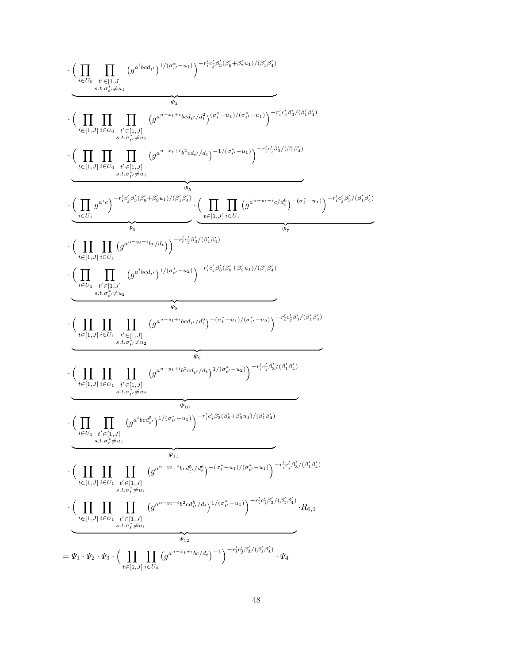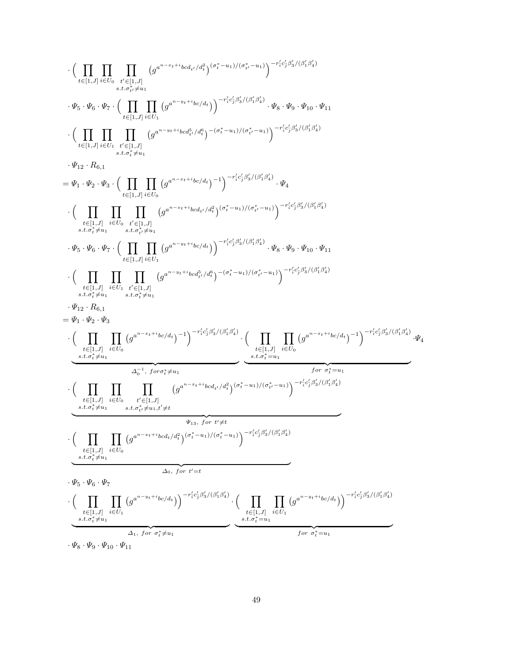$$
\cdot\Big(\prod_{\substack{i\in [1,1]\\i\in [1,1]}}\prod_{i\in U_0}\prod_{\substack{s,\ell\in [1,1]\\i\in [1,\ldots]}}\prod_{\substack{s,\ell\in [1,1]\\s,\ell\in P_{\delta}}}\frac{\left(\prod_{\substack{i\in [1,1]\\i\in [1,\ldots]}}\prod_{\substack{i\in [1,1]\\i\in P_{\delta}}}\prod_{\substack{s',\ell\in [1,\ldots] \\s,\ell\in P_{\delta}}}\prod_{\substack{s',\ell\in [1,\ldots] \\s,\ell\in P_{\delta}}}\prod_{\substack{s',\ell\in [1,\ldots] \\s,\ell\in P_{\delta}}}\prod_{\substack{s',\ell\in [1,\ldots] \\s,\ell\in P_{\delta}}} \left(g^{n-x_{\ell+1}i}b_{\ell\ell\ell\ell}\right)g^{n-\tau_{\ell}}g^{n-\tau_{\ell}}g^{n-\tau_{\ell}}g^{n-\tau_{\ell}}g^{n-\tau_{\ell}}g^{n-\tau_{\ell}}g^{n-\tau_{\ell}}g^{n-\tau_{\ell}}g^{n-\tau_{\ell}}g^{n-\tau_{\ell}}g^{n-\tau_{\ell}}g^{n-\tau_{\ell}}g^{n-\tau_{\ell}}g^{n-\tau_{\ell}}g^{n-\tau_{\ell}}g^{n-\tau_{\ell}}g^{n-\tau_{\ell}}g^{n-\tau_{\ell}}g^{n-\tau_{\ell}}g^{n-\tau_{\ell}}g^{n-\tau_{\ell}}g^{n-\tau_{\ell}}g^{n-\tau_{\ell}}g^{n-\tau_{\ell}}g^{n-\tau_{\ell}}g^{n-\tau_{\ell}}g^{n-\tau_{\ell}}g^{n-\tau_{\ell}}g^{n-\tau_{\ell}}g^{n-\tau_{\ell}}g^{n-\tau_{\ell}}g^{n-\tau_{\ell}}g^{n-\tau_{\ell}}g^{n-\tau_{\ell}}g^{n-\tau_{\ell}}g^{n-\tau_{\ell}}g^{n-\tau_{\ell}}g^{n-\tau_{\ell}}g^{n-\tau_{\ell}}g^{n-\tau_{\ell}}g^{n-\tau_{\ell}}g^{n-\tau_{\ell}}g^{n-\tau_{\ell}}g^{n-\tau_{\ell}}g^{n-\tau_{\ell}}g^{n-\tau_{\ell}}g^{n-\tau_{\ell}}g^{n-\tau_{\ell}}g^{n-\tau_{\ell}}g^{n-\tau_{\ell}}g^{n-\tau_{\ell}}g^{n-\tau_{\ell}}g^{n-\tau_{\ell}}g^{
$$

 $\cdot \Psi_8 \cdot \Psi_9 \cdot \Psi_{10} \cdot \Psi_{11}$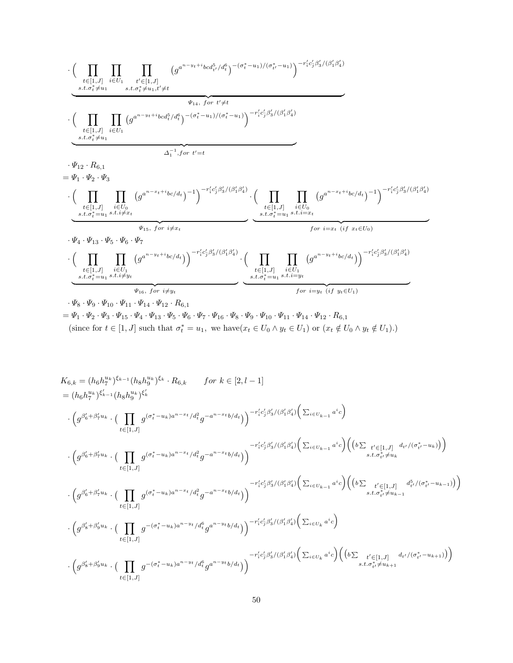$$
\cdot \underbrace{\Big(\prod_{\substack{t \in [1,J] \\ s.t. \sigma_t^* \neq u_1}} \prod_{i \in U_1} (g^{a^{n-y_t+i}bcd_t^5/d_t^6})^{-(\sigma_t^* - u_1)/(\sigma_t^* - u_1)}_{s.t. \sigma_t^* \neq u_1, t' \neq t} \Big) - \frac{r'_i c'_j \beta'_3/(\beta'_1 \beta'_4)}{w_{14}, for t' \neq t} \Big(\prod_{\substack{t \in [1,J] \\ s.t. \sigma_t^* \neq u_1}} \prod_{i \in U_1} (g^{a^{n-y_t+i}bcd_t^5/d_t^6})^{-(\sigma_t^* - u_1)/(\sigma_t^* - u_1)}_{s.t. \sigma_t^* \neq u_1} \Big) - \frac{r'_i c'_j \beta'_3/(\beta'_1 \beta'_4)}{w_{14}, for t' \neq t} \Big) - \frac{r'_i c'_j \beta'_3/(\beta'_1 \beta'_4)}{w_{15}, \beta \sigma_t^* \neq u_1} \Big(\prod_{\substack{t \in [1,J] \\ s.t. \sigma_t^* = u_1, s.t. i \neq x_t}} \prod_{\substack{s.t. \sigma_t^* = u_1, s.t. i \neq x_t}} (g^{a^{n-x_t+i}bc/d_t})^{-1}\Big)^{-r'_i c'_j \beta'_3/(\beta'_1 \beta'_4)} \cdot \Big(\prod_{\substack{t \in [1,J] \\ s.t. \sigma_t^* = u_1}} \prod_{\substack{s.t. \sigma_t^* = u_1, s.t. i \neq x_t \\ s.t. \sigma_t^* = u_1, s.t. i \neq y_t}} \underbrace{\prod_{\substack{s.t. \sigma_t^* = u_1, s.t. i \neq y_t \\ s.t. \sigma_t^* = u_1, s.t. i \neq y_t}} \prod_{\substack{s.t. \sigma_t^* = u_1, s.t. i \neq y_t \\ s.t. \sigma_t^* = u_1, s.t. i \neq y_t}} \frac{g^{a^{n-y_t+i}bc/d_t}}{g^{a^{n-y_t+i}bc/d_t}}\Big)^{-r'_ic'_j \beta'_3/(\beta'_1 \beta'_4)} \cdot \Big(\prod_{\substack{t \in [1,J] \\ s.t. \sigma_t^* = u_1, s.t. i \neq y_t \\ s.t. \sigma_t^* = u_1, s.t. i \neq y_t}} \prod_{
$$

 $=\varPsi_1\cdot\varPsi_2\cdot\varPsi_3\cdot\varPsi_{15}\cdot\varPsi_4\cdot\varPsi_{13}\cdot\varPsi_5\cdot\varPsi_6\cdot\varPsi_{16}\cdot\varPsi_8\cdot\varPsi_9\cdot\varPsi_{10}\cdot\varPsi_{11}\cdot\varPsi_{14}\cdot\varPsi_{12}\cdot R_{6,1}$ (since for  $t \in [1, J]$  such that  $\sigma_t^* = u_1$ , we have $(x_t \in U_0 \land y_t \in U_1)$  or  $(x_t \notin U_0 \land y_t \notin U_1)$ .)

$$
K_{6,k} = (h_6 h_7^{u_k})^{\xi_{k-1}} (h_8 h_9^{u_k})^{\xi_k} \cdot R_{6,k} \qquad \text{for } k \in [2, l-1]
$$
\n
$$
= (h_6 h_7^{u_k})^{\xi_{k-1}} (h_8 h_9^{u_k})^{\xi_k'}
$$
\n
$$
\cdot \left( g^{\beta'_6 + \beta'_7 u_k} \cdot \left( \prod_{t \in [1,J]} g^{(\sigma_t^* - u_k)a^{n-x_t}/d_t^2} g^{-a^{n-x_t}b/d_t} \right) \right)^{-r'_4 c'_j \beta'_3 / (\beta'_1 \beta'_4)} \left( \sum_{i \in U_{k-1}} a^i c \right) \left( \left( b \sum_{t' \in [1,J]} d_{t'} / (\sigma_{t'}^* - u_k) \right) \right)
$$
\n
$$
\cdot \left( g^{\beta'_6 + \beta'_7 u_k} \cdot \left( \prod_{t \in [1,J]} g^{(\sigma_t^* - u_k)a^{n-x_t}/d_t^2} g^{-a^{n-x_t}b/d_t} \right) \right)^{-r'_4 c'_j \beta'_3 / (\beta'_1 \beta'_4)} \left( \sum_{i \in U_{k-1}} a^i c \right) \left( \left( b \sum_{t' \in [1,J]} d_{t'} / (\sigma_{t'}^* - u_k) \right) \right)
$$
\n
$$
\cdot \left( g^{\beta'_6 + \beta'_7 u_k} \cdot \left( \prod_{t \in [1,J]} g^{(\sigma_t^* - u_k)a^{n-x_t}/d_t^2} g^{-a^{n-x_t}b/d_t} \right) \right)^{-r'_4 c'_j \beta'_3 / (\beta'_1 \beta'_4)} \left( \sum_{i \in U_{k-1}} a^i c \right) \left( \left( b \sum_{s.t. \sigma_{t'}^* \neq u_{k-1}} d_{t'}^5 / (\sigma_{t'}^* - u_{k-1}) \right) \right)
$$
\n
$$
\cdot \left( g^{\beta'_8 + \beta'_9 u_k} \cdot \left( \prod_{t \in [1,J]} g^{-(\sigma_t^* - u_k)a^{n-y_t}/d_t^6} g^{a^{n-y_t}b/d_t} \right) \right)^{-r'_4 c'_j \beta'_3 / (\beta'_1 \beta'_4)} \left( \sum_{i \in U_k} a^i c \right) \left( \left( b \sum_{t' \in [1,J
$$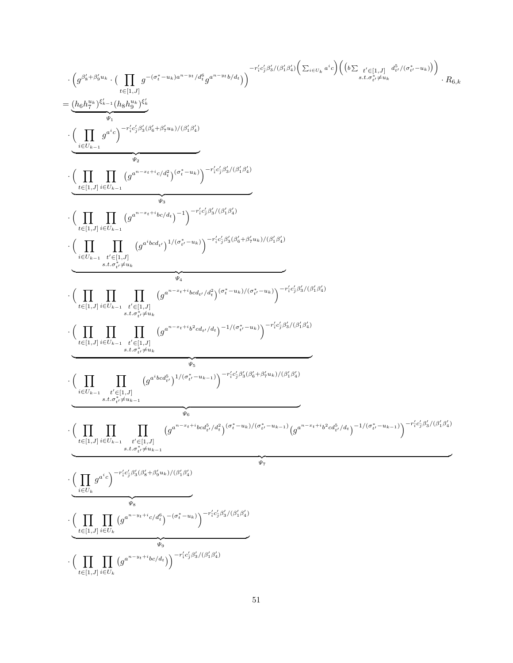$$
\cdot \left(\underbrace{\int_{\mathcal{B}^{(k+1)}}^{g_{k}^{j}+\beta_{k}^{j}+u_{k}}\cdot \left(\prod_{\substack{t\in [1,\mathcal{J}]\ \text{ s.t. }\\ \mathcal{B}^{(k)}}} \mathcal{G}^{(t)}_{\mathcal{A}}(s_{k}^{j})\right)^{-r_{1}^{j}c_{1}^{j}\beta_{k}^{j}/(\beta_{k}^{j}c_{k}^{j})}\left(\sum_{t\in U_{k},\mathcal{J}}a^{i_{k}}\right)\left(\left(b\sum_{\substack{t\in U_{k},\mathcal{J}\\\text{ s.t. }\\ \mathcal{B}^{(k)}}} \mathcal{G}^{(k)}_{\mathcal{A}}\right)\right)^{-r_{2}^{j}c_{1}^{j}\beta_{k}^{j}/(\beta_{k}^{j}+1)}\cdots \left(\prod_{\substack{t\in U_{k-1},\\ \mathcal{B}^{(k)}}} \mathcal{G}^{(t)}_{\mathcal{A}}\right)^{-r_{2}^{j}c_{1}^{j}\beta_{k}^{j}/(\beta_{k}^{j}+1)}\cdots \left(\prod_{\substack{t\in [1,\mathcal{J}]\ \text{ s.t. }\\ \mathcal{B}^{(k)}_{\mathcal{A}}\neq 0}} \mathcal{G}^{(k+1)j}a_{k}^{j}b_{k}^{j}b_{k}^{j}b_{k}^{j}b_{k}^{j}b_{k}^{j}b_{k}^{j}b_{k}^{j}b_{k}^{j}b_{k}^{j}b_{k}^{j}b_{k}^{j}b_{k}^{j}b_{k}^{j}b_{k}^{j}b_{k}^{j}b_{k}^{j}b_{k}^{j}b_{k}^{j}b_{k}^{j}b_{k}^{j}b_{k}^{j}b_{k}^{j}b_{k}^{j}b_{k}^{j}b_{k}^{j}b_{k}^{j}b_{k}^{j}b_{k}^{j}b_{k}^{j}b_{k}^{j}b_{k}^{j}b_{k}^{j}b_{k}^{j}b_{k}^{j}b_{k}^{j}b_{k}^{j}b_{k}^{j}b_{k}^{j}b_{k}^{j}b_{k}^{j}b_{k}^{j}b_{k}^{j}b_{k}^{j}b_{k}^{j}b_{k}^{j}b_{k}^{j}b
$$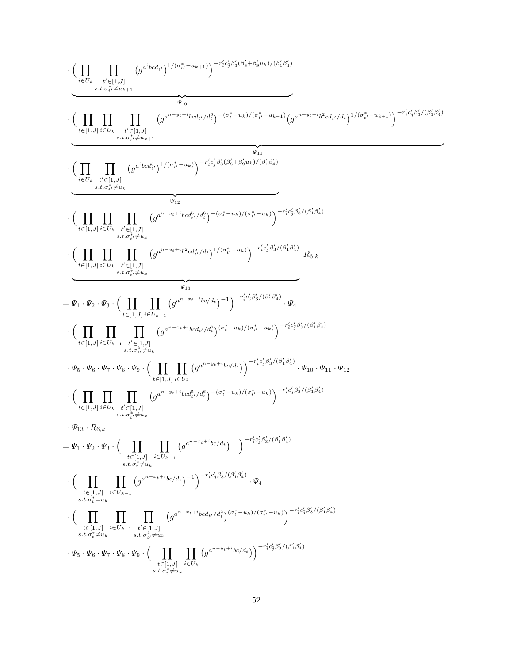$$
\cdot\Bigg(\prod_{\substack{i\in U_{k}}\prod_{\substack{i'\in V_{k},\\s,t,\sigma_{i}\neq s_{k+1}}}^{s_{\ell}(i,j)}(g^{\alpha_{1}}\omega_{4},g^{\alpha_{1}}\omega_{5},g^{\alpha_{2}}\omega_{6})\\ \cdot\Big(\prod_{\substack{i\in U_{k}}\prod_{\substack{i'\in V_{k},\\s,t,\sigma_{i}\neq s_{k+1}}}^{s_{\ell}(i,j)}\Big(g^{\alpha_{1}\cdots s_{\ell}+i\omega_{6\ell}/s_{\ell}^{\beta_{1}}\Big)-\big(\sigma_{i}^{+}-w_{k}\big)/\big(\sigma_{i}^{+}-w_{k+1}\big)/\big(g^{\alpha_{1}\cdots s_{\ell}+i\frac{\gamma}{2}}\omega_{4\ell}/d_{1}\Big)^{1/\big(\sigma_{i}^{+}-w_{k+1}\big)}\Big)^{-r'_{i}\big(\sigma_{i}^{0}\otimes f_{i}\big)/\big(\sigma_{k}^{0}}\Big)}{\cdot\Big(\prod_{\substack{i\in U_{k}}\prod_{\substack{i'\in V_{k},\\s,t,\sigma_{i}\neq s_{k+1}}}^{s_{\ell}(i,j)}\Big(g^{\alpha_{1}\cdots s_{\ell}+i\omega_{6\ell}/s_{\ell}^{\beta_{1}}\Big)-\big(\sigma_{i}^{+}-w_{k}\big)/\big(\sigma_{i}^{+}-w_{k}\big)\Big)^{-r'_{i}\big(\sigma_{i}^{0}\otimes f_{i}\big)/\big(\sigma_{k}^{0}}\Big)}}{s_{\ell,0}^{s_{\ell}}\Big(\prod\limits_{\substack{i\in U_{k},\\s,t,\sigma_{i}\neq s_{k+1}}}^{s_{\ell}(i,j)}\Big(g^{\alpha_{1}\cdots s_{\ell}+i\frac{\gamma}{2}}\omega_{5\ell}/d_{1}\big)/\big(\sigma_{i}^{+}-w_{k}\big)/\big(\sigma_{i}^{+}-w_{k}\big)\Big)^{-r'_{i}\big(\sigma_{i}^{0}\otimes f_{i}\big)/\big(\sigma_{k}^{0}}\Big)}}{s_{\ell,1}^{s_{\ell}}\Big(\prod\limits_{\substack{i\in U_{k},\\s,t,\sigma_{i}\neq s_{k+1}}}^{s_{\ell}(i,j)}\Big(g^{\alpha_{1}\cdots s_{\ell}+i\frac{\gamma}{2}}\omega_{5\ell}/d_{1}\big)/\big(\sigma_{i}^{+}-w_{k}\big)/\big(\
$$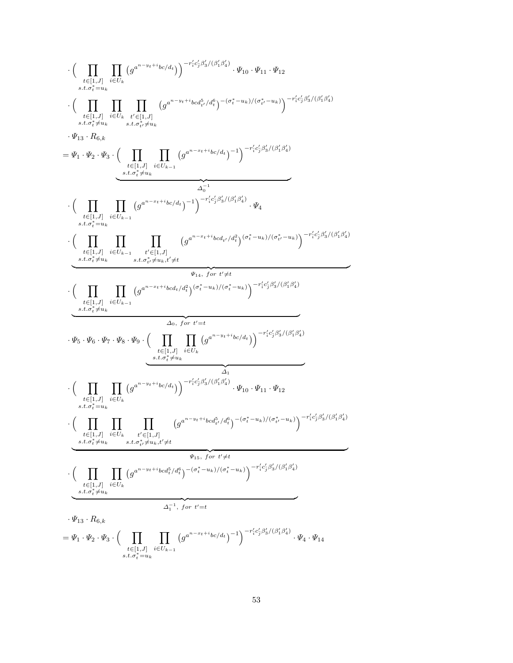$$
\cdot\Big(\prod_{\substack{t\in[1,J]\\ s,t,\sigma_i^2=u_k}}\prod_{\substack{i\in J\\ s,t,\sigma_i^2=u_k}}(g^{a^{n-y}t+i}b c/d_i)\Big)^{-r'_i c'_j \beta'_3/(\beta'_1\beta'_1)}\cdot \Psi_{10}\cdot \Psi_{11}\cdot \Psi_{12}\\ \cdot\Big(\prod_{\substack{t\in[1,J]\\ s,t,\sigma_i^2\neq u_k}}\prod_{\substack{i\in J\\ s,t,\sigma_i^2\neq u_k}}\prod_{\substack{s,t,\sigma_i^2\neq u_k\\ t\in[1,J]\\ s,t,\sigma_i^2=u_k}}\prod_{\substack{s,t,\sigma_i^2\neq u_k\\ s,t,\sigma_i^2\neq u_k}}(g^{a^{n-y}t+i}b c/d_i)^{-1}\Big)^{-r'_i c'_j \beta'_3/(\beta'_1\beta'_2)}\\ \cdot\Big(\prod_{\substack{t\in[1,J]\\ s,t,\sigma_i^2=u_k}}\prod_{\substack{i\in J\\ s,t,\sigma_i^2\neq u_k}}(g^{a^{n-y}t+i}b c/d_i)^{-1}\Big)^{-r'_i c'_j \beta'_3/(\beta'_1\beta'_2)}\cdot \Psi_4\\ \cdot\Big(\prod_{\substack{t\in[1,J]\\ s,t,\sigma_i^2\neq u_k}}\prod_{\substack{i\in J\\ s,t,\sigma_i^2\neq u_k}}(g^{a^{n-y}t+i}b c/d_i)^{-1}\Big)^{-r'_i c'_j \beta'_3/(\beta'_1\beta'_2)}\cdot \Psi_4\\ \cdot\Big(\prod_{\substack{s,t,\sigma_i^2\neq u_k\\ s,t,\sigma_i^2\neq u_k}}\prod_{\substack{s,t,\sigma_i^2\neq u_k\\ s,t,\sigma_i^2\neq u_k}}(g^{a^{n-y}t+i}b c/d_i)^{a_i^2}\Big)^{(\sigma_i^2-u_k)/(\sigma_i^2-u_k)}\Big)^{-r'_i c'_j \beta'_3/(\beta'_1\beta'_2)}\\ \cdot\Big(\prod_{\substack{t\in[1,J]\\ s,t,\sigma_i^2\neq u_k}}\prod_{\substack{i\in J\\ s,t,\sigma_i^2\neq u_k}}(g^{a^{n-y}t+i}b c/d_i)^2\Big)^{(\sigma_i^2-u_k)/(\sigma_i^2-u_k)}\Big)^{-r'_i c'_j \beta'_3/(\beta'_1\beta'_2)}\\ \cdot\Big(\prod_{\substack{s,t,\sigma_i^2\neq u_k\\ s,t,\sigma_i
$$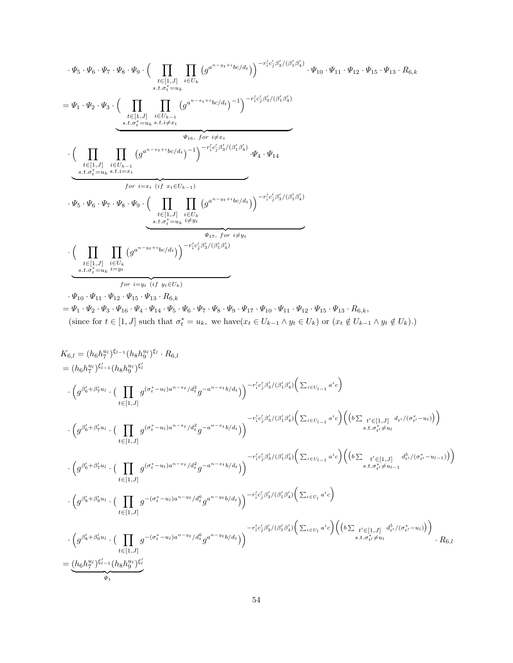$$
\begin{split} &\cdot \varPsi_5 \cdot \varPsi_6 \cdot \varPsi_7 \cdot \varPsi_8 \cdot \varPsi_9 \cdot \Big(\prod_{\substack{t \in [1, J] \\ s.t. \sigma_t^* = u_k}} \prod_{i \in U_k} \big(g^{a^{n - y_t + i} b c / d_t}\big) \Big)^{-r'_i c'_j \beta'_3 / (\beta'_1 \beta'_4)} \cdot \varPsi_{10} \cdot \varPsi_{11} \cdot \varPsi_{12} \cdot \varPsi_{15} \cdot R_{6,k} \\ &\stackrel{s.t. \sigma_t^* = u_k} {\leq} \sum_{\substack{t \in [1, J] \\ s.t. \sigma_t^* = u_k \ s.t. i \neq x_t}} \big(g^{a^{n - x_t + i} b c / d_t} \big)^{-1} \Big)^{-r'_i c'_j \beta'_3 / (\beta'_1 \beta'_4)} \\ &\qquad \qquad \bigg(\prod_{\substack{t \in [1, J] \\ t \in [1, J]}} \prod_{\substack{i \in U_{k-1} \\ s.t. \sigma_t^* = u_k \ s.t. i \neq x_t}} \big(g^{a^{n - x_t + i} b c / d_t} \big)^{-1}\big)^{-r'_i c'_j \beta'_3 / (\beta'_1 \beta'_4)} \cdot \varPsi_4 \cdot \varPsi_{14} \\ &\qquad \qquad \bigg(\prod_{\substack{t \in [1, J] \\ s.t. \sigma_t^* = u_k \ s.t. i \neq y_t}} \prod_{\substack{i \in U_k \\ s.t. \sigma_t^* = u_k \ i \neq y_t}} \big(g^{a^{n - y_t + i} b c / d_t} \big)\big)^{-r'_i c'_j \beta'_3 / (\beta'_1 \beta'_4)} \\ &\qquad \qquad \bigg(\prod_{\substack{t \in [1, J] \\ s.t. \sigma_t^* = u_k \ i \neq y_t}} \prod_{\substack{i \neq y_t \\ s.t. \sigma_t^* = u_k \ i \neq y_t}} \big(g^{a^{n - y_t + i} b c / d_t} \big)\bigg)^{-r'_i c'_j \beta'_3 / (\beta'_1 \beta'_4)} \end{split}
$$

 $\cdot \Psi_{10} \cdot \Psi_{11} \cdot \Psi_{12} \cdot \Psi_{15} \cdot \Psi_{13} \cdot R_{6,k}$  $=\varPsi_1\cdot \varPsi_2\cdot \varPsi_3\cdot \varPsi_{16}\cdot \varPsi_4\cdot \varPsi_{14}\cdot \varPsi_5\cdot \varPsi_6\cdot \varPsi_7\cdot \varPsi_8\cdot \varPsi_{9}\cdot \varPsi_{17}\cdot \varPsi_{10}\cdot \varPsi_{11}\cdot \varPsi_{12}\cdot \varPsi_{15}\cdot \varPsi_{13}\cdot R_{6,k},$ (since for  $t \in [1, J]$  such that  $\sigma_t^* = u_k$ , we have $(x_t \in U_{k-1} \wedge y_t \in U_k)$  or  $(x_t \notin U_{k-1} \wedge y_t \notin U_k)$ .)

$$
K_{6,l} = (h_6 h_7^{u_1})^{\xi_{l-1}} (h_8 h_9^{u_1})^{\xi_l}
$$
\n
$$
= (h_6 h_7^{u_1})^{\xi_{l-1}} (h_8 h_9^{u_1})^{\xi_l}
$$
\n
$$
\cdot \left(g^{\beta'_6 + \beta'_7 u_l} \cdot \left(\prod_{t \in [1,J]} g^{(\sigma_t^* - u_l)a^{n-x_t}/d_t^2} g^{-a^{n-x_t}b/d_t}\right)\right)^{-r'_1 c'_3 \beta'_3/(\beta'_1 \beta'_4)} \left(\sum_{i \in U_{l-1}} a^i c\right)
$$
\n
$$
\cdot \left(g^{\beta'_6 + \beta'_7 u_l} \cdot \left(\prod_{t \in [1,J]} g^{(\sigma_t^* - u_l)a^{n-x_t}/d_t^2} g^{-a^{n-x_t}b/d_t}\right)\right)^{-r'_1 c'_3 \beta'_3/(\beta'_1 \beta'_4)} \left(\sum_{i \in U_{l-1}} a^i c\right) \left((b \sum_{t' \in [1,J]} d_{t'}/(\sigma_{t'}^* - u_l)\right)\right)
$$
\n
$$
\cdot \left(g^{\beta'_6 + \beta'_7 u_l} \cdot \left(\prod_{t \in [1,J]} g^{(\sigma_t^* - u_l)a^{n-x_t}/d_t^2} g^{-a^{n-x_t}b/d_t}\right)\right)^{-r'_1 c'_3 \beta'_3/(\beta'_1 \beta'_4)} \left(\sum_{i \in U_{l-1}} a^i c\right) \left((b \sum_{t' \in [1,J]} d_{t'}^3/(\sigma_{t'}^* - u_{l-1})\right)\right)
$$
\n
$$
\cdot \left(g^{\beta'_6 + \beta'_7 u_l} \cdot \left(\prod_{t \in [1,J]} g^{-(\sigma_t^* - u_l)a^{n-y_t}/d_t^6} g^{a^{n-y_t}b/d_t}\right)\right)^{-r'_1 c'_3 \beta'_3/(\beta'_1 \beta'_4)} \left(\sum_{i \in U_l} a^i c\right)
$$
\n
$$
\cdot \left(g^{\beta'_8 + \beta'_9 u_l} \cdot \left(\prod_{t \in [1,J]} g^{-(\sigma_t^* - u_l)a^{n-y_t}/d_t^6} g^{a^{n-y_t}b/d_t}\right)\right)^{-r'_1 c'_3 \beta'_3/(\beta'_1 \beta'_4)} \left(\sum_{i \in U_l} a^i c\right) \left
$$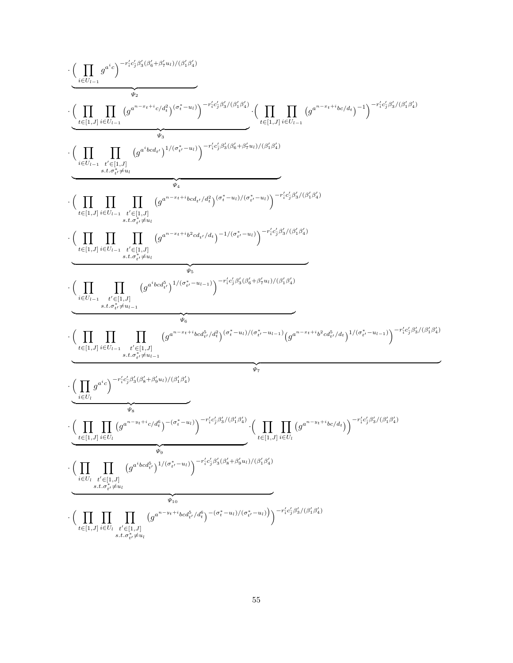$$
\cdot\left(\prod_{\substack{i\in U_{i-1}\\ \hbox{if $U_{i-1}$}}}g^{\alpha^i e_j}-\frac{r_i^{\prime}c_j^{\prime}\beta^{\prime}_{3}(\beta^{\prime}_{6}+\beta^{\prime} u_{1})/(\beta^{\prime}_{1}q^{\prime}_{2})}{\psi_{2}}\right)}{\psi_{2}}\cdot\left(\prod_{\substack{i\in U_{i-1}\\ \hbox{if $U_{i-1}$}}} \prod_{\substack{i'\in U_{i-1}\\ \hbox{if $U_{i-1}$}}} (g^{\alpha^{\prime s} \circ c_{4}+i\cdot \epsilon_{\beta}q^{\prime}_{3}})(\sigma_{i}^{s}-u_{1})\right)^{-r_i^{\prime}c_j^{\prime}\beta^{\prime}_{3}/(\beta^{\prime}_{1}q^{\prime}_{1})}\cdot \left(\prod_{t\in [1,J]} \prod_{i\in U_{i-1}} (g^{\alpha^{\prime s} -z_{4}+i\cdot \epsilon_{\beta}q^{\prime}_{d})/(\beta^{\prime}_{1}q^{\prime}_{2})}\right)^{-1}(\sigma_{i}^{s}\beta^{\prime}_{3}/(\beta^{\prime}_{1}q^{\prime}_{1})}\\\cdot \left(\prod_{\substack{i\in [1,J] \\ \hbox{if $U_{i-1}$}}} \prod_{\substack{i'\in [1,J] \\ \hbox{if $U_{i-1}$}}} \prod_{\substack{i'\in [1,J] \\ \hbox{if $U_{i-1}$}}} (g^{\alpha^{\prime s} \circ c_{4},\nu_{1}q^{\prime}_{1})}g^{\alpha^{\prime s} -u_{1}+\nu_{2}q^{\prime}_{2}/(\beta^{\prime}_{1}q^{\prime}_{2})}(\sigma_{i}^{s}-u_{1})/(\sigma_{i'}^{s}-u_{1})\right)^{-r_i^{\prime}c_j^{\prime}\beta^{\prime}_{3}/(\beta^{\prime}_{1}q^{\prime}_{1})}\\\cdot \left(\prod_{\substack{i\in [1,J] \\ \hbox{if $U_{i-1}$}}} \prod_{\substack{i'\in [1,J] \\ \hbox{if $U_{i-1}$}}} \prod_{\substack{i'\in [1,J] \\ \hbox{if $U_{i-1}$}}} (g^{\alpha^{\prime s} \circ c_{4},\nu_{1}q^{\prime}_{2})}g^{\alpha^{\prime s} -u_{1}+\nu_{2}q^{\prime}_{2}/(\beta^{\prime}_{1}q^{\prime}_{1})}(\sigma_{i}^{s}-u_{1})\right)^{-r_i
$$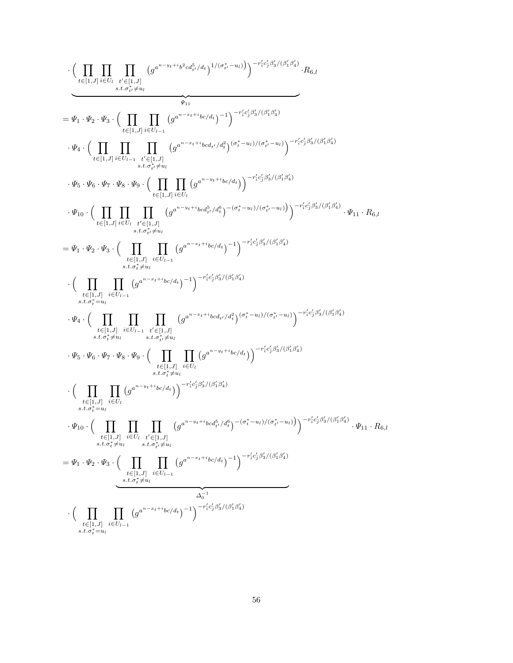$$
\cdot\Bigg(\prod_{t\in [1,J]} \prod_{i\in U_l}\prod_{s\in I_r, j\in I}(\sigma^{a^{n-y_i+b}\beta\cdot cd^b_{i'}/d_{t}})^{1/(\sigma^*_l,-u_l)}\Bigg)^{-r'_1c'_2\beta'_3/(\beta'_1\beta'_4)}\cdot R_{6,l} \\\hline \\ =\Psi_1\cdot\Psi_2\cdot\Psi_3\cdot\Bigg(\prod_{t\in [1,J]} \prod_{i\in U_{l-1}}(g^{a^{n-x_i+b}\alpha_l/d_{t}})^{-1}\Bigg)^{-r'_1c'_2\beta'_3/(\beta'_1\beta'_4)}\cdot R_{6,l} \\\cdot\Psi_4\cdot\Bigg(\prod_{t\in [1,J]} \prod_{i\in U_{l-1}}(g^{a^{n-x_i+b}\alpha_{l'}/d_{t}^2})(\sigma^{*}_{i}-u_{l})/(\sigma^{*}_{l}-u_{l})\Bigg)^{-r'_1c'_2\beta'_3/(\beta'_1\beta'_4)}\cdot \Psi_5\cdot\Psi_6\cdot\Psi_7\cdot\Psi_8\cdot\Psi_9\cdot\Bigg(\prod_{t\in [1,J]} \prod_{i\in U_l}(g^{a^{n-x_i+b}\alpha_d})\Bigg)^{-r'_1c'_2\beta'_3/(\beta'_1\beta'_4)}\cdot \Psi_9\cdot\Bigg(\prod_{t\in [1,J]} \prod_{i\in U_l}(g^{a^{n-x_i+b}\alpha_d})\Bigg)^{-r'_1c'_2\beta'_3/(\beta'_1\beta'_4)}\cdot \Psi_{11}\cdot R_{6,l} \\\cdot\P_0\cdot\Bigg(\prod_{t\in [1,J]} \prod_{s\in U_l, j\in U_l}\prod_{t\in [1,J]}(g^{a^{n-x_i+b}\alpha_d})^{-1}\Bigg)^{-r'_1c'_2\beta'_3/(\beta'_1\beta'_4)}\cdot \Psi_{11}\cdot R_{6,l} \\\cdot\Bigg(\prod_{t\in [1,J]} \prod_{i\in U_{l-1}}(g^{a^{n-x_i+b}\alpha_d})^{-1}\Bigg)^{-r'_1c'_2\beta'_3/(\beta'_1\beta'_4)}\cdot \Psi_{11}\cdot R_{6,l} \\\cdot\Bigg(\prod_{t\in [1,J]} \prod_{i\in U_l, j\in U_l}\prod_{s\in I_r\ne u}(\sigma^{a^{n-x_i+b}\alpha_d})^{-1}\Bigg)^{-r'_1c'_2\beta'_3/(\beta'_1\beta'_4)}\cdot \Psi_1\cdot R_{6,l} \\\
$$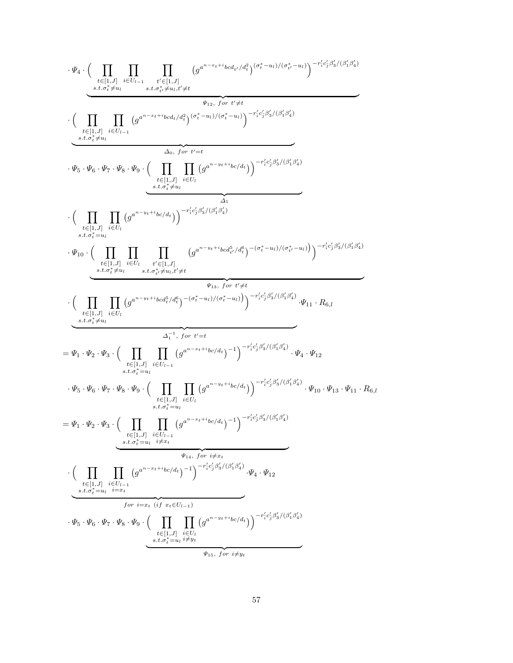$$
\cdot \Psi_4 \cdot \Big(\prod_{\substack{t \in [1,J] \\ \text{d, } t \neq j, \forall y \\ \text{d, } t \neq j, \forall y \\ \text{d, } t \neq j, \forall y \\ \text{d, } t \neq j, \forall y \\ \text{d, } t \neq j, \forall y \\ \text{d, } t \neq j, \forall y \\ \text{d, } t \neq j, \forall y \\ \text{d, } t \neq j, \forall y \\ \text{d, } t \neq j, \forall y \\ \text{d, } t \neq j, \forall y \\ \text{d, } t \neq j, \forall y \\ \text{d, } t \neq j, \forall y \\ \text{d, } t \neq j, \forall y \\ \text{d, } t \neq j, \forall y \\ \text{d, } t \neq j, \forall y \\ \text{d, } t \neq j, \forall y \\ \text{d, } t \neq j, \forall y \\ \text{d, } t \neq j, \forall y \\ \text{d, } t \neq j, \forall y \\ \text{d, } t \neq j, \forall y \\ \text{d, } t \neq j, \forall y \\ \text{d, } t \neq j, \forall y \\ \text{d, } t \neq j, \forall y \\ \text{d, } t \neq j, \forall y \\ \text{e, } t \neq j, \forall y \\ \text{f, } t \neq j, \forall y \\ \text{f, } t \neq j, \forall y \\ \text{f, } t \neq j, \forall y \\ \text{g, } t \neq j, \forall y \\ \text{h, } t \neq j, \forall y \\ \text{h, } t \neq j, \forall y \\ \text{h, } t \neq j, \forall y \\ \text{h, } t \neq j, \forall y \\ \text{h, } t \neq j, \forall y \\ \text{h, } t \neq j, \forall y \\ \text{h, } t \neq j, \forall y \\ \text{h, } t \neq j, \forall y \\ \text{h, } t \neq j, \forall y \\ \text{h, } t \neq j, \forall y \\ \text{h, } t \neq j, \forall y \\ \text{h, } t \neq j, \forall y \\ \text{h, } t \neq j, \forall y \\ \text{h, } t \neq j, \forall y \\ \text{h, } t \neq j, \forall y \\ \text{h, } t \neq j, \forall y \\ \text{h, } t \neq j, \forall y
$$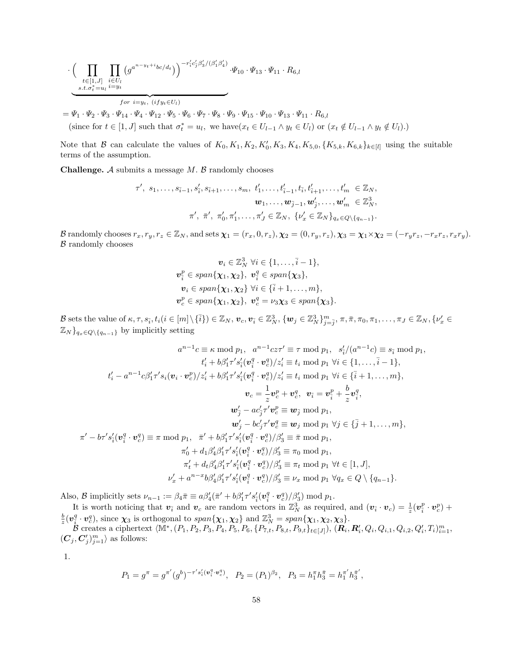$$
\cdot \Big(\prod_{\substack{t \in [1,J] \\ \text{ s.t. } \sigma_t^* = u_l}} \prod_{\substack{i \in U_l \\ i = y_t}} \big(g^{a^{n-y_t+i}bc/d_t}\big)\Big)^{-r'_i c'_j \beta'_3/(\beta'_1 \beta'_4)} \cdot \Psi_{10} \cdot \Psi_{13} \cdot \Psi_{11} \cdot R_{6,l}
$$

 $=\Psi_1\cdot\Psi_2\cdot\Psi_3\cdot\Psi_{14}\cdot\Psi_4\cdot\Psi_{12}\cdot\Psi_5\cdot\Psi_6\cdot\Psi_7\cdot\Psi_8\cdot\Psi_9\cdot\Psi_{15}\cdot\Psi_{10}\cdot\Psi_{13}\cdot\Psi_{11}\cdot R_{6,l}$ (since for  $t \in [1, J]$  such that  $\sigma_t^* = u_l$ , we have $(x_t \in U_{l-1} \wedge y_t \in U_l)$  or  $(x_t \notin U_{l-1} \wedge y_t \notin U_l)$ .)

Note that B can calculate the values of  $K_0, K_1, K_2, K'_0, K_3, K_4, K_{5,0}, \{K_{5,k}, K_{6,k}\}_{k\in[l]}$  using the suitable terms of the assumption.

**Challenge.**  $A$  submits a message  $M$ .  $B$  randomly chooses

$$
\tau', s_1, \ldots, s_{\bar{i}-1}, s'_{\bar{i}}, s_{\bar{i}+1}, \ldots, s_m, t'_1, \ldots, t'_{\bar{i}-1}, t_{\bar{i}}, t'_{\bar{i}+1}, \ldots, t'_m \in \mathbb{Z}_N, \n\mathbf{w}_1, \ldots, \mathbf{w}_{\bar{j}-1}, \mathbf{w}'_{\bar{j}}, \ldots, \mathbf{w}'_m \in \mathbb{Z}_N^3, \n\pi', \ \bar{\pi}', \ \pi'_0, \pi'_1, \ldots, \pi'_J \in \mathbb{Z}_N, \ \{ \nu'_x \in \mathbb{Z}_N \}_{q_x \in Q \setminus \{q_{n-1}\}}.
$$

B randomly chooses  $r_x, r_y, r_z \in \mathbb{Z}_N$ , and sets  $\chi_1 = (r_x, 0, r_z), \chi_2 = (0, r_y, r_z), \chi_3 = \chi_1 \times \chi_2 = (-r_y r_z, -r_x r_z, r_x r_y).$  $B$  randomly chooses

$$
\mathbf{v}_i \in \mathbb{Z}_N^3 \ \forall i \in \{1, \ldots, \bar{i} - 1\},
$$
  

$$
\mathbf{v}_i^p \in span\{\mathbf{\chi}_1, \mathbf{\chi}_2\}, \ \mathbf{v}_i^q \in span\{\mathbf{\chi}_3\},
$$
  

$$
\mathbf{v}_i \in span\{\mathbf{\chi}_1, \mathbf{\chi}_2\} \ \forall i \in \{\bar{i} + 1, \ldots, m\},
$$
  

$$
\mathbf{v}_c^p \in span\{\mathbf{\chi}_1, \mathbf{\chi}_2\}, \ \mathbf{v}_c^q = \nu_3 \mathbf{\chi}_3 \in span\{\mathbf{\chi}_3\}.
$$

B sets the value of  $\kappa, \tau, s_{\bar{i}}, t_i (i \in [m] \setminus {\bar{i}}) \in \mathbb{Z}_N$ ,  $\boldsymbol{v}_c, \boldsymbol{v}_{\bar{i}} \in \mathbb{Z}_N^3$ ,  $\{\boldsymbol{w}_j \in \mathbb{Z}_N^3\}_{j=\bar{j}}^m$ ,  $\pi, \bar{\pi}, \pi_0, \pi_1, \ldots, \pi_J \in \mathbb{Z}_N$ ,  $\{\nu'_x \in \mathbb{Z}_N^3\}_{j=\bar{j}}$  $\mathbb{Z}_N$ }<sub>qx∈Q</sub><sub>\{qn−1</sub>} by implicitly setting</sub>

$$
a^{n-1}c \equiv \kappa \mod p_1, \quad a^{n-1}cz\tau' \equiv \tau \mod p_1, \quad s'_i/(a^{n-1}c) \equiv s_{\bar{i}} \mod p_1, \t t'_i + b\beta'_1\tau's'_i(\mathbf{v}_i^q \cdot \mathbf{v}_c^q)/z'_i \equiv t_i \mod p_1 \ \forall i \in \{1, ..., \bar{i} - 1\}, \t t'_i - a^{n-1}c\beta'_1\tau's_i(\mathbf{v}_i \cdot \mathbf{v}_c^p)/z'_i + b\beta'_1\tau's'_i(\mathbf{v}_i^q \cdot \mathbf{v}_c^q)/z'_i \equiv t_i \mod p_1 \ \forall i \in \{\bar{i} + 1, ..., m\}, \t v_c = \frac{1}{z}\mathbf{v}_c^p + \mathbf{v}_c^q, \quad \mathbf{v}_{\bar{i}} = \mathbf{v}_\bar{i}^p + \frac{b}{z}\mathbf{v}_\bar{i}^q, \t w'_j - ac'_j\tau' \mathbf{v}_c^p \equiv \mathbf{w}_{\bar{j}} \mod p_1, \t w'_j - bc'_j\tau' \mathbf{v}_c^q \equiv \mathbf{w}_j \mod p_1 \ \forall j \in \{\bar{j} + 1, ..., m\}, \t t - b\tau's'_i(\mathbf{v}_i^q \cdot \mathbf{v}_c^q) \equiv \pi \mod p_1, \quad \bar{\pi}' + b\beta'_1\tau's'_i(\mathbf{v}_i^q \cdot \mathbf{v}_c^q)/\beta'_3 \equiv \bar{\pi} \mod p_1, \t \pi'_0 + d_1\beta'_4\beta'_1\tau's'_i(\mathbf{v}_i^q \cdot \mathbf{v}_c^q)/\beta'_3 \equiv \pi_0 \mod p_1, \t \pi'_t + d_t\beta'_4\beta'_1\tau's'_i(\mathbf{v}_i^q \cdot \mathbf{v}_c^q)/\beta'_3 \equiv \pi_t \mod p_1 \ \forall t \in [1, J], \t v'_x + a^{n-x}b\beta'_4\beta'_1\tau's'_i(\mathbf{v}_i^q \cdot \mathbf{v}_c^q)/\beta'_3 \equiv \nu_x \mod p_1 \ \forall q_x \in Q \setminus \{q_{n-1}\}.
$$

Also, B implicitly sets  $\nu_{n-1} := \beta_4 \bar{\pi} \equiv a \beta'_4 (\bar{\pi}' + b \beta'_1 \tau' s'_{\bar{i}} (\mathbf{v}_{\bar{i}}^q \cdot \mathbf{v}_c^q)/\beta'_3) \bmod p_1$ .

It is worth noticing that  $v_{\bar{i}}$  and  $v_c$  are random vectors in  $\mathbb{Z}_N^3$  as required, and  $(v_{\bar{i}} \cdot v_c) = \frac{1}{z}(v_{\bar{i}}^p \cdot v_c^p) +$  $\frac{b}{z}(\bm{v}_{\bar{i}}^q \cdot \bm{v}_c^q)$ , since  $\bm{\chi}_3$  is orthogonal to  $span{\{\bm{\chi}_1, \bm{\chi}_2\}}$  and  $\mathbb{Z}_N^3 = span{\{\bm{\chi}_1, \bm{\chi}_2, \bm{\chi}_3\}}$ .

 $\mathcal{B}$  creates a ciphertext  $\langle \mathbb{M}^*, (P_1, P_2, P_3, P_4, P_5, P_6, \{P_{7,t}^*, P_{8,t}, P_{9,t}\}_{t\in[J]}), (\mathbf{R}_i, \mathbf{R}_i', Q_i, Q_{i,1}, Q_{i,2}, Q_i', T_i)_{i=1}^m,$  $(C_j, C'_j)_{j=1}^m \rangle$  as follows:

1.

 $\pi'$ 

$$
P_1=g^{\pi}=g^{\pi'}(g^b)^{-\tau's_i'(v_i^q\cdot v_c^q)},\ \ P_2=(P_1)^{\beta_2},\ \ P_3=h_1^{\pi}h_3^{\bar{\pi}}=h_1^{\pi'}h_3^{\bar{\pi}'},
$$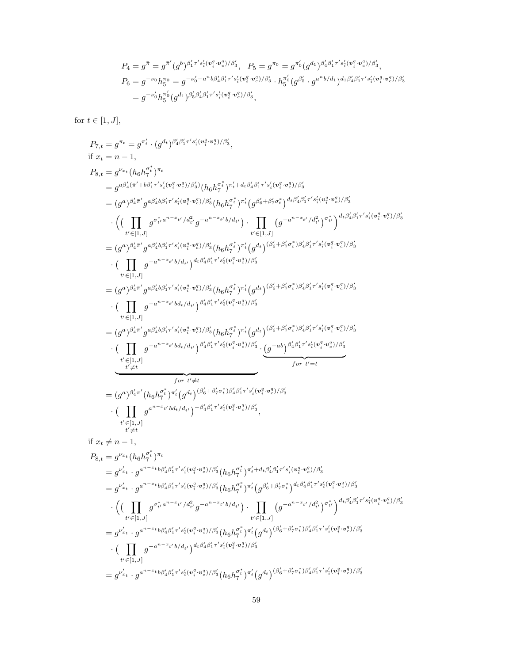P7,t = g <sup>π</sup><sup>t</sup> = g π 0 t · (g dt ) β 0 4β 0 1 τ 0 s 0 ¯i (v q ¯i ·v q c )/β<sup>0</sup> 3 , if x<sup>t</sup> = n − 1, P8,t = g <sup>ν</sup>xt (h6h σ ∗ t 7 ) πt = g aβ<sup>0</sup> 4 (¯π <sup>0</sup>+bβ<sup>0</sup> 1 τ 0 s 0 ¯i (v q ¯i ·v q c )/β<sup>0</sup> 3 ) (h6h σ ∗ t 7 ) π 0 <sup>t</sup>+dtβ 0 4β 0 1 τ 0 s 0 ¯i (v q ¯i ·v q c )/β<sup>0</sup> 3 = (g a ) β 0 <sup>4</sup>π¯ 0 g aβ<sup>0</sup> 4 bβ<sup>0</sup> 1 τ 0 s 0 ¯i (v q ¯i ·v q c )/β<sup>0</sup> <sup>3</sup> (h6h σ ∗ t 7 ) π 0 t g β 0 <sup>6</sup>+β 0 7σ ∗ t <sup>d</sup>t<sup>β</sup> 0 4β 0 1 τ 0 s 0 ¯i (v q ¯i ·v q c )/β<sup>0</sup> 3 · Y t <sup>0</sup>∈[1,J] g σ ∗ t 0a <sup>n</sup><sup>−</sup>xt <sup>0</sup> /d<sup>2</sup> t 0 g −a <sup>n</sup><sup>−</sup>xt <sup>0</sup> b/d<sup>t</sup> 0 · Y t <sup>0</sup>∈[1,J] g −a <sup>n</sup><sup>−</sup>xt <sup>0</sup> /d<sup>2</sup> t 0 σ ∗ t 0 <sup>d</sup>t<sup>β</sup> 0 4β 0 1 τ 0 s 0 ¯i (v q ¯i ·v q c )/β<sup>0</sup> 3 = (g a ) β 0 <sup>4</sup>π¯ 0 g aβ<sup>0</sup> 4 bβ<sup>0</sup> 1 τ 0 s 0 ¯i (v q ¯i ·v q c )/β<sup>0</sup> <sup>3</sup> (h6h σ ∗ t 7 ) π 0 t g dt (β 0 <sup>6</sup>+β 0 7σ ∗ t )β 0 4β 0 1 τ 0 s 0 ¯i (v q ¯i ·v q c )/β<sup>0</sup> 3 · Y t <sup>0</sup>∈[1,J] g −a <sup>n</sup><sup>−</sup>xt <sup>0</sup> b/d<sup>t</sup> 0 dt<sup>β</sup> 0 4β 0 1 τ 0 s 0 ¯i (v q ¯i ·v q c )/β<sup>0</sup> 3 = (g a ) β 0 <sup>4</sup>π¯ 0 g aβ<sup>0</sup> 4 bβ<sup>0</sup> 1 τ 0 s 0 ¯i (v q ¯i ·v q c )/β<sup>0</sup> <sup>3</sup> (h6h σ ∗ t 7 ) π 0 t g dt (β 0 <sup>6</sup>+β 0 7σ ∗ t )β 0 4β 0 1 τ 0 s 0 ¯i (v q ¯i ·v q c )/β<sup>0</sup> 3 · Y t <sup>0</sup>∈[1,J] g −a <sup>n</sup><sup>−</sup>xt <sup>0</sup> bdt/d<sup>t</sup> 0 β 0 4β 0 1 τ 0 s 0 ¯i (v q ¯i ·v q c )/β<sup>0</sup> 3 = (g a ) β 0 <sup>4</sup>π¯ 0 g aβ<sup>0</sup> 4 bβ<sup>0</sup> 1 τ 0 s 0 ¯i (v q ¯i ·v q c )/β<sup>0</sup> <sup>3</sup> (h6h σ ∗ t 7 ) π 0 t g dt (β 0 <sup>6</sup>+β 0 7σ ∗ t )β 0 4β 0 1 τ 0 s 0 ¯i (v q ¯i ·v q c )/β<sup>0</sup> 3 · Y t <sup>0</sup>∈[1,J] t 0 6=t g −a <sup>n</sup><sup>−</sup>xt <sup>0</sup> bdt/d<sup>t</sup> 0 β 0 4β 0 1 τ 0 s 0 ¯i (v q ¯i ·v q c )/β<sup>0</sup> 3 | {z } for t06=t · g <sup>−</sup>ab<sup>β</sup> 0 4β 0 1 τ 0 s 0 ¯i (v q ¯i ·v q c )/β<sup>0</sup> 3 | {z } for t0=t = (g a ) β 0 <sup>4</sup>π¯ 0 (h6h σ ∗ t 7 ) π 0 t g dt (β 0 <sup>6</sup>+β 0 7σ ∗ t )β 0 4β 0 1 τ 0 s 0 ¯i (v q ¯i ·v q c )/β<sup>0</sup> 3 · Y t <sup>0</sup>∈[1,J] t 0 6=t g a <sup>n</sup><sup>−</sup>xt <sup>0</sup> bdt/d<sup>t</sup> 0 <sup>−</sup><sup>β</sup> 0 4β 0 1 τ 0 s 0 ¯i (v q ¯i ·v q c )/β<sup>0</sup> 3 , if x<sup>t</sup> 6= n − 1, P8,t = g <sup>ν</sup>xt (h6h σ ∗ t 7 ) πt = g ν 0 xt · g a <sup>n</sup>−xt bβ<sup>0</sup> 4β 0 1 τ 0 s 0 ¯i (v q ¯i ·v q c )/β<sup>0</sup> <sup>3</sup> (h6h σ ∗ t 7 ) π 0 <sup>t</sup>+dtβ 0 4β 0 1 τ 0 s 0 ¯i (v q ¯i ·v q c )/β<sup>0</sup> 3 = g ν 0 xt · g a <sup>n</sup>−xt bβ<sup>0</sup> 4β 0 1 τ 0 s 0 ¯i (v q ¯i ·v q c )/β<sup>0</sup> <sup>3</sup> (h6h σ ∗ t 7 ) π 0 t g β 0 <sup>6</sup>+β 0 7σ ∗ t <sup>d</sup>t<sup>β</sup> 0 4β 0 1 τ 0 s 0 ¯i (v q ¯i ·v q c )/β<sup>0</sup> 3 · Y t <sup>0</sup>∈[1,J] g σ ∗ t 0a <sup>n</sup><sup>−</sup>xt <sup>0</sup> /d<sup>2</sup> t 0 g −a <sup>n</sup><sup>−</sup>xt <sup>0</sup> b/d<sup>t</sup> 0 · Y t <sup>0</sup>∈[1,J] g −a <sup>n</sup><sup>−</sup>xt <sup>0</sup> /d<sup>2</sup> t 0 σ ∗ t 0 <sup>d</sup>t<sup>β</sup> 0 4β 0 1 τ 0 s 0 ¯i (v q ¯i ·v q c )/β<sup>0</sup> 3 = g ν 0 xt · g a <sup>n</sup>−xt bβ<sup>0</sup> 4β 0 1 τ 0 s 0 ¯i (v q ¯i ·v q c )/β<sup>0</sup> <sup>3</sup> (h6h σ ∗ t 7 ) π 0 t g dt (β 0 <sup>6</sup>+β 0 7σ ∗ t )β 0 4β 0 1 τ 0 s 0 ¯i (v q ¯i ·v q c )/β<sup>0</sup> 3 · Y t <sup>0</sup>∈[1,J] g −a <sup>n</sup><sup>−</sup>xt <sup>0</sup> b/d<sup>t</sup> 0 <sup>d</sup>t<sup>β</sup> 0 4β 0 1 τ 0 s 0 ¯i (v q ¯i ·v q c )/β<sup>0</sup> 3 = g ν xt · g a <sup>n</sup>−xt bβ<sup>0</sup> 0 4β 0 1 τ 0 s 0 ¯i (v q ¯i ·v q c )/β<sup>0</sup> <sup>3</sup> (h6h σ ∗ t 7 ) π 0 t g dt (β 0 <sup>6</sup>+β 0 7σ ∗ t )β 0 4β 0 1 τ 0 s 0 ¯i (v q ¯i ·v q c )/β<sup>0</sup> 3

for  $t \in [1, J]$ ,

$$
P_4 = g^{\bar{\pi}} = g^{\bar{\pi}'}(g^b)^{\beta'_1 \tau' s'_i(\mathbf{v}_i^q \cdot \mathbf{v}_c^q)/\beta'_3}, \quad P_5 = g^{\pi_0} = g^{\pi'_0}(g^{d_1})^{\beta'_4 \beta'_1 \tau' s'_i(\mathbf{v}_i^q \cdot \mathbf{v}_c^q)/\beta'_3},
$$
  
\n
$$
P_6 = g^{-\nu_0} h_5^{\pi_0} = g^{-\nu'_0 - a^n b \beta'_4 \beta'_1 \tau' s'_i(\mathbf{v}_i^q \cdot \mathbf{v}_c^q)/\beta'_3} \cdot h_5^{\pi'_0}(g^{\beta'_5} \cdot g^{a^n b/d_1})^{d_1 \beta'_4 \beta'_1 \tau' s'_i(\mathbf{v}_i^q \cdot \mathbf{v}_c^q)/\beta'_3}
$$
  
\n
$$
= g^{-\nu'_0} h_5^{\pi'_0}(g^{d_1})^{\beta'_5 \beta'_4 \beta'_1 \tau' s'_i(\mathbf{v}_i^q \cdot \mathbf{v}_c^q)/\beta'_3},
$$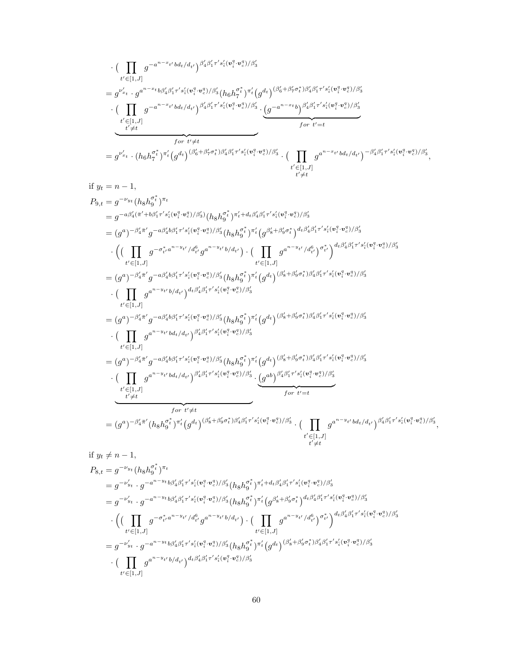$$
\begin{split} & = (g^a)^{-\beta'_4\pi'}g^{-a\beta'_4b\beta'_1\tau's'_\sharp(v_i^q\cdot v_s^q)/\beta'_3}(h_8h_9^{\tau^*})^{\pi'_t} (g^{d_t})^{(\beta'_8+\beta'_9\sigma^*_{t})\beta'_4\beta'_1\tau's'_\sharp(v_i^q\cdot v_s^q)/\beta'_3} \\ & \cdot (\prod_{t'\neq t} g^{a^{n-y_{t'}}b d_t/d_{t'}})^{\beta'_4\beta'_1\tau's'_\sharp(v_i^q\cdot v_s^q)/\beta'_3} \cdot \underbrace{(g^{ab})^{\beta'_4\beta'_1\tau's'_\sharp(v_i^q\cdot v_s^q)/\beta'_3}}_{\text{for } t'=t} \\ & = (g^a)^{-\beta'_4\pi'}(h_8h_9^{\sigma^*_{t}})^{\pi'_t} (g^{d_t})^{(\beta'_8+\beta'_9\sigma^*_{t})\beta'_4\beta'_1\tau's'_\sharp(v_i^q\cdot v_s^q)/\beta'_3} \cdot (\prod_{t'\in [1,J]} g^{a^{n-y_{t'}}b d_t/d_{t'}})^{\beta'_4\beta'_1\tau's'_\sharp(v_i^q\cdot v_s^q)} \\ & = g^{-\nu'_{y_t}}(h_8h_9^{\sigma^*_{t}})^{\pi_t} \\ & = g^{-\nu'_{y_t}}\cdot g^{-a^{n-y_{t}}b\beta'_4\beta'_1\tau's'_\sharp(v_i^q\cdot v_s^q)/\beta'_3}(h_8h_9^{\sigma^*_{t}})^{\pi'_t+d_t\beta'_4\beta'_1\tau's'_\sharp(v_i^q\cdot v_s^q)/\beta'_3} \\ & = g^{-\nu'_{y_t}}\cdot g^{-a^{n-y_{t}}b\beta'_4\beta'_1\tau's'_\sharp(v_i^q\cdot v_s^q)/\beta'_3}(h_8h_9^{\sigma^*_{t}})^{\pi'_t+d_t\beta'_4\beta'_1\tau's'_\sharp(v_i^q\cdot v_s^q)/\beta'_3} \\ & \cdot \Big((\prod_{t'\in [1,J]} g^{-\sigma^*_{t'}a^{n-y_{t'}}/d^a_{t'}g^{a^{n-y_{t'}}/d^a_{t'}}\Big) \cdot (\prod_{t'\in [1,J]} g^{a^{n-y_{t'}}/d^a_{t'}})^{\sigma^*_{t'}}\Big)^{d_t\beta'_4\beta'_1\tau's'_\sharp(v_i^q\cdot v_s^q)/\beta'_3} \\ & \cdot (\prod_{t'\
$$

$$
=g^{\nu'_{x_t}}\cdot(h_6h_7^{\tau^*})^{\pi'_t}(g^{d_t})^{(\beta'_6+\beta'_7\sigma^*_t)\beta'_4\beta'_1\tau's'_4(v_i^q\cdot v_c^q)/\beta'_3}\cdot(\prod_{t'\neq t}g^{a^{n-x_{t'}}bd_t/d_{t'}})^{-\beta'_4\beta'_1\tau's'_4(v_i^q\cdot v_c^q)/\beta'_3},
$$
\n
$$
\text{if } y_t = n - 1,
$$
\n
$$
P_{9,t} = g^{-\nu_{y_t}}(h_8h_9^{\sigma^*_t})^{\pi_t}
$$
\n
$$
=g^{-a\beta'_4(\pi'+b\beta'_1\tau's'_4(v_i^q\cdot v_c^q)/\beta'_3)}(h_8h_9^{\sigma^*_t})^{\pi'_t+d_t\beta'_4\beta'_1\tau's'_4(v_i^q\cdot v_c^q)/\beta'_3}
$$
\n
$$
= (g^a)^{-\beta'_4\pi'}g^{-a\beta'_4b\beta'_1\tau's'_4(v_i^q\cdot v_c^q)/\beta'_3}(h_8h_9^{\sigma^*_t})^{\pi'_t}(g^{\beta'_8+\beta'_9\sigma^*_t})^{d_t\beta'_4\beta'_1\tau's'_4(v_i^q\cdot v_c^q)/\beta'_3}
$$
\n
$$
\cdot\left(\left(\prod_{t'\in[1,J]}g^{-\sigma^*_{t'}a^{n-y_{t'}}/d_{t'}^6}g^{a^{n-y_{t'}}b/d_{t'}}\right)\cdot\left(\prod_{t'\in[1,J]}g^{a^{n-y_{t'}}/d_{t'}^6}\right)^{\sigma^*_{t'}}\right)^{d_t\beta'_4\beta'_1\tau's'_4(v_i^q\cdot v_c^q)/\beta'_3}
$$
\n
$$
\cdot\left(\prod_{t'\in[1,J]}g^{a^{n-y_{t'}}b/d_{t'}}\right)^{d_t\beta'_4\beta'_1\tau's'_4(v_i^q\cdot v_c^q)/\beta'_3}(h_8h_9^{\sigma^*_t})^{\pi'_t}(g^{d_t})^{(\beta'_8+\beta'_9\sigma^*_t)\beta'_4\beta'_1\tau's'_4(v_i^q\cdot v_c^q)/\beta'_3}
$$
\n
$$
\cdot\left(\prod_{t'\in[1,J]}g^{a^{n-y_{t'}}bd_t/d_{t'}}\right)^{d_t\beta'_4\beta'_1\tau's'_4(v_i^q\cdot v_c^
$$

$$
\cdot \left( \prod_{t' \in [1,J]} g^{-a^{n-x_{t'}} b d_{t}/d_{t'}} \right)^{\beta'_{4} \beta'_{1} \tau' s'_{i} (v_{i}^{q} \cdot v_{c}^{q})/\beta'_{3}}
$$
\n
$$
= g^{\nu'_{x_{t}}} \cdot g^{a^{n-x_{t}} b \beta'_{4} \beta'_{1} \tau' s'_{i} (v_{i}^{q} \cdot v_{c}^{q})/\beta'_{3}} (h_{6} h_{7}^{\sigma_{t}})^{\pi'_{t}} (g^{d_{t}})^{(\beta'_{6} + \beta'_{7} \sigma_{t}^{*}) \beta'_{4} \beta'_{1} \tau' s'_{i} (v_{i}^{q} \cdot v_{c}^{q})/\beta'_{3}}
$$
\n
$$
\cdot \left( \prod_{t' \neq t} g^{-a^{n-x_{t'}} b d_{t}/d_{t'}} \right)^{\beta'_{4} \beta'_{1} \tau' s'_{i} (v_{i}^{q} \cdot v_{c}^{q})/\beta'_{3}} \cdot \underbrace{(g^{-a^{n-x_{t}} b})^{\beta'_{4} \beta'_{1} \tau' s'_{i} (v_{i}^{q} \cdot v_{c}^{q})/\beta'_{3}}}_{\text{for } t' = t}
$$
\n
$$
= g^{\nu'_{x_{t}}} \cdot (h_{6} h_{7}^{\sigma_{t}^{*}})^{\pi'_{t}} (g^{d_{t}})^{(\beta'_{6} + \beta'_{7} \sigma_{t}^{*}) \beta'_{4} \beta'_{1} \tau' s'_{i} (v_{i}^{q} \cdot v_{c}^{q})/\beta'_{3}} \cdot \left( \prod_{t' \neq t} g^{a^{n-x_{t'}} b d_{t}/d_{t'}} \right)^{-\beta'_{4} \beta'_{1} \tau' s'_{i} (v_{i}^{q} \cdot v_{c}^{q})/\beta'_{3}},
$$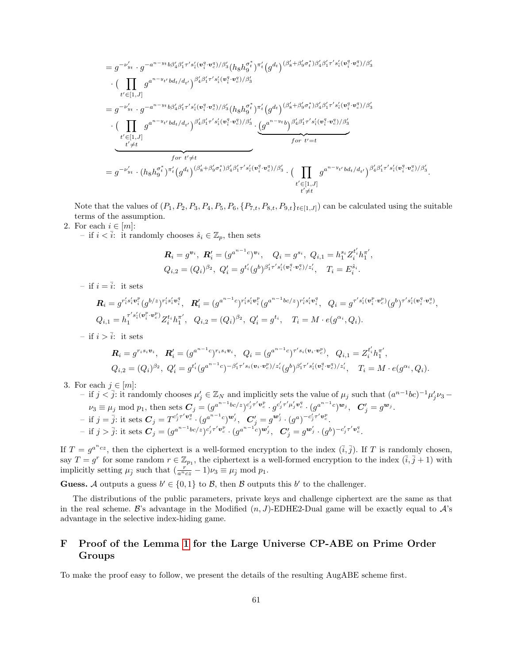$$
=g^{-\nu'_{y_t}}\cdot g^{-a^{n-y_t}b\beta'_4\beta'_1\tau's'_i(v_i^q\cdot v_e^q)/\beta'_3}(h_8h_9^{\sigma_t^*})^{\pi'_t}(g^{d_t})^{(\beta'_8+\beta'_9\sigma_t^*)\beta'_4\beta'_1\tau's'_i(v_i^q\cdot v_e^q)/\beta'_3}\cdot\left(\prod_{t'\in [1,J]}g^{a^{n-y_{t'}}bd_t/d_{t'}}\right)^{\beta'_4\beta'_1\tau's'_i(v_i^q\cdot v_e^q)/\beta'_3}=g^{-\nu'_{y_t}}\cdot g^{-a^{n-y_t}b\beta'_4\beta'_1\tau's'_i(v_i^q\cdot v_e^q)/\beta'_3}(h_8h_9^{\sigma_t^*})^{\pi'_t}(g^{d_t})^{(\beta'_8+\beta'_9\sigma_t^*)\beta'_4\beta'_1\tau's'_i(v_i^q\cdot v_e^q)/\beta'_3}\cdot\left(\prod_{\substack{t'\in [1,J]\\t'\neq t}}g^{a^{n-y_{t'}}bd_t/d_{t'}}\right)^{\beta'_4\beta'_1\tau's'_i(v_i^q\cdot v_e^q)/\beta'_3}\cdot\left(\frac{g^{a^{n-y_{t}}}b^{\beta'_4\beta'_1\tau's'_i(v_i^q\cdot v_e^q)/\beta'_3}}{f^{\sigma r}t'\neq t}\right)^{f^{\sigma r}t'\neq t}=g^{-\nu'_{y_t}}\cdot\left(h_8h_9^{\sigma_t^*}\right)^{\pi'_t}(g^{d_t}\right)^{(\beta'_8+\beta'_9\sigma_t^*)\beta'_4\beta'_1\tau's'_i(v_i^q\cdot v_e^q)/\beta'_3}\cdot\left(\prod_{\substack{t'\in [1,J]\\t'\neq t}}g^{a^{n-y_{t'}}bd_t/d_{t'}}\right)^{\beta'_4\beta'_1\tau's'_i(v_i^q\cdot v_e^q)/\beta'_3}\cdot\left(\prod_{\substack{t'\in [1,J]\\t'\neq t}}g^{a^{n-y_{t'}}bd_t/d_{t'}}\right)^{\beta'_4\beta'_1\tau's'_i(v_i^q\cdot v_e^q)/\beta'_3}
$$

Note that the values of  $(P_1, P_2, P_3, P_4, P_5, P_6, \{P_{7,t}, P_{8,t}, P_{9,t}\}_{t\in[1,J]})$  can be calculated using the suitable terms of the assumption.

# 2. For each  $i \in [m]$ :

– if  $i < \overline{i}$ : it randomly chooses  $\hat{s}_i \in \mathbb{Z}_p$ , then sets

$$
\mathbf{R}_{i} = g^{\mathbf{v}_{i}}, \ \mathbf{R}'_{i} = (g^{a^{n-1}c})^{\mathbf{v}_{i}}, \quad Q_{i} = g^{s_{i}}, \ Q_{i,1} = h_{1}^{s_{i}} Z_{i}^{t'_{i}} h_{1}^{\pi'},
$$
  

$$
Q_{i,2} = (Q_{i})^{\beta_{2}}, \ Q'_{i} = g^{t'_{i}}(g^{b})^{\beta'_{1}\tau' s'_{i}(\mathbf{v}_{i}^{q} \cdot \mathbf{v}_{c}^{q})/z'_{i}}, \quad T_{i} = E_{i}^{\hat{s}_{i}}.
$$

– if  $i = \overline{i}$ : it sets

$$
\mathbf{R}_{i} = g^{r'_{i}s'_{i}\mathbf{v}_{i}^{p}}(g^{b/z})^{r'_{i}s'_{i}\mathbf{v}_{i}^{q}}, \quad\n\mathbf{R}'_{i} = (g^{a^{n-1}c})^{r'_{i}s'_{i}\mathbf{v}_{i}^{p}}(g^{a^{n-1}bc/z})^{r'_{i}s'_{i}\mathbf{v}_{i}^{q}}, \quad\nQ_{i} = g^{\tau's'_{i}(\mathbf{v}_{i}^{p}\cdot\mathbf{v}_{c}^{p})}(g^{b})^{\tau's'_{i}(\mathbf{v}_{i}^{q}\cdot\mathbf{v}_{c}^{q})},
$$
\n
$$
Q_{i,1} = h_{1}^{\tau's'_{i}(\mathbf{v}_{i}^{p}\cdot\mathbf{v}_{c}^{p})}Z_{i}^{t_{i}}h_{1}^{\tau'}, \quad\nQ_{i,2} = (Q_{i})^{\beta_{2}}, \quad\nQ'_{i} = g^{t_{i}}, \quad\nT_{i} = M \cdot e(g^{\alpha_{i}}, Q_{i}).
$$

– if  $i > \overline{i}$ : it sets

$$
\mathbf{R}_{i} = g^{r_{i}s_{i}\mathbf{v}_{i}}, \quad \mathbf{R}'_{i} = (g^{a^{n-1}c})^{r_{i}s_{i}\mathbf{v}_{i}}, \quad Q_{i} = (g^{a^{n-1}c})^{\tau's_{i}(\mathbf{v}_{i}\cdot\mathbf{v}_{c}^{p})}, \quad Q_{i,1} = Z_{i}^{t'_{i}}h_{1}^{\pi'},
$$
\n
$$
Q_{i,2} = (Q_{i})^{\beta_{2}}, \quad Q'_{i} = g^{t'_{i}}(g^{a^{n-1}c})^{-\beta'_{1}\tau's_{i}(\mathbf{v}_{i}\cdot\mathbf{v}_{c}^{p})/z'_{i}}(g^{b})^{\beta'_{1}\tau's'_{i}(\mathbf{v}_{i}^{q}\cdot\mathbf{v}_{c}^{q})/z'_{i}}, \quad T_{i} = M \cdot e(g^{\alpha_{i}}, Q_{i}).
$$

3. For each  $j \in [m]$ :

- if 
$$
j < \overline{j}
$$
: it randomly chooses  $\mu'_j \in \mathbb{Z}_N$  and implicitly sets the value of  $\mu_j$  such that  $(a^{n-1}bc)^{-1}\mu'_j\nu_3 - \nu_3 \equiv \mu_j \mod p_1$ , then sets  $\mathbf{C}_j = (g^{a^{n-1}bc/z})^{c'_j\tau'v_c^p} \cdot g^{c'_j\tau'\mu'_jv_c^q} \cdot (g^{a^{n-1}c})^{\mathbf{w}_j}$ ,  $\mathbf{C}'_j = g^{\mathbf{w}_j}$ .  
\n- if  $j = \overline{j}$ : it sets  $\mathbf{C}_j = T^{c'_j\tau'v_c^q} \cdot (g^{a^{n-1}c})^{\mathbf{w}'_j}$ ,  $\mathbf{C}'_j = g^{\mathbf{w}'_j} \cdot (g^a)^{-c'_j\tau'v_c^p}$ .  
\n- if  $j > \overline{j}$ : it sets  $\mathbf{C}_j = (g^{a^{n-1}bc/z})^{c'_j\tau'v_c^p} \cdot (g^{a^{n-1}c})^{\mathbf{w}'_j}$ ,  $\mathbf{C}'_j = g^{\mathbf{w}'_j} \cdot (g^b)^{-c'_j\tau'v_c^q}$ .

If  $T = g^{a^n c z}$ , then the ciphertext is a well-formed encryption to the index  $(\bar{i}, \bar{j})$ . If T is randomly chosen, say  $T = g^r$  for some random  $r \in \mathbb{Z}_{p_1}$ , the ciphertext is a well-formed encryption to the index  $(\bar{i}, \bar{j} + 1)$  with implicitly setting  $\mu_{\bar{j}}$  such that  $(\frac{\dot{r}}{a^n c z} - 1)\nu_3 \equiv \mu_{\bar{j}} \mod p_1$ .

**Guess.** A outputs a guess  $b' \in \{0,1\}$  to B, then B outputs this b' to the challenger.

The distributions of the public parameters, private keys and challenge ciphertext are the same as that in the real scheme. B's advantage in the Modified  $(n, J)$ -EDHE2-Dual game will be exactly equal to  $\mathcal{A}$ 's advantage in the selective index-hiding game.

# <span id="page-60-0"></span>F Proof of the Lemma [1](#page-15-2) for the Large Universe CP-ABE on Prime Order Groups

To make the proof easy to follow, we present the details of the resulting AugABE scheme first.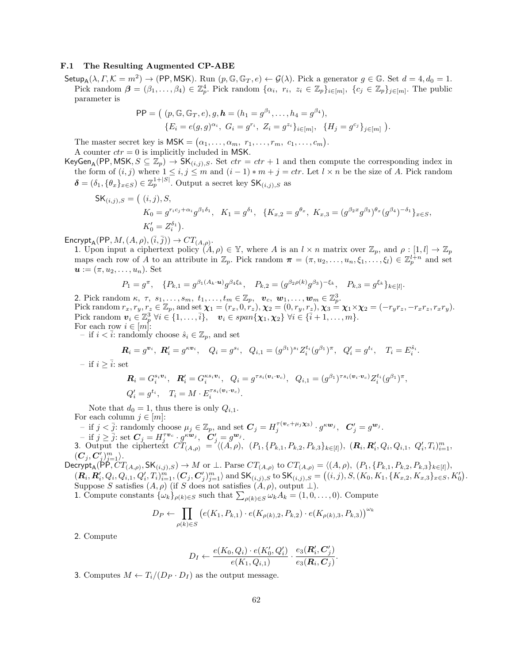#### F.1 The Resulting Augmented CP-ABE

 $\mathsf{Setup}_\mathsf{A}(\lambda,\Gamma,\mathcal{K}=m^2)\to(\mathsf{PP},\mathsf{MSK}).$  Run  $(p,\mathbb{G},\mathbb{G}_T,e)\leftarrow \mathcal{G}(\lambda)$ . Pick a generator  $g\in\mathbb{G}$ . Set  $d=4,d_0=1$ . Pick random  $\boldsymbol{\beta} = (\beta_1, \ldots, \beta_4) \in \mathbb{Z}_p^4$ . Pick random  $\{\alpha_i, r_i, z_i \in \mathbb{Z}_p\}_{i \in [m]}, \{c_j \in \mathbb{Z}_p\}_{j \in [m]}$ . The public parameter is

$$
\mathsf{PP} = ( (p, \mathbb{G}, \mathbb{G}_T, e), g, \mathbf{h} = (h_1 = g^{\beta_1}, \dots, h_4 = g^{\beta_4}), \{ E_i = e(g, g)^{\alpha_i}, G_i = g^{r_i}, Z_i = g^{z_i} \}_{i \in [m]}, \{ H_j = g^{c_j} \}_{j \in [m]} ).
$$

The master secret key is  $\mathsf{MSK} = (\alpha_1, \ldots, \alpha_m, r_1, \ldots, r_m, c_1, \ldots, c_m).$ A counter  $ctr = 0$  is implicitly included in MSK.

KeyGen<sub>A</sub>(PP, MSK,  $S \subseteq \mathbb{Z}_p$ )  $\to$  SK<sub>(i,j),S</sub>. Set  $ctr =ctr + 1$  and then compute the corresponding index in the form of  $(i, j)$  where  $1 \leq i, j \leq m$  and  $(i - 1) * m + j = \text{ctr.}$  Let  $l \times n$  be the size of A. Pick random  $\boldsymbol{\delta} = (\delta_1, \{\theta_x\}_{x \in S}) \in \mathbb{Z}_p^{1+|S|}$ . Output a secret key  $\mathsf{SK}_{(i,j),S}$  as

$$
\begin{aligned} \mathsf{SK}_{(i,j),S} &= \left( (i,j), S, \\ K_0 &= g^{r_ic_j + \alpha_i} g^{\beta_1 \delta_1}, \quad K_1 = g^{\delta_1}, \quad \{ K_{x,2} = g^{\theta_x}, \quad K_{x,3} = (g^{\beta_2 x} g^{\beta_3})^{\theta_x} (g^{\beta_4})^{-\delta_1} \}_{x \in S}, \\ K'_0 &= Z_i^{\delta_1} \right). \end{aligned}
$$

Encrypt<sub>A</sub>(PP,  $M, (A, \rho), (\overline{i}, \overline{j})) \rightarrow CT_{(A, \rho)}.$ 

1. Upon input a ciphertext policy  $(A, \rho) \in \mathbb{Y}$ , where A is an  $l \times n$  matrix over  $\mathbb{Z}_p$ , and  $\rho : [1, l] \to \mathbb{Z}_p$ maps each row of A to an attribute in  $\mathbb{Z}_p$ . Pick random  $\boldsymbol{\pi} = (\pi, u_2, \dots, u_n, \xi_1, \dots, \xi_l) \in \mathbb{Z}_p^{l+n}$  and set  $\mathbf{u} := (\pi, u_2, \dots, u_n)$ . Set

$$
P_1 = g^{\pi}, \quad \{P_{k,1} = g^{\beta_1(A_k \cdot \mathbf{u})} g^{\beta_4 \xi_k}, \quad P_{k,2} = (g^{\beta_2 \rho(k)} g^{\beta_3})^{-\xi_k}, \quad P_{k,3} = g^{\xi_k} \}_{k \in [l]}.
$$

2. Pick random  $\kappa$ ,  $\tau$ ,  $s_1, \ldots, s_m$ ,  $t_1, \ldots, t_m \in \mathbb{Z}_p$ ,  $v_c$ ,  $w_1, \ldots, w_m \in \mathbb{Z}_p^3$ . Pick random  $r_x, r_y, r_z \in \mathbb{Z}_p$ , and set  $\chi_1 = (r_x, 0, r_z), \chi_2 = (0, r_y, r_z), \chi_3 = \chi_1 \times \chi_2 = (-r_y r_z, -r_x r_z, r_x r_y).$ Pick random  $v_i \in \mathbb{Z}_p^3 \ \forall i \in \{1, \ldots, \overline{i}\}, \quad v_i \in span\{\chi_1, \chi_2\} \ \forall i \in \{\overline{i}+1, \ldots, m\}.$ For each row  $i \in [m]$ :

− if  $i < i$ : randomly choose  $\hat{s}_i \in \mathbb{Z}_p$ , and set

$$
\mathbf{R}_i = g^{\mathbf{v}_i}, \ \mathbf{R}'_i = g^{\kappa \mathbf{v}_i}, \quad Q_i = g^{s_i}, \ \ Q_{i,1} = (g^{\beta_1})^{s_i} Z_i^{t_i} (g^{\beta_1})^{\pi}, \ \ Q'_i = g^{t_i}, \quad T_i = E_i^{\hat{s}_i}.
$$

– if  $i \geq \overline{i}$ : set

$$
\mathbf{R}_i = G_i^{s_i \mathbf{v}_i}, \quad \mathbf{R}'_i = G_i^{\kappa s_i \mathbf{v}_i}, \quad Q_i = g^{\tau s_i(\mathbf{v}_i \cdot \mathbf{v}_c)}, \quad Q_{i,1} = (g^{\beta_1})^{\tau s_i(\mathbf{v}_i \cdot \mathbf{v}_c)} Z_i^{t_i}(g^{\beta_1})^{\pi},
$$
  

$$
Q'_i = g^{t_i}, \quad T_i = M \cdot E_i^{\tau s_i(\mathbf{v}_i \cdot \mathbf{v}_c)}.
$$

Note that  $d_0 = 1$ , thus there is only  $Q_{i,1}$ . For each column  $j\in [m]$ :

 $-$  if  $j < \overline{j}$ : randomly choose  $\mu_j \in \mathbb{Z}_p$ , and set  $\mathbf{C}_j = H_j^{\tau(\mathbf{v}_c + \mu_j \mathbf{X}_3)} \cdot g^{\kappa \mathbf{w}_j}, \ \ \mathbf{C}'_j = g^{\mathbf{w}_j}$ .

 $-\operatorname{if} j \geq \overline{j}$ : set  $C_j = H_j^{\tau \nu_c} \cdot g^{\kappa \nu_j}, \quad C'_j = g^{\nu_j}.$ 

3. Output the ciphertext  $\tilde{CT}_{(A,\rho)} = \langle (A,\rho), (P_1, \{P_{k,1}, P_{k,2}, P_{k,3}\}_{k\in[l]}), (R_i, R'_i, Q_i, Q_{i,1}, Q'_i, T_i)_{i=1}^m,$  $(\boldsymbol{C}_j, \boldsymbol{C}_j^\prime)_{j=1}^m \rangle.$ 

 $\text{Decrypt}_A(\overline{PP}, CT_{(A,\rho)}, \mathsf{SK}_{(i,j),S}) \to M \text{ or } \perp$ . Parse  $CT_{(A,\rho)}$  to  $CT_{(A,\rho)} = \langle (A,\rho), (P_1, \{P_{k,1}, P_{k,2}, P_{k,3}\}_{k \in [l]}),$ <br>  $(\mathbf{R}_i, \mathbf{R}_i', Q_i, Q_{i,1}, Q_i', T_i)_{i=1}^m, (\mathbf{C}_i, \mathbf{C}_i')_{i=1}^m$  and  $\mathsf{SK}_{(i,j), S}$  to  $\mathsf{SK}_{(i,j), S} = ((i$  $(\mathbf{R}_i, \mathbf{R}'_i, Q_i, Q_{i,1}, Q'_i, T_i)_{i=1}^m, (\mathbf{C}_j, \mathbf{C}'_j)_{j=1}^m \rangle$  and  $\mathsf{SK}_{(i,j),S}$  to  $\mathsf{SK}_{(i,j),S} = ((i,j), S, (K_0, K_1, \{K_{x,2}, K_{x,3}\}_{x \in S}, K'_0)$ . Suppose S satisfies  $(A, \rho)$  (if S does not satisfies  $(A, \rho)$ , output  $\bot$ ).

1. Compute constants  $\{\omega_k\}_{\rho(k)\in S}$  such that  $\sum_{\rho(k)\in S}\omega_k A_k = (1,0,\ldots,0)$ . Compute

$$
D_P \leftarrow \prod_{\rho(k) \in S} \left( e(K_1, P_{k,1}) \cdot e(K_{\rho(k),2}, P_{k,2}) \cdot e(K_{\rho(k),3}, P_{k,3}) \right)^{\omega_k}
$$

2. Compute

$$
D_I \leftarrow \frac{e(K_0, Q_i) \cdot e(K'_0, Q'_i)}{e(K_1, Q_{i,1})} \cdot \frac{e_3(\mathbf{R}'_i, \mathbf{C}'_j)}{e_3(\mathbf{R}_i, \mathbf{C}_j)}.
$$

3. Computes  $M \leftarrow T_i/(D_P \cdot D_I)$  as the output message.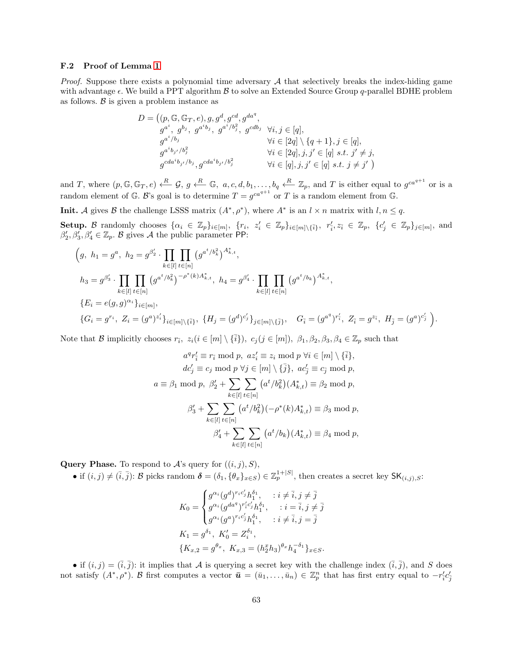#### F.2 Proof of Lemma [1](#page-15-2)

*Proof.* Suppose there exists a polynomial time adversary  $A$  that selectively breaks the index-hiding game with advantage  $\epsilon$ . We build a PPT algorithm  $\beta$  to solve an Extended Source Group q-parallel BDHE problem as follows.  $\beta$  is given a problem instance as

$$
D = \left( (p, \mathbb{G}, \mathbb{G}_T, e), g, g^d, g^{cd}, g^{da^q}, g^{da^q}, g^{cd^q}, g^{ab^q}, g^{ab^q}, g^{cd^q}, g^{cd^q}, g^{cd^q}, g^{cd^q}, g^{cd^q}, g^{cd^q}, g^{cd^q}, g^{cd^q}, g^{cd^q}, g^{cd^q}, g^{cd^q}, g^{cd^q}, g^{cd^q}, g^{cd^q}, g^{cd^q}, g^{cd^q}, g^{cd^q}, g^{cd^q}, g^{cd^q}, g^{cd^q}, g^{cd^q}, g^{cd^q}, g^{cd^q}, g^{cd^q}, g^{cd^q}, g^{cd^q}, g^{cd^q}, g^{cd^q}, g^{cd^q}, g^{cd^q}, g^{cd^q}, g^{cd^q}, g^{cd^q}, g^{cd^q}, g^{cd^q}, g^{cd^q}, g^{cd^q}, g^{cd^q}, g^{cd^q}, g^{cd^q}, g^{cd^q}, g^{cd^q}, g^{cd^q}, g^{cd^q}, g^{cd^q}, g^{cd^q}, g^{cd^q}, g^{cd^q}, g^{cd^q}, g^{cd^q}, g^{cd^q}, g^{cd^q}, g^{cd^q}, g^{cd^q}, g^{cd^q}, g^{cd^q}, g^{cd^q}, g^{cd^q}, g^{cd^q}, g^{cd^q}, g^{cd^q}, g^{cd^q}, g^{cd^q}, g^{cd^q}, g^{cd^q}, g^{cd^q}, g^{cd^q}, g^{cd^q}, g^{cd^q}, g^{cd^q}, g^{cd^q}, g^{cd^q}, g^{cd^q}, g^{cd^q}, g^{cd^q}, g^{cd^q}, g^{cd^q}, g^{cd^q}, g^{cd^q}, g^{cd^q}, g^{cd^q}, g^{cd^q}, g^{cd^q}, g^{cd^q}, g^{cd^q}, g^{cd^q}, g^{cd^q}, g^{cd^q}, g^{cd^q}, g^{cd^q}, g^{cd^q}, g^{cd^q}, g^{cd^q}, g^{cd^q}, g^{cd^q}, g^{cd^q}, g^{cd^q}, g^{cd^q}, g^{cd^q}, g^{cd^q}, g^{cd^q}, g^{cd^q}, g^{cd^q}, g^{cd^q}, g^{cd^q}, g^{cd^q}, g^{cd^q}, g^{cd^q}, g^{cd^q}, g^{cd^q}, g^{cd^q}, g^{cd^q}, g^{cd^q}, g^{cd^q}, g^{cd^q}, g^{cd^q
$$

and T, where  $(p, \mathbb{G}, \mathbb{G}_T, e) \xleftarrow{R} \mathcal{G}, g \xleftarrow{R} \mathbb{G}, a, c, d, b_1, \ldots, b_q \xleftarrow{R} \mathbb{Z}_p$ , and T is either equal to  $g^{ca^{q+1}}$  or is a random element of G. B's goal is to determine  $T = g^{ca^{q+1}}$  or T is a random element from G.

**Init.** A gives B the challenge LSSS matrix  $(A^*, \rho^*)$ , where  $A^*$  is an  $l \times n$  matrix with  $l, n \leq q$ .

Setup. B randomly chooses  $\{\alpha_i \in \mathbb{Z}_p\}_{i \in [m]}, \ \{r_i, z'_i \in \mathbb{Z}_p\}_{i \in [m] \setminus \{\bar{i}\}}, \ r'_i, z_{\bar{i}} \in \mathbb{Z}_p, \ \{c'_j \in \mathbb{Z}_p\}_{j \in [m]},$  and  $\beta'_2, \beta'_3, \beta'_4 \in \mathbb{Z}_p$ . B gives A the public parameter PP:

$$
\left(g, h_1 = g^a, h_2 = g^{\beta'_2} \cdot \prod_{k \in [l]} \prod_{t \in [n]} \left(g^{a^t/b_k^2}\right)^{A_{k,t}^*},\right)
$$
\n
$$
h_3 = g^{\beta'_3} \cdot \prod_{k \in [l]} \prod_{t \in [n]} \left(g^{a^t/b_k^2}\right)^{-\rho^*(k)A_{k,t}^*}, h_4 = g^{\beta'_4} \cdot \prod_{k \in [l]} \prod_{t \in [n]} \left(g^{a^t/b_k}\right)^{A_{k,t}^*},\
$$
\n
$$
\{E_i = e(g, g)^{\alpha_i}\}_{i \in [m]},
$$
\n
$$
\{G_i = g^{r_i}, Z_i = (g^a)^{z'_i}\}_{i \in [m] \setminus \{\overline{i}\}}, \{H_j = (g^d)^{c'_j}\}_{j \in [m] \setminus \{\overline{j}\}}, \quad G_{\overline{i}} = (g^{a^q})^{r'_i}, Z_{\overline{i}} = g^{z_{\overline{i}}}, H_{\overline{j}} = (g^a)^{c'_j}\right).
$$

Note that B implicitly chooses  $r_{\bar{i}}$ ,  $z_i (i \in [m] \setminus {\bar{i}}$ ,  $c_j (j \in [m])$ ,  $\beta_1, \beta_2, \beta_3, \beta_4 \in \mathbb{Z}_p$  such that

$$
a^q r'_{\overline{i}} \equiv r_{\overline{i}} \mod p, \ az'_i \equiv z_i \mod p \ \forall i \in [m] \setminus {\overline{i}},
$$
  
\n
$$
dc'_j \equiv c_j \mod p \ \forall j \in [m] \setminus {\overline{j}}, \ ac'_j \equiv c_j \mod p,
$$
  
\n
$$
a \equiv \beta_1 \mod p, \ \beta'_2 + \sum_{k \in [l]} \sum_{t \in [n]} (a^t / b_k^2) (A_{k,t}^*) \equiv \beta_2 \mod p,
$$
  
\n
$$
\beta'_3 + \sum_{k \in [l]} \sum_{t \in [n]} (a^t / b_k^2) (-\rho^*(k) A_{k,t}^*) \equiv \beta_3 \mod p,
$$
  
\n
$$
\beta'_4 + \sum_{k \in [l]} \sum_{t \in [n]} (a^t / b_k) (A_{k,t}^*) \equiv \beta_4 \mod p,
$$

**Query Phase.** To respond to  $\mathcal{A}$ 's query for  $((i, j), S)$ ,

• if  $(i, j) \neq (\bar{i}, \bar{j})$ : B picks random  $\boldsymbol{\delta} = (\delta_1, {\{\theta_x\}_{x \in S}) \in \mathbb{Z}_p^{1+|S|}}$ , then creates a secret key  $\mathsf{SK}_{(i,j),S}$ :

$$
K_0 = \begin{cases} g^{\alpha_i} (g^d)^{r_i c'_j} h_1^{\delta_1}, & : i \neq \bar{i}, j \neq \bar{j} \\ g^{\alpha_i} (g^{da^q})^{r'_i c'_j} h_1^{\delta_1}, & : i = \bar{i}, j \neq \bar{j} \\ g^{\alpha_i} (g^a)^{r_i c'_j} h_1^{\delta_1}, & : i \neq \bar{i}, j = \bar{j} \end{cases}
$$
\n
$$
K_1 = g^{\delta_1}, K'_0 = Z_i^{\delta_1},
$$
\n
$$
\{K_{x,2} = g^{\theta_x}, K_{x,3} = (h_2^x h_3)^{\theta_x} h_4^{-\delta_1}\}_{x \in S}.
$$

• if  $(i, j) = (\overline{i}, \overline{j})$ : it implies that A is querying a secret key with the challenge index  $(\overline{i}, \overline{j})$ , and S does not satisfy  $(A^*, \rho^*)$ . B first computes a vector  $\bar{\mathbf{u}} = (\bar{u}_1, \ldots, \bar{u}_n) \in \mathbb{Z}_p^n$  that has first entry equal to  $-r_i^c c_j^c$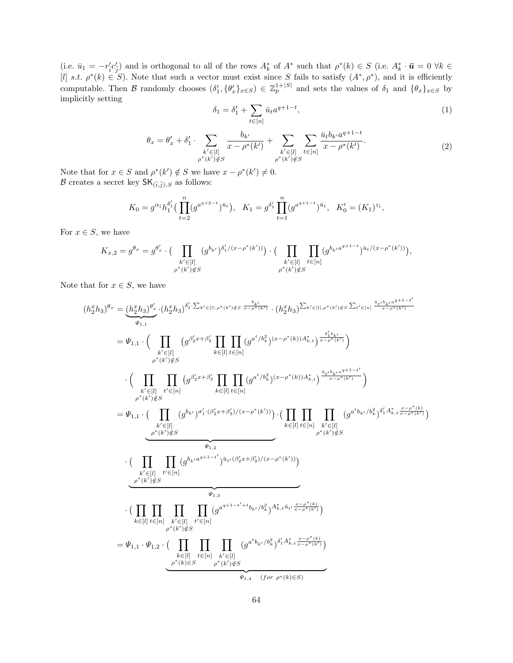(i.e.  $\bar{u}_1 = -r'_{\bar{i}}c'_{\bar{j}}$ ) and is orthogonal to all of the rows  $A_k^*$  of  $A^*$  such that  $\rho^*(k) \in S$  (i.e.  $A_k^* \cdot \bar{u} = 0 \ \forall k \in$ [l] s.t.  $\rho^*(k) \in S$ ). Note that such a vector must exist since S fails to satisfy  $(A^*, \rho^*)$ , and it is efficiently computable. Then B randomly chooses  $(\delta'_1, \{\theta'_x\}_{x\in S}) \in \mathbb{Z}_p^{1+|S|}$  and sets the values of  $\delta_1$  and  $\{\theta_x\}_{x\in S}$  by implicitly setting

$$
\delta_1 = \delta_1' + \sum_{t \in [n]} \bar{u}_t a^{q+1-t},\tag{1}
$$

$$
\theta_x = \theta'_x + \delta'_1 \cdot \sum_{\substack{k' \in [l] \\ \rho^*(k') \notin S}} \frac{b_{k'}}{x - \rho^*(k')} + \sum_{\substack{k' \in [l] \\ \rho^*(k') \notin S}} \sum_{t \in [n]} \frac{\bar{u}_t b_{k'} a^{q+1-t}}{x - \rho^*(k')}.
$$
\n(2)

Note that for  $x \in S$  and  $\rho^*(k') \notin S$  we have  $x - \rho^*(k') \neq 0$ .  $\mathcal B$  creates a secret key  $\mathsf{SK}_{(\overline{i},\overline{j}),S}$  as follows:

$$
K_0 = g^{\alpha_{\bar{i}}} h_1^{\delta_1'} \Big( \prod_{t=2}^n (g^{a^{q+2-t}})^{\bar{u}_t} \Big), \quad K_1 = g^{\delta_1'} \prod_{t=1}^n (g^{a^{q+1-t}})^{\bar{u}_t}, \quad K_0' = (K_1)^{z_{\bar{i}}},
$$

For  $x \in S$ , we have

$$
K_{x,2} = g^{\theta_x} = g^{\theta'_x} \cdot \Big( \prod_{\substack{k' \in [l] \\ \rho^*(k') \notin S}} (g^{b_{k'}})^{\delta'_1/(x-\rho^*(k'))} \Big) \cdot \Big( \prod_{\substack{k' \in [l] \\ \rho^*(k') \notin S}} \prod_{t \in [n]} (g^{b_{k'}a^{q+1-t}})^{\bar{u}_t/(x-\rho^*(k'))} \Big),
$$

Note that for  $x \in S$ , we have

$$
(h_{2}^{x}h_{3})^{\theta_{x}} = (\underbrace{h_{2}^{x}h_{3})^{\theta_{x}^{\prime}}}_{\Psi_{1,1}} \cdot (h_{2}^{x}h_{3})^{\delta_{1}^{\prime}\cdot\sum_{k^{\prime}\in[\ell],\rho^{*}(k^{\prime})\notin S}} \cdot (h_{2}^{x}h_{3})^{\sum_{k^{\prime}\in[\ell],\rho^{*}(k^{\prime})\notin S}} \cdot (h_{2}^{x}h_{3})^{\sum_{k^{\prime}\in[\ell],\rho^{*}(k^{\prime})\notin S}} \cdot \underbrace{(\prod_{k^{\prime}\in[\ell]} \prod_{\rho^{*}(k^{\prime})\notin S} (g^{\beta_{2}^{\prime}x+\beta_{3}^{\prime}} \prod_{k\in[\ell]} \prod_{t\in[n]} (g^{a^{t}/b_{k}^{2}})^{(x-\rho^{*}(k))A_{k,t}^{*}})^{\frac{\delta_{1}^{\prime}b_{k^{\prime}}}{x-\rho^{*}(k^{\prime})}}) \cdot \left(\prod_{k^{\prime}\in[\ell]} \prod_{\rho^{*}(k^{\prime})\notin S} (g^{\beta_{2}^{\prime}x+\beta_{3}^{\prime}} \prod_{k\in[\ell]} \prod_{t\in[n]} (g^{a^{t}/b_{k}^{2}})^{(x-\rho^{*}(k))A_{k,t}^{*}})^{\frac{\alpha_{1}^{\prime}b_{k^{\prime}}a^{q+1-t^{\prime}}}{x-\rho^{*}(k^{\prime})}}) \cdot \left(\prod_{k^{\prime}\in[\ell]} \prod_{\rho^{*}(k^{\prime})\notin S} (g^{a^{t}b_{k^{\prime}}/b_{k}^{2}})^{\delta_{1}^{\prime}A_{k,t}^{*}} \frac{x-\rho^{*}(k)}{x-\rho^{*}(k^{\prime})}} \right) \cdot \left(\prod_{k^{\prime}\in[\ell]} \prod_{\rho^{*}(k^{\prime})\notin S} (g^{a^{t}b_{k^{\prime}}/b_{k}^{2}})^{\delta_{1}^{\prime}A_{k,t}^{*}} \frac{x-\rho^{*}(k)}{x-\rho^{*}(k^{\prime})}} \right) \cdot \left(\prod_{k^{\prime}\in[\ell]} \prod_{\rho^{*}(k^{\prime})\notin S} (g^{a^{t}b_{k^{\prime}}/b_{k}^{2}})^{\delta_{1}^{\prime}A_{k,t}^{*}} \frac{x-\rho^{*}(k)}{x-\rho^{*}(k
$$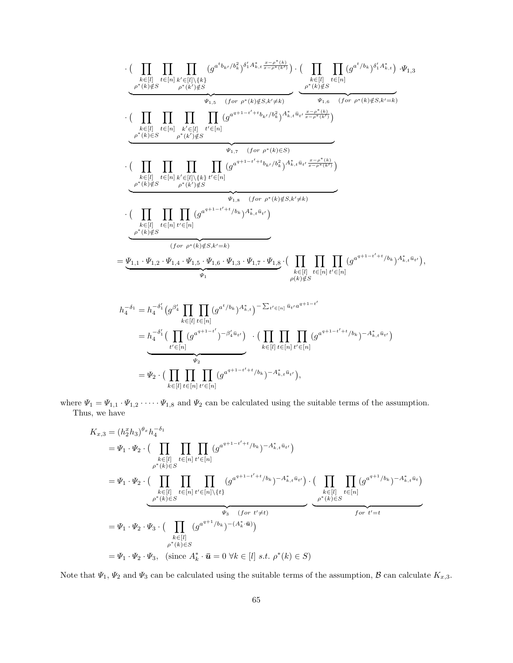$$
\begin{split} &\cdot \Big( \prod_{\substack{k \in [l] \\ \rho^*(k) \notin S}} \prod_{\substack{t \in [n] \\ \rho^*(k) \notin S}} \prod_{\substack{k' \in [l] \\ \rho^*(k') \notin S}} (g^{a^t b_{k'}/b_{k}^2})^{\delta'_{1}A_{k,t}^* \frac{x-\rho^*(k)}{x-\rho^*(k')}} \Big) \cdot \Big( \prod_{\substack{k \in [l] \\ \rho^*(k) \notin S}} \prod_{\substack{t \in [n] \\ \rho^*(k) \notin S}} (g^{a^t / b_{k}})^{\delta'_{1}A_{k,t}^*} \Big) \cdot \Psi_{1,3} \\ &\cdot \Big( \prod_{\substack{k \in [l] \\ \rho^*(k) \in S}} \prod_{\substack{k' \in [l] \\ \rho^*(k) \notin S}} \prod_{\substack{k' \in [n] \\ \rho^*(k') \notin S}} \prod_{\substack{k' \in [n] \\ \rho^*(k') \notin S}} \prod_{\substack{k' \in [n] \\ \rho^*(k') \notin S}} \prod_{\substack{k' \in [n] \\ \rho^*(k') \notin S}} (g^{a^{q+1-t'+t}b_{k'}/b_{k}^2})^{A_{k,t}^* \bar{u}_{t'} \frac{x-\rho^*(k)}{x-\rho^*(k')}} \\ &\cdot \Big( \prod_{\substack{k \in [l] \\ \rho^*(k) \notin S}} \prod_{\substack{t \in [n] \\ \rho^*(k) \notin S}} (g^{a^{q+1-t'+t}b_{k}})^{A_{k,t}^* \bar{u}_{t'}} \Big) \\ &\cdot \Big( \prod_{\substack{k \in [l] \\ \rho^*(k) \notin S}} \prod_{\substack{t \in [n] \\ \rho^*(k) \notin S}} (g^{a^{q+1-t'+t}b_{k}})^{A_{k,t}^* \bar{u}_{t'}} \Big) \\ &\cdot \Big( \prod_{\substack{k \in [l] \\ \rho^*(k) \notin S}} \prod_{\substack{t \in [n] \\ \rho^*(k) \notin S}} (g^{a^{q+1-t'+t}/b_{k}})^{A_{k,t}^* \bar{u}_{t'}} \Big) \\ &\cdot \Big( \prod_{\substack{k \in [l] \\ \rho^*(k) \notin S}} \prod_{\substack{k \in [n] \\ \rho^*(k) \notin S}} (g^{a^{t} + 1
$$

where  $\Psi_1 = \Psi_{1,1} \cdot \Psi_{1,2} \cdot \cdots \cdot \Psi_{1,8}$  and  $\Psi_2$  can be calculated using the suitable terms of the assumption. Thus, we have

$$
K_{x,3} = (h_2^x h_3)^{\theta_x} h_4^{-\delta_1}
$$
  
\n
$$
= \Psi_1 \cdot \Psi_2 \cdot \Big( \prod_{\substack{k \in [l] \\ \rho^*(k) \in S}} \prod_{t \in [n]} \prod_{t' \in [n]} (g^{a^{q+1-t'+t}/b_k})^{-A_{k,t}^* \bar{u}_{t'}} \Big)
$$
  
\n
$$
= \Psi_1 \cdot \Psi_2 \cdot \Big( \prod_{\substack{k \in [l] \\ \rho^*(k) \in S}} \prod_{t \in [n]} \prod_{t' \in [n] \setminus \{t\}} (g^{a^{q+1-t'+t}/b_k})^{-A_{k,t}^* \bar{u}_{t'}} \Big) \cdot \Big( \prod_{\substack{k \in [l] \\ \rho^*(k) \in S}} \prod_{t \in [n]} (g^{a^{q+1}/b_k})^{-A_{k,t}^* \bar{u}_t} \Big)
$$
  
\n
$$
= \Psi_1 \cdot \Psi_2 \cdot \Psi_3 \cdot \Big( \prod_{\substack{k \in [l] \\ \rho^*(k) \in S}} (g^{a^{q+1}/b_k})^{-(A_k^* \cdot \bar{u})} \Big)
$$
  
\n
$$
= \Psi_1 \cdot \Psi_2 \cdot \Psi_3, \quad \text{(since } A_k^* \cdot \bar{u} = 0 \ \forall k \in [l] \ s.t. \ \rho^*(k) \in S \Big)
$$

Note that  $\Psi_1, \Psi_2$  and  $\Psi_3$  can be calculated using the suitable terms of the assumption,  $\mathcal B$  can calculate  $K_{x,3}$ .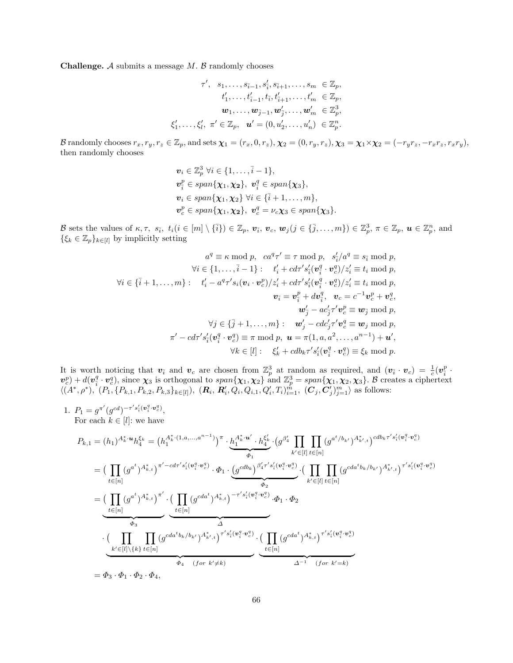**Challenge.** A submits a message  $M$ .  $\beta$  randomly chooses

$$
\tau', \quad s_1, \ldots, s_{\bar{i}-1}, s'_{\bar{i}}, s_{\bar{i}+1}, \ldots, s_m \in \mathbb{Z}_p, \n t'_1, \ldots, t'_{\bar{i}-1}, t_{\bar{i}}, t'_{\bar{i}+1}, \ldots, t'_m \in \mathbb{Z}_p, \n \bm{w}_1, \ldots, \bm{w}_{\bar{j}-1}, \bm{w}'_{\bar{j}}, \ldots, \bm{w}'_m \in \mathbb{Z}_p^3, \n \xi'_1, \ldots, \xi'_l, \ \pi' \in \mathbb{Z}_p, \quad \bm{u}' = (0, u'_2, \ldots, u'_n) \in \mathbb{Z}_p^n.
$$

B randomly chooses  $r_x, r_y, r_z \in \mathbb{Z}_p$ , and sets  $\boldsymbol{\chi}_1 = (r_x, 0, r_z), \boldsymbol{\chi}_2 = (0, r_y, r_z), \boldsymbol{\chi}_3 = \boldsymbol{\chi}_1 \times \boldsymbol{\chi}_2 = (-r_y r_z, -r_x r_z, r_x r_y),$ then randomly chooses

$$
\mathbf{v}_i \in \mathbb{Z}_p^3 \ \forall i \in \{1, \ldots, \bar{i} - 1\},
$$
  
\n
$$
\mathbf{v}_i^p \in span{\chi_1, \chi_2}, \ \mathbf{v}_i^q \in span{\chi_3},
$$
  
\n
$$
\mathbf{v}_i \in span{\chi_1, \chi_2} \ \forall i \in {\bar{i} + 1, \ldots, m},
$$
  
\n
$$
\mathbf{v}_c^p \in span{\chi_1, \chi_2}, \ \mathbf{v}_c^q = \nu_c \chi_3 \in span{\chi_3}.
$$

B sets the values of  $\kappa, \tau$ ,  $s_{\bar{i}}$ ,  $t_i (i \in [m] \setminus {\bar{i}}) \in \mathbb{Z}_p$ ,  $\boldsymbol{v}_{\bar{i}}$ ,  $\boldsymbol{v}_c$ ,  $\boldsymbol{w}_j (j \in {\bar{j}}, \ldots, m) \in \mathbb{Z}_p^3$ ,  $\pi \in \mathbb{Z}_p$ ,  $\boldsymbol{u} \in \mathbb{Z}_p^n$ , and  $\{\xi_k \in \mathbb{Z}_p\}_{k \in [l]}$  by implicitly setting

$$
a^q \equiv \kappa \mod p, \quad ca^q \tau' \equiv \tau \mod p, \quad s_i'/a^q \equiv s_{\overline{i}} \mod p,
$$
  
\n
$$
\forall i \in \{1, \ldots, \overline{i} - 1\}: \quad t_i' + cd\tau's_{\overline{i}}'(\mathbf{v}_i^q \cdot \mathbf{v}_c^q)/z_i' \equiv t_i \mod p,
$$
  
\n
$$
\forall i \in \{\overline{i} + 1, \ldots, m\}: \quad t_i' - a^q \tau's_i(\mathbf{v}_i \cdot \mathbf{v}_c^p)/z_i' + cd\tau's_i'(\mathbf{v}_i^q \cdot \mathbf{v}_c^q)/z_i' \equiv t_i \mod p,
$$
  
\n
$$
\mathbf{v}_{\overline{i}} = \mathbf{v}_{\overline{i}}^p + d\mathbf{v}_{\overline{i}}^q, \quad \mathbf{v}_c = c^{-1} \mathbf{v}_c^p + \mathbf{v}_c^q,
$$
  
\n
$$
\mathbf{w}_j' - ac_j' \tau' \mathbf{v}_c^p \equiv \mathbf{w}_j \mod p,
$$
  
\n
$$
\forall j \in \{\overline{j} + 1, \ldots, m\}: \quad \mathbf{w}_j' - cdc_j' \tau' \mathbf{v}_c^q \equiv \mathbf{w}_j \mod p,
$$
  
\n
$$
\pi' - cd\tau's_i'(\mathbf{v}_i^q \cdot \mathbf{v}_c^q) \equiv \pi \mod p, \quad \mathbf{u} = \pi(1, a, a^2, \ldots, a^{n-1}) + \mathbf{u}',
$$
  
\n
$$
\forall k \in [l]: \quad \xi_k' + cdb_k \tau's_i'(\mathbf{v}_i^q \cdot \mathbf{v}_c^q) \equiv \xi_k \mod p.
$$

It is worth noticing that  $v_i$  and  $v_c$  are chosen from  $\mathbb{Z}_p^3$  at random as required, and  $(v_i \cdot v_c) = \frac{1}{c}(v_i^p + v_c)$  $\mathbf{v}_c^p$  +  $d(\mathbf{v}_i^q \cdot \mathbf{v}_c^q)$ , since  $\chi_3$  is orthogonal to  $span{\chi_1, \chi_2}$  and  $\mathbb{Z}_p^3 = span{\chi_1, \chi_2, \chi_3}$ . B creates a ciphertext  $\langle (A^*, \rho^*), (P_1, \{P_{k,1}, P_{k,2}, P_{k,3}\}_{k\in[l]}), (R_i, R'_i, Q_i, Q_{i,1}, Q'_i, T_i)_{i=1}^{\hat{m}}, (C_j, C'_j)_{j=1}^m \rangle$  as follows:

1.  $P_1 = g^{\pi'}(g^{cd})^{-\tau' s_i'(v_i^q \cdot v_c^q)},$ For each  $k \in [l]$ : we have

$$
P_{k,1} = (h_1)^{A_k^* \cdot u} h_4^{\xi_k} = (h_1^{A_k^* \cdot (1, a, ..., a^{n-1})})^\pi \cdot \underbrace{h_1^{A_k^* \cdot u'} \cdot h_4^{\xi'_k}}_{\varphi_1} \cdot (g^{\beta'_4} \prod_{k' \in [l]} \prod_{t \in [n]} (g^{a^t/b_{k'}})^{A_{k',t}^*})^{\text{cdb}_{k} \tau' s'_i(v_i^a \cdot v_c^a)}_{\text{f} \in [n]}
$$
\n
$$
= (\prod_{t \in [n]} (g^{a^t})^{A_{k,t}^*})^{\pi' - \text{cd} \tau' s'_i(v_i^a \cdot v_c^a)} \cdot \varphi_1 \cdot \underbrace{(g^{cdb_k})^{\beta'_4 \tau' s'_i(v_i^a \cdot v_c^a)}}_{\varphi_2} \cdot (\prod_{k' \in [l]} \prod_{t \in [n]} (g^{cdab_{k/b_{k'}}})^{A_{k',t}^*})^{\tau' s'_i(v_i^a \cdot v_c^a)}}_{\text{f} \in [n]}
$$
\n
$$
= (\prod_{t \in [n]} (g^{a^t})^{A_{k,t}^*})^{\pi'} \cdot (\prod_{t \in [n]} (g^{cda^t})^{A_{k,t}^*})^{-\tau' s'_i(v_i^a \cdot v_c^a)} \cdot \varphi_1 \cdot \varphi_2
$$
\n
$$
\cdot (\prod_{k' \in [l] \setminus \{k\}} \prod_{t \in [n]} (g^{cdab_{k/b_{k'}}})^{A_{k',t}^*})^{\tau' s'_i(v_i^a \cdot v_c^a)} \cdot (\prod_{t \in [n]} (g^{cda^t})^{A_{k,t}^*})^{\tau' s'_i(v_i^a \cdot v_c^a)}
$$
\n
$$
= \varphi_3 \cdot \varphi_1 \cdot \varphi_2 \cdot \varphi_4,
$$
\n
$$
= \varphi_3 \cdot \varphi_1 \cdot \varphi_2 \cdot \varphi_4,
$$